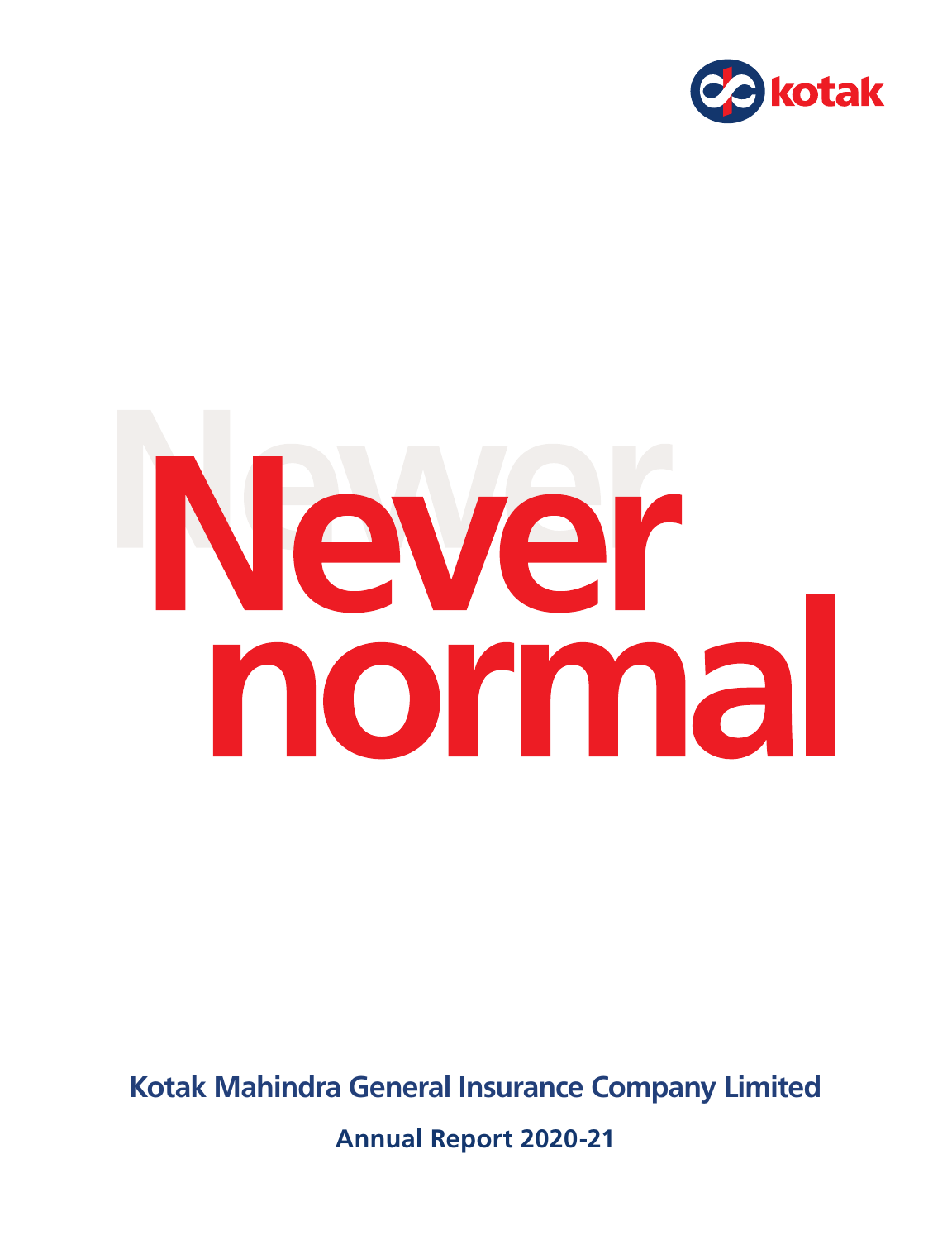

# **Never** normal

**Annual Report 2020-21 Kotak Mahindra General Insurance Company Limited**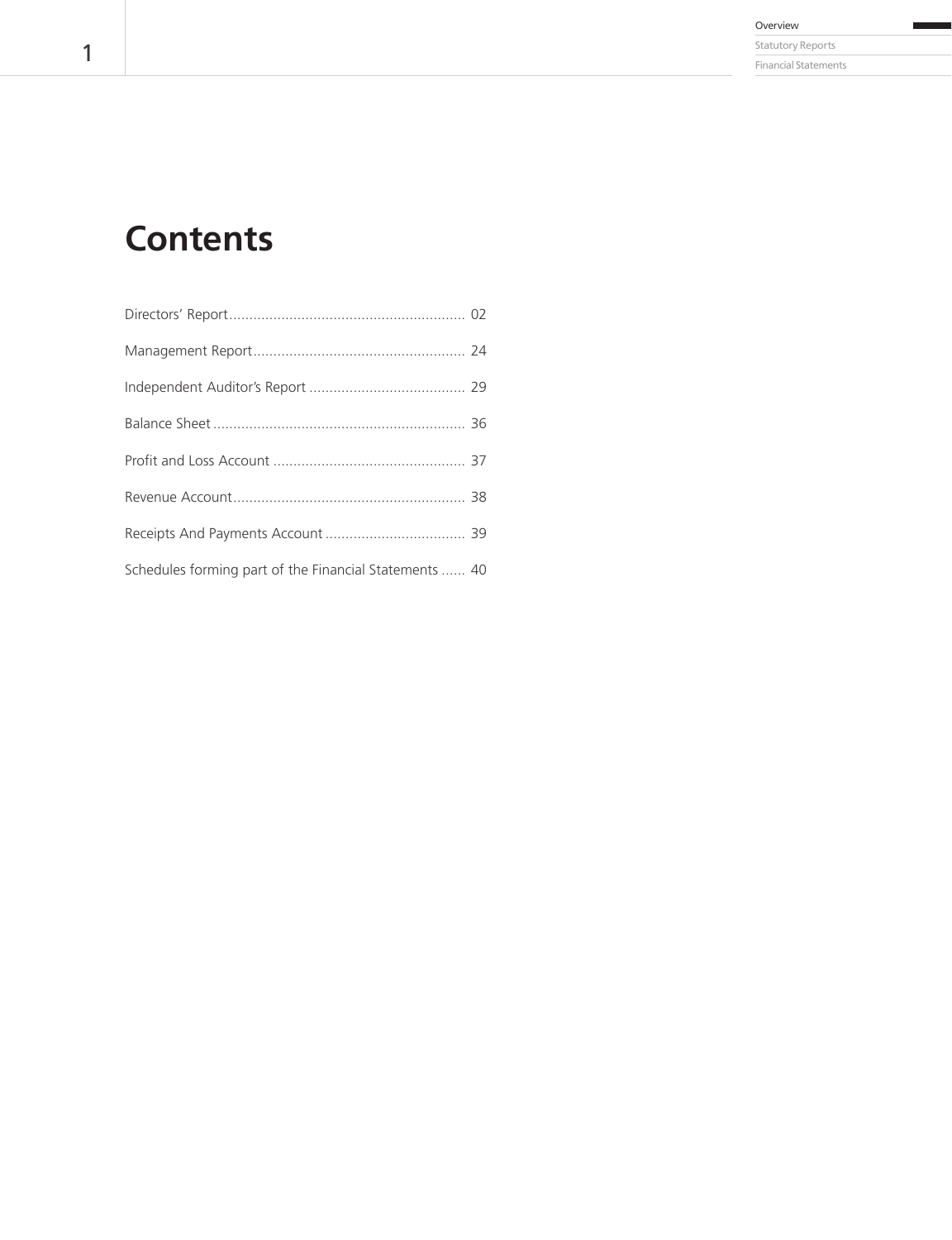#### Overview

statutory Reports<br>
Statutory Reports<br>
Statutory Reports Financial Statements

# **Contents**

| Schedules forming part of the Financial Statements  40 |  |
|--------------------------------------------------------|--|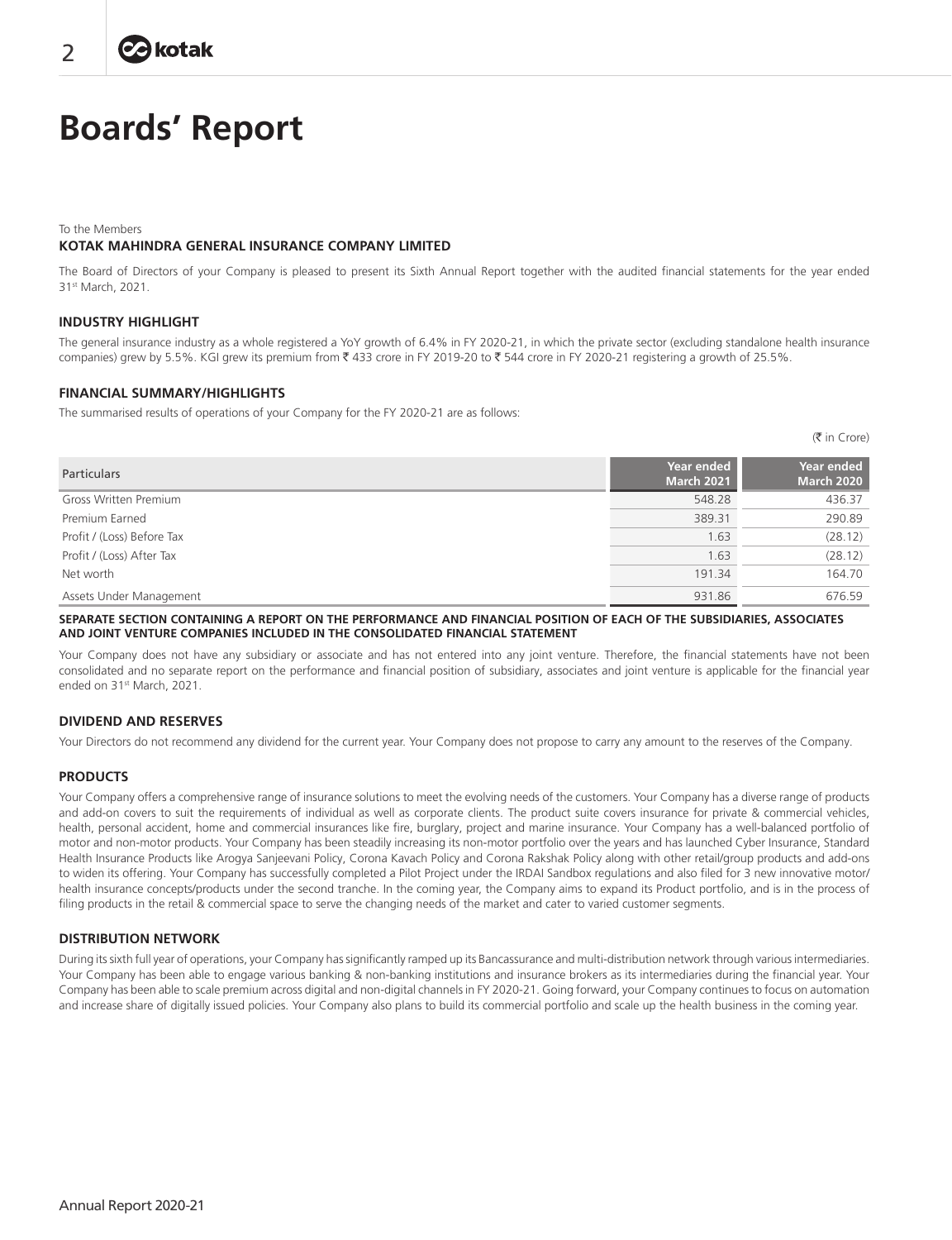# **Boards' Report**

To the Members

#### **KOTAK MAHINDRA GENERAL INSURANCE COMPANY LIMITED**

The Board of Directors of your Company is pleased to present its Sixth Annual Report together with the audited financial statements for the year ended 31st March, 2021.

#### **INDUSTRY HIGHLIGHT**

The general insurance industry as a whole registered a YoY growth of 6.4% in FY 2020-21, in which the private sector (excluding standalone health insurance companies) grew by 5.5%. KGI grew its premium from  $\bar{\xi}$  433 crore in FY 2019-20 to  $\bar{\xi}$  544 crore in FY 2020-21 registering a growth of 25.5%.

#### **FINANCIAL SUMMARY/HIGHLIGHTS**

The summarised results of operations of your Company for the FY 2020-21 are as follows:

|                            |                                 | (そ in Crore)                    |  |  |  |
|----------------------------|---------------------------------|---------------------------------|--|--|--|
| Particulars                | Year ended<br><b>March 2021</b> | Year ended<br><b>March 2020</b> |  |  |  |
| Gross Written Premium      | 548.28                          | 436.37                          |  |  |  |
| Premium Earned             | 389.31                          | 290.89                          |  |  |  |
| Profit / (Loss) Before Tax | 1.63                            | (28.12)                         |  |  |  |
| Profit / (Loss) After Tax  | 1.63                            | (28.12)                         |  |  |  |
| Net worth                  | 191.34                          | 164.70                          |  |  |  |
| Assets Under Management    | 931.86                          | 676.59                          |  |  |  |

**SEPARATE SECTION CONTAINING A REPORT ON THE PERFORMANCE AND FINANCIAL POSITION OF EACH OF THE SUBSIDIARIES, ASSOCIATES AND JOINT VENTURE COMPANIES INCLUDED IN THE CONSOLIDATED FINANCIAL STATEMENT**

Your Company does not have any subsidiary or associate and has not entered into any joint venture. Therefore, the financial statements have not been consolidated and no separate report on the performance and financial position of subsidiary, associates and joint venture is applicable for the financial year ended on 31st March, 2021.

#### **DIVIDEND AND RESERVES**

Your Directors do not recommend any dividend for the current year. Your Company does not propose to carry any amount to the reserves of the Company.

#### **PRODUCTS**

Your Company offers a comprehensive range of insurance solutions to meet the evolving needs of the customers. Your Company has a diverse range of products and add-on covers to suit the requirements of individual as well as corporate clients. The product suite covers insurance for private & commercial vehicles, health, personal accident, home and commercial insurances like fire, burglary, project and marine insurance. Your Company has a well-balanced portfolio of motor and non-motor products. Your Company has been steadily increasing its non-motor portfolio over the years and has launched Cyber Insurance, Standard Health Insurance Products like Arogya Sanjeevani Policy, Corona Kavach Policy and Corona Rakshak Policy along with other retail/group products and add-ons to widen its offering. Your Company has successfully completed a Pilot Project under the IRDAI Sandbox regulations and also filed for 3 new innovative motor/ health insurance concepts/products under the second tranche. In the coming year, the Company aims to expand its Product portfolio, and is in the process of filing products in the retail & commercial space to serve the changing needs of the market and cater to varied customer segments.

#### **DISTRIBUTION NETWORK**

During its sixth full year of operations, your Company has significantly ramped up its Bancassurance and multi-distribution network through various intermediaries. Your Company has been able to engage various banking & non-banking institutions and insurance brokers as its intermediaries during the financial year. Your Company has been able to scale premium across digital and non-digital channels in FY 2020-21. Going forward, your Company continues to focus on automation and increase share of digitally issued policies. Your Company also plans to build its commercial portfolio and scale up the health business in the coming year.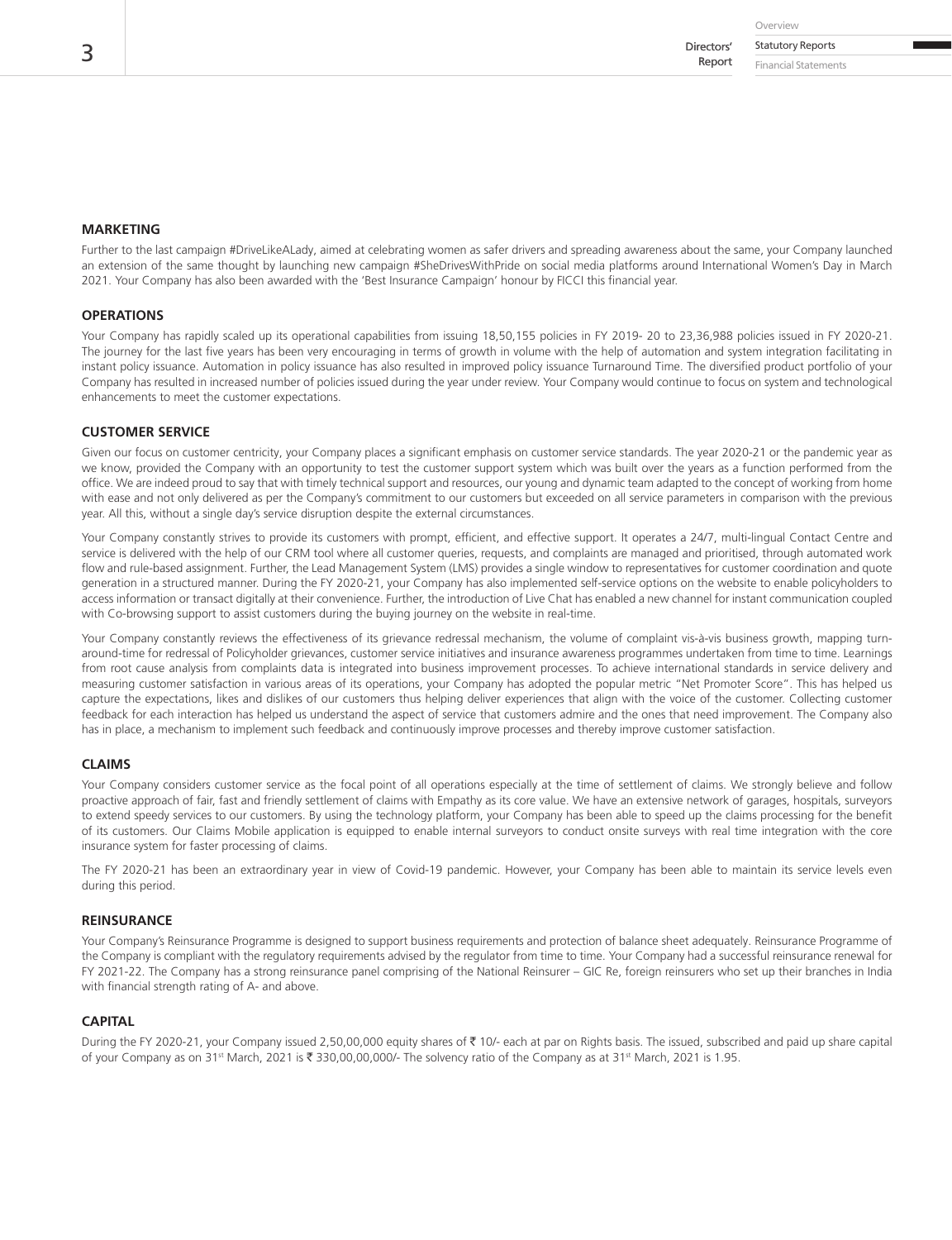Overview

Further to the last campaign #DriveLikeALady, aimed at celebrating women as safer drivers and spreading awareness about the same, your Company launched an extension of the same thought by launching new campaign #SheDrivesWithPride on social media platforms around International Women's Day in March 2021. Your Company has also been awarded with the 'Best Insurance Campaign' honour by FICCI this financial year.

#### **OPERATIONS**

Your Company has rapidly scaled up its operational capabilities from issuing 18,50,155 policies in FY 2019- 20 to 23,36,988 policies issued in FY 2020-21. The journey for the last five years has been very encouraging in terms of growth in volume with the help of automation and system integration facilitating in instant policy issuance. Automation in policy issuance has also resulted in improved policy issuance Turnaround Time. The diversified product portfolio of your Company has resulted in increased number of policies issued during the year under review. Your Company would continue to focus on system and technological enhancements to meet the customer expectations.

#### **CUSTOMER SERVICE**

Given our focus on customer centricity, your Company places a significant emphasis on customer service standards. The year 2020-21 or the pandemic year as we know, provided the Company with an opportunity to test the customer support system which was built over the years as a function performed from the office. We are indeed proud to say that with timely technical support and resources, our young and dynamic team adapted to the concept of working from home with ease and not only delivered as per the Company's commitment to our customers but exceeded on all service parameters in comparison with the previous year. All this, without a single day's service disruption despite the external circumstances.

Your Company constantly strives to provide its customers with prompt, efficient, and effective support. It operates a 24/7, multi-lingual Contact Centre and service is delivered with the help of our CRM tool where all customer queries, requests, and complaints are managed and prioritised, through automated work flow and rule-based assignment. Further, the Lead Management System (LMS) provides a single window to representatives for customer coordination and quote generation in a structured manner. During the FY 2020-21, your Company has also implemented self-service options on the website to enable policyholders to access information or transact digitally at their convenience. Further, the introduction of Live Chat has enabled a new channel for instant communication coupled with Co-browsing support to assist customers during the buying journey on the website in real-time.

Your Company constantly reviews the effectiveness of its grievance redressal mechanism, the volume of complaint vis-à-vis business growth, mapping turnaround-time for redressal of Policyholder grievances, customer service initiatives and insurance awareness programmes undertaken from time to time. Learnings from root cause analysis from complaints data is integrated into business improvement processes. To achieve international standards in service delivery and measuring customer satisfaction in various areas of its operations, your Company has adopted the popular metric "Net Promoter Score". This has helped us capture the expectations, likes and dislikes of our customers thus helping deliver experiences that align with the voice of the customer. Collecting customer feedback for each interaction has helped us understand the aspect of service that customers admire and the ones that need improvement. The Company also has in place, a mechanism to implement such feedback and continuously improve processes and thereby improve customer satisfaction.

#### **CLAIMS**

Your Company considers customer service as the focal point of all operations especially at the time of settlement of claims. We strongly believe and follow proactive approach of fair, fast and friendly settlement of claims with Empathy as its core value. We have an extensive network of garages, hospitals, surveyors to extend speedy services to our customers. By using the technology platform, your Company has been able to speed up the claims processing for the benefit of its customers. Our Claims Mobile application is equipped to enable internal surveyors to conduct onsite surveys with real time integration with the core insurance system for faster processing of claims.

The FY 2020-21 has been an extraordinary year in view of Covid-19 pandemic. However, your Company has been able to maintain its service levels even during this period.

#### **REINSURANCE**

Your Company's Reinsurance Programme is designed to support business requirements and protection of balance sheet adequately. Reinsurance Programme of the Company is compliant with the regulatory requirements advised by the regulator from time to time. Your Company had a successful reinsurance renewal for FY 2021-22. The Company has a strong reinsurance panel comprising of the National Reinsurer – GIC Re, foreign reinsurers who set up their branches in India with financial strength rating of A- and above.

#### **CAPITAL**

During the FY 2020-21, your Company issued 2,50,00,000 equity shares of ₹ 10/- each at par on Rights basis. The issued, subscribed and paid up share capital of your Company as on 31<sup>st</sup> March, 2021 is  $\bar{\tau}$  330,00,00,000/- The solvency ratio of the Company as at 31<sup>st</sup> March, 2021 is 1.95.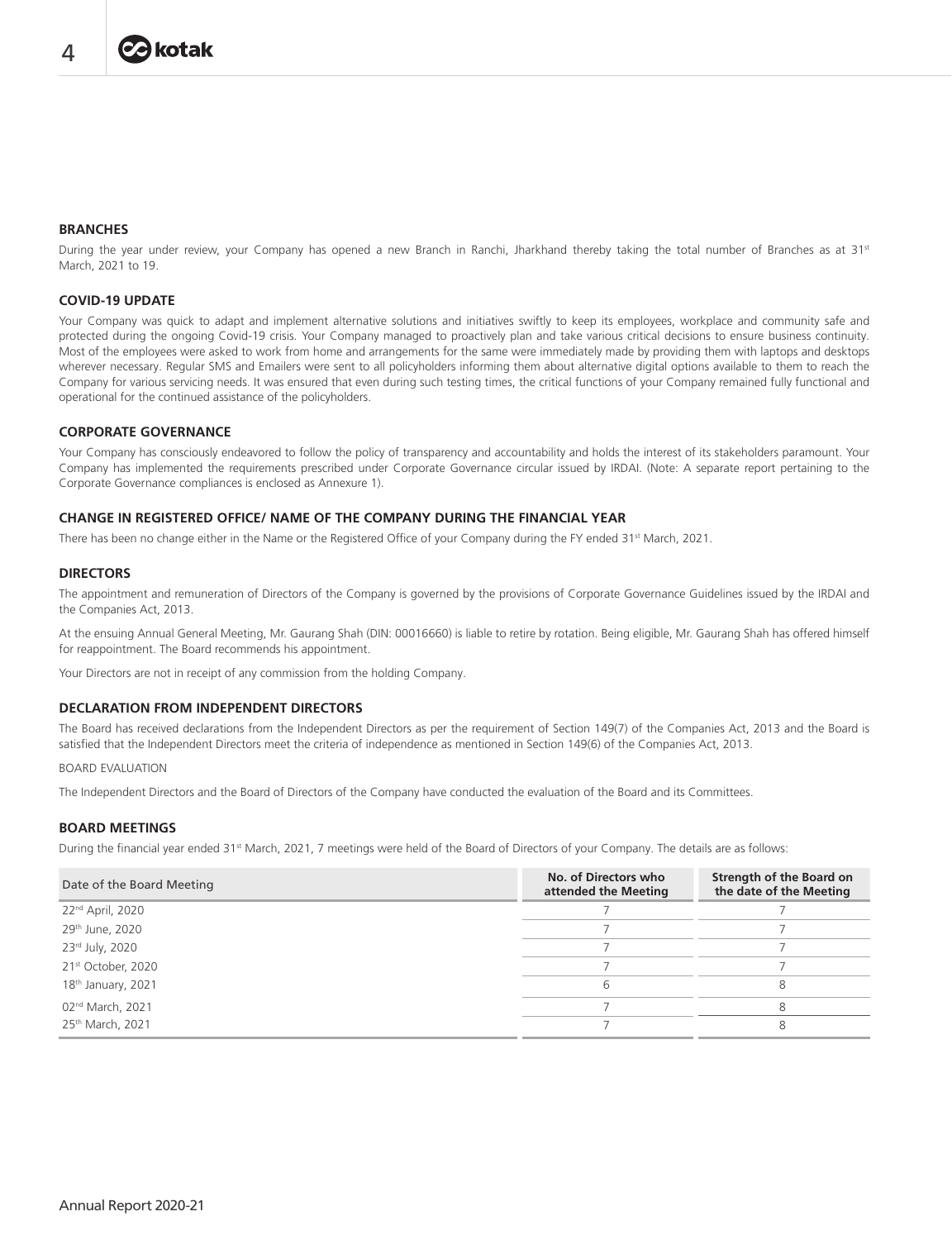#### **BRANCHES**

During the year under review, your Company has opened a new Branch in Ranchi, Jharkhand thereby taking the total number of Branches as at 31st March, 2021 to 19.

#### **COVID-19 UPDATE**

Your Company was quick to adapt and implement alternative solutions and initiatives swiftly to keep its employees, workplace and community safe and protected during the ongoing Covid-19 crisis. Your Company managed to proactively plan and take various critical decisions to ensure business continuity. Most of the employees were asked to work from home and arrangements for the same were immediately made by providing them with laptops and desktops wherever necessary. Regular SMS and Emailers were sent to all policyholders informing them about alternative digital options available to them to reach the Company for various servicing needs. It was ensured that even during such testing times, the critical functions of your Company remained fully functional and operational for the continued assistance of the policyholders.

#### **CORPORATE GOVERNANCE**

Your Company has consciously endeavored to follow the policy of transparency and accountability and holds the interest of its stakeholders paramount. Your Company has implemented the requirements prescribed under Corporate Governance circular issued by IRDAI. (Note: A separate report pertaining to the Corporate Governance compliances is enclosed as Annexure 1).

#### **CHANGE IN REGISTERED OFFICE/ NAME OF THE COMPANY DURING THE FINANCIAL YEAR**

There has been no change either in the Name or the Registered Office of your Company during the FY ended 31st March, 2021.

#### **DIRECTORS**

The appointment and remuneration of Directors of the Company is governed by the provisions of Corporate Governance Guidelines issued by the IRDAI and the Companies Act, 2013.

At the ensuing Annual General Meeting, Mr. Gaurang Shah (DIN: 00016660) is liable to retire by rotation. Being eligible, Mr. Gaurang Shah has offered himself for reappointment. The Board recommends his appointment.

Your Directors are not in receipt of any commission from the holding Company.

#### **DECLARATION FROM INDEPENDENT DIRECTORS**

The Board has received declarations from the Independent Directors as per the requirement of Section 149(7) of the Companies Act, 2013 and the Board is satisfied that the Independent Directors meet the criteria of independence as mentioned in Section 149(6) of the Companies Act, 2013.

#### BOARD EVALUATION

The Independent Directors and the Board of Directors of the Company have conducted the evaluation of the Board and its Committees.

#### **BOARD MEETINGS**

During the financial year ended 31<sup>st</sup> March, 2021, 7 meetings were held of the Board of Directors of your Company. The details are as follows:

| Date of the Board Meeting    | No. of Directors who<br>attended the Meeting | Strength of the Board on<br>the date of the Meeting |
|------------------------------|----------------------------------------------|-----------------------------------------------------|
| 22 <sup>nd</sup> April, 2020 |                                              |                                                     |
| 29th June, 2020              |                                              |                                                     |
| 23rd July, 2020              |                                              |                                                     |
| 21st October, 2020           |                                              |                                                     |
| 18th January, 2021           | 6                                            | 8                                                   |
| 02 <sup>nd</sup> March, 2021 |                                              |                                                     |
| 25th March, 2021             |                                              | 8                                                   |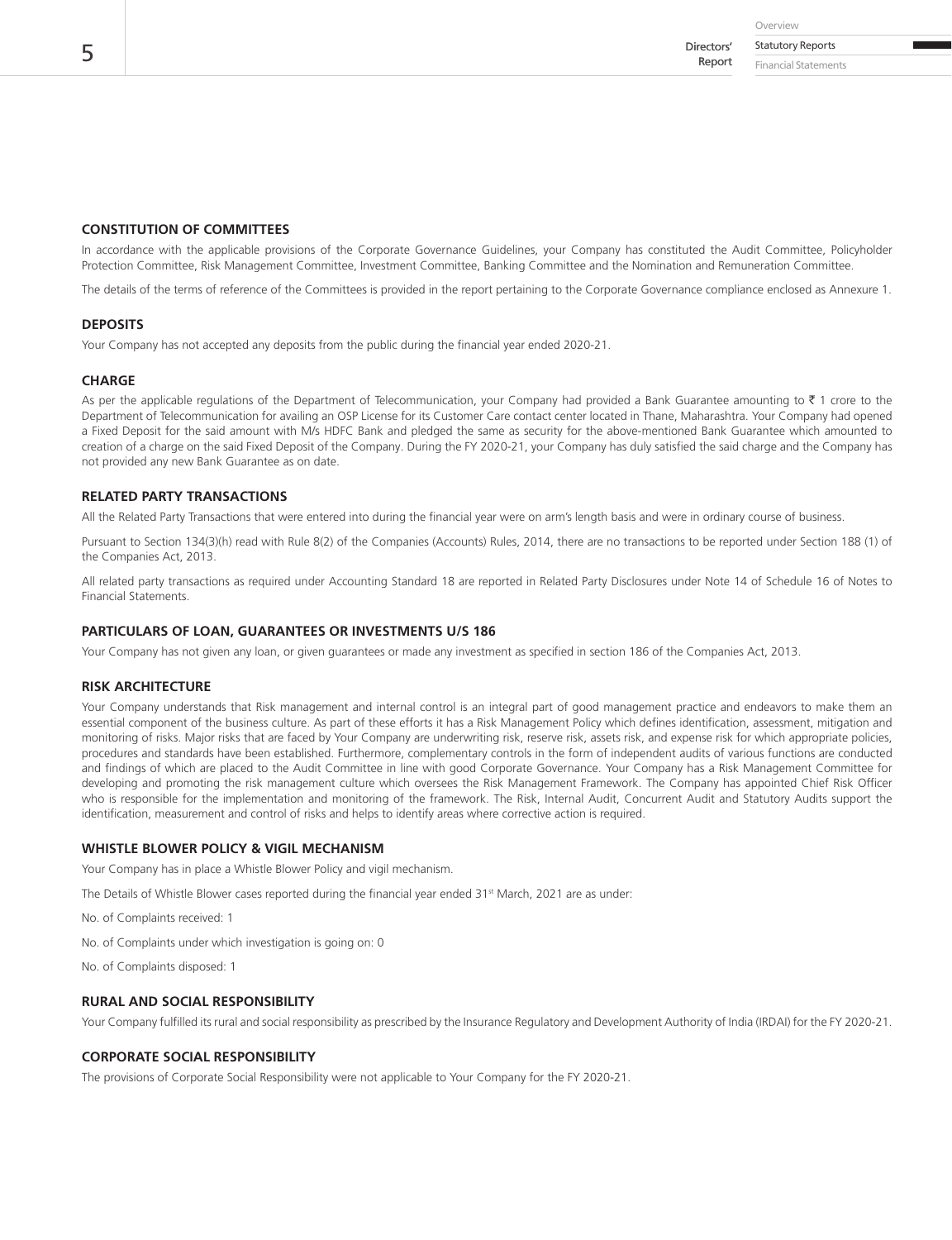Directors' Report Statutory Reports Financial Statements

#### **CONSTITUTION OF COMMITTEES**

In accordance with the applicable provisions of the Corporate Governance Guidelines, your Company has constituted the Audit Committee, Policyholder Protection Committee, Risk Management Committee, Investment Committee, Banking Committee and the Nomination and Remuneration Committee.

The details of the terms of reference of the Committees is provided in the report pertaining to the Corporate Governance compliance enclosed as Annexure 1.

#### **DEPOSITS**

Your Company has not accepted any deposits from the public during the financial year ended 2020-21.

#### **CHARGE**

As per the applicable regulations of the Department of Telecommunication, your Company had provided a Bank Guarantee amounting to  $\bar{\tau}$  1 crore to the Department of Telecommunication for availing an OSP License for its Customer Care contact center located in Thane, Maharashtra. Your Company had opened a Fixed Deposit for the said amount with M/s HDFC Bank and pledged the same as security for the above-mentioned Bank Guarantee which amounted to creation of a charge on the said Fixed Deposit of the Company. During the FY 2020-21, your Company has duly satisfied the said charge and the Company has not provided any new Bank Guarantee as on date.

#### **RELATED PARTY TRANSACTIONS**

All the Related Party Transactions that were entered into during the financial year were on arm's length basis and were in ordinary course of business.

Pursuant to Section 134(3)(h) read with Rule 8(2) of the Companies (Accounts) Rules, 2014, there are no transactions to be reported under Section 188 (1) of the Companies Act, 2013.

All related party transactions as required under Accounting Standard 18 are reported in Related Party Disclosures under Note 14 of Schedule 16 of Notes to Financial Statements.

#### **PARTICULARS OF LOAN, GUARANTEES OR INVESTMENTS U/S 186**

Your Company has not given any loan, or given guarantees or made any investment as specified in section 186 of the Companies Act, 2013.

#### **RISK ARCHITECTURE**

Your Company understands that Risk management and internal control is an integral part of good management practice and endeavors to make them an essential component of the business culture. As part of these efforts it has a Risk Management Policy which defines identification, assessment, mitigation and monitoring of risks. Major risks that are faced by Your Company are underwriting risk, reserve risk, assets risk, and expense risk for which appropriate policies, procedures and standards have been established. Furthermore, complementary controls in the form of independent audits of various functions are conducted and findings of which are placed to the Audit Committee in line with good Corporate Governance. Your Company has a Risk Management Committee for developing and promoting the risk management culture which oversees the Risk Management Framework. The Company has appointed Chief Risk Officer who is responsible for the implementation and monitoring of the framework. The Risk, Internal Audit, Concurrent Audit and Statutory Audits support the identification, measurement and control of risks and helps to identify areas where corrective action is required.

#### **WHISTLE BLOWER POLICY & VIGIL MECHANISM**

Your Company has in place a Whistle Blower Policy and vigil mechanism.

The Details of Whistle Blower cases reported during the financial year ended 31<sup>st</sup> March, 2021 are as under:

No. of Complaints received: 1

No. of Complaints under which investigation is going on: 0

No. of Complaints disposed: 1

#### **RURAL AND SOCIAL RESPONSIBILITY**

Your Company fulfilled its rural and social responsibility as prescribed by the Insurance Regulatory and Development Authority of India (IRDAI) for the FY 2020-21.

#### **CORPORATE SOCIAL RESPONSIBILITY**

The provisions of Corporate Social Responsibility were not applicable to Your Company for the FY 2020-21.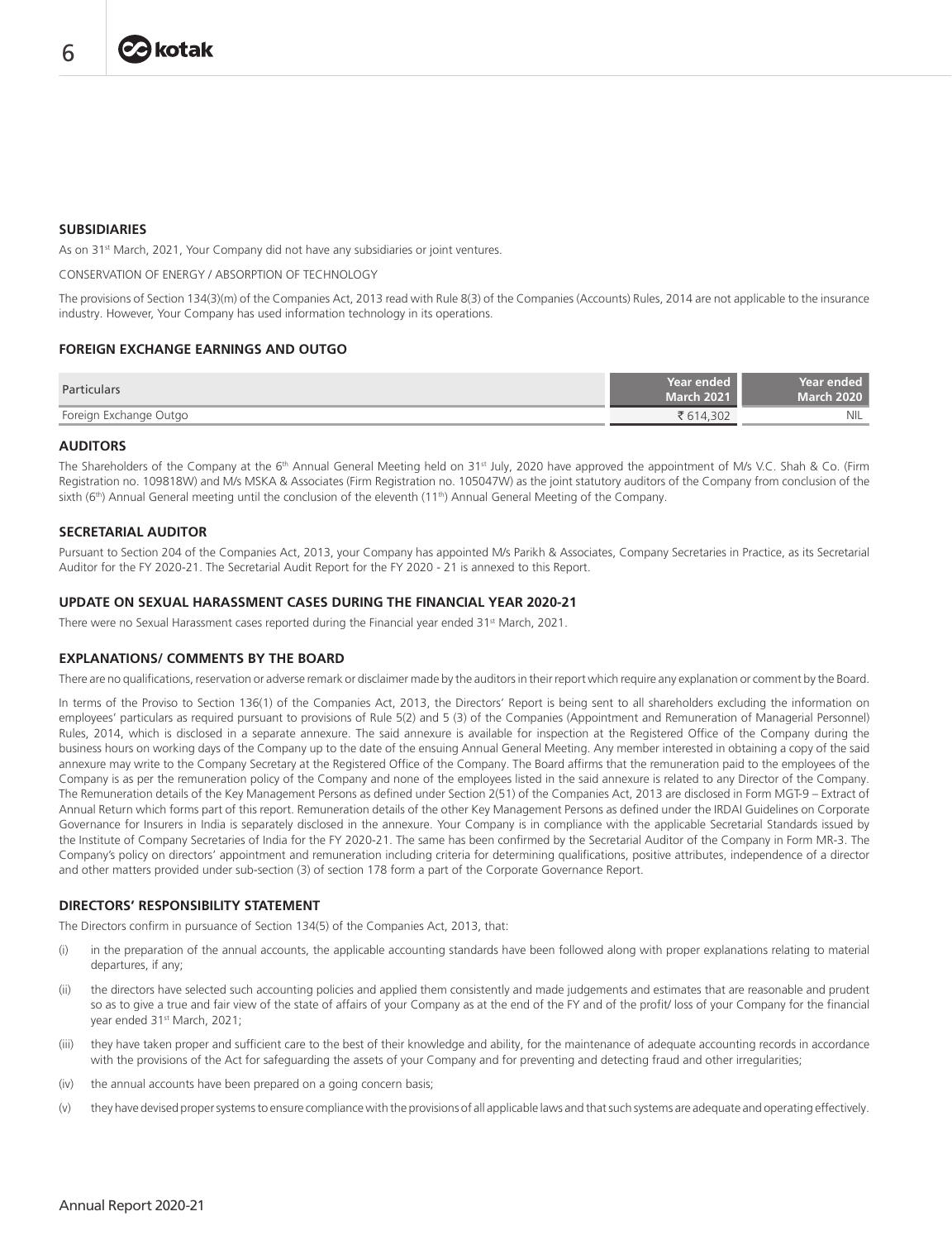#### **SUBSIDIARIES**

As on 31<sup>st</sup> March, 2021, Your Company did not have any subsidiaries or joint ventures.

CONSERVATION OF ENERGY / ABSORPTION OF TECHNOLOGY

The provisions of Section 134(3)(m) of the Companies Act, 2013 read with Rule 8(3) of the Companies (Accounts) Rules, 2014 are not applicable to the insurance industry. However, Your Company has used information technology in its operations.

#### **FOREIGN EXCHANGE EARNINGS AND OUTGO**

| <b>Particulars</b>     | Year ended<br><b>March 2021</b> | Year ended<br>March 2020 |
|------------------------|---------------------------------|--------------------------|
| Foreign Exchange Outgo | ₹ 614.302                       | NIL                      |

#### **AUDITORS**

The Shareholders of the Company at the 6<sup>th</sup> Annual General Meeting held on 31<sup>st</sup> July, 2020 have approved the appointment of M/s V.C. Shah & Co. (Firm Registration no. 109818W) and M/s MSKA & Associates (Firm Registration no. 105047W) as the joint statutory auditors of the Company from conclusion of the sixth ( $6<sup>th</sup>$ ) Annual General meeting until the conclusion of the eleventh (11<sup>th</sup>) Annual General Meeting of the Company.

#### **SECRETARIAL AUDITOR**

Pursuant to Section 204 of the Companies Act, 2013, your Company has appointed M/s Parikh & Associates, Company Secretaries in Practice, as its Secretarial Auditor for the FY 2020-21. The Secretarial Audit Report for the FY 2020 - 21 is annexed to this Report.

#### **UPDATE ON SEXUAL HARASSMENT CASES DURING THE FINANCIAL YEAR 2020-21**

There were no Sexual Harassment cases reported during the Financial year ended 31<sup>st</sup> March, 2021.

#### **EXPLANATIONS/ COMMENTS BY THE BOARD**

There are no qualifications, reservation or adverse remark or disclaimer made by the auditors in their report which require any explanation or comment by the Board.

In terms of the Proviso to Section 136(1) of the Companies Act, 2013, the Directors' Report is being sent to all shareholders excluding the information on employees' particulars as required pursuant to provisions of Rule 5(2) and 5 (3) of the Companies (Appointment and Remuneration of Managerial Personnel) Rules, 2014, which is disclosed in a separate annexure. The said annexure is available for inspection at the Registered Office of the Company during the business hours on working days of the Company up to the date of the ensuing Annual General Meeting. Any member interested in obtaining a copy of the said annexure may write to the Company Secretary at the Registered Office of the Company. The Board affirms that the remuneration paid to the employees of the Company is as per the remuneration policy of the Company and none of the employees listed in the said annexure is related to any Director of the Company. The Remuneration details of the Key Management Persons as defined under Section 2(51) of the Companies Act, 2013 are disclosed in Form MGT-9 – Extract of Annual Return which forms part of this report. Remuneration details of the other Key Management Persons as defined under the IRDAI Guidelines on Corporate Governance for Insurers in India is separately disclosed in the annexure. Your Company is in compliance with the applicable Secretarial Standards issued by the Institute of Company Secretaries of India for the FY 2020-21. The same has been confirmed by the Secretarial Auditor of the Company in Form MR-3. The Company's policy on directors' appointment and remuneration including criteria for determining qualifications, positive attributes, independence of a director and other matters provided under sub-section (3) of section 178 form a part of the Corporate Governance Report.

#### **DIRECTORS' RESPONSIBILITY STATEMENT**

The Directors confirm in pursuance of Section 134(5) of the Companies Act, 2013, that:

- (i) in the preparation of the annual accounts, the applicable accounting standards have been followed along with proper explanations relating to material departures, if any;
- (ii) the directors have selected such accounting policies and applied them consistently and made judgements and estimates that are reasonable and prudent so as to give a true and fair view of the state of affairs of your Company as at the end of the FY and of the profit/ loss of your Company for the financial year ended 31<sup>st</sup> March, 2021;
- (iii) they have taken proper and sufficient care to the best of their knowledge and ability, for the maintenance of adequate accounting records in accordance with the provisions of the Act for safeguarding the assets of your Company and for preventing and detecting fraud and other irregularities;
- (iv) the annual accounts have been prepared on a going concern basis;
- (v) they have devised proper systems to ensure compliance with the provisions of all applicable laws and that such systems are adequate and operating effectively.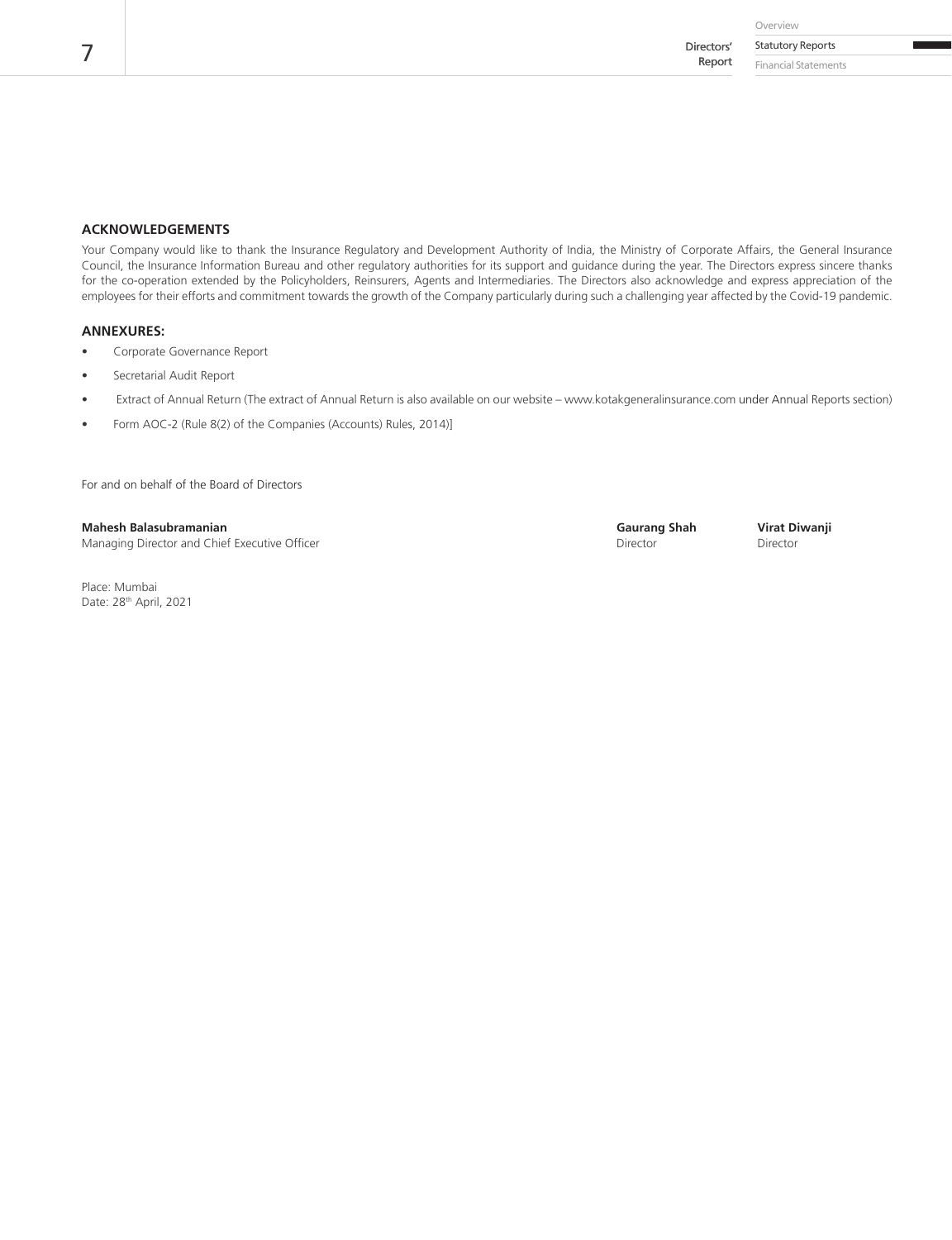Statutory Reports Financial Statements Report

Overview

#### **ACKNOWLEDGEMENTS**

Your Company would like to thank the Insurance Regulatory and Development Authority of India, the Ministry of Corporate Affairs, the General Insurance Council, the Insurance Information Bureau and other regulatory authorities for its support and guidance during the year. The Directors express sincere thanks for the co-operation extended by the Policyholders, Reinsurers, Agents and Intermediaries. The Directors also acknowledge and express appreciation of the employees for their efforts and commitment towards the growth of the Company particularly during such a challenging year affected by the Covid-19 pandemic.

#### **ANNEXURES:**

- Corporate Governance Report
- Secretarial Audit Report
- Extract of Annual Return (The extract of Annual Return is also available on our website [www.kotakgeneralinsurance.com](http://www.kotakgeneralinsurance.com) under Annual Reports section)
- Form AOC-2 (Rule 8(2) of the Companies (Accounts) Rules, 2014)]

For and on behalf of the Board of Directors

#### **Mahesh Balasubramanian**

Managing Director and Chief Executive Officer

Place: Mumbai Date: 28th April, 2021 **Gaurang Shah** Director

**Virat Diwanji** Director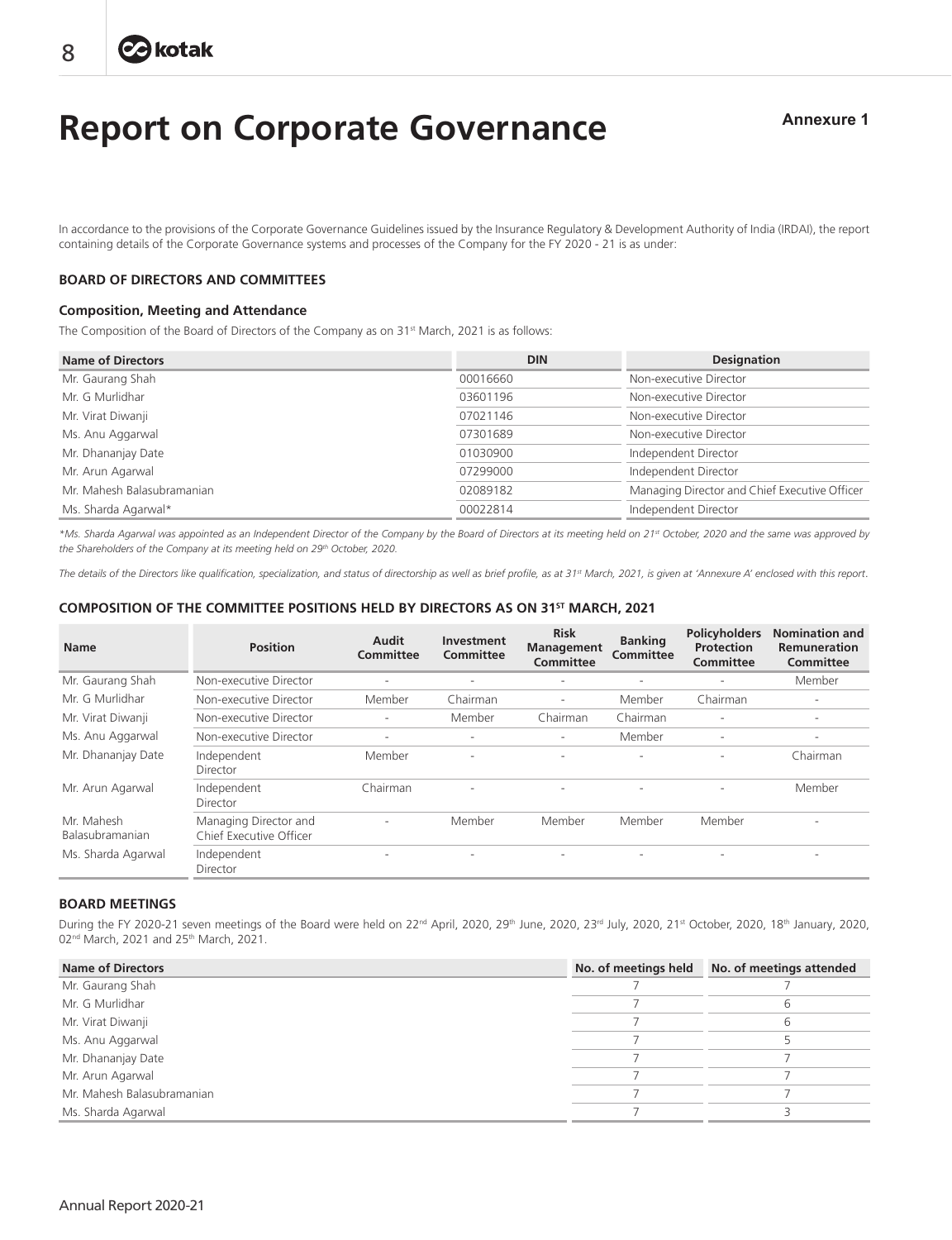# **Report on Corporate Governance Annexure 1**

In accordance to the provisions of the Corporate Governance Guidelines issued by the Insurance Regulatory & Development Authority of India (IRDAI), the report containing details of the Corporate Governance systems and processes of the Company for the FY 2020 - 21 is as under:

#### **BOARD OF DIRECTORS AND COMMITTEES**

#### **Composition, Meeting and Attendance**

The Composition of the Board of Directors of the Company as on 31<sup>st</sup> March, 2021 is as follows:

| <b>Name of Directors</b>   | <b>DIN</b> | <b>Designation</b>                            |  |
|----------------------------|------------|-----------------------------------------------|--|
| Mr. Gaurang Shah           | 00016660   | Non-executive Director                        |  |
| Mr. G Murlidhar            | 03601196   | Non-executive Director                        |  |
| Mr. Virat Diwanji          | 07021146   | Non-executive Director                        |  |
| Ms. Anu Aggarwal           | 07301689   | Non-executive Director                        |  |
| Mr. Dhananjay Date         | 01030900   | Independent Director                          |  |
| Mr. Arun Agarwal           | 07299000   | Independent Director                          |  |
| Mr. Mahesh Balasubramanian | 02089182   | Managing Director and Chief Executive Officer |  |
| Ms. Sharda Agarwal*        | 00022814   | Independent Director                          |  |

*\*Ms. Sharda Agarwal was appointed as an Independent Director of the Company by the Board of Directors at its meeting held on 21st October, 2020 and the same was approved by*  the Shareholders of the Company at its meeting held on 29th October, 2020.

The details of the Directors like qualification, specialization, and status of directorship as well as brief profile, as at 31<sup>st</sup> March, 2021, is given at 'Annexure A' enclosed with this report.

#### **COMPOSITION OF THE COMMITTEE POSITIONS HELD BY DIRECTORS AS ON 31<sup>ST</sup> MARCH, 2021**

| <b>Name</b>                   | <b>Position</b>                                  | Audit<br>Committee       | Investment<br>Committee  | <b>Risk</b><br><b>Management</b><br>Committee | <b>Banking</b><br>Committee | <b>Policyholders</b><br>Protection<br>Committee | <b>Nomination and</b><br><b>Remuneration</b><br>Committee |
|-------------------------------|--------------------------------------------------|--------------------------|--------------------------|-----------------------------------------------|-----------------------------|-------------------------------------------------|-----------------------------------------------------------|
| Mr. Gaurang Shah              | Non-executive Director                           | $\overline{\phantom{a}}$ | $\overline{\phantom{a}}$ | $\overline{\phantom{a}}$                      | $\overline{\phantom{a}}$    | ٠                                               | Member                                                    |
| Mr. G Murlidhar               | Non-executive Director                           | Member                   | Chairman                 | $\overline{\phantom{a}}$                      | Member                      | Chairman                                        |                                                           |
| Mr. Virat Diwanji             | Non-executive Director                           | $\overline{\phantom{a}}$ | Member                   | Chairman                                      | Chairman                    | $\overline{\phantom{a}}$                        | $\overline{\phantom{a}}$                                  |
| Ms. Anu Aggarwal              | Non-executive Director                           | ٠                        | $\overline{\phantom{a}}$ | $\overline{\phantom{a}}$                      | Member                      | $\overline{\phantom{a}}$                        | $\overline{\phantom{a}}$                                  |
| Mr. Dhananjay Date            | Independent<br>Director                          | Member                   | $\overline{\phantom{a}}$ | $\overline{\phantom{0}}$                      | $\overline{\phantom{a}}$    | $\overline{\phantom{a}}$                        | Chairman                                                  |
| Mr. Arun Agarwal              | Independent<br>Director                          | Chairman                 |                          | $\overline{\phantom{a}}$                      |                             |                                                 | Member                                                    |
| Mr. Mahesh<br>Balasubramanian | Managing Director and<br>Chief Executive Officer |                          | Member                   | Member                                        | Member                      | Member                                          |                                                           |
| Ms. Sharda Agarwal            | Independent<br>Director                          | ۰                        | $\overline{\phantom{a}}$ | $\overline{\phantom{a}}$                      |                             | ۰                                               |                                                           |

#### **BOARD MEETINGS**

During the FY 2020-21 seven meetings of the Board were held on 22<sup>nd</sup> April, 2020, 29<sup>th</sup> June, 2020, 23<sup>rd</sup> July, 2020, 21<sup>st</sup> October, 2020, 18<sup>th</sup> January, 2020, 02<sup>nd</sup> March, 2021 and 25<sup>th</sup> March, 2021.

| <b>Name of Directors</b>   | No. of meetings held | No. of meetings attended |
|----------------------------|----------------------|--------------------------|
| Mr. Gaurang Shah           |                      |                          |
| Mr. G Murlidhar            |                      | h                        |
| Mr. Virat Diwanji          |                      |                          |
| Ms. Anu Aggarwal           |                      |                          |
| Mr. Dhananjay Date         |                      |                          |
| Mr. Arun Agarwal           |                      |                          |
| Mr. Mahesh Balasubramanian |                      |                          |
| Ms. Sharda Agarwal         |                      |                          |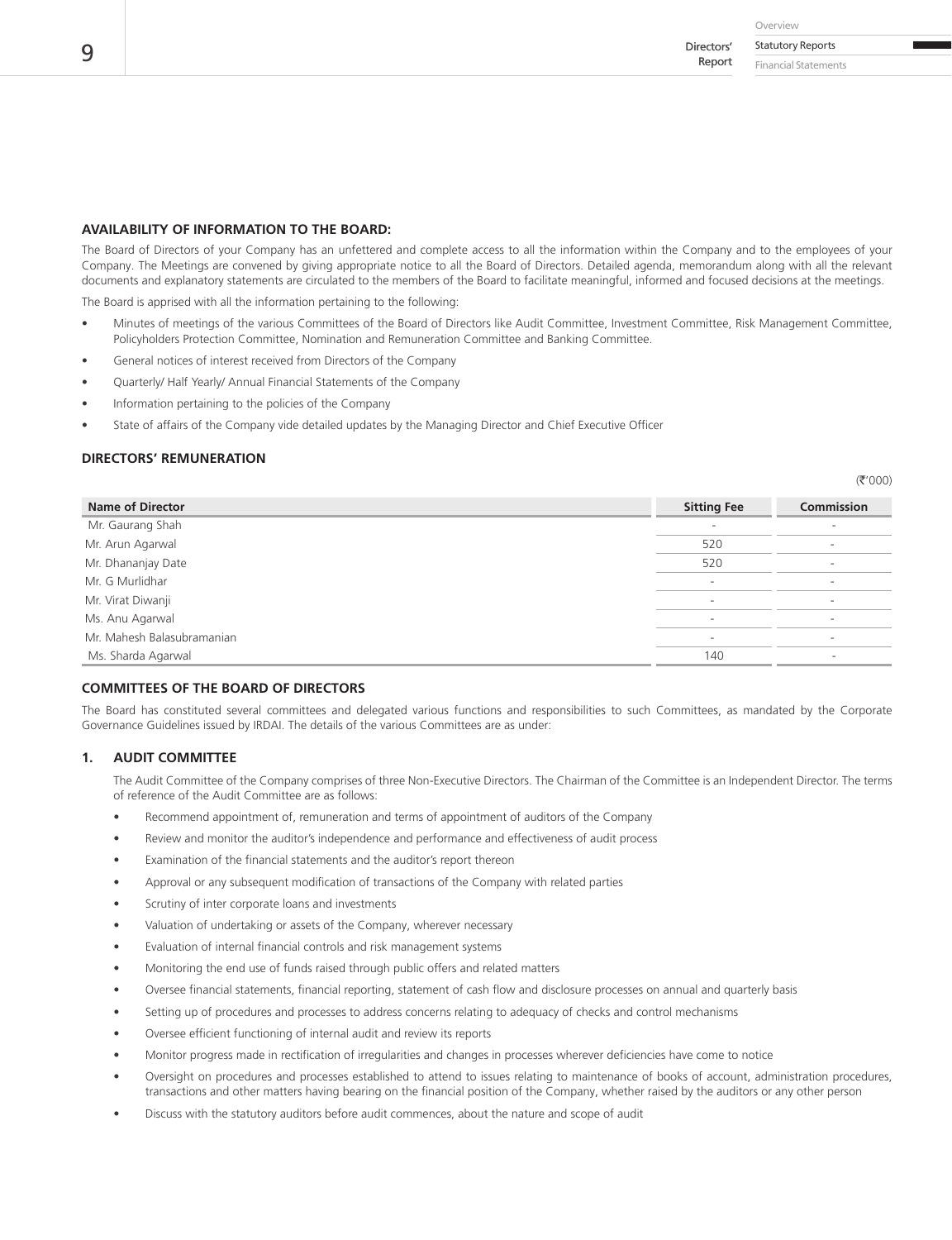Directors' Report

Statutory Reports Financial Statements

Overview

#### **AVAILABILITY OF INFORMATION TO THE BOARD:**

The Board of Directors of your Company has an unfettered and complete access to all the information within the Company and to the employees of your Company. The Meetings are convened by giving appropriate notice to all the Board of Directors. Detailed agenda, memorandum along with all the relevant documents and explanatory statements are circulated to the members of the Board to facilitate meaningful, informed and focused decisions at the meetings.

The Board is apprised with all the information pertaining to the following:

- Minutes of meetings of the various Committees of the Board of Directors like Audit Committee, Investment Committee, Risk Management Committee, Policyholders Protection Committee, Nomination and Remuneration Committee and Banking Committee.
- General notices of interest received from Directors of the Company
- Quarterly/ Half Yearly/ Annual Financial Statements of the Company
- Information pertaining to the policies of the Company
- State of affairs of the Company vide detailed updates by the Managing Director and Chief Executive Officer

#### **DIRECTORS' REMUNERATION**

**Name of Director Sitting Fee Commission** Mr. Gaurang Shah Mr. Arun Agarwal 520 - 520 - 520 - 520 - 520 - 520 - 520 - 520 - 520 - 520 - 520 - 520 - 520 - 520 - 520 - 520 Mr. Dhananjay Date 520 Mr. G Murlidhar - - Mr. Virat Diwanji - - Ms. Anu Agarwal - - Mr. Mahesh Balasubramanian Ms. Sharda Agarwal 2008 - 2008 - 2009 - 2008 - 2009 - 2009 - 2009 - 2009 - 2009 - 2009 - 2009 - 2009 - 2009 - 2009 - 2009 - 2009 - 2009 - 2009 - 2009 - 2009 - 2009 - 2009 - 2009 - 2009 - 2009 - 2009 - 2009 - 2009 - 2009 -

#### **COMMITTEES OF THE BOARD OF DIRECTORS**

The Board has constituted several committees and delegated various functions and responsibilities to such Committees, as mandated by the Corporate Governance Guidelines issued by IRDAI. The details of the various Committees are as under:

#### **1. AUDIT COMMITTEE**

The Audit Committee of the Company comprises of three Non-Executive Directors. The Chairman of the Committee is an Independent Director. The terms of reference of the Audit Committee are as follows:

- Recommend appointment of, remuneration and terms of appointment of auditors of the Company
- Review and monitor the auditor's independence and performance and effectiveness of audit process
- Examination of the financial statements and the auditor's report thereon
- Approval or any subsequent modification of transactions of the Company with related parties
- Scrutiny of inter corporate loans and investments
- Valuation of undertaking or assets of the Company, wherever necessary
- Evaluation of internal financial controls and risk management systems
- Monitoring the end use of funds raised through public offers and related matters
- Oversee financial statements, financial reporting, statement of cash flow and disclosure processes on annual and quarterly basis
- Setting up of procedures and processes to address concerns relating to adequacy of checks and control mechanisms
- Oversee efficient functioning of internal audit and review its reports
- Monitor progress made in rectification of irregularities and changes in processes wherever deficiencies have come to notice
- Oversight on procedures and processes established to attend to issues relating to maintenance of books of account, administration procedures, transactions and other matters having bearing on the financial position of the Company, whether raised by the auditors or any other person
- Discuss with the statutory auditors before audit commences, about the nature and scope of audit

9

(**ぞ'**000)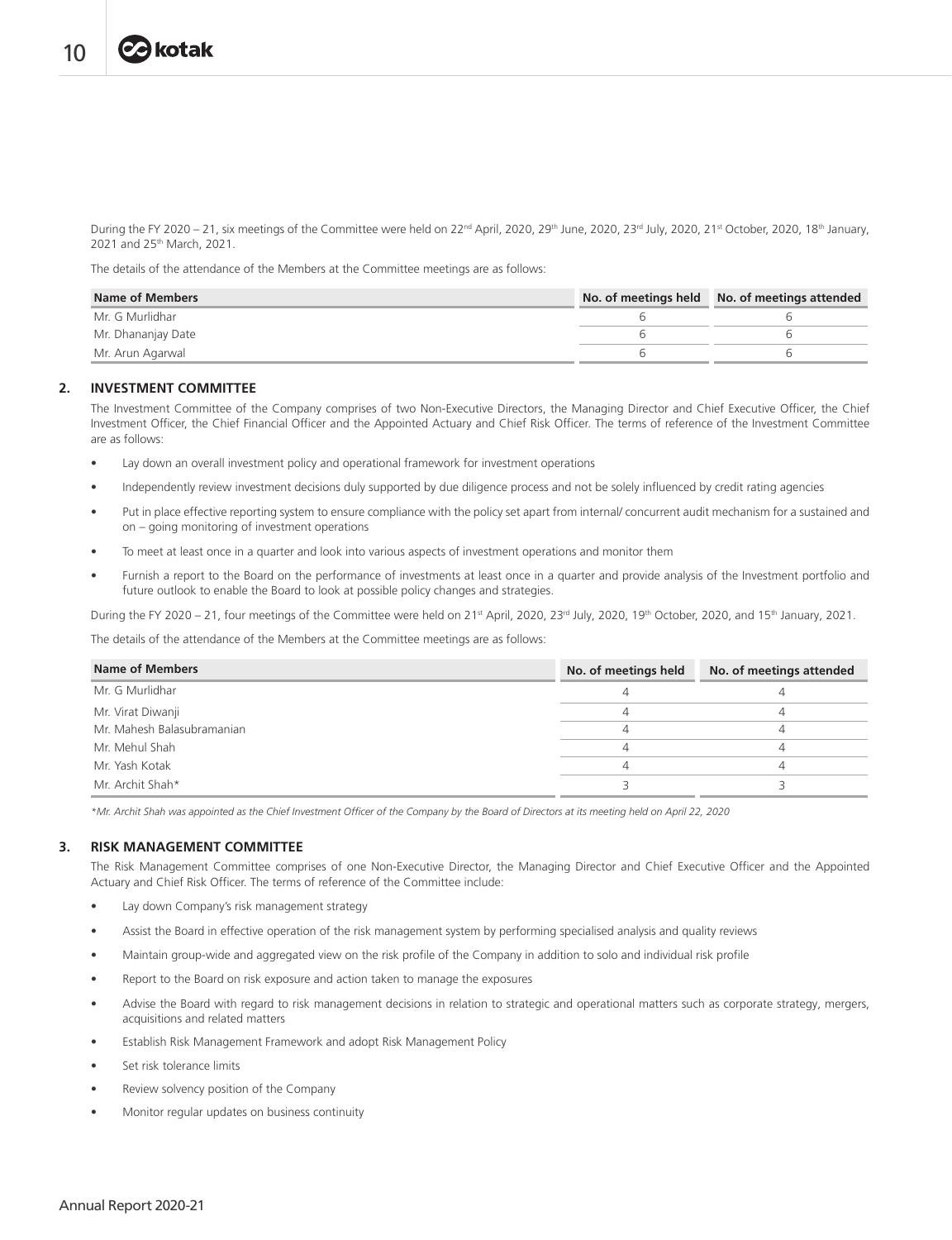During the FY 2020 – 21, six meetings of the Committee were held on 22<sup>nd</sup> April, 2020, 29<sup>th</sup> June, 2020, 23<sup>rd</sup> July, 2020, 21<sup>st</sup> October, 2020, 18<sup>th</sup> January, 2021 and 25th March, 2021.

The details of the attendance of the Members at the Committee meetings are as follows:

| <b>Name of Members</b> | No. of meetings held No. of meetings attended |
|------------------------|-----------------------------------------------|
| Mr. G Murlidhar        |                                               |
| Mr. Dhananjay Date     |                                               |
| Mr. Arun Agarwal       |                                               |

#### **2. INVESTMENT COMMITTEE**

The Investment Committee of the Company comprises of two Non-Executive Directors, the Managing Director and Chief Executive Officer, the Chief Investment Officer, the Chief Financial Officer and the Appointed Actuary and Chief Risk Officer. The terms of reference of the Investment Committee are as follows:

- Lay down an overall investment policy and operational framework for investment operations
- Independently review investment decisions duly supported by due diligence process and not be solely influenced by credit rating agencies
- Put in place effective reporting system to ensure compliance with the policy set apart from internal/ concurrent audit mechanism for a sustained and on – going monitoring of investment operations
- To meet at least once in a quarter and look into various aspects of investment operations and monitor them
- Furnish a report to the Board on the performance of investments at least once in a quarter and provide analysis of the Investment portfolio and future outlook to enable the Board to look at possible policy changes and strategies.

During the FY 2020 – 21, four meetings of the Committee were held on  $21<sup>st</sup>$  April, 2020, 23<sup>rd</sup> July, 2020, 19<sup>th</sup> October, 2020, and 15<sup>th</sup> January, 2021.

The details of the attendance of the Members at the Committee meetings are as follows:

| Name of Members            | No. of meetings held | No. of meetings attended |
|----------------------------|----------------------|--------------------------|
| Mr. G Murlidhar            |                      | 4                        |
| Mr. Virat Diwanji          |                      | 4                        |
| Mr. Mahesh Balasubramanian |                      | 4                        |
| Mr. Mehul Shah             |                      | 4                        |
| Mr. Yash Kotak             |                      | 4                        |
| Mr. Archit Shah*           |                      |                          |

*\*Mr. Archit Shah was appointed as the Chief Investment Officer of the Company by the Board of Directors at its meeting held on April 22, 2020*

#### **3. RISK MANAGEMENT COMMITTEE**

The Risk Management Committee comprises of one Non-Executive Director, the Managing Director and Chief Executive Officer and the Appointed Actuary and Chief Risk Officer. The terms of reference of the Committee include:

- Lay down Company's risk management strategy
- Assist the Board in effective operation of the risk management system by performing specialised analysis and quality reviews
- Maintain group-wide and aggregated view on the risk profile of the Company in addition to solo and individual risk profile
- Report to the Board on risk exposure and action taken to manage the exposures
- Advise the Board with regard to risk management decisions in relation to strategic and operational matters such as corporate strategy, mergers, acquisitions and related matters
- Establish Risk Management Framework and adopt Risk Management Policy
- Set risk tolerance limits
- Review solvency position of the Company
- Monitor regular updates on business continuity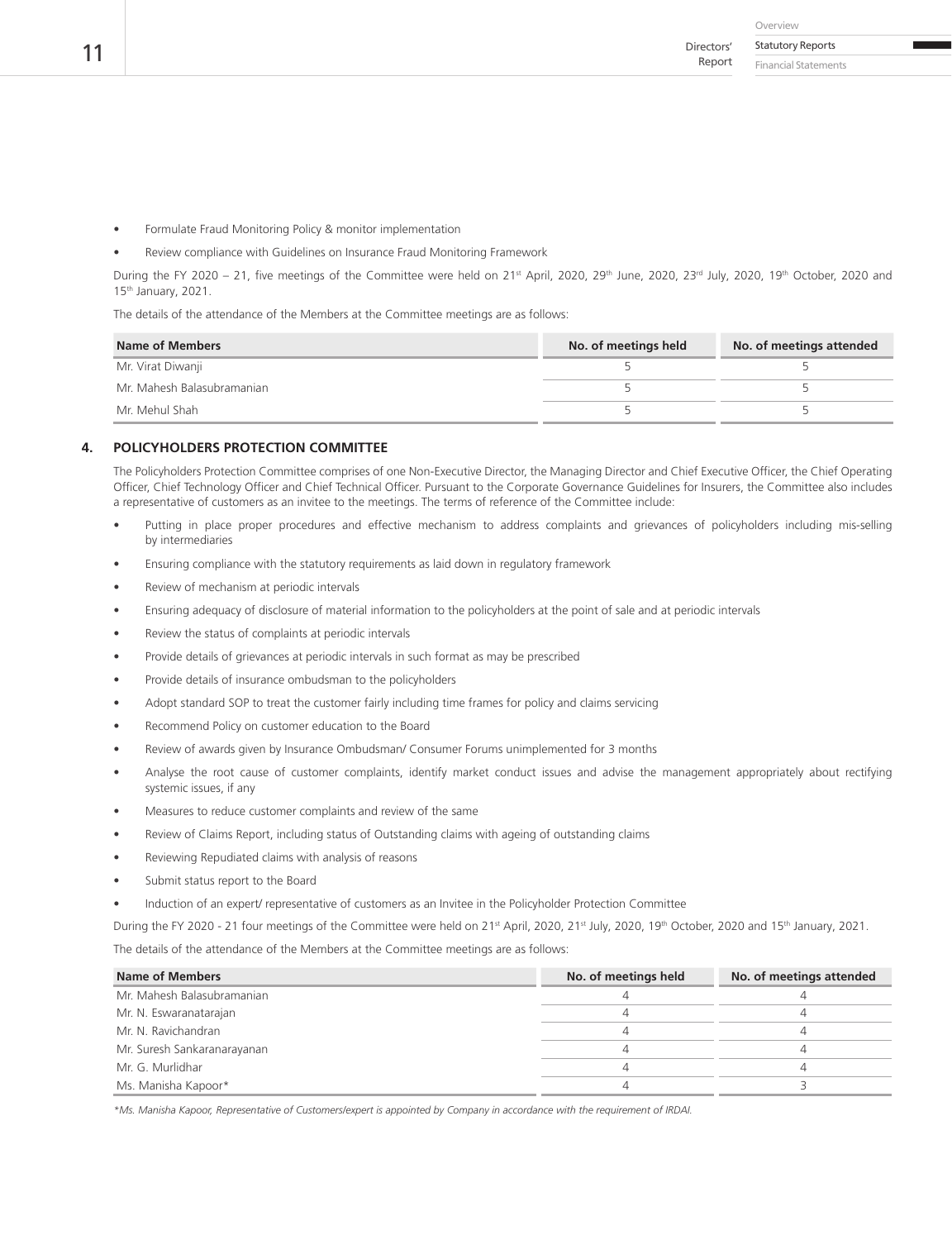Overview

Directors' Report

Statutory Reports Financial Statements

- Formulate Fraud Monitoring Policy & monitor implementation
- Review compliance with Guidelines on Insurance Fraud Monitoring Framework

During the FY 2020 – 21, five meetings of the Committee were held on  $21<sup>st</sup>$  April, 2020,  $29<sup>th</sup>$  June, 2020,  $23<sup>rd</sup>$  July, 2020, 19<sup>th</sup> October, 2020 and 15th January, 2021.

The details of the attendance of the Members at the Committee meetings are as follows:

| <b>Name of Members</b>     | No. of meetings held | No. of meetings attended |
|----------------------------|----------------------|--------------------------|
| Mr. Virat Diwanji          |                      |                          |
| Mr. Mahesh Balasubramanian |                      |                          |
| Mr. Mehul Shah             |                      |                          |

#### **4. POLICYHOLDERS PROTECTION COMMITTEE**

The Policyholders Protection Committee comprises of one Non-Executive Director, the Managing Director and Chief Executive Officer, the Chief Operating Officer, Chief Technology Officer and Chief Technical Officer. Pursuant to the Corporate Governance Guidelines for Insurers, the Committee also includes a representative of customers as an invitee to the meetings. The terms of reference of the Committee include:

- Putting in place proper procedures and effective mechanism to address complaints and grievances of policyholders including mis-selling by intermediaries
- Ensuring compliance with the statutory requirements as laid down in regulatory framework
- Review of mechanism at periodic intervals
- Ensuring adequacy of disclosure of material information to the policyholders at the point of sale and at periodic intervals
- Review the status of complaints at periodic intervals
- Provide details of grievances at periodic intervals in such format as may be prescribed
- Provide details of insurance ombudsman to the policyholders
- Adopt standard SOP to treat the customer fairly including time frames for policy and claims servicing
- Recommend Policy on customer education to the Board
- Review of awards given by Insurance Ombudsman/ Consumer Forums unimplemented for 3 months
- Analyse the root cause of customer complaints, identify market conduct issues and advise the management appropriately about rectifying systemic issues, if any
- Measures to reduce customer complaints and review of the same
- Review of Claims Report, including status of Outstanding claims with ageing of outstanding claims
- Reviewing Repudiated claims with analysis of reasons
- Submit status report to the Board
- Induction of an expert/ representative of customers as an Invitee in the Policyholder Protection Committee

During the FY 2020 - 21 four meetings of the Committee were held on 21<sup>st</sup> April, 2020, 21<sup>st</sup> July, 2020, 19<sup>th</sup> October, 2020 and 15<sup>th</sup> January, 2021.

The details of the attendance of the Members at the Committee meetings are as follows:

| <b>Name of Members</b>      | No. of meetings held | No. of meetings attended |
|-----------------------------|----------------------|--------------------------|
| Mr. Mahesh Balasubramanian  |                      |                          |
| Mr. N. Eswaranatarajan      |                      |                          |
| Mr. N. Ravichandran         |                      |                          |
| Mr. Suresh Sankaranarayanan |                      |                          |
| Mr. G. Murlidhar            |                      |                          |
| Ms. Manisha Kapoor*         |                      |                          |

*\*Ms. Manisha Kapoor, Representative of Customers/expert is appointed by Company in accordance with the requirement of IRDAI.*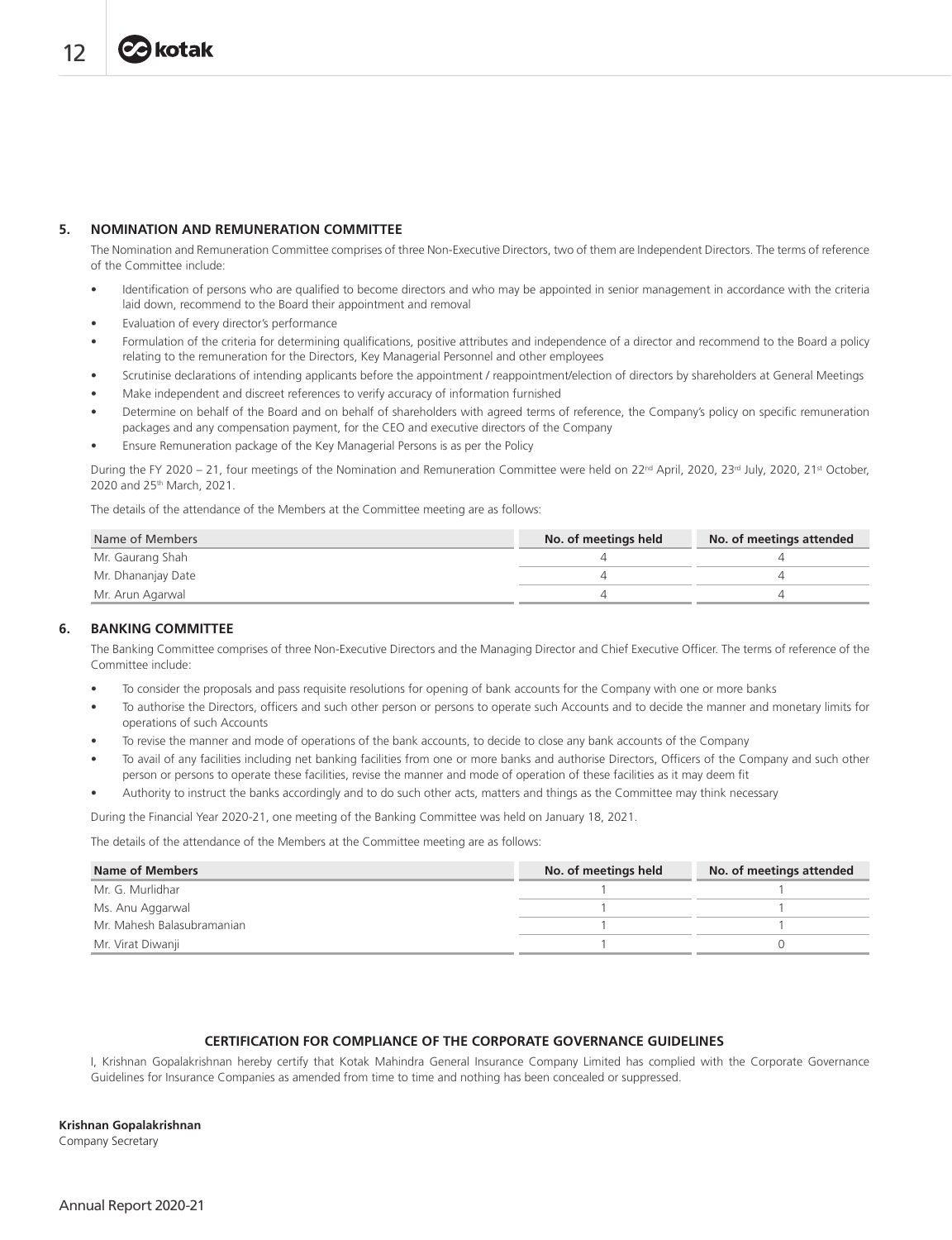#### **5. NOMINATION AND REMUNERATION COMMITTEE**

The Nomination and Remuneration Committee comprises of three Non-Executive Directors, two of them are Independent Directors. The terms of reference of the Committee include:

- Identification of persons who are qualified to become directors and who may be appointed in senior management in accordance with the criteria laid down, recommend to the Board their appointment and removal
- Evaluation of every director's performance
- Formulation of the criteria for determining qualifications, positive attributes and independence of a director and recommend to the Board a policy relating to the remuneration for the Directors, Key Managerial Personnel and other employees
- Scrutinise declarations of intending applicants before the appointment / reappointment/election of directors by shareholders at General Meetings
- Make independent and discreet references to verify accuracy of information furnished
- Determine on behalf of the Board and on behalf of shareholders with agreed terms of reference, the Company's policy on specific remuneration packages and any compensation payment, for the CEO and executive directors of the Company
- Ensure Remuneration package of the Key Managerial Persons is as per the Policy

During the FY 2020 – 21, four meetings of the Nomination and Remuneration Committee were held on 22<sup>nd</sup> April, 2020, 23<sup>rd</sup> July, 2020, 21<sup>st</sup> October, 2020 and 25<sup>th</sup> March, 2021.

The details of the attendance of the Members at the Committee meeting are as follows:

| Name of Members    | No. of meetings held | No. of meetings attended |
|--------------------|----------------------|--------------------------|
| Mr. Gaurang Shah   |                      |                          |
| Mr. Dhananjay Date |                      |                          |
| Mr. Arun Agarwal   |                      |                          |

#### **6. BANKING COMMITTEE**

The Banking Committee comprises of three Non-Executive Directors and the Managing Director and Chief Executive Officer. The terms of reference of the Committee include:

- To consider the proposals and pass requisite resolutions for opening of bank accounts for the Company with one or more banks
- To authorise the Directors, officers and such other person or persons to operate such Accounts and to decide the manner and monetary limits for operations of such Accounts
- To revise the manner and mode of operations of the bank accounts, to decide to close any bank accounts of the Company
- To avail of any facilities including net banking facilities from one or more banks and authorise Directors, Officers of the Company and such other person or persons to operate these facilities, revise the manner and mode of operation of these facilities as it may deem fit
- Authority to instruct the banks accordingly and to do such other acts, matters and things as the Committee may think necessary

During the Financial Year 2020-21, one meeting of the Banking Committee was held on January 18, 2021.

The details of the attendance of the Members at the Committee meeting are as follows:

| <b>Name of Members</b>     | No. of meetings held | No. of meetings attended |
|----------------------------|----------------------|--------------------------|
| Mr. G. Murlidhar           |                      |                          |
| Ms. Anu Aggarwal           |                      |                          |
| Mr. Mahesh Balasubramanian |                      |                          |
| Mr. Virat Diwanji          |                      |                          |

#### **CERTIFICATION FOR COMPLIANCE OF THE CORPORATE GOVERNANCE GUIDELINES**

I, Krishnan Gopalakrishnan hereby certify that Kotak Mahindra General Insurance Company Limited has complied with the Corporate Governance Guidelines for Insurance Companies as amended from time to time and nothing has been concealed or suppressed.

#### **Krishnan Gopalakrishnan**

Company Secretary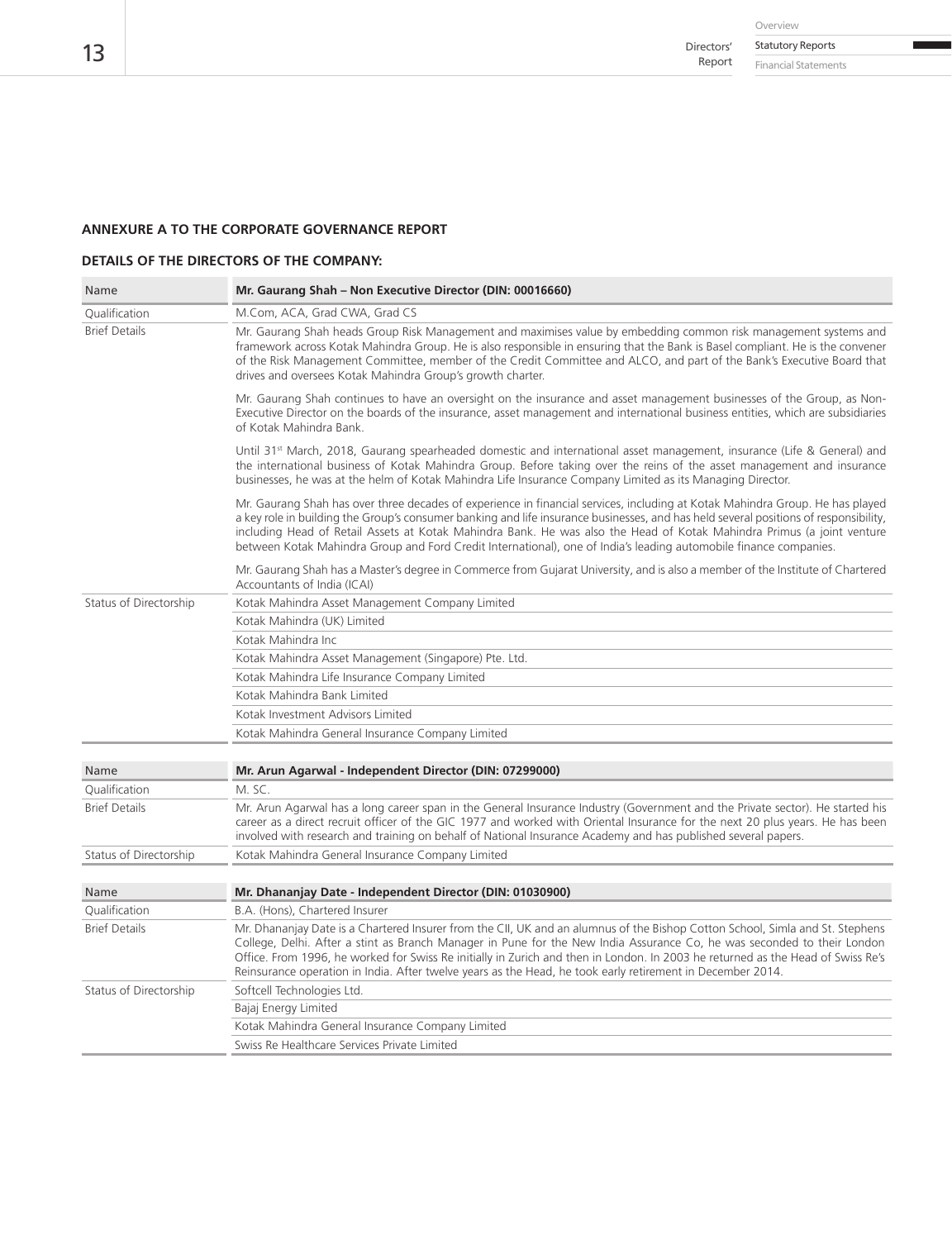Directors' Report

Statutory Reports Financial Statements E

Overview

#### **ANNEXURE A TO THE CORPORATE GOVERNANCE REPORT**

#### **DETAILS OF THE DIRECTORS OF THE COMPANY:**

| Name                   | Mr. Gaurang Shah – Non Executive Director (DIN: 00016660)                                                                                                                                                                                                                                                                                                                                                                                                                                                            |
|------------------------|----------------------------------------------------------------------------------------------------------------------------------------------------------------------------------------------------------------------------------------------------------------------------------------------------------------------------------------------------------------------------------------------------------------------------------------------------------------------------------------------------------------------|
| Oualification          | M.Com, ACA, Grad CWA, Grad CS                                                                                                                                                                                                                                                                                                                                                                                                                                                                                        |
| <b>Brief Details</b>   | Mr. Gaurang Shah heads Group Risk Management and maximises value by embedding common risk management systems and<br>framework across Kotak Mahindra Group. He is also responsible in ensuring that the Bank is Basel compliant. He is the convener<br>of the Risk Management Committee, member of the Credit Committee and ALCO, and part of the Bank's Executive Board that<br>drives and oversees Kotak Mahindra Group's growth charter.                                                                           |
|                        | Mr. Gaurang Shah continues to have an oversight on the insurance and asset management businesses of the Group, as Non-<br>Executive Director on the boards of the insurance, asset management and international business entities, which are subsidiaries<br>of Kotak Mahindra Bank.                                                                                                                                                                                                                                 |
|                        | Until 31 <sup>st</sup> March, 2018, Gaurang spearheaded domestic and international asset management, insurance (Life & General) and<br>the international business of Kotak Mahindra Group. Before taking over the reins of the asset management and insurance<br>businesses, he was at the helm of Kotak Mahindra Life Insurance Company Limited as its Managing Director.                                                                                                                                           |
|                        | Mr. Gaurang Shah has over three decades of experience in financial services, including at Kotak Mahindra Group. He has played<br>a key role in building the Group's consumer banking and life insurance businesses, and has held several positions of responsibility,<br>including Head of Retail Assets at Kotak Mahindra Bank. He was also the Head of Kotak Mahindra Primus (a joint venture<br>between Kotak Mahindra Group and Ford Credit International), one of India's leading automobile finance companies. |
|                        | Mr. Gaurang Shah has a Master's degree in Commerce from Gujarat University, and is also a member of the Institute of Chartered<br>Accountants of India (ICAI)                                                                                                                                                                                                                                                                                                                                                        |
| Status of Directorship | Kotak Mahindra Asset Management Company Limited                                                                                                                                                                                                                                                                                                                                                                                                                                                                      |
|                        | Kotak Mahindra (UK) Limited                                                                                                                                                                                                                                                                                                                                                                                                                                                                                          |
|                        | Kotak Mahindra Inc                                                                                                                                                                                                                                                                                                                                                                                                                                                                                                   |
|                        | Kotak Mahindra Asset Management (Singapore) Pte. Ltd.                                                                                                                                                                                                                                                                                                                                                                                                                                                                |
|                        | Kotak Mahindra Life Insurance Company Limited                                                                                                                                                                                                                                                                                                                                                                                                                                                                        |
|                        | Kotak Mahindra Bank Limited                                                                                                                                                                                                                                                                                                                                                                                                                                                                                          |
|                        | Kotak Investment Advisors Limited                                                                                                                                                                                                                                                                                                                                                                                                                                                                                    |
|                        | Kotak Mahindra General Insurance Company Limited                                                                                                                                                                                                                                                                                                                                                                                                                                                                     |
|                        |                                                                                                                                                                                                                                                                                                                                                                                                                                                                                                                      |
| Name                   | Mr. Arun Agarwal - Independent Director (DIN: 07299000)                                                                                                                                                                                                                                                                                                                                                                                                                                                              |
| Qualification          | M. SC.                                                                                                                                                                                                                                                                                                                                                                                                                                                                                                               |
| <b>Brief Details</b>   | Mr. Arun Agarwal has a long career span in the General Insurance Industry (Government and the Private sector). He started his<br>career as a direct recruit officer of the GIC 1977 and worked with Oriental Insurance for the next 20 plus years. He has been<br>involved with research and training on behalf of National Insurance Academy and has published several papers.                                                                                                                                      |
| Status of Directorship | Kotak Mahindra General Insurance Company Limited                                                                                                                                                                                                                                                                                                                                                                                                                                                                     |
|                        |                                                                                                                                                                                                                                                                                                                                                                                                                                                                                                                      |
| Name<br>Oualification  | Mr. Dhananjay Date - Independent Director (DIN: 01030900)                                                                                                                                                                                                                                                                                                                                                                                                                                                            |
| <b>Brief Details</b>   | B.A. (Hons), Chartered Insurer                                                                                                                                                                                                                                                                                                                                                                                                                                                                                       |
|                        | Mr. Dhananjay Date is a Chartered Insurer from the CII, UK and an alumnus of the Bishop Cotton School, Simla and St. Stephens<br>College, Delhi. After a stint as Branch Manager in Pune for the New India Assurance Co, he was seconded to their London<br>Office. From 1996, he worked for Swiss Re initially in Zurich and then in London. In 2003 he returned as the Head of Swiss Re's<br>Reinsurance operation in India. After twelve years as the Head, he took early retirement in December 2014.            |
| Status of Directorship | Softcell Technologies Ltd.                                                                                                                                                                                                                                                                                                                                                                                                                                                                                           |
|                        | Bajaj Energy Limited                                                                                                                                                                                                                                                                                                                                                                                                                                                                                                 |
|                        | Kotak Mahindra General Insurance Company Limited                                                                                                                                                                                                                                                                                                                                                                                                                                                                     |
|                        | Swiss Re Healthcare Services Private Limited                                                                                                                                                                                                                                                                                                                                                                                                                                                                         |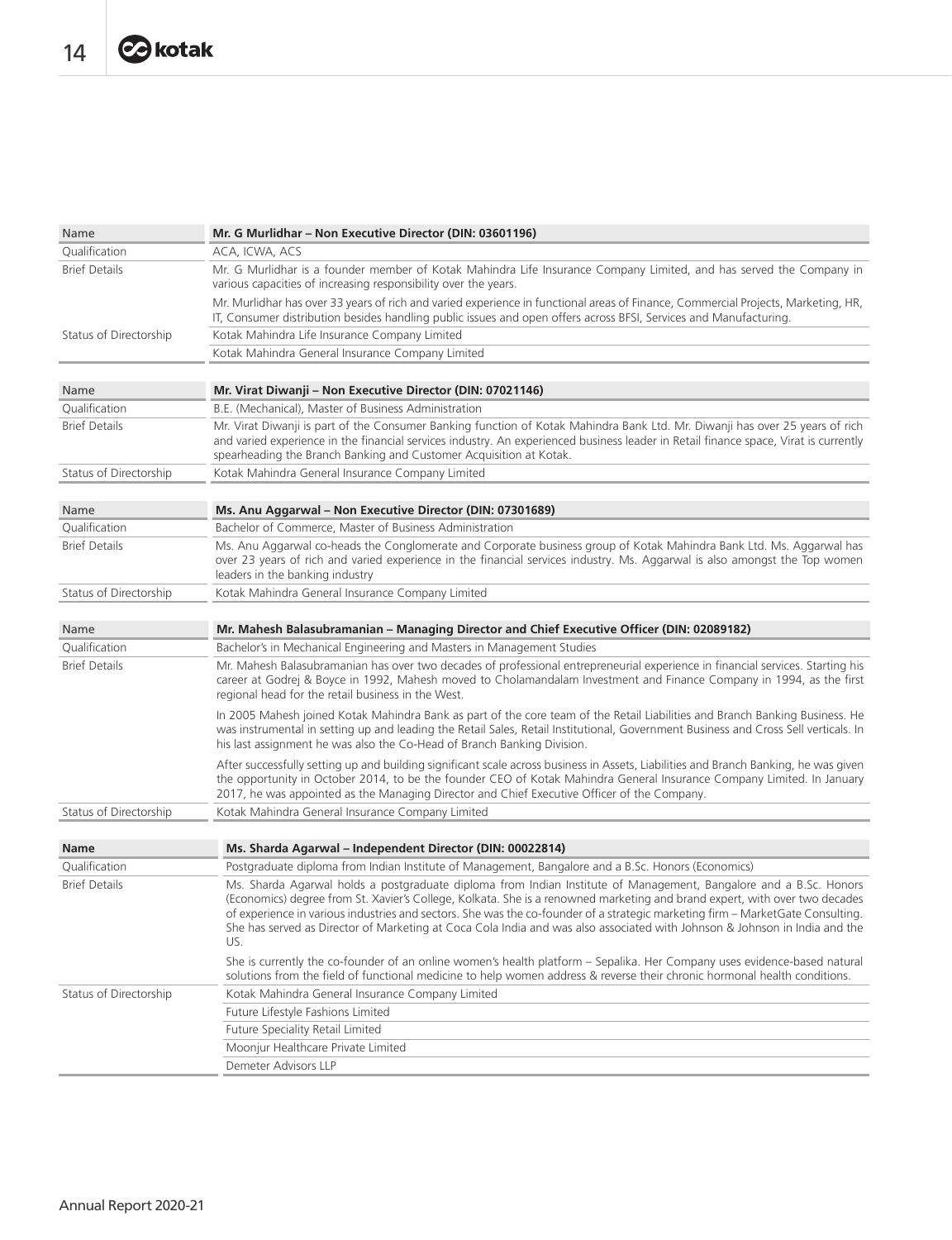| Oualification<br>ACA, ICWA, ACS<br><b>Brief Details</b><br>Mr. G Murlidhar is a founder member of Kotak Mahindra Life Insurance Company Limited, and has served the Company in<br>various capacities of increasing responsibility over the years.<br>Mr. Murlidhar has over 33 years of rich and varied experience in functional areas of Finance, Commercial Projects, Marketing, HR,<br>IT, Consumer distribution besides handling public issues and open offers across BFSI, Services and Manufacturing.<br>Kotak Mahindra Life Insurance Company Limited<br>Status of Directorship<br>Kotak Mahindra General Insurance Company Limited<br>Name<br>Mr. Virat Diwanji – Non Executive Director (DIN: 07021146)<br>Qualification<br>B.E. (Mechanical), Master of Business Administration<br>Mr. Virat Diwanji is part of the Consumer Banking function of Kotak Mahindra Bank Ltd. Mr. Diwanji has over 25 years of rich<br><b>Brief Details</b><br>and varied experience in the financial services industry. An experienced business leader in Retail finance space, Virat is currently<br>spearheading the Branch Banking and Customer Acquisition at Kotak.<br>Status of Directorship<br>Kotak Mahindra General Insurance Company Limited<br>Ms. Anu Aggarwal – Non Executive Director (DIN: 07301689)<br>Name<br>Qualification<br>Bachelor of Commerce, Master of Business Administration<br><b>Brief Details</b><br>Ms. Anu Aggarwal co-heads the Conglomerate and Corporate business group of Kotak Mahindra Bank Ltd. Ms. Aggarwal has<br>over 23 years of rich and varied experience in the financial services industry. Ms. Aggarwal is also amongst the Top women<br>leaders in the banking industry<br>Kotak Mahindra General Insurance Company Limited<br>Status of Directorship<br>Mr. Mahesh Balasubramanian - Managing Director and Chief Executive Officer (DIN: 02089182)<br>Name<br>Qualification<br>Bachelor's in Mechanical Engineering and Masters in Management Studies<br>Mr. Mahesh Balasubramanian has over two decades of professional entrepreneurial experience in financial services. Starting his<br><b>Brief Details</b><br>career at Godrej & Boyce in 1992, Mahesh moved to Cholamandalam Investment and Finance Company in 1994, as the first<br>regional head for the retail business in the West.<br>In 2005 Mahesh joined Kotak Mahindra Bank as part of the core team of the Retail Liabilities and Branch Banking Business. He<br>was instrumental in setting up and leading the Retail Sales, Retail Institutional, Government Business and Cross Sell verticals. In<br>his last assignment he was also the Co-Head of Branch Banking Division.<br>After successfully setting up and building significant scale across business in Assets, Liabilities and Branch Banking, he was given<br>the opportunity in October 2014, to be the founder CEO of Kotak Mahindra General Insurance Company Limited. In January<br>2017, he was appointed as the Managing Director and Chief Executive Officer of the Company.<br>Status of Directorship<br>Kotak Mahindra General Insurance Company Limited<br>Ms. Sharda Agarwal - Independent Director (DIN: 00022814)<br><b>Name</b><br>Qualification<br>Postgraduate diploma from Indian Institute of Management, Bangalore and a B.Sc. Honors (Economics)<br><b>Brief Details</b><br>Ms. Sharda Agarwal holds a postgraduate diploma from Indian Institute of Management, Bangalore and a B.Sc. Honors<br>(Economics) degree from St. Xavier's College, Kolkata. She is a renowned marketing and brand expert, with over two decades<br>of experience in various industries and sectors. She was the co-founder of a strategic marketing firm – MarketGate Consulting.<br>She has served as Director of Marketing at Coca Cola India and was also associated with Johnson & Johnson in India and the<br>She is currently the co-founder of an online women's health platform - Sepalika. Her Company uses evidence-based natural<br>solutions from the field of functional medicine to help women address & reverse their chronic hormonal health conditions.<br>Status of Directorship<br>Kotak Mahindra General Insurance Company Limited<br>Future Lifestyle Fashions Limited<br>Future Speciality Retail Limited<br>Moonjur Healthcare Private Limited<br>Demeter Advisors LLP | Name | Mr. G Murlidhar - Non Executive Director (DIN: 03601196) |
|---------------------------------------------------------------------------------------------------------------------------------------------------------------------------------------------------------------------------------------------------------------------------------------------------------------------------------------------------------------------------------------------------------------------------------------------------------------------------------------------------------------------------------------------------------------------------------------------------------------------------------------------------------------------------------------------------------------------------------------------------------------------------------------------------------------------------------------------------------------------------------------------------------------------------------------------------------------------------------------------------------------------------------------------------------------------------------------------------------------------------------------------------------------------------------------------------------------------------------------------------------------------------------------------------------------------------------------------------------------------------------------------------------------------------------------------------------------------------------------------------------------------------------------------------------------------------------------------------------------------------------------------------------------------------------------------------------------------------------------------------------------------------------------------------------------------------------------------------------------------------------------------------------------------------------------------------------------------------------------------------------------------------------------------------------------------------------------------------------------------------------------------------------------------------------------------------------------------------------------------------------------------------------------------------------------------------------------------------------------------------------------------------------------------------------------------------------------------------------------------------------------------------------------------------------------------------------------------------------------------------------------------------------------------------------------------------------------------------------------------------------------------------------------------------------------------------------------------------------------------------------------------------------------------------------------------------------------------------------------------------------------------------------------------------------------------------------------------------------------------------------------------------------------------------------------------------------------------------------------------------------------------------------------------------------------------------------------------------------------------------------------------------------------------------------------------------------------------------------------------------------------------------------------------------------------------------------------------------------------------------------------------------------------------------------------------------------------------------------------------------------------------------------------------------------------------------------------------------------------------------------------------------------------------------------------------------------------------------------------------------------------------------------------------------------------------------------------------------------------------------------------------------------------------------------------------------------------------------------------------------------------------------------------------------------------------------------------------------------------------|------|----------------------------------------------------------|
|                                                                                                                                                                                                                                                                                                                                                                                                                                                                                                                                                                                                                                                                                                                                                                                                                                                                                                                                                                                                                                                                                                                                                                                                                                                                                                                                                                                                                                                                                                                                                                                                                                                                                                                                                                                                                                                                                                                                                                                                                                                                                                                                                                                                                                                                                                                                                                                                                                                                                                                                                                                                                                                                                                                                                                                                                                                                                                                                                                                                                                                                                                                                                                                                                                                                                                                                                                                                                                                                                                                                                                                                                                                                                                                                                                                                                                                                                                                                                                                                                                                                                                                                                                                                                                                                                                                                                                     |      |                                                          |
|                                                                                                                                                                                                                                                                                                                                                                                                                                                                                                                                                                                                                                                                                                                                                                                                                                                                                                                                                                                                                                                                                                                                                                                                                                                                                                                                                                                                                                                                                                                                                                                                                                                                                                                                                                                                                                                                                                                                                                                                                                                                                                                                                                                                                                                                                                                                                                                                                                                                                                                                                                                                                                                                                                                                                                                                                                                                                                                                                                                                                                                                                                                                                                                                                                                                                                                                                                                                                                                                                                                                                                                                                                                                                                                                                                                                                                                                                                                                                                                                                                                                                                                                                                                                                                                                                                                                                                     |      |                                                          |
|                                                                                                                                                                                                                                                                                                                                                                                                                                                                                                                                                                                                                                                                                                                                                                                                                                                                                                                                                                                                                                                                                                                                                                                                                                                                                                                                                                                                                                                                                                                                                                                                                                                                                                                                                                                                                                                                                                                                                                                                                                                                                                                                                                                                                                                                                                                                                                                                                                                                                                                                                                                                                                                                                                                                                                                                                                                                                                                                                                                                                                                                                                                                                                                                                                                                                                                                                                                                                                                                                                                                                                                                                                                                                                                                                                                                                                                                                                                                                                                                                                                                                                                                                                                                                                                                                                                                                                     |      |                                                          |
|                                                                                                                                                                                                                                                                                                                                                                                                                                                                                                                                                                                                                                                                                                                                                                                                                                                                                                                                                                                                                                                                                                                                                                                                                                                                                                                                                                                                                                                                                                                                                                                                                                                                                                                                                                                                                                                                                                                                                                                                                                                                                                                                                                                                                                                                                                                                                                                                                                                                                                                                                                                                                                                                                                                                                                                                                                                                                                                                                                                                                                                                                                                                                                                                                                                                                                                                                                                                                                                                                                                                                                                                                                                                                                                                                                                                                                                                                                                                                                                                                                                                                                                                                                                                                                                                                                                                                                     |      |                                                          |
|                                                                                                                                                                                                                                                                                                                                                                                                                                                                                                                                                                                                                                                                                                                                                                                                                                                                                                                                                                                                                                                                                                                                                                                                                                                                                                                                                                                                                                                                                                                                                                                                                                                                                                                                                                                                                                                                                                                                                                                                                                                                                                                                                                                                                                                                                                                                                                                                                                                                                                                                                                                                                                                                                                                                                                                                                                                                                                                                                                                                                                                                                                                                                                                                                                                                                                                                                                                                                                                                                                                                                                                                                                                                                                                                                                                                                                                                                                                                                                                                                                                                                                                                                                                                                                                                                                                                                                     |      |                                                          |
|                                                                                                                                                                                                                                                                                                                                                                                                                                                                                                                                                                                                                                                                                                                                                                                                                                                                                                                                                                                                                                                                                                                                                                                                                                                                                                                                                                                                                                                                                                                                                                                                                                                                                                                                                                                                                                                                                                                                                                                                                                                                                                                                                                                                                                                                                                                                                                                                                                                                                                                                                                                                                                                                                                                                                                                                                                                                                                                                                                                                                                                                                                                                                                                                                                                                                                                                                                                                                                                                                                                                                                                                                                                                                                                                                                                                                                                                                                                                                                                                                                                                                                                                                                                                                                                                                                                                                                     |      |                                                          |
|                                                                                                                                                                                                                                                                                                                                                                                                                                                                                                                                                                                                                                                                                                                                                                                                                                                                                                                                                                                                                                                                                                                                                                                                                                                                                                                                                                                                                                                                                                                                                                                                                                                                                                                                                                                                                                                                                                                                                                                                                                                                                                                                                                                                                                                                                                                                                                                                                                                                                                                                                                                                                                                                                                                                                                                                                                                                                                                                                                                                                                                                                                                                                                                                                                                                                                                                                                                                                                                                                                                                                                                                                                                                                                                                                                                                                                                                                                                                                                                                                                                                                                                                                                                                                                                                                                                                                                     |      |                                                          |
|                                                                                                                                                                                                                                                                                                                                                                                                                                                                                                                                                                                                                                                                                                                                                                                                                                                                                                                                                                                                                                                                                                                                                                                                                                                                                                                                                                                                                                                                                                                                                                                                                                                                                                                                                                                                                                                                                                                                                                                                                                                                                                                                                                                                                                                                                                                                                                                                                                                                                                                                                                                                                                                                                                                                                                                                                                                                                                                                                                                                                                                                                                                                                                                                                                                                                                                                                                                                                                                                                                                                                                                                                                                                                                                                                                                                                                                                                                                                                                                                                                                                                                                                                                                                                                                                                                                                                                     |      |                                                          |
|                                                                                                                                                                                                                                                                                                                                                                                                                                                                                                                                                                                                                                                                                                                                                                                                                                                                                                                                                                                                                                                                                                                                                                                                                                                                                                                                                                                                                                                                                                                                                                                                                                                                                                                                                                                                                                                                                                                                                                                                                                                                                                                                                                                                                                                                                                                                                                                                                                                                                                                                                                                                                                                                                                                                                                                                                                                                                                                                                                                                                                                                                                                                                                                                                                                                                                                                                                                                                                                                                                                                                                                                                                                                                                                                                                                                                                                                                                                                                                                                                                                                                                                                                                                                                                                                                                                                                                     |      |                                                          |
|                                                                                                                                                                                                                                                                                                                                                                                                                                                                                                                                                                                                                                                                                                                                                                                                                                                                                                                                                                                                                                                                                                                                                                                                                                                                                                                                                                                                                                                                                                                                                                                                                                                                                                                                                                                                                                                                                                                                                                                                                                                                                                                                                                                                                                                                                                                                                                                                                                                                                                                                                                                                                                                                                                                                                                                                                                                                                                                                                                                                                                                                                                                                                                                                                                                                                                                                                                                                                                                                                                                                                                                                                                                                                                                                                                                                                                                                                                                                                                                                                                                                                                                                                                                                                                                                                                                                                                     |      |                                                          |
|                                                                                                                                                                                                                                                                                                                                                                                                                                                                                                                                                                                                                                                                                                                                                                                                                                                                                                                                                                                                                                                                                                                                                                                                                                                                                                                                                                                                                                                                                                                                                                                                                                                                                                                                                                                                                                                                                                                                                                                                                                                                                                                                                                                                                                                                                                                                                                                                                                                                                                                                                                                                                                                                                                                                                                                                                                                                                                                                                                                                                                                                                                                                                                                                                                                                                                                                                                                                                                                                                                                                                                                                                                                                                                                                                                                                                                                                                                                                                                                                                                                                                                                                                                                                                                                                                                                                                                     |      |                                                          |
|                                                                                                                                                                                                                                                                                                                                                                                                                                                                                                                                                                                                                                                                                                                                                                                                                                                                                                                                                                                                                                                                                                                                                                                                                                                                                                                                                                                                                                                                                                                                                                                                                                                                                                                                                                                                                                                                                                                                                                                                                                                                                                                                                                                                                                                                                                                                                                                                                                                                                                                                                                                                                                                                                                                                                                                                                                                                                                                                                                                                                                                                                                                                                                                                                                                                                                                                                                                                                                                                                                                                                                                                                                                                                                                                                                                                                                                                                                                                                                                                                                                                                                                                                                                                                                                                                                                                                                     |      |                                                          |
|                                                                                                                                                                                                                                                                                                                                                                                                                                                                                                                                                                                                                                                                                                                                                                                                                                                                                                                                                                                                                                                                                                                                                                                                                                                                                                                                                                                                                                                                                                                                                                                                                                                                                                                                                                                                                                                                                                                                                                                                                                                                                                                                                                                                                                                                                                                                                                                                                                                                                                                                                                                                                                                                                                                                                                                                                                                                                                                                                                                                                                                                                                                                                                                                                                                                                                                                                                                                                                                                                                                                                                                                                                                                                                                                                                                                                                                                                                                                                                                                                                                                                                                                                                                                                                                                                                                                                                     |      |                                                          |
|                                                                                                                                                                                                                                                                                                                                                                                                                                                                                                                                                                                                                                                                                                                                                                                                                                                                                                                                                                                                                                                                                                                                                                                                                                                                                                                                                                                                                                                                                                                                                                                                                                                                                                                                                                                                                                                                                                                                                                                                                                                                                                                                                                                                                                                                                                                                                                                                                                                                                                                                                                                                                                                                                                                                                                                                                                                                                                                                                                                                                                                                                                                                                                                                                                                                                                                                                                                                                                                                                                                                                                                                                                                                                                                                                                                                                                                                                                                                                                                                                                                                                                                                                                                                                                                                                                                                                                     |      |                                                          |
|                                                                                                                                                                                                                                                                                                                                                                                                                                                                                                                                                                                                                                                                                                                                                                                                                                                                                                                                                                                                                                                                                                                                                                                                                                                                                                                                                                                                                                                                                                                                                                                                                                                                                                                                                                                                                                                                                                                                                                                                                                                                                                                                                                                                                                                                                                                                                                                                                                                                                                                                                                                                                                                                                                                                                                                                                                                                                                                                                                                                                                                                                                                                                                                                                                                                                                                                                                                                                                                                                                                                                                                                                                                                                                                                                                                                                                                                                                                                                                                                                                                                                                                                                                                                                                                                                                                                                                     |      |                                                          |
|                                                                                                                                                                                                                                                                                                                                                                                                                                                                                                                                                                                                                                                                                                                                                                                                                                                                                                                                                                                                                                                                                                                                                                                                                                                                                                                                                                                                                                                                                                                                                                                                                                                                                                                                                                                                                                                                                                                                                                                                                                                                                                                                                                                                                                                                                                                                                                                                                                                                                                                                                                                                                                                                                                                                                                                                                                                                                                                                                                                                                                                                                                                                                                                                                                                                                                                                                                                                                                                                                                                                                                                                                                                                                                                                                                                                                                                                                                                                                                                                                                                                                                                                                                                                                                                                                                                                                                     |      |                                                          |
|                                                                                                                                                                                                                                                                                                                                                                                                                                                                                                                                                                                                                                                                                                                                                                                                                                                                                                                                                                                                                                                                                                                                                                                                                                                                                                                                                                                                                                                                                                                                                                                                                                                                                                                                                                                                                                                                                                                                                                                                                                                                                                                                                                                                                                                                                                                                                                                                                                                                                                                                                                                                                                                                                                                                                                                                                                                                                                                                                                                                                                                                                                                                                                                                                                                                                                                                                                                                                                                                                                                                                                                                                                                                                                                                                                                                                                                                                                                                                                                                                                                                                                                                                                                                                                                                                                                                                                     |      |                                                          |
|                                                                                                                                                                                                                                                                                                                                                                                                                                                                                                                                                                                                                                                                                                                                                                                                                                                                                                                                                                                                                                                                                                                                                                                                                                                                                                                                                                                                                                                                                                                                                                                                                                                                                                                                                                                                                                                                                                                                                                                                                                                                                                                                                                                                                                                                                                                                                                                                                                                                                                                                                                                                                                                                                                                                                                                                                                                                                                                                                                                                                                                                                                                                                                                                                                                                                                                                                                                                                                                                                                                                                                                                                                                                                                                                                                                                                                                                                                                                                                                                                                                                                                                                                                                                                                                                                                                                                                     |      |                                                          |
|                                                                                                                                                                                                                                                                                                                                                                                                                                                                                                                                                                                                                                                                                                                                                                                                                                                                                                                                                                                                                                                                                                                                                                                                                                                                                                                                                                                                                                                                                                                                                                                                                                                                                                                                                                                                                                                                                                                                                                                                                                                                                                                                                                                                                                                                                                                                                                                                                                                                                                                                                                                                                                                                                                                                                                                                                                                                                                                                                                                                                                                                                                                                                                                                                                                                                                                                                                                                                                                                                                                                                                                                                                                                                                                                                                                                                                                                                                                                                                                                                                                                                                                                                                                                                                                                                                                                                                     |      |                                                          |
|                                                                                                                                                                                                                                                                                                                                                                                                                                                                                                                                                                                                                                                                                                                                                                                                                                                                                                                                                                                                                                                                                                                                                                                                                                                                                                                                                                                                                                                                                                                                                                                                                                                                                                                                                                                                                                                                                                                                                                                                                                                                                                                                                                                                                                                                                                                                                                                                                                                                                                                                                                                                                                                                                                                                                                                                                                                                                                                                                                                                                                                                                                                                                                                                                                                                                                                                                                                                                                                                                                                                                                                                                                                                                                                                                                                                                                                                                                                                                                                                                                                                                                                                                                                                                                                                                                                                                                     |      |                                                          |
|                                                                                                                                                                                                                                                                                                                                                                                                                                                                                                                                                                                                                                                                                                                                                                                                                                                                                                                                                                                                                                                                                                                                                                                                                                                                                                                                                                                                                                                                                                                                                                                                                                                                                                                                                                                                                                                                                                                                                                                                                                                                                                                                                                                                                                                                                                                                                                                                                                                                                                                                                                                                                                                                                                                                                                                                                                                                                                                                                                                                                                                                                                                                                                                                                                                                                                                                                                                                                                                                                                                                                                                                                                                                                                                                                                                                                                                                                                                                                                                                                                                                                                                                                                                                                                                                                                                                                                     |      |                                                          |
|                                                                                                                                                                                                                                                                                                                                                                                                                                                                                                                                                                                                                                                                                                                                                                                                                                                                                                                                                                                                                                                                                                                                                                                                                                                                                                                                                                                                                                                                                                                                                                                                                                                                                                                                                                                                                                                                                                                                                                                                                                                                                                                                                                                                                                                                                                                                                                                                                                                                                                                                                                                                                                                                                                                                                                                                                                                                                                                                                                                                                                                                                                                                                                                                                                                                                                                                                                                                                                                                                                                                                                                                                                                                                                                                                                                                                                                                                                                                                                                                                                                                                                                                                                                                                                                                                                                                                                     |      |                                                          |
|                                                                                                                                                                                                                                                                                                                                                                                                                                                                                                                                                                                                                                                                                                                                                                                                                                                                                                                                                                                                                                                                                                                                                                                                                                                                                                                                                                                                                                                                                                                                                                                                                                                                                                                                                                                                                                                                                                                                                                                                                                                                                                                                                                                                                                                                                                                                                                                                                                                                                                                                                                                                                                                                                                                                                                                                                                                                                                                                                                                                                                                                                                                                                                                                                                                                                                                                                                                                                                                                                                                                                                                                                                                                                                                                                                                                                                                                                                                                                                                                                                                                                                                                                                                                                                                                                                                                                                     |      |                                                          |
|                                                                                                                                                                                                                                                                                                                                                                                                                                                                                                                                                                                                                                                                                                                                                                                                                                                                                                                                                                                                                                                                                                                                                                                                                                                                                                                                                                                                                                                                                                                                                                                                                                                                                                                                                                                                                                                                                                                                                                                                                                                                                                                                                                                                                                                                                                                                                                                                                                                                                                                                                                                                                                                                                                                                                                                                                                                                                                                                                                                                                                                                                                                                                                                                                                                                                                                                                                                                                                                                                                                                                                                                                                                                                                                                                                                                                                                                                                                                                                                                                                                                                                                                                                                                                                                                                                                                                                     |      |                                                          |
|                                                                                                                                                                                                                                                                                                                                                                                                                                                                                                                                                                                                                                                                                                                                                                                                                                                                                                                                                                                                                                                                                                                                                                                                                                                                                                                                                                                                                                                                                                                                                                                                                                                                                                                                                                                                                                                                                                                                                                                                                                                                                                                                                                                                                                                                                                                                                                                                                                                                                                                                                                                                                                                                                                                                                                                                                                                                                                                                                                                                                                                                                                                                                                                                                                                                                                                                                                                                                                                                                                                                                                                                                                                                                                                                                                                                                                                                                                                                                                                                                                                                                                                                                                                                                                                                                                                                                                     |      |                                                          |
|                                                                                                                                                                                                                                                                                                                                                                                                                                                                                                                                                                                                                                                                                                                                                                                                                                                                                                                                                                                                                                                                                                                                                                                                                                                                                                                                                                                                                                                                                                                                                                                                                                                                                                                                                                                                                                                                                                                                                                                                                                                                                                                                                                                                                                                                                                                                                                                                                                                                                                                                                                                                                                                                                                                                                                                                                                                                                                                                                                                                                                                                                                                                                                                                                                                                                                                                                                                                                                                                                                                                                                                                                                                                                                                                                                                                                                                                                                                                                                                                                                                                                                                                                                                                                                                                                                                                                                     |      |                                                          |
|                                                                                                                                                                                                                                                                                                                                                                                                                                                                                                                                                                                                                                                                                                                                                                                                                                                                                                                                                                                                                                                                                                                                                                                                                                                                                                                                                                                                                                                                                                                                                                                                                                                                                                                                                                                                                                                                                                                                                                                                                                                                                                                                                                                                                                                                                                                                                                                                                                                                                                                                                                                                                                                                                                                                                                                                                                                                                                                                                                                                                                                                                                                                                                                                                                                                                                                                                                                                                                                                                                                                                                                                                                                                                                                                                                                                                                                                                                                                                                                                                                                                                                                                                                                                                                                                                                                                                                     |      |                                                          |
|                                                                                                                                                                                                                                                                                                                                                                                                                                                                                                                                                                                                                                                                                                                                                                                                                                                                                                                                                                                                                                                                                                                                                                                                                                                                                                                                                                                                                                                                                                                                                                                                                                                                                                                                                                                                                                                                                                                                                                                                                                                                                                                                                                                                                                                                                                                                                                                                                                                                                                                                                                                                                                                                                                                                                                                                                                                                                                                                                                                                                                                                                                                                                                                                                                                                                                                                                                                                                                                                                                                                                                                                                                                                                                                                                                                                                                                                                                                                                                                                                                                                                                                                                                                                                                                                                                                                                                     |      |                                                          |
|                                                                                                                                                                                                                                                                                                                                                                                                                                                                                                                                                                                                                                                                                                                                                                                                                                                                                                                                                                                                                                                                                                                                                                                                                                                                                                                                                                                                                                                                                                                                                                                                                                                                                                                                                                                                                                                                                                                                                                                                                                                                                                                                                                                                                                                                                                                                                                                                                                                                                                                                                                                                                                                                                                                                                                                                                                                                                                                                                                                                                                                                                                                                                                                                                                                                                                                                                                                                                                                                                                                                                                                                                                                                                                                                                                                                                                                                                                                                                                                                                                                                                                                                                                                                                                                                                                                                                                     |      |                                                          |
|                                                                                                                                                                                                                                                                                                                                                                                                                                                                                                                                                                                                                                                                                                                                                                                                                                                                                                                                                                                                                                                                                                                                                                                                                                                                                                                                                                                                                                                                                                                                                                                                                                                                                                                                                                                                                                                                                                                                                                                                                                                                                                                                                                                                                                                                                                                                                                                                                                                                                                                                                                                                                                                                                                                                                                                                                                                                                                                                                                                                                                                                                                                                                                                                                                                                                                                                                                                                                                                                                                                                                                                                                                                                                                                                                                                                                                                                                                                                                                                                                                                                                                                                                                                                                                                                                                                                                                     |      |                                                          |
|                                                                                                                                                                                                                                                                                                                                                                                                                                                                                                                                                                                                                                                                                                                                                                                                                                                                                                                                                                                                                                                                                                                                                                                                                                                                                                                                                                                                                                                                                                                                                                                                                                                                                                                                                                                                                                                                                                                                                                                                                                                                                                                                                                                                                                                                                                                                                                                                                                                                                                                                                                                                                                                                                                                                                                                                                                                                                                                                                                                                                                                                                                                                                                                                                                                                                                                                                                                                                                                                                                                                                                                                                                                                                                                                                                                                                                                                                                                                                                                                                                                                                                                                                                                                                                                                                                                                                                     |      |                                                          |
|                                                                                                                                                                                                                                                                                                                                                                                                                                                                                                                                                                                                                                                                                                                                                                                                                                                                                                                                                                                                                                                                                                                                                                                                                                                                                                                                                                                                                                                                                                                                                                                                                                                                                                                                                                                                                                                                                                                                                                                                                                                                                                                                                                                                                                                                                                                                                                                                                                                                                                                                                                                                                                                                                                                                                                                                                                                                                                                                                                                                                                                                                                                                                                                                                                                                                                                                                                                                                                                                                                                                                                                                                                                                                                                                                                                                                                                                                                                                                                                                                                                                                                                                                                                                                                                                                                                                                                     |      |                                                          |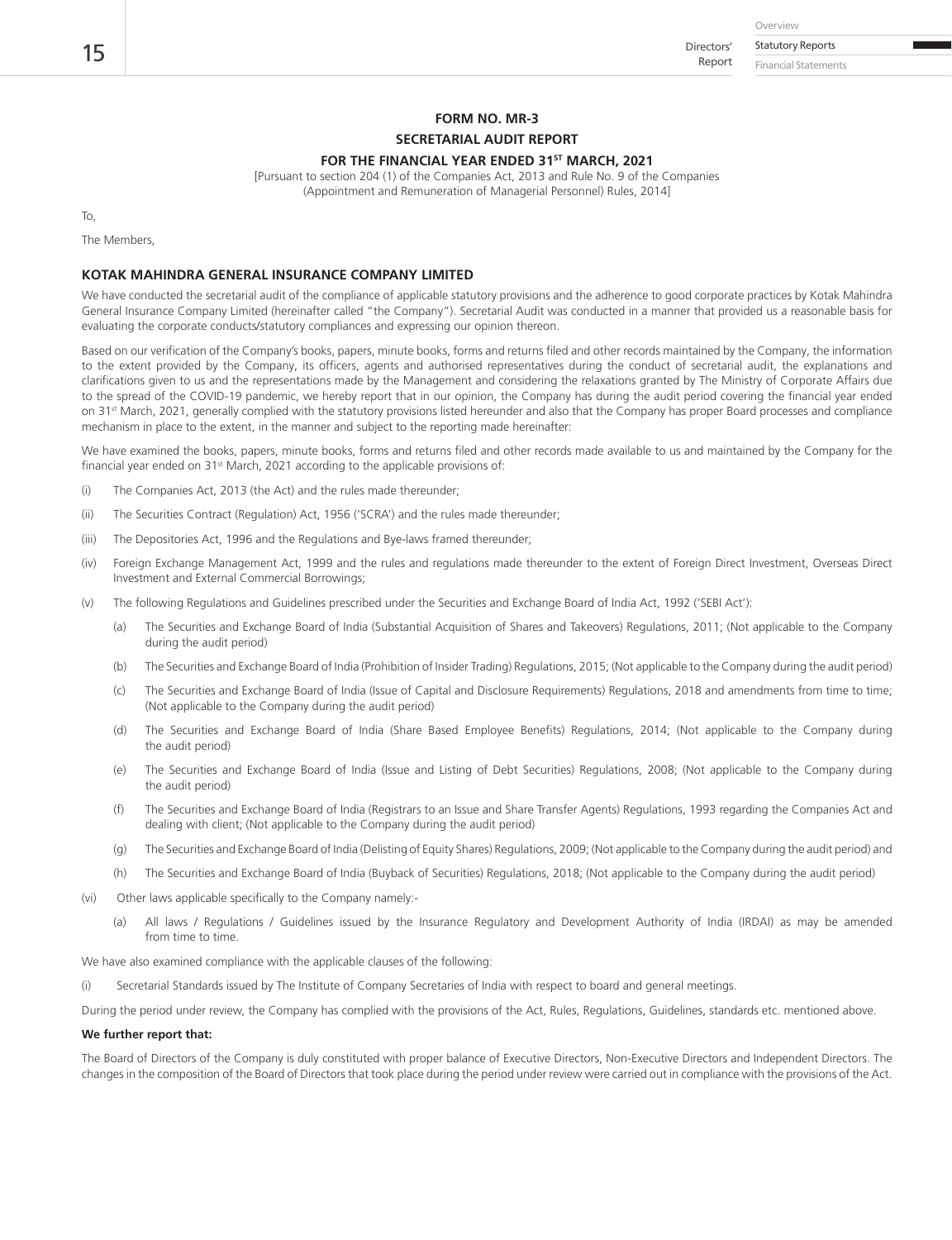Directors' Report

Financial Statements

Overview

#### **FORM NO. MR-3**

**SECRETARIAL AUDIT REPORT**

#### FOR THE FINANCIAL YEAR ENDED 31<sup>ST</sup> MARCH, 2021

[Pursuant to section 204 (1) of the Companies Act, 2013 and Rule No. 9 of the Companies (Appointment and Remuneration of Managerial Personnel) Rules, 2014]

To,

The Members,

#### **KOTAK MAHINDRA GENERAL INSURANCE COMPANY LIMITED**

We have conducted the secretarial audit of the compliance of applicable statutory provisions and the adherence to good corporate practices by Kotak Mahindra General Insurance Company Limited (hereinafter called "the Company"). Secretarial Audit was conducted in a manner that provided us a reasonable basis for evaluating the corporate conducts/statutory compliances and expressing our opinion thereon.

Based on our verification of the Company's books, papers, minute books, forms and returns filed and other records maintained by the Company, the information to the extent provided by the Company, its officers, agents and authorised representatives during the conduct of secretarial audit, the explanations and clarifications given to us and the representations made by the Management and considering the relaxations granted by The Ministry of Corporate Affairs due to the spread of the COVID-19 pandemic, we hereby report that in our opinion, the Company has during the audit period covering the financial year ended on 31<sup>st</sup> March, 2021, generally complied with the statutory provisions listed hereunder and also that the Company has proper Board processes and compliance mechanism in place to the extent, in the manner and subject to the reporting made hereinafter:

We have examined the books, papers, minute books, forms and returns filed and other records made available to us and maintained by the Company for the financial year ended on 31<sup>st</sup> March, 2021 according to the applicable provisions of:

- (i) The Companies Act, 2013 (the Act) and the rules made thereunder;
- (ii) The Securities Contract (Regulation) Act, 1956 ('SCRA') and the rules made thereunder;
- (iii) The Depositories Act, 1996 and the Regulations and Bye-laws framed thereunder;
- (iv) Foreign Exchange Management Act, 1999 and the rules and regulations made thereunder to the extent of Foreign Direct Investment, Overseas Direct Investment and External Commercial Borrowings;
- (v) The following Regulations and Guidelines prescribed under the Securities and Exchange Board of India Act, 1992 ('SEBI Act'):
	- (a) The Securities and Exchange Board of India (Substantial Acquisition of Shares and Takeovers) Regulations, 2011; (Not applicable to the Company during the audit period)
	- (b) The Securities and Exchange Board of India (Prohibition of Insider Trading) Regulations, 2015; (Not applicable to the Company during the audit period)
	- (c) The Securities and Exchange Board of India (Issue of Capital and Disclosure Requirements) Regulations, 2018 and amendments from time to time; (Not applicable to the Company during the audit period)
	- (d) The Securities and Exchange Board of India (Share Based Employee Benefits) Regulations, 2014; (Not applicable to the Company during the audit period)
	- (e) The Securities and Exchange Board of India (Issue and Listing of Debt Securities) Regulations, 2008; (Not applicable to the Company during the audit period)
	- (f) The Securities and Exchange Board of India (Registrars to an Issue and Share Transfer Agents) Regulations, 1993 regarding the Companies Act and dealing with client; (Not applicable to the Company during the audit period)
	- (g) The Securities and Exchange Board of India (Delisting of Equity Shares) Regulations, 2009; (Not applicable to the Company during the audit period) and
	- (h) The Securities and Exchange Board of India (Buyback of Securities) Regulations, 2018; (Not applicable to the Company during the audit period)
- (vi) Other laws applicable specifically to the Company namely:-
	- (a) All laws / Regulations / Guidelines issued by the Insurance Regulatory and Development Authority of India (IRDAI) as may be amended from time to time.

We have also examined compliance with the applicable clauses of the following:

(i) Secretarial Standards issued by The Institute of Company Secretaries of India with respect to board and general meetings.

During the period under review, the Company has complied with the provisions of the Act, Rules, Regulations, Guidelines, standards etc. mentioned above.

#### **We further report that:**

The Board of Directors of the Company is duly constituted with proper balance of Executive Directors, Non-Executive Directors and Independent Directors. The changes in the composition of the Board of Directors that took place during the period under review were carried out in compliance with the provisions of the Act.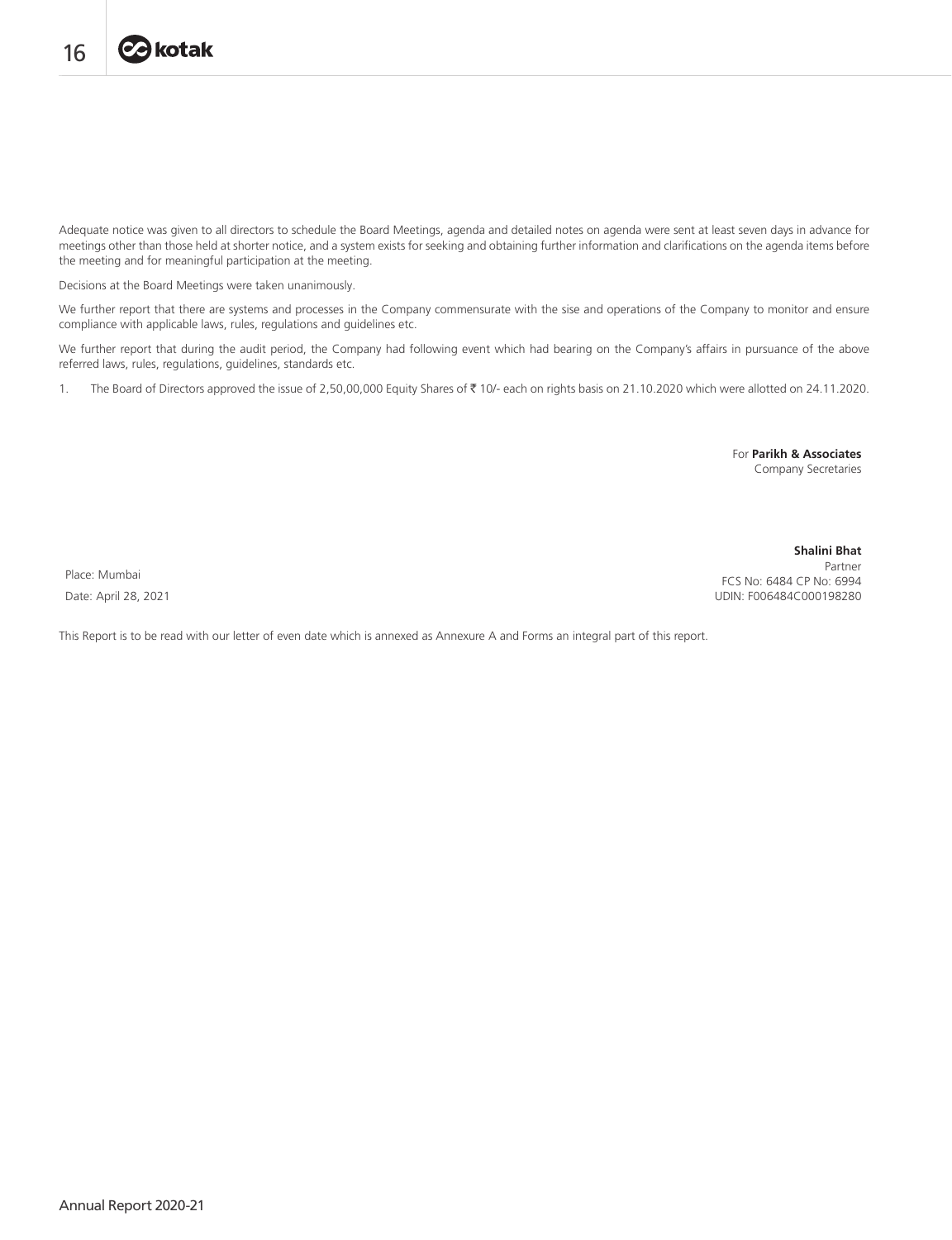Adequate notice was given to all directors to schedule the Board Meetings, agenda and detailed notes on agenda were sent at least seven days in advance for meetings other than those held at shorter notice, and a system exists for seeking and obtaining further information and clarifications on the agenda items before the meeting and for meaningful participation at the meeting.

Decisions at the Board Meetings were taken unanimously.

We further report that there are systems and processes in the Company commensurate with the sise and operations of the Company to monitor and ensure compliance with applicable laws, rules, regulations and guidelines etc.

We further report that during the audit period, the Company had following event which had bearing on the Company's affairs in pursuance of the above referred laws, rules, regulations, guidelines, standards etc.

1. The Board of Directors approved the issue of 2,50,00,000 Equity Shares of ₹ 10/- each on rights basis on 21.10.2020 which were allotted on 24.11.2020.

For **Parikh & Associates** Company Secretaries

Place: Mumbai Date: April 28, 2021

**Shalini Bhat** Partner FCS No: 6484 CP No: 6994 UDIN: F006484C000198280

This Report is to be read with our letter of even date which is annexed as Annexure A and Forms an integral part of this report.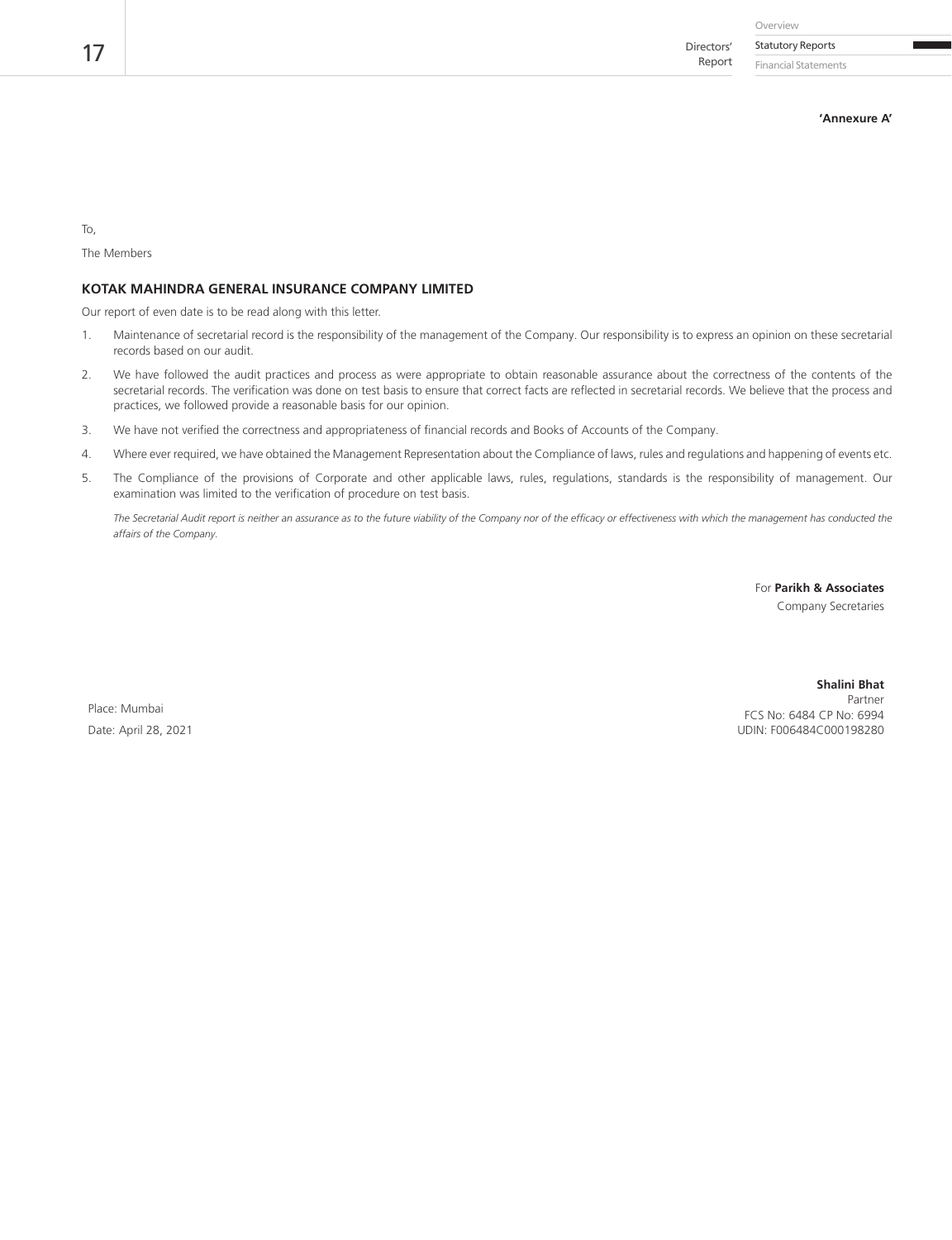Directors' Report

Statutory Reports Financial Statements

**'Annexure A'**

To,

The Members

#### **KOTAK MAHINDRA GENERAL INSURANCE COMPANY LIMITED**

Our report of even date is to be read along with this letter.

- 1. Maintenance of secretarial record is the responsibility of the management of the Company. Our responsibility is to express an opinion on these secretarial records based on our audit.
- 2. We have followed the audit practices and process as were appropriate to obtain reasonable assurance about the correctness of the contents of the secretarial records. The verification was done on test basis to ensure that correct facts are reflected in secretarial records. We believe that the process and practices, we followed provide a reasonable basis for our opinion.
- 3. We have not verified the correctness and appropriateness of financial records and Books of Accounts of the Company.
- 4. Where ever required, we have obtained the Management Representation about the Compliance of laws, rules and regulations and happening of events etc.
- 5. The Compliance of the provisions of Corporate and other applicable laws, rules, regulations, standards is the responsibility of management. Our examination was limited to the verification of procedure on test basis.

The Secretarial Audit report is neither an assurance as to the future viability of the Company nor of the efficacy or effectiveness with which the management has conducted the *affairs of the Company.*

> For **Parikh & Associates** Company Secretaries

Place: Mumbai Date: April 28, 2021

**Shalini Bhat** Partner FCS No: 6484 CP No: 6994 UDIN: F006484C000198280

17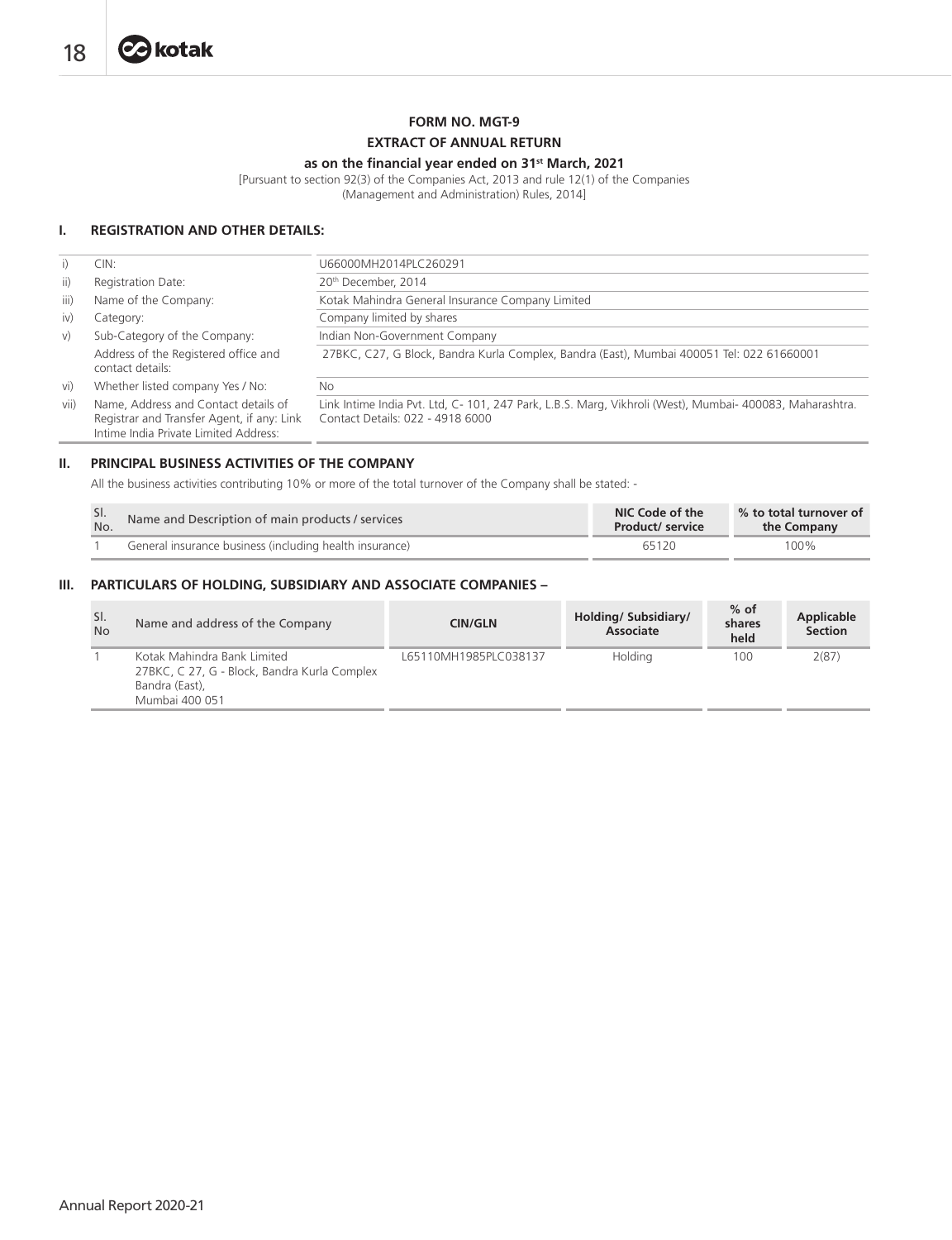#### **FORM NO. MGT-9**

#### **EXTRACT OF ANNUAL RETURN**

#### **as on the financial year ended on 31st March, 2021**

[Pursuant to section 92(3) of the Companies Act, 2013 and rule 12(1) of the Companies (Management and Administration) Rules, 2014]

#### **I. REGISTRATION AND OTHER DETAILS:**

| i)   | CIN:                                                                                                                        | U66000MH2014PLC260291                                                                                                                        |
|------|-----------------------------------------------------------------------------------------------------------------------------|----------------------------------------------------------------------------------------------------------------------------------------------|
| ii)  | Registration Date:                                                                                                          | 20th December, 2014                                                                                                                          |
| iii) | Name of the Company:                                                                                                        | Kotak Mahindra General Insurance Company Limited                                                                                             |
| iv)  | Category:                                                                                                                   | Company limited by shares                                                                                                                    |
| V)   | Sub-Category of the Company:                                                                                                | Indian Non-Government Company                                                                                                                |
|      | Address of the Registered office and<br>contact details:                                                                    | 27BKC, C27, G Block, Bandra Kurla Complex, Bandra (East), Mumbai 400051 Tel: 022 61660001                                                    |
| vi)  | Whether listed company Yes / No:                                                                                            | No                                                                                                                                           |
| vii) | Name, Address and Contact details of<br>Registrar and Transfer Agent, if any: Link<br>Intime India Private Limited Address: | Link Intime India Pvt. Ltd, C- 101, 247 Park, L.B.S. Marg, Vikhroli (West), Mumbai- 400083, Maharashtra.<br>Contact Details: 022 - 4918 6000 |

#### **II. PRINCIPAL BUSINESS ACTIVITIES OF THE COMPANY**

All the business activities contributing 10% or more of the total turnover of the Company shall be stated: -

| SI. | Name and Description of main products / services        | NIC Code of the        | % to total turnover of |
|-----|---------------------------------------------------------|------------------------|------------------------|
| No. |                                                         | <b>Product/service</b> | the Company            |
|     | General insurance business (including health insurance) | 65120                  | 100%                   |

#### **III. PARTICULARS OF HOLDING, SUBSIDIARY AND ASSOCIATE COMPANIES –**

| SI.<br><b>No</b> | Name and address of the Company                                                                                 | <b>CIN/GLN</b>        | Holding/ Subsidiary/<br>Associate | $%$ of<br>shares<br>held | Applicable<br><b>Section</b> |
|------------------|-----------------------------------------------------------------------------------------------------------------|-----------------------|-----------------------------------|--------------------------|------------------------------|
|                  | Kotak Mahindra Bank Limited<br>27BKC, C 27, G - Block, Bandra Kurla Complex<br>Bandra (East),<br>Mumbai 400 051 | L65110MH1985PLC038137 | Holding                           | 100                      | 2(87)                        |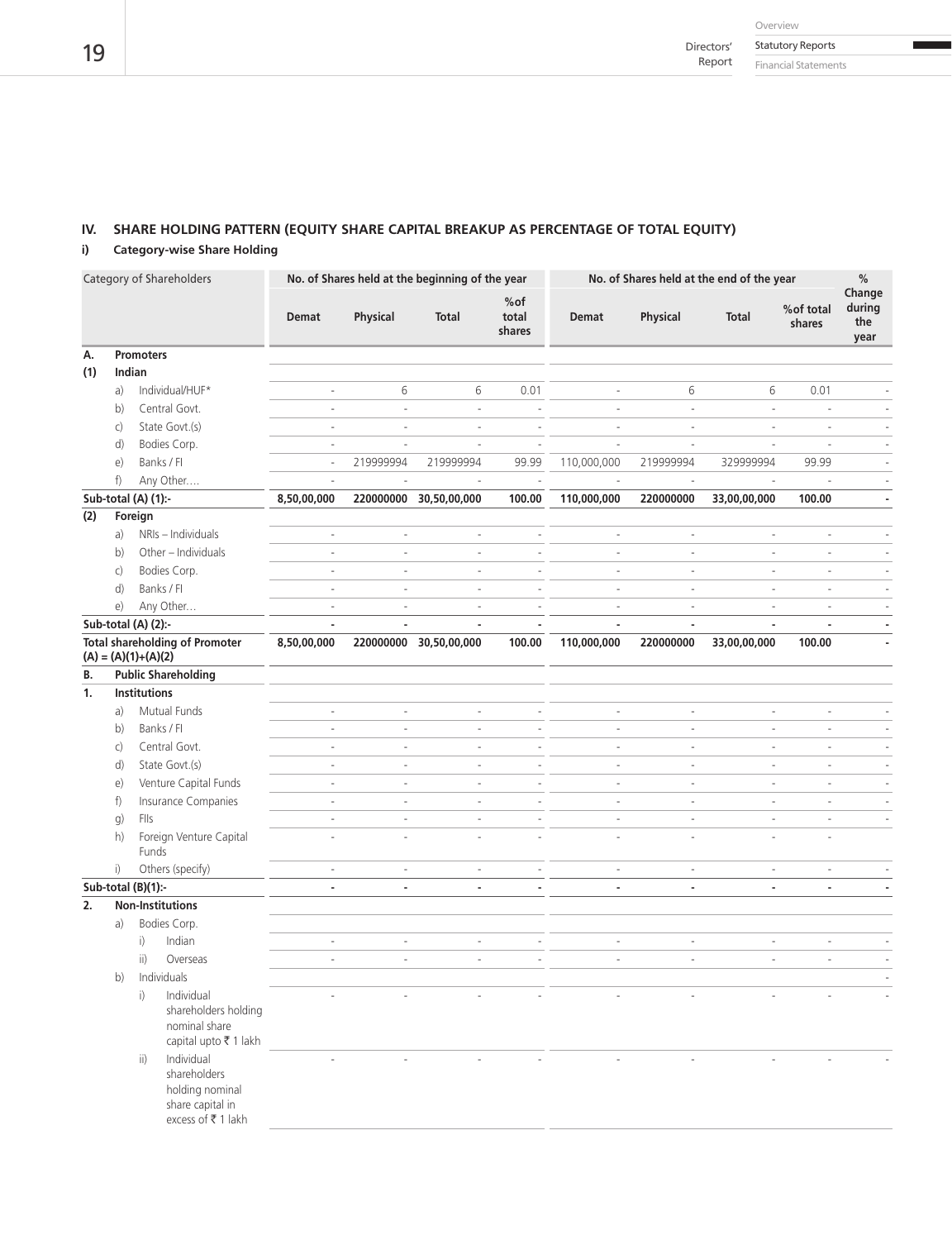Overview Directors'

Report

Statutory Reports

Ē

#### Financial Statements

#### **IV. SHARE HOLDING PATTERN (EQUITY SHARE CAPITAL BREAKUP AS PERCENTAGE OF TOTAL EQUITY)**

#### **i) Category-wise Share Holding**

| Category of Shareholders |              | No. of Shares held at the beginning of the year                                                           |                          |                          | No. of Shares held at the end of the year |                           |                          |                          | $\%$                     |                          |                                 |
|--------------------------|--------------|-----------------------------------------------------------------------------------------------------------|--------------------------|--------------------------|-------------------------------------------|---------------------------|--------------------------|--------------------------|--------------------------|--------------------------|---------------------------------|
|                          |              |                                                                                                           | Demat                    | Physical                 | Total                                     | $%$ of<br>total<br>shares | Demat                    | Physical                 | Total                    | %of total<br>shares      | Change<br>during<br>the<br>year |
| А.                       |              | <b>Promoters</b>                                                                                          |                          |                          |                                           |                           |                          |                          |                          |                          |                                 |
| (1)                      |              | Indian                                                                                                    |                          |                          |                                           |                           |                          |                          |                          |                          |                                 |
|                          | a)           | Individual/HUF*                                                                                           | $\blacksquare$           | 6                        | 6                                         | 0.01                      | $\blacksquare$           | 6                        | 6                        | 0.01                     | ÷,                              |
|                          | b)           | Central Govt.                                                                                             | $\overline{\phantom{a}}$ | $\bar{a}$                | ÷,                                        |                           | $\overline{\phantom{a}}$ | $\overline{\phantom{a}}$ | à.                       | $\Box$                   | $\bar{a}$                       |
|                          | $\mathsf{C}$ | State Govt.(s)                                                                                            | ÷.                       | ÷.                       | ÷                                         | $\sim$                    | ÷,                       | $\bar{z}$                | $\sim$                   | $\Box$                   | $\sim$                          |
|                          | d)           | Bodies Corp.                                                                                              | $\overline{\phantom{a}}$ | $\sim$                   | $\overline{\phantom{a}}$                  | $\overline{\phantom{a}}$  | $\bar{a}$                | $\overline{\phantom{a}}$ | $\sim$                   | $\sim$                   | $\overline{\phantom{a}}$        |
|                          | e)           | Banks / Fl                                                                                                | $\blacksquare$           | 219999994                | 219999994                                 | 99.99                     | 110,000,000              | 219999994                | 329999994                | 99.99                    | $\overline{\phantom{a}}$        |
|                          | f)           | Any Other                                                                                                 | ÷,                       |                          |                                           |                           |                          | ÷,                       |                          | ÷.                       | $\overline{\phantom{a}}$        |
|                          |              | Sub-total (A) (1):-                                                                                       | 8,50,00,000              |                          | 220000000 30,50,00,000                    | 100.00                    | 110,000,000              | 220000000                | 33,00,00,000             | 100.00                   | $\overline{\phantom{a}}$        |
| (2)                      |              | Foreign                                                                                                   |                          |                          |                                           |                           |                          |                          |                          |                          |                                 |
|                          | a)           | NRIs - Individuals                                                                                        | $\blacksquare$           | $\overline{\phantom{a}}$ | $\overline{\phantom{a}}$                  | $\overline{\phantom{a}}$  | ÷,                       | $\overline{\phantom{a}}$ | $\overline{\phantom{a}}$ | $\blacksquare$           | $\overline{\phantom{a}}$        |
|                          | b)           | Other - Individuals                                                                                       | $\overline{\phantom{a}}$ | $\overline{\phantom{a}}$ | $\overline{\phantom{a}}$                  | $\overline{\phantom{a}}$  | $\overline{\phantom{a}}$ | $\sim$                   | à.                       | $\overline{\phantom{a}}$ | $\overline{\phantom{a}}$        |
|                          | $\mathsf{C}$ | Bodies Corp.                                                                                              | $\overline{\phantom{a}}$ | ÷.                       | ÷.                                        | $\overline{\phantom{a}}$  | ÷,                       | $\bar{z}$                | $\sim$                   | $\Box$                   | $\sim$                          |
|                          | d)           | Banks / Fl                                                                                                | $\overline{\phantom{a}}$ | $\overline{\phantom{a}}$ | $\overline{\phantom{a}}$                  | $\overline{\phantom{a}}$  | ÷,                       | $\overline{\phantom{a}}$ | $\overline{\phantom{a}}$ | $\overline{\phantom{a}}$ | $\sim$                          |
|                          | e)           | Any Other                                                                                                 | ÷.                       | ÷.                       | ÷,                                        | $\overline{a}$            | ÷,                       | $\bar{z}$                | $\sim$                   | $\overline{a}$           | $\overline{\phantom{a}}$        |
|                          |              | Sub-total (A) (2):-                                                                                       | $\blacksquare$           | $\overline{a}$           | ٠                                         | ×,                        | ä,                       | $\blacksquare$           | $\blacksquare$           | $\overline{\phantom{a}}$ | $\overline{\phantom{a}}$        |
|                          |              | <b>Total shareholding of Promoter</b><br>$(A) = (A)(1)+(A)(2)$                                            | 8,50,00,000              |                          | 220000000 30,50,00,000                    | 100.00                    | 110,000,000              | 220000000                | 33,00,00,000             | 100.00                   | $\blacksquare$                  |
| В.                       |              | <b>Public Shareholding</b>                                                                                |                          |                          |                                           |                           |                          |                          |                          |                          |                                 |
| 1.                       |              | <b>Institutions</b>                                                                                       |                          |                          |                                           |                           |                          |                          |                          |                          |                                 |
|                          | a)           | Mutual Funds                                                                                              | $\overline{\phantom{a}}$ | $\sim$                   | $\sim$                                    | $\overline{\phantom{a}}$  | $\bar{a}$                | $\overline{\phantom{a}}$ | $\overline{\phantom{a}}$ | $\overline{\phantom{a}}$ | $\sim$                          |
|                          | b)           | Banks / Fl                                                                                                | $\overline{\phantom{a}}$ | $\bar{a}$                | $\sim$                                    | $\overline{\phantom{a}}$  | ÷,                       | $\sim$                   | $\overline{\phantom{a}}$ | $\bar{a}$                | $\mathcal{L}_{\mathcal{A}}$     |
|                          | $\mathsf{C}$ | Central Govt.                                                                                             | $\overline{\phantom{a}}$ | $\overline{\phantom{a}}$ | $\overline{\phantom{a}}$                  | $\overline{\phantom{a}}$  | ÷,                       | $\overline{\phantom{a}}$ | $\overline{\phantom{a}}$ | $\overline{\phantom{a}}$ | $\overline{\phantom{a}}$        |
|                          | d)           | State Govt.(s)                                                                                            | $\overline{\phantom{a}}$ | $\bar{a}$                | ÷,                                        | $\overline{\phantom{a}}$  | ÷,                       | $\sim$                   | à.                       | ÷,                       | $\overline{\phantom{a}}$        |
|                          | e)           | Venture Capital Funds                                                                                     | $\overline{\phantom{a}}$ | $\sim$                   | $\bar{a}$                                 | $\overline{\phantom{a}}$  | $\overline{\phantom{a}}$ | $\overline{\phantom{a}}$ | $\overline{\phantom{a}}$ | $\overline{\phantom{a}}$ | $\overline{\phantom{a}}$        |
|                          | f)           | Insurance Companies                                                                                       | $\overline{\phantom{a}}$ | $\bar{a}$                | $\bar{a}$                                 | $\overline{\phantom{a}}$  | ÷,                       | $\sim$                   | $\overline{\phantom{a}}$ | ÷,                       | $\overline{\phantom{a}}$        |
|                          | g)           | FIIs                                                                                                      | $\overline{\phantom{a}}$ | $\overline{\phantom{a}}$ | $\overline{\phantom{a}}$                  | $\overline{\phantom{a}}$  | ÷,                       | $\overline{\phantom{a}}$ | $\overline{\phantom{a}}$ | $\overline{\phantom{a}}$ | $\overline{\phantom{a}}$        |
|                          | h)           | Foreign Venture Capital<br>Funds                                                                          |                          | L.                       |                                           | ÷,                        | L.                       | ÷,                       |                          | $\overline{a}$           |                                 |
|                          | i)           | Others (specify)                                                                                          | $\sim$                   | $\overline{\phantom{a}}$ | $\overline{\phantom{a}}$                  | $\overline{\phantom{a}}$  | ÷,                       | $\overline{\phantom{a}}$ | $\overline{\phantom{a}}$ | $\overline{\phantom{a}}$ |                                 |
|                          |              | Sub-total (B)(1):-                                                                                        | $\overline{\phantom{a}}$ | ä,                       | $\blacksquare$                            | $\overline{a}$            | ä,                       | $\overline{\phantom{a}}$ | $\blacksquare$           | ä,                       | ä,                              |
| 2.                       |              | <b>Non-Institutions</b>                                                                                   |                          |                          |                                           |                           |                          |                          |                          |                          |                                 |
|                          | a)           | Bodies Corp.                                                                                              |                          |                          |                                           |                           |                          |                          |                          |                          |                                 |
|                          |              | Indian<br>i)                                                                                              | $\overline{\phantom{a}}$ | $\sim$                   | $\overline{\phantom{a}}$                  | $\sim$                    | ÷,                       | $\overline{\phantom{a}}$ | $\sim$                   | $\overline{\phantom{a}}$ | $\overline{\phantom{a}}$        |
|                          |              | ii)<br>Overseas                                                                                           | $\overline{\phantom{a}}$ | $\bar{a}$                | $\overline{\phantom{a}}$                  | $\overline{\phantom{a}}$  | ÷,                       | $\sim$                   | $\overline{\phantom{a}}$ | $\Box$                   | $\sim$                          |
|                          | b)           | Individuals                                                                                               |                          |                          |                                           |                           |                          |                          |                          |                          | $\overline{\phantom{a}}$        |
|                          |              | Individual<br>$\vert$<br>shareholders holding<br>nominal share<br>capital upto ₹ 1 lakh                   |                          |                          |                                           |                           |                          |                          |                          |                          |                                 |
|                          |              | Individual<br>$\overline{ii}$<br>shareholders<br>holding nominal<br>share capital in<br>excess of ₹1 lakh |                          |                          |                                           |                           |                          |                          |                          |                          |                                 |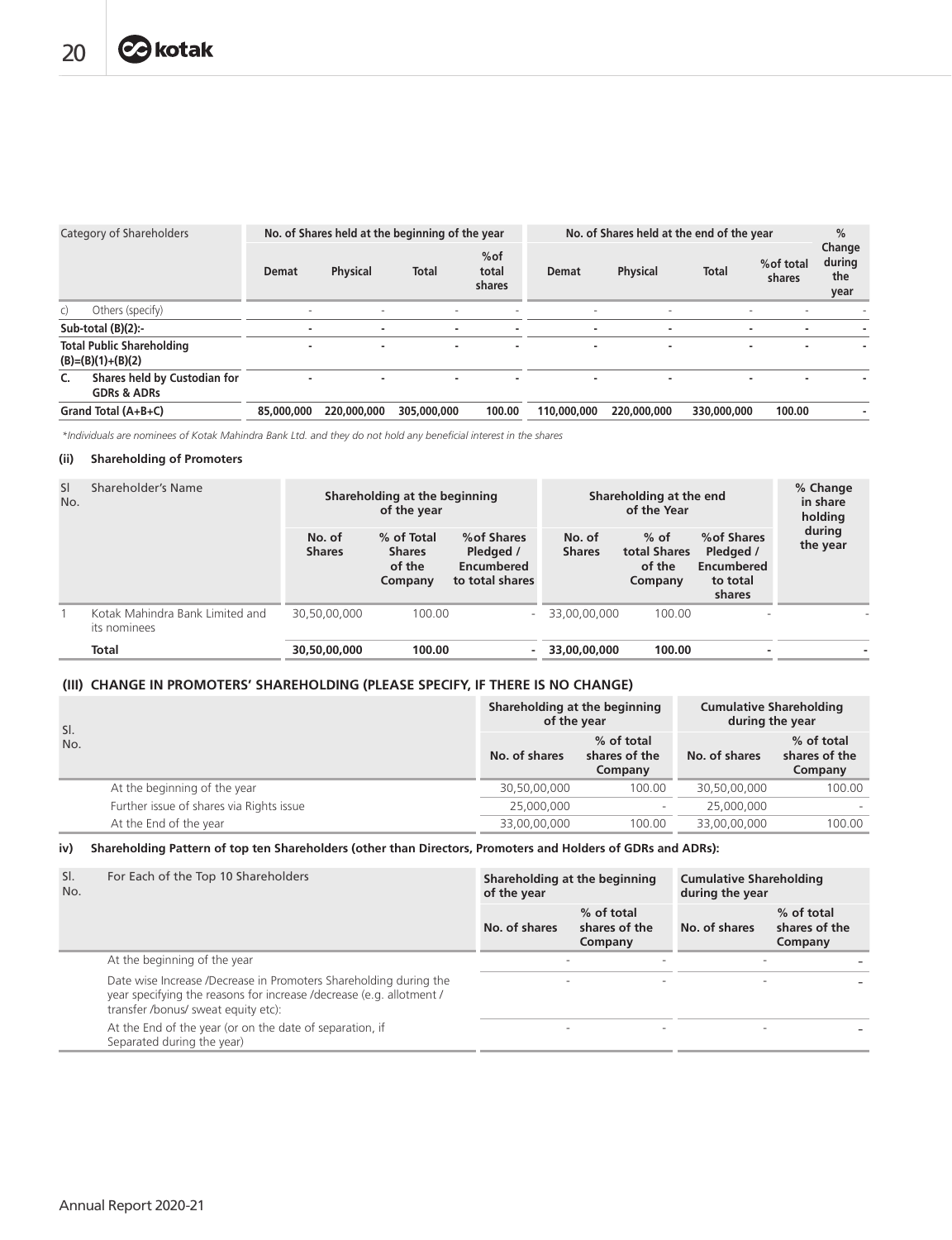| Category of Shareholders                                     |                          | No. of Shares held at the beginning of the year |                          | No. of Shares held at the end of the year |              |                          |              |                      | %                               |
|--------------------------------------------------------------|--------------------------|-------------------------------------------------|--------------------------|-------------------------------------------|--------------|--------------------------|--------------|----------------------|---------------------------------|
|                                                              | Demat                    | <b>Physical</b>                                 | Total                    | %of<br>total<br>shares                    | <b>Demat</b> | Physical                 | <b>Total</b> | % of total<br>shares | Change<br>during<br>the<br>year |
| Others (specify)<br>$\mathsf{C}$                             | $\overline{\phantom{a}}$ | $\overline{\phantom{a}}$                        | $\overline{\phantom{a}}$ | $\overline{\phantom{a}}$                  | ٠            | $\overline{\phantom{a}}$ |              | ۰                    |                                 |
| Sub-total $(B)(2)$ :-                                        |                          |                                                 | ٠                        |                                           | ۰            |                          |              |                      |                                 |
| <b>Total Public Shareholding</b><br>$(B)=(B)(1)+(B)(2)$      |                          | ۰                                               | ۰                        |                                           | ۰            | ۰                        |              |                      |                                 |
| Shares held by Custodian for<br>C.<br><b>GDRs &amp; ADRs</b> | ۰                        | ۰                                               | ۰.                       | ۰                                         | ۰            | ۰                        |              |                      |                                 |
| Grand Total (A+B+C)                                          | 85,000,000               | 220,000,000                                     | 305,000,000              | 100.00                                    | 110,000,000  | 220,000,000              | 330,000,000  | 100.00               |                                 |

 *\*Individuals are nominees of Kotak Mahindra Bank Ltd. and they do not hold any beneficial interest in the shares*

#### **(ii) Shareholding of Promoters**

| <sub>SI</sub><br>No. | Shareholder's Name                              | Shareholding at the beginning<br>of the year |                                                  |                                                           | Shareholding at the end | % Change<br>in share<br>holding             |                                                                     |                    |
|----------------------|-------------------------------------------------|----------------------------------------------|--------------------------------------------------|-----------------------------------------------------------|-------------------------|---------------------------------------------|---------------------------------------------------------------------|--------------------|
|                      |                                                 | No. of<br><b>Shares</b>                      | % of Total<br><b>Shares</b><br>of the<br>Company | % of Shares<br>Pledged /<br>Encumbered<br>to total shares | No. of<br><b>Shares</b> | $%$ of<br>total Shares<br>of the<br>Company | % of Shares<br>Pledged /<br><b>Encumbered</b><br>to total<br>shares | during<br>the year |
|                      | Kotak Mahindra Bank Limited and<br>its nominees | 30,50,00,000                                 | 100.00                                           | $\overline{\phantom{a}}$                                  | 33,00,00,000            | 100.00                                      |                                                                     |                    |
|                      | <b>Total</b>                                    | 30,50,00,000                                 | 100.00                                           |                                                           | 33,00,00,000            | 100.00                                      |                                                                     |                    |

#### **(III) CHANGE IN PROMOTERS' SHAREHOLDING (PLEASE SPECIFY, IF THERE IS NO CHANGE)**

| SI. |                                          | Shareholding at the beginning<br>of the year |                                        | <b>Cumulative Shareholding</b><br>during the year |                                        |
|-----|------------------------------------------|----------------------------------------------|----------------------------------------|---------------------------------------------------|----------------------------------------|
| No. |                                          | No. of shares                                | % of total<br>shares of the<br>Company | No. of shares                                     | % of total<br>shares of the<br>Company |
|     | At the beginning of the year             | 30,50,00,000                                 | 100.00                                 | 30,50,00,000                                      | 100.00                                 |
|     | Further issue of shares via Rights issue | 25,000,000                                   |                                        | 25,000,000                                        |                                        |
|     | At the End of the year                   | 33,00,00,000                                 | 100.00                                 | 33,00,00,000                                      | 100.00                                 |

**iv) Shareholding Pattern of top ten Shareholders (other than Directors, Promoters and Holders of GDRs and ADRs):**

| SI.<br>No. | For Each of the Top 10 Shareholders                                                                                                                                              | of the year              | Shareholding at the beginning          | <b>Cumulative Shareholding</b><br>during the year |                                        |
|------------|----------------------------------------------------------------------------------------------------------------------------------------------------------------------------------|--------------------------|----------------------------------------|---------------------------------------------------|----------------------------------------|
|            |                                                                                                                                                                                  | No. of shares            | % of total<br>shares of the<br>Company | No. of shares                                     | % of total<br>shares of the<br>Company |
|            | At the beginning of the year                                                                                                                                                     |                          |                                        |                                                   |                                        |
|            | Date wise Increase /Decrease in Promoters Shareholding during the<br>year specifying the reasons for increase /decrease (e.g. allotment /<br>transfer /bonus/ sweat equity etc): | $\overline{\phantom{a}}$ |                                        | $\overline{\phantom{a}}$                          |                                        |
|            | At the End of the year (or on the date of separation, if<br>Separated during the year)                                                                                           | ٠                        |                                        | $\overline{\phantom{a}}$                          |                                        |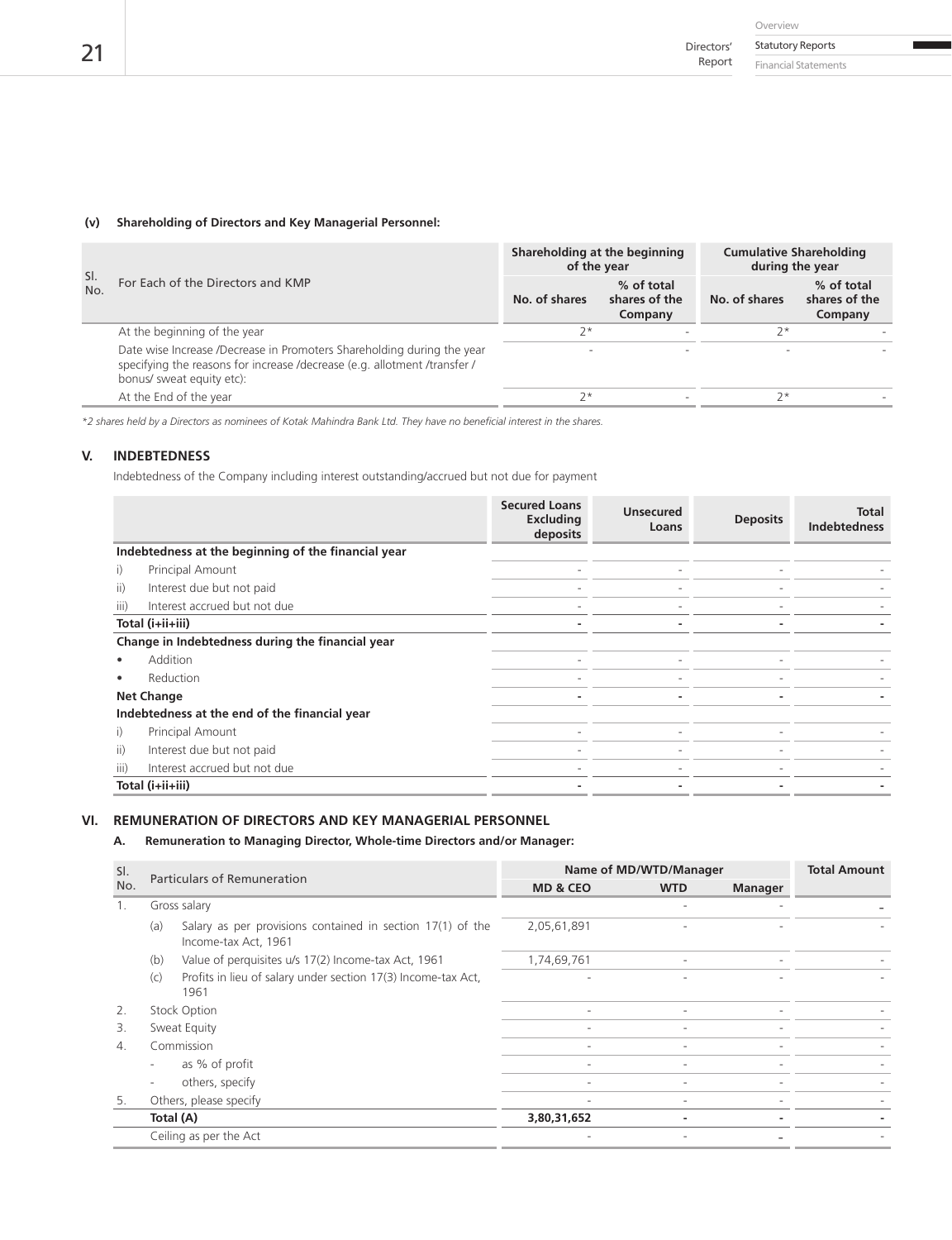Directors' Report Statutory Reports Financial Statements

#### **(v) Shareholding of Directors and Key Managerial Personnel:**

| SI.<br>No. |                                                                                                                                                                                  | Shareholding at the beginning<br>of the year |                                        | <b>Cumulative Shareholding</b><br>during the year |                                        |
|------------|----------------------------------------------------------------------------------------------------------------------------------------------------------------------------------|----------------------------------------------|----------------------------------------|---------------------------------------------------|----------------------------------------|
|            | For Each of the Directors and KMP                                                                                                                                                | No. of shares                                | % of total<br>shares of the<br>Company | No. of shares                                     | % of total<br>shares of the<br>Company |
|            | At the beginning of the year                                                                                                                                                     | $7*$                                         |                                        | $7*$                                              |                                        |
|            | Date wise Increase /Decrease in Promoters Shareholding during the year<br>specifying the reasons for increase /decrease (e.g. allotment /transfer /<br>bonus/ sweat equity etc): |                                              |                                        |                                                   |                                        |
|            | At the End of the year                                                                                                                                                           | $7*$                                         |                                        | $7*$                                              |                                        |

*\*2 shares held by a Directors as nominees of Kotak Mahindra Bank Ltd. They have no beneficial interest in the shares.*

#### **V. INDEBTEDNESS**

Indebtedness of the Company including interest outstanding/accrued but not due for payment

|                  |                                                     | <b>Secured Loans</b><br><b>Excluding</b><br>deposits | <b>Unsecured</b><br>Loans | <b>Deposits</b>          | <b>Total</b><br><b>Indebtedness</b> |
|------------------|-----------------------------------------------------|------------------------------------------------------|---------------------------|--------------------------|-------------------------------------|
|                  | Indebtedness at the beginning of the financial year |                                                      |                           |                          |                                     |
| i)               | Principal Amount                                    |                                                      | ٠                         | $\overline{\phantom{a}}$ |                                     |
| ii)              | Interest due but not paid                           |                                                      |                           |                          |                                     |
| iii)             | Interest accrued but not due                        |                                                      |                           |                          |                                     |
|                  | Total (i+ii+iii)                                    |                                                      |                           | ۰                        |                                     |
|                  | Change in Indebtedness during the financial year    |                                                      |                           |                          |                                     |
|                  | Addition                                            |                                                      | $\overline{\phantom{a}}$  | $\overline{\phantom{a}}$ |                                     |
|                  | Reduction                                           |                                                      |                           |                          |                                     |
|                  | <b>Net Change</b>                                   |                                                      |                           |                          |                                     |
|                  | Indebtedness at the end of the financial year       |                                                      |                           |                          |                                     |
| $\left  \right $ | Principal Amount                                    |                                                      | ٠                         |                          |                                     |
| $\overline{ii}$  | Interest due but not paid                           |                                                      |                           |                          |                                     |
| iii)             | Interest accrued but not due                        |                                                      |                           |                          |                                     |
|                  | Total (i+ii+iii)                                    |                                                      |                           |                          |                                     |
|                  |                                                     |                                                      |                           |                          |                                     |

#### **VI. REMUNERATION OF DIRECTORS AND KEY MANAGERIAL PERSONNEL**

#### **A. Remuneration to Managing Director, Whole-time Directors and/or Manager:**

| SI.                   |     | <b>Particulars of Remuneration</b>                                                 |                     | Name of MD/WTD/Manager   |                | <b>Total Amount</b> |
|-----------------------|-----|------------------------------------------------------------------------------------|---------------------|--------------------------|----------------|---------------------|
| No.                   |     |                                                                                    | <b>MD &amp; CEO</b> | <b>WTD</b>               | <b>Manager</b> |                     |
| 1.                    |     | Gross salary                                                                       |                     | ٠                        |                |                     |
|                       | (a) | Salary as per provisions contained in section 17(1) of the<br>Income-tax Act, 1961 | 2,05,61,891         |                          |                |                     |
|                       | (b) | Value of perquisites u/s 17(2) Income-tax Act, 1961                                | 1,74,69,761         | $\overline{\phantom{a}}$ |                |                     |
|                       | (c) | Profits in lieu of salary under section 17(3) Income-tax Act,<br>1961              |                     | ٠                        |                |                     |
| 2.                    |     | Stock Option                                                                       |                     |                          |                |                     |
| 3.                    |     | Sweat Equity                                                                       |                     | ٠                        |                |                     |
| $\mathcal{A}_{\cdot}$ |     | Commission                                                                         |                     | $\overline{\phantom{a}}$ |                |                     |
|                       |     | as % of profit                                                                     |                     |                          |                |                     |
|                       |     | others, specify                                                                    |                     | ٠                        |                |                     |
| 5.                    |     | Others, please specify                                                             |                     | $\overline{\phantom{a}}$ |                |                     |
|                       |     | Total (A)                                                                          | 3,80,31,652         |                          |                |                     |
|                       |     | Ceiling as per the Act                                                             |                     |                          |                |                     |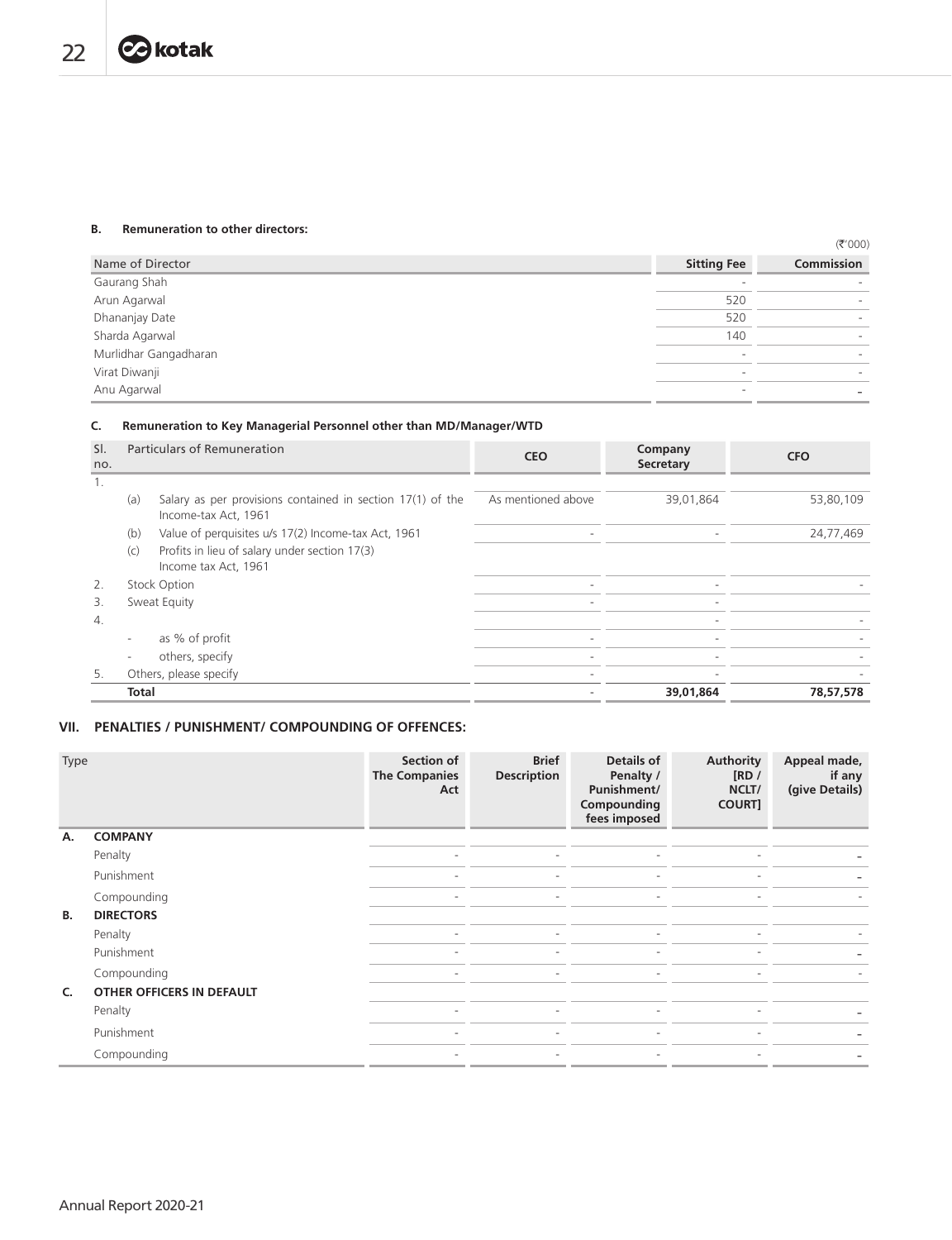#### **B. Remuneration to other directors:**

|                       |                          | (5000)     |
|-----------------------|--------------------------|------------|
| Name of Director      | <b>Sitting Fee</b>       | Commission |
| Gaurang Shah          | $\overline{\phantom{a}}$ |            |
| Arun Agarwal          | 520                      |            |
| Dhananjay Date        | 520                      |            |
| Sharda Agarwal        | 140                      |            |
| Murlidhar Gangadharan | $\overline{\phantom{a}}$ |            |
| Virat Diwanji         | $\overline{\phantom{0}}$ |            |
| Anu Agarwal           | $\overline{\phantom{0}}$ |            |

#### **C. Remuneration to Key Managerial Personnel other than MD/Manager/WTD**

| SI.<br>no.       | <b>Particulars of Remuneration</b>                                                        | <b>CEO</b>               | Company<br>Secretary     | <b>CFO</b> |
|------------------|-------------------------------------------------------------------------------------------|--------------------------|--------------------------|------------|
| 1.               |                                                                                           |                          |                          |            |
|                  | Salary as per provisions contained in section 17(1) of the<br>(a)<br>Income-tax Act, 1961 | As mentioned above       | 39,01,864                | 53,80,109  |
|                  | Value of perquisites u/s 17(2) Income-tax Act, 1961<br>(b)                                | $\overline{\phantom{a}}$ |                          | 24,77,469  |
|                  | Profits in lieu of salary under section 17(3)<br>(c)<br>Income tax Act, 1961              |                          |                          |            |
| 2.               | Stock Option                                                                              |                          |                          |            |
| 3.               | Sweat Equity                                                                              |                          | $\overline{\phantom{a}}$ |            |
| $\overline{4}$ . |                                                                                           |                          | $\overline{\phantom{a}}$ |            |
|                  | as % of profit                                                                            |                          |                          |            |
|                  | others, specify                                                                           | -                        | ٠                        |            |
| 5.               | Others, please specify                                                                    | -                        | $\overline{\phantom{a}}$ |            |
|                  | <b>Total</b>                                                                              |                          | 39,01,864                | 78,57,578  |

#### **VII. PENALTIES / PUNISHMENT/ COMPOUNDING OF OFFENCES:**

| Type      |                                  | Section of<br><b>The Companies</b><br>Act | <b>Brief</b><br><b>Description</b> | <b>Details of</b><br>Penalty /<br>Punishment/<br>Compounding<br>fees imposed | Authority<br>[RD/<br>NCLT/<br><b>COURT]</b> | Appeal made,<br>if any<br>(give Details) |
|-----------|----------------------------------|-------------------------------------------|------------------------------------|------------------------------------------------------------------------------|---------------------------------------------|------------------------------------------|
| А.        | <b>COMPANY</b>                   |                                           |                                    |                                                                              |                                             |                                          |
|           | Penalty                          |                                           |                                    |                                                                              |                                             |                                          |
|           | Punishment                       |                                           |                                    |                                                                              |                                             |                                          |
|           | Compounding                      | $\overline{\phantom{a}}$                  | $\overline{\phantom{a}}$           | ٠                                                                            | $\overline{\phantom{0}}$                    |                                          |
| <b>B.</b> | <b>DIRECTORS</b>                 |                                           |                                    |                                                                              |                                             |                                          |
|           | Penalty                          |                                           |                                    |                                                                              |                                             |                                          |
|           | Punishment                       |                                           |                                    |                                                                              |                                             |                                          |
|           | Compounding                      | $\overline{\phantom{a}}$                  | $\overline{\phantom{a}}$           | $\overline{\phantom{0}}$                                                     | -                                           |                                          |
| C.        | <b>OTHER OFFICERS IN DEFAULT</b> |                                           |                                    |                                                                              |                                             |                                          |
|           | Penalty                          |                                           |                                    |                                                                              |                                             |                                          |
|           | Punishment                       |                                           |                                    |                                                                              |                                             |                                          |
|           | Compounding                      |                                           |                                    |                                                                              |                                             |                                          |
|           |                                  |                                           |                                    |                                                                              |                                             |                                          |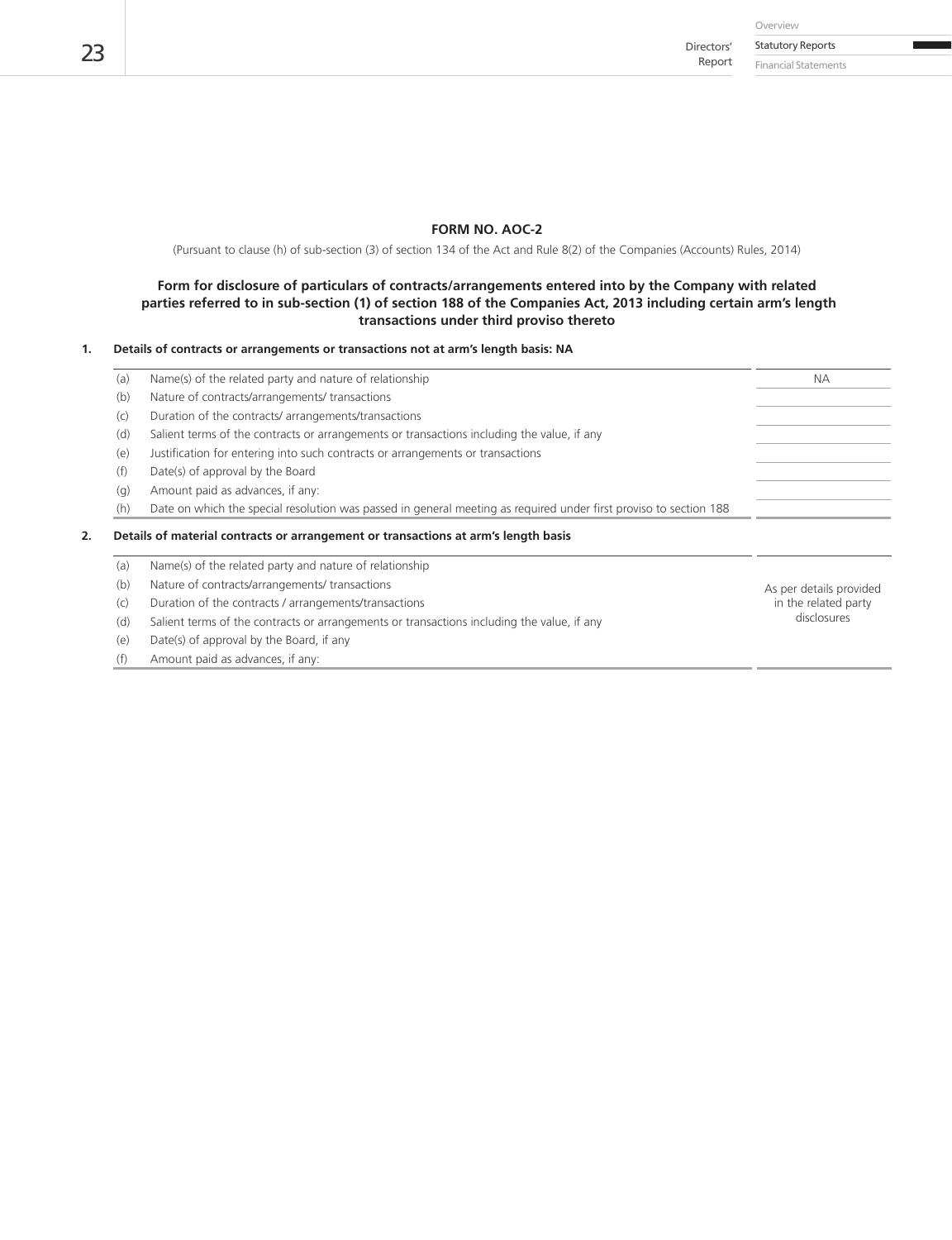23

Overview Directors'

Statutory Reports Financial Statements Report

**FORM NO. AOC-2**

(Pursuant to clause (h) of sub-section (3) of section 134 of the Act and Rule 8(2) of the Companies (Accounts) Rules, 2014)

#### **Form for disclosure of particulars of contracts/arrangements entered into by the Company with related parties referred to in sub-section (1) of section 188 of the Companies Act, 2013 including certain arm's length transactions under third proviso thereto**

#### **1. Details of contracts or arrangements or transactions not at arm's length basis: NA**

| (a) | Name(s) of the related party and nature of relationship                                                                                       | <b>NA</b>                                       |
|-----|-----------------------------------------------------------------------------------------------------------------------------------------------|-------------------------------------------------|
| (b) | Nature of contracts/arrangements/ transactions                                                                                                |                                                 |
| (c) | Duration of the contracts/ arrangements/transactions                                                                                          |                                                 |
| (d) | Salient terms of the contracts or arrangements or transactions including the value, if any                                                    |                                                 |
| (e) | Justification for entering into such contracts or arrangements or transactions                                                                |                                                 |
| (f) | Date(s) of approval by the Board                                                                                                              |                                                 |
| (q) | Amount paid as advances, if any:                                                                                                              |                                                 |
| (h) | Date on which the special resolution was passed in general meeting as required under first proviso to section 188                             |                                                 |
|     |                                                                                                                                               |                                                 |
| (a) | Details of material contracts or arrangement or transactions at arm's length basis<br>Name(s) of the related party and nature of relationship |                                                 |
| (b) | Nature of contracts/arrangements/ transactions                                                                                                |                                                 |
| (c) | Duration of the contracts / arrangements/transactions                                                                                         | As per details provided<br>in the related party |
| (d) | Salient terms of the contracts or arrangements or transactions including the value, if any                                                    | disclosures                                     |
| (e) | Date(s) of approval by the Board, if any                                                                                                      |                                                 |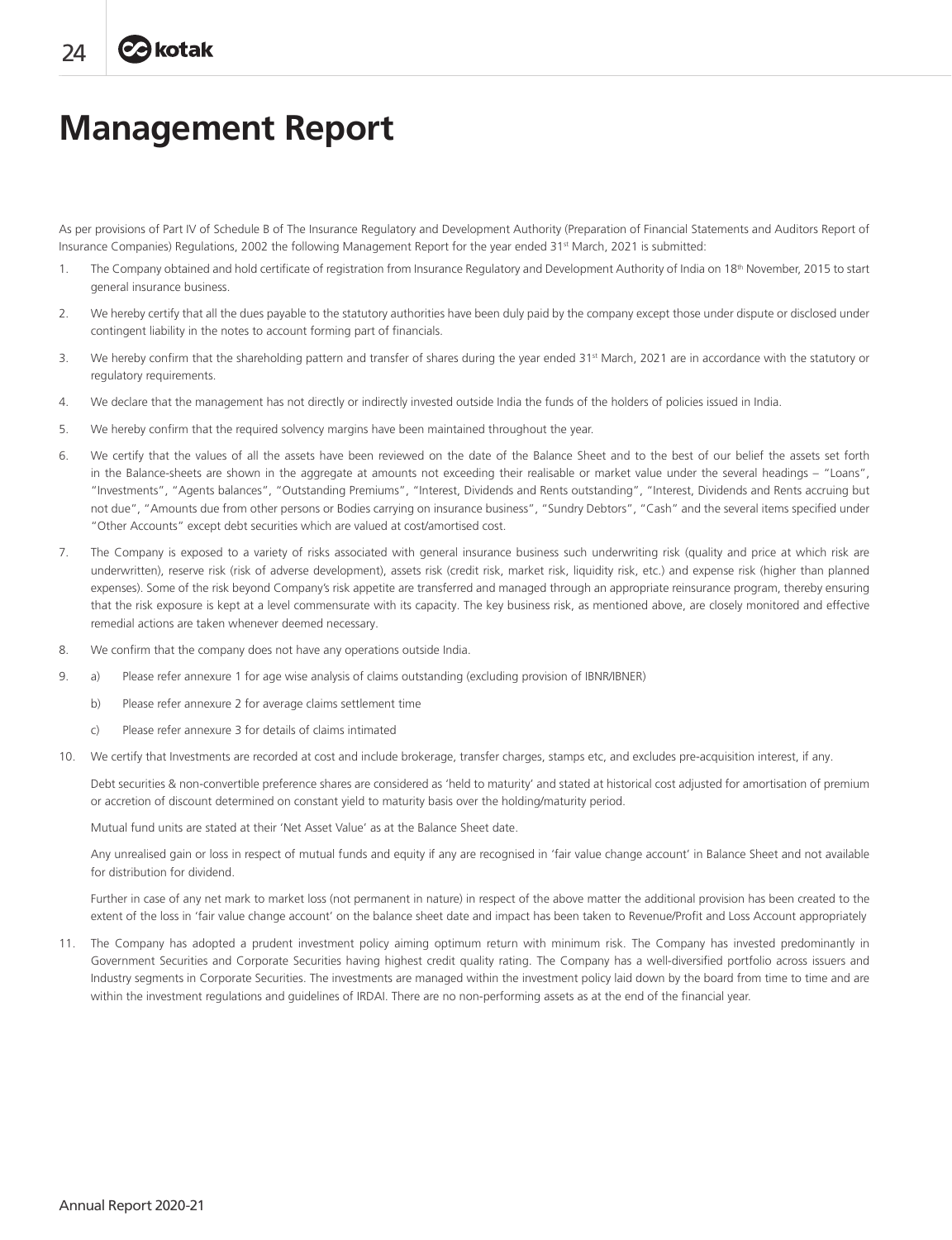# **Management Report**

As per provisions of Part IV of Schedule B of The Insurance Regulatory and Development Authority (Preparation of Financial Statements and Auditors Report of Insurance Companies) Regulations, 2002 the following Management Report for the year ended 31<sup>st</sup> March, 2021 is submitted:

- 1. The Company obtained and hold certificate of registration from Insurance Regulatory and Development Authority of India on 18<sup>th</sup> November, 2015 to start general insurance business.
- 2. We hereby certify that all the dues payable to the statutory authorities have been duly paid by the company except those under dispute or disclosed under contingent liability in the notes to account forming part of financials.
- 3. We hereby confirm that the shareholding pattern and transfer of shares during the year ended 31<sup>st</sup> March, 2021 are in accordance with the statutory or regulatory requirements.
- 4. We declare that the management has not directly or indirectly invested outside India the funds of the holders of policies issued in India.
- 5. We hereby confirm that the required solvency margins have been maintained throughout the year.
- 6. We certify that the values of all the assets have been reviewed on the date of the Balance Sheet and to the best of our belief the assets set forth in the Balance-sheets are shown in the aggregate at amounts not exceeding their realisable or market value under the several headings – "Loans", "Investments", "Agents balances", "Outstanding Premiums", "Interest, Dividends and Rents outstanding", "Interest, Dividends and Rents accruing but not due", "Amounts due from other persons or Bodies carrying on insurance business", "Sundry Debtors", "Cash" and the several items specified under "Other Accounts" except debt securities which are valued at cost/amortised cost.
- 7. The Company is exposed to a variety of risks associated with general insurance business such underwriting risk (quality and price at which risk are underwritten), reserve risk (risk of adverse development), assets risk (credit risk, market risk, liquidity risk, etc.) and expense risk (higher than planned expenses). Some of the risk beyond Company's risk appetite are transferred and managed through an appropriate reinsurance program, thereby ensuring that the risk exposure is kept at a level commensurate with its capacity. The key business risk, as mentioned above, are closely monitored and effective remedial actions are taken whenever deemed necessary.
- 8. We confirm that the company does not have any operations outside India.
- 9. a) Please refer annexure 1 for age wise analysis of claims outstanding (excluding provision of IBNR/IBNER)
	- b) Please refer annexure 2 for average claims settlement time
	- c) Please refer annexure 3 for details of claims intimated
- 10. We certify that Investments are recorded at cost and include brokerage, transfer charges, stamps etc, and excludes pre-acquisition interest, if any.

Debt securities & non-convertible preference shares are considered as 'held to maturity' and stated at historical cost adjusted for amortisation of premium or accretion of discount determined on constant yield to maturity basis over the holding/maturity period.

Mutual fund units are stated at their 'Net Asset Value' as at the Balance Sheet date.

Any unrealised gain or loss in respect of mutual funds and equity if any are recognised in 'fair value change account' in Balance Sheet and not available for distribution for dividend.

Further in case of any net mark to market loss (not permanent in nature) in respect of the above matter the additional provision has been created to the extent of the loss in 'fair value change account' on the balance sheet date and impact has been taken to Revenue/Profit and Loss Account appropriately

11. The Company has adopted a prudent investment policy aiming optimum return with minimum risk. The Company has invested predominantly in Government Securities and Corporate Securities having highest credit quality rating. The Company has a well-diversified portfolio across issuers and Industry segments in Corporate Securities. The investments are managed within the investment policy laid down by the board from time to time and are within the investment regulations and guidelines of IRDAI. There are no non-performing assets as at the end of the financial year.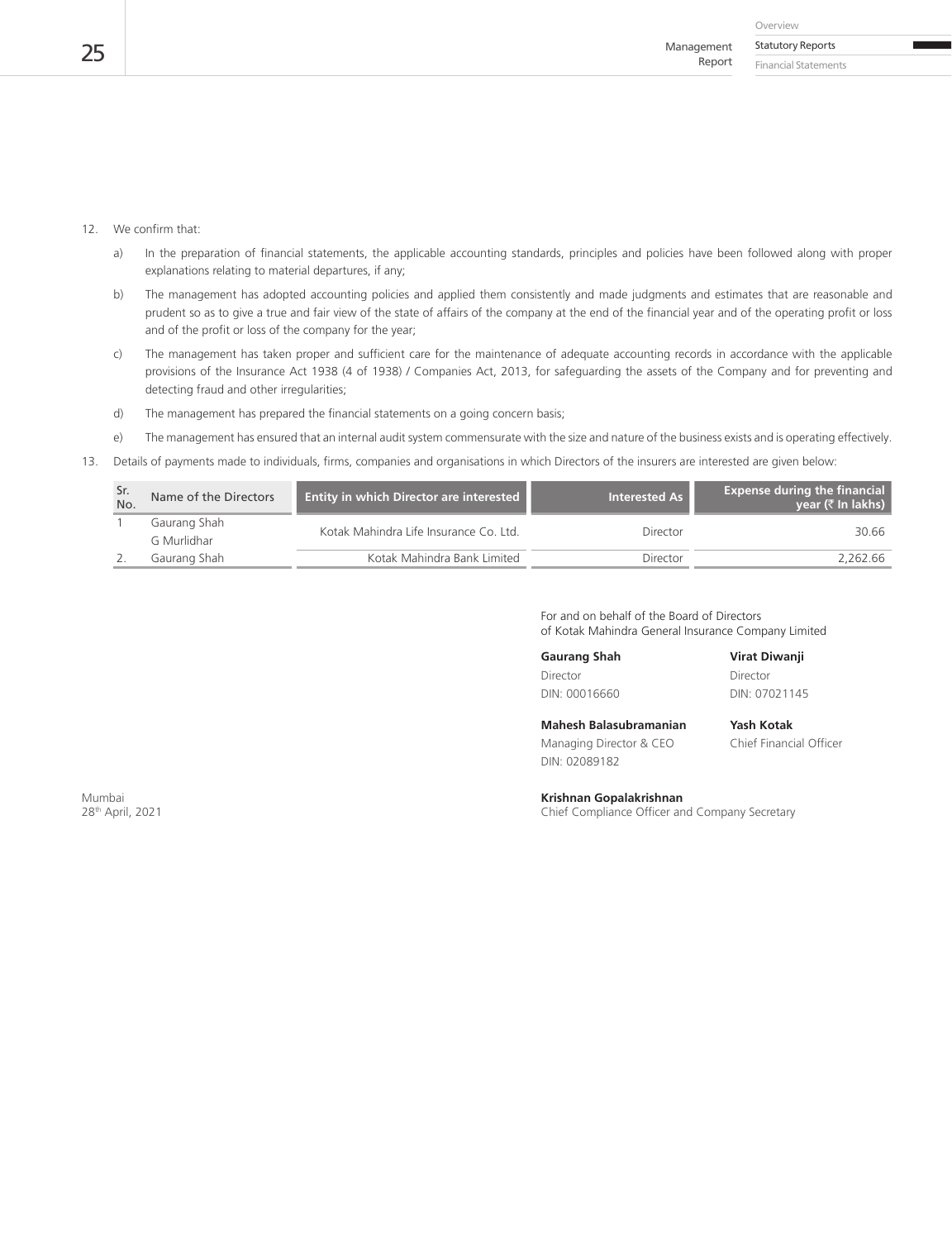Management Report Statutory Reports Financial Statements

#### 12. We confirm that:

- a) In the preparation of financial statements, the applicable accounting standards, principles and policies have been followed along with proper explanations relating to material departures, if any;
- b) The management has adopted accounting policies and applied them consistently and made judgments and estimates that are reasonable and prudent so as to give a true and fair view of the state of affairs of the company at the end of the financial year and of the operating profit or loss and of the profit or loss of the company for the year;
- c) The management has taken proper and sufficient care for the maintenance of adequate accounting records in accordance with the applicable provisions of the Insurance Act 1938 (4 of 1938) / Companies Act, 2013, for safeguarding the assets of the Company and for preventing and detecting fraud and other irregularities;
- d) The management has prepared the financial statements on a going concern basis;
- e) The management has ensured that an internal audit system commensurate with the size and nature of the business exists and is operating effectively.
- 13. Details of payments made to individuals, firms, companies and organisations in which Directors of the insurers are interested are given below:

| Sr.<br>No. | Name of the Directors       | Entity in which Director are interested | Interested As | Expense during the financial <b> </b><br>vear $(\bar{z}$ In lakhs) |
|------------|-----------------------------|-----------------------------------------|---------------|--------------------------------------------------------------------|
|            | Gaurang Shah<br>G Murlidhar | Kotak Mahindra Life Insurance Co. Ltd.  | Director      | 30.66                                                              |
|            | Gaurang Shah                | Kotak Mahindra Bank Limited             | Director      | 2.262.66                                                           |

For and on behalf of the Board of Directors of Kotak Mahindra General Insurance Company Limited

| <b>Gaurang Shah</b>     | Virat Diwanji           |
|-------------------------|-------------------------|
| Director                | Director                |
| DIN: 00016660           | DIN: 07021145           |
| Mahesh Balasubramanian  | Yash Kotak              |
| Managing Director & CEO | Chief Financial Officer |

Mumbai 28th April, 2021

#### **Krishnan Gopalakrishnan**

DIN: 02089182

Chief Compliance Officer and Company Secretary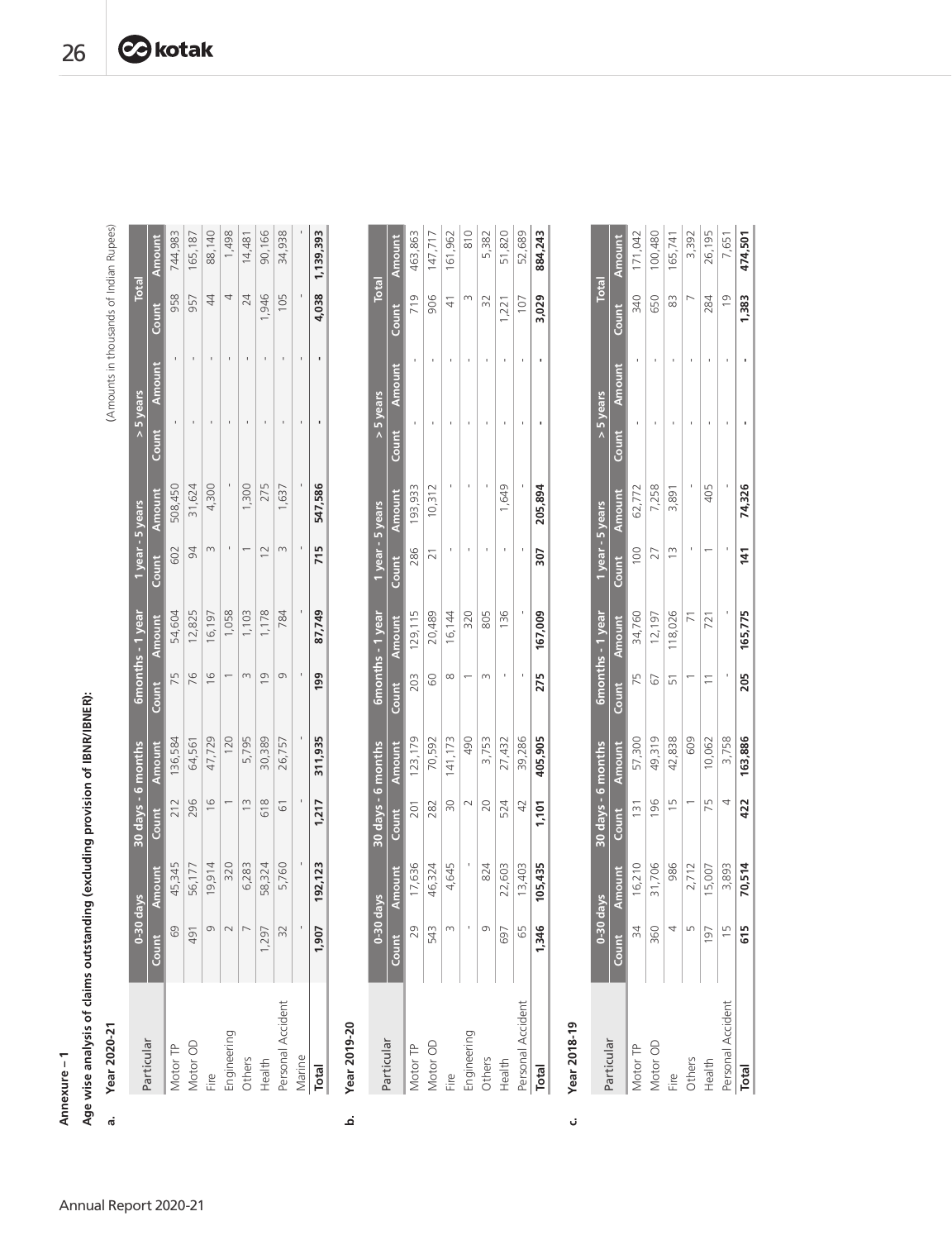Annexure-1

# Age wise analysis of claims outstanding (excluding provision of IBNR/IBNER):

# a. Year 2020-21

| Year 2020-21<br>.<br>ത |             |         |                    |         |                |                  |                  |         |              | (Amounts in thousands of Indian Rupees) |                |                 |
|------------------------|-------------|---------|--------------------|---------|----------------|------------------|------------------|---------|--------------|-----------------------------------------|----------------|-----------------|
|                        | $0-30$ days |         | 30 days - 6 months |         |                | 6months - 1 year | 1 year - 5 years |         | $> 5$ vears  |                                         | <b>Total</b>   |                 |
| Particular             | Count       | Amount  | Count              | Amount  | Count          | Amount           | Count            | Amount  | <b>Count</b> | Amount                                  | Count          | Amount          |
| Motor TP               | 69          | 45,345  | 212                | 136,584 | 75             | 54,604           | 602              | 508,450 |              |                                         | 958            | 744,983         |
|                        | 191         | 56,177  | 296                | 64,561  | 76             | 12,825           | 94               | 31,624  |              |                                         | 957            | 165,187         |
| Motor OD<br>Fire       | $\circ$     | 19,914  | $\frac{6}{2}$      | 47,729  | $\frac{6}{1}$  | 16,197           |                  | 4,300   |              |                                         | $\overline{4}$ | 88,140          |
|                        |             | 320     |                    | 120     |                | 1,058            |                  |         |              |                                         | 4              | 1,498           |
| Engineering<br>Others  |             | 6,283   | $\frac{3}{2}$      | 5,795   |                | 1,103            |                  | 1,300   |              |                                         | 24             | 14,481          |
| Health                 | 1,297       | 58,324  | 618                | 30,389  | $\overline{0}$ | 1,178            | $\overline{12}$  | 275     |              |                                         | 1,946          | 90,166          |
| Personal Accident      | $\approx$   | 5,760   | 51                 | 26,757  | 9              | 784              |                  | 1,637   |              |                                         | 105            | 34,938          |
| Marine                 |             |         |                    |         |                |                  |                  |         |              |                                         |                |                 |
| Total                  | 1,907       | 192,123 | 1,217              | 311,935 | 199            | 87,749           | 715              | 547,586 |              |                                         |                | 4,038 1,139,393 |

## Year 2019-20 **b. Year 2019-20** ف

| Particular             |          | 0-30 days | 30 days - 6 months |          |          | <b>6months</b> - 1 year | 1 year - 5 years |         | $>$ 5 years |              | <b>Total</b>  |                  |
|------------------------|----------|-----------|--------------------|----------|----------|-------------------------|------------------|---------|-------------|--------------|---------------|------------------|
|                        | Count    | Amount    | Count              | Amount   | Count    | Amount                  | Count            | Amount  |             | Count Amount | Count         | Amount           |
| Vlotor TP              | 29       | 17,636    | 201                | 123, 179 | 203      | 129,115                 | 286              | 193,933 |             |              | 719           | 463,863          |
| <b><i>Aotor</i></b> OD | 543      | 46,324    | 282                | 70,592   | 8        | 20,489                  |                  | 10,312  |             |              | 906           | 147,717          |
| $\frac{1}{10}$         | $\infty$ | 4,645     | $\frac{1}{2}$      | 141,173  | $\infty$ | 16,144                  |                  |         |             |              | $\frac{4}{3}$ | 161,962          |
| ingineering            |          |           |                    | 490      |          | 320                     |                  |         |             |              |               | $\frac{810}{10}$ |
| Others                 | $\circ$  | 824       | 20                 | 3,753    |          | 805                     |                  |         |             |              | 32            | 5,382            |
| Health                 | 597      | 22,603    | 524                | 27,432   |          | 136                     |                  | 1,649   |             |              | 1,221         | 51,820           |
| Personal Accident      | 65       | 13,403    | $\overline{4}$     | 39,286   |          |                         |                  |         |             |              | 107           | 52,689           |
| <b>Total</b>           | 1,346    | 105,435   | 1,101              | 405,905  | 275      | 167,009                 | 307              | 205,894 |             |              | 3,029         | 884,243          |
|                        |          |           |                    |          |          |                         |                  |         |             |              |               |                  |

### Year 2018-19 **c. Year 2018-19** ن<br>

| articular         | $0-30$ days    |               | 30 days - 6 months |         |     | 6months - 1 year | 1 year - 5 years |               | > 5 years |               | <b>Total</b>  |         |
|-------------------|----------------|---------------|--------------------|---------|-----|------------------|------------------|---------------|-----------|---------------|---------------|---------|
|                   | Count          | <b>Amount</b> | Count              | Amount  |     | Count Amount     | Count            | <b>Amount</b> | Count     | <b>Amount</b> | Count         | Amount  |
| <b>Aotor TP</b>   | $\approx$      | 16,210        | 131                | 57,300  | 75  | 34,760           | 100              | 62,772        |           |               | 340           | 171,042 |
| Motor OP          | 360            | 31,706        | 196                | 49,319  | 67  | 12,197           |                  | 7,258         |           |               | 650           | 100,480 |
| Fire              |                | 986           | $\frac{5}{5}$      | 42,838  | 51  | 118,026          |                  | 3,891         |           |               | 83            | 165,741 |
| <b>Jthers</b>     |                | 2,712         |                    | 609     |     |                  |                  |               |           |               |               | 3,392   |
| Health            | 197            | 15,007        | 75                 | 10,062  |     | 721              |                  | 405           |           |               | 284           | 26,195  |
| Personal Accident | $\frac{15}{1}$ | 3,893         |                    | 3,758   |     |                  |                  |               |           |               | $\frac{1}{2}$ | 7,651   |
| <b>Tal</b>        | 615            | 70,514        | 422                | 163,886 | 205 | 165,775          | 141              | 74,326        |           |               | 1,383         | 474,501 |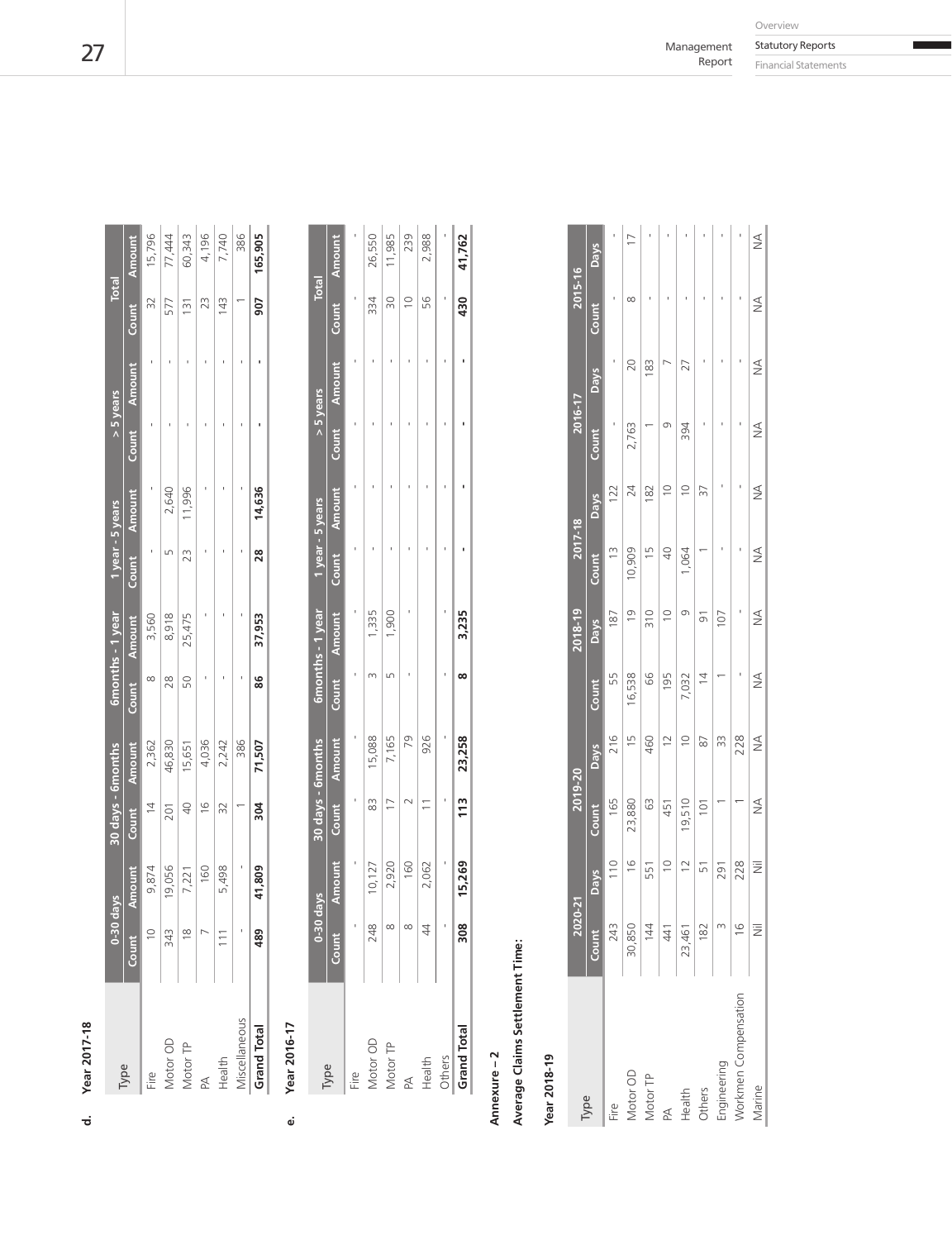# d. Year 2017-18 **d. Year 2017-18**

|                             |                | 1-30 days     |               | 30 days - 6months |    | 6months - 1 year |    | 1 year - 5 years | $>$ 5 years  | <b>Total</b> |                       |
|-----------------------------|----------------|---------------|---------------|-------------------|----|------------------|----|------------------|--------------|--------------|-----------------------|
| Type                        | Count          | <b>Amount</b> | Count         | Amount            |    | Count Amount     |    | Count Amount     | Count Amount |              | Count Amount          |
| ire:                        | $\supseteq$    | 9,874         |               | 2,362             |    | 3,560            |    |                  |              | 32           | 15,796                |
| Aotor OD                    | 343            | 19,056        | 201           | 46,830            | 28 | 8,918            |    | 2,640            |              | 577          | 77,444                |
| Motor TP                    | $\frac{8}{10}$ | 7,221         | $\sqrt{2}$    | 15,651            | 50 | 25,475           | 23 | 11,996           |              | 131          |                       |
| Ł                           |                | 160           | $\frac{6}{1}$ | 4,036             |    |                  |    |                  |              | 23           |                       |
| Health                      |                | 5,498         | 32            | 2,242             |    |                  |    |                  |              | 143          | $\frac{4,196}{7,740}$ |
| <i><b>Aiscellaneous</b></i> |                |               |               | 386               |    |                  |    |                  |              |              | 386                   |
| irand Total                 | 489            | 41,809        | 304           | 71,507            | 86 | 37,953           | 28 | 14,636           |              | 505          | 165,905               |

# Year 2016-17 **e. Year 2016-17**  $\dot{\bf e}$

|                            | -30 days       |               | 30 days - 6months |              |   | 6months - 1 year | 1 year - 5 years | > 5 years    | Total         |        |
|----------------------------|----------------|---------------|-------------------|--------------|---|------------------|------------------|--------------|---------------|--------|
| Type                       | Count          | <b>Amount</b> |                   | Count Amount |   | Count Amount     | Count Amount     | Count Amount | Count Amount  |        |
| ire<br>i                   |                |               |                   |              |   |                  |                  |              |               |        |
|                            | 248            | 10,127        | 83                | 15,088       |   | 1,335            |                  |              | 334           | 26,550 |
| Motor OD<br>Motor TP<br>PA |                | 2,920         |                   | 7,165        |   | 1,900            |                  |              | $\frac{1}{2}$ | 11,985 |
|                            |                | 160           |                   | 79           |   |                  |                  |              |               | 239    |
| Health                     | $\overline{4}$ | 2,062         |                   | 926          |   |                  |                  |              | 56            | 2,988  |
| <b>Others</b>              |                |               |                   |              |   |                  |                  |              |               |        |
| <b>Grand Total</b>         | 308            | 15,269        |                   | 113 23,258   | ∞ | 3,235            |                  |              | 430           | 41,762 |

# Annexure-2 **Annexure – 2**

# Average Claims Settlement Time: **Average Claims Settlement Time:**

# Year 2018-19 **Year 2018-19**

|                             | 2020-21        |               | 2019-20          |               |                | 2018-19        | 2017-18       |                       | 2016-17 |             | 2015-16       |             |
|-----------------------------|----------------|---------------|------------------|---------------|----------------|----------------|---------------|-----------------------|---------|-------------|---------------|-------------|
| Type                        | Count          | <b>Days</b>   | Count            | <b>Days</b>   | Count          | <b>Days</b>    | Count         | <b>Days</b>           | Count   | <b>Days</b> | Count         | <b>Days</b> |
| Fire                        | 243            | 110           | 165              | 216           | 55             | 187            | $\frac{1}{2}$ | 122                   |         |             |               |             |
|                             | 30,850         | $\frac{6}{1}$ | 23,880           | $\frac{1}{2}$ | 16,538         | $\overline{0}$ | 10,909        | 24                    | 2,763   | 20          | $\infty$      | ľ           |
| Motor OD<br>Motor TP        | 14             | 551           | 63               | 460           | 66             | 310            | $\frac{5}{5}$ | 182                   |         | 183         |               |             |
| $\mathbb{A}$                | 441            | $\frac{1}{2}$ | 451              | $\approx$     | 195            | $\approx$      | $\sqrt{4}$    | $\supseteq$           |         |             |               |             |
| Health                      | 23,461         | $\frac{2}{3}$ | 19,510           | $\supseteq$   | 7,032          | <u>ර</u>       | 1,064         | $\stackrel{\circ}{=}$ | 394     |             |               |             |
| Others                      | $\approx$      | ù۱            | $\overline{101}$ | 87            | $\overline{4}$ | ò              |               | 37                    |         |             |               |             |
| ingineering                 |                | 291           |                  | 33            |                | 107            |               |                       |         |             |               |             |
| <b>Norkmen Compensation</b> | $\overline{0}$ | 228           |                  | 228           |                |                |               |                       |         |             |               |             |
| Marine                      | Ξ              | Ξ             | ₹                | ₹             | $\leq$         | $\leq$         | $\leq$        | $\frac{1}{2}$         | $\leq$  | ₹           | $\frac{4}{2}$ | $\leq$      |

Statutory Reports Financial Statements Management Report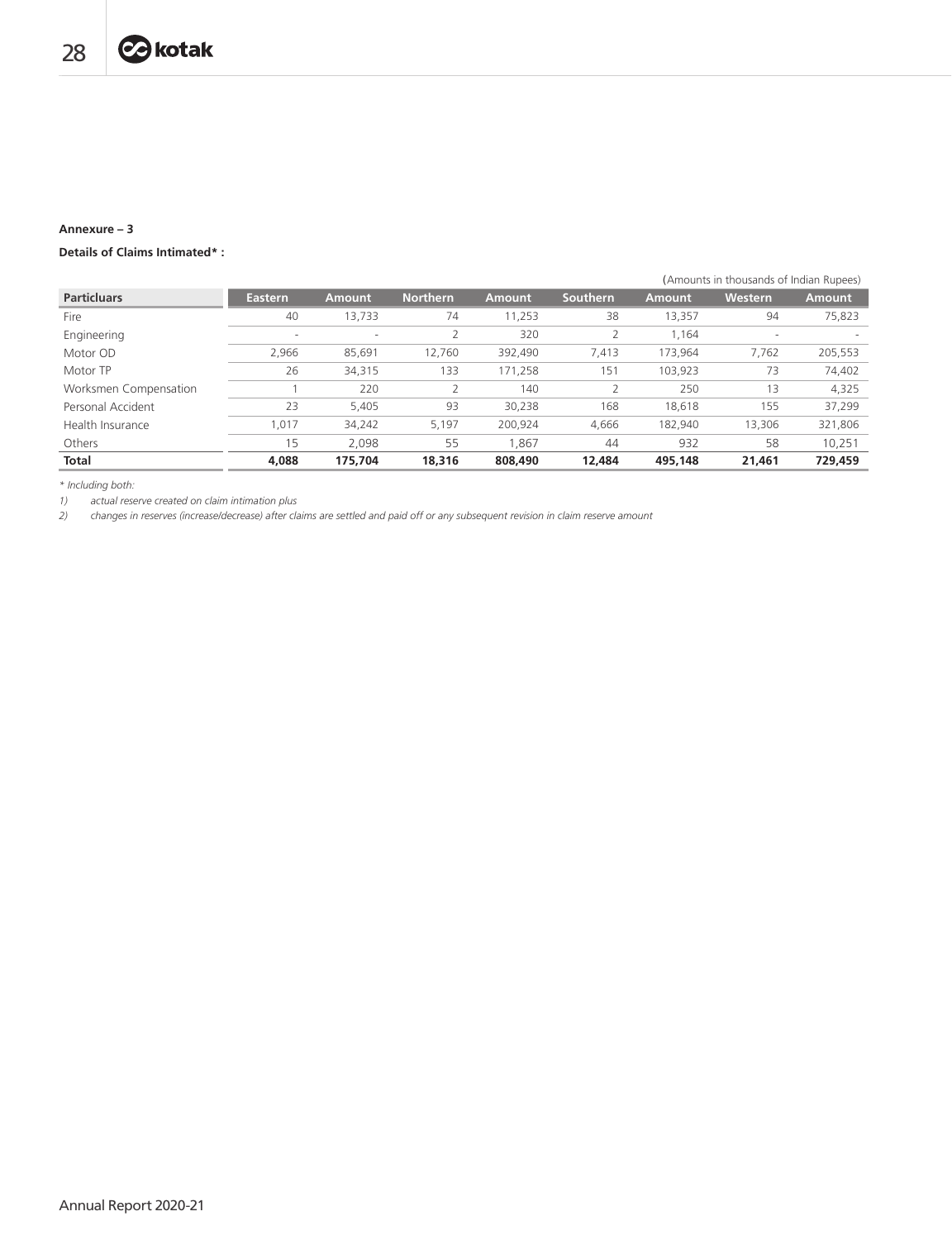#### **Annexure – 3**

#### **Details of Claims Intimated\* :**

|                       |          |               |                          |         |                 |               | (Amounts in thousands of Indian Rupees) |               |
|-----------------------|----------|---------------|--------------------------|---------|-----------------|---------------|-----------------------------------------|---------------|
| <b>Particluars</b>    | Eastern. | <b>Amount</b> | <b>Northern</b>          | Amount. | <b>Southern</b> | <b>Amount</b> | Western                                 | <b>Amount</b> |
| Fire                  | 40       | 13,733        | 74                       | 11,253  | 38              | 13,357        | 94                                      | 75,823        |
| Engineering           |          | $\sim$        | $\overline{\phantom{a}}$ | 320     |                 | 1.164         | $\overline{\phantom{a}}$                |               |
| Motor OD              | 2,966    | 85,691        | 12,760                   | 392,490 | 7,413           | 173.964       | 7,762                                   | 205,553       |
| Motor TP              | 26       | 34,315        | 133                      | 171,258 | 151             | 103,923       | 73                                      | 74,402        |
| Worksmen Compensation |          | 220           | $\overline{2}$           | 140     |                 | 250           | 13                                      | 4,325         |
| Personal Accident     | 23       | 5,405         | 93                       | 30.238  | 168             | 18,618        | 155                                     | 37,299        |
| Health Insurance      | 1.017    | 34,242        | 5,197                    | 200,924 | 4,666           | 182,940       | 13,306                                  | 321,806       |
| Others                | 15       | 2.098         | 55                       | 1.867   | 44              | 932           | 58                                      | 10,251        |
| Total                 | 4,088    | 175,704       | 18,316                   | 808,490 | 12,484          | 495,148       | 21,461                                  | 729,459       |

*\* Including both:* 

*1) actual reserve created on claim intimation plus* 

*2) changes in reserves (increase/decrease) after claims are settled and paid off or any subsequent revision in claim reserve amount*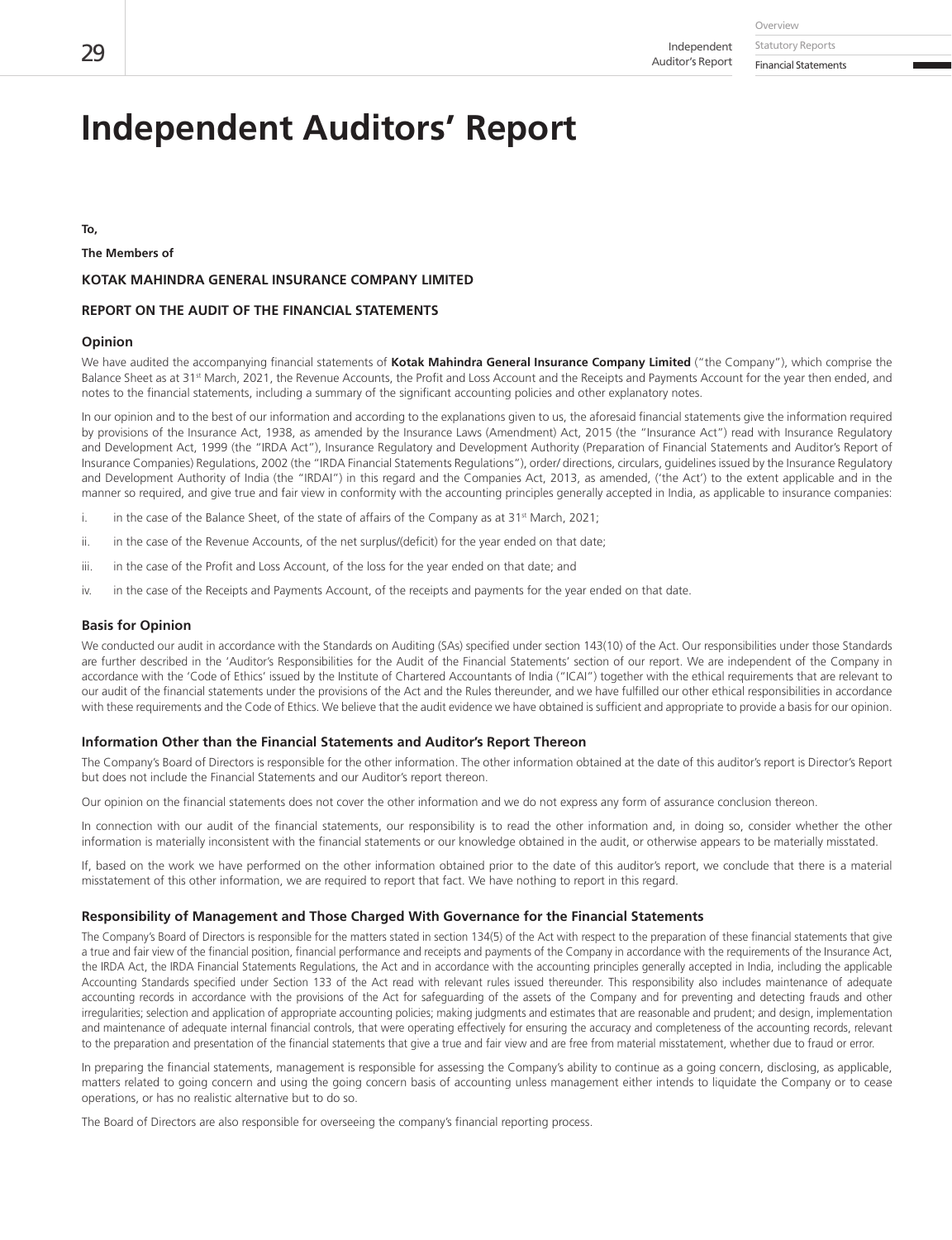Independent Auditor's Report Statutory Reports Financial Statements

# **Independent Auditors' Report**

**To,**

**The Members of**

#### **KOTAK MAHINDRA GENERAL INSURANCE COMPANY LIMITED**

#### **REPORT ON THE AUDIT OF THE FINANCIAL STATEMENTS**

#### **Opinion**

We have audited the accompanying financial statements of **Kotak Mahindra General Insurance Company Limited** ("the Company"), which comprise the Balance Sheet as at 31<sup>st</sup> March, 2021, the Revenue Accounts, the Profit and Loss Account and the Receipts and Payments Account for the year then ended, and notes to the financial statements, including a summary of the significant accounting policies and other explanatory notes.

In our opinion and to the best of our information and according to the explanations given to us, the aforesaid financial statements give the information required by provisions of the Insurance Act, 1938, as amended by the Insurance Laws (Amendment) Act, 2015 (the "Insurance Act") read with Insurance Regulatory and Development Act, 1999 (the "IRDA Act"), Insurance Regulatory and Development Authority (Preparation of Financial Statements and Auditor's Report of Insurance Companies) Regulations, 2002 (the "IRDA Financial Statements Regulations"), order/ directions, circulars, guidelines issued by the Insurance Regulatory and Development Authority of India (the "IRDAI") in this regard and the Companies Act, 2013, as amended, ('the Act') to the extent applicable and in the manner so required, and give true and fair view in conformity with the accounting principles generally accepted in India, as applicable to insurance companies:

- i. in the case of the Balance Sheet, of the state of affairs of the Company as at  $31<sup>st</sup>$  March, 2021;
- ii. in the case of the Revenue Accounts, of the net surplus/(deficit) for the year ended on that date;
- iii. in the case of the Profit and Loss Account, of the loss for the year ended on that date; and
- iv. in the case of the Receipts and Payments Account, of the receipts and payments for the year ended on that date.

#### **Basis for Opinion**

We conducted our audit in accordance with the Standards on Auditing (SAs) specified under section 143(10) of the Act. Our responsibilities under those Standards are further described in the 'Auditor's Responsibilities for the Audit of the Financial Statements' section of our report. We are independent of the Company in accordance with the 'Code of Ethics' issued by the Institute of Chartered Accountants of India ("ICAI") together with the ethical requirements that are relevant to our audit of the financial statements under the provisions of the Act and the Rules thereunder, and we have fulfilled our other ethical responsibilities in accordance with these requirements and the Code of Ethics. We believe that the audit evidence we have obtained is sufficient and appropriate to provide a basis for our opinion.

#### **Information Other than the Financial Statements and Auditor's Report Thereon**

The Company's Board of Directors is responsible for the other information. The other information obtained at the date of this auditor's report is Director's Report but does not include the Financial Statements and our Auditor's report thereon.

Our opinion on the financial statements does not cover the other information and we do not express any form of assurance conclusion thereon.

In connection with our audit of the financial statements, our responsibility is to read the other information and, in doing so, consider whether the other information is materially inconsistent with the financial statements or our knowledge obtained in the audit, or otherwise appears to be materially misstated.

If, based on the work we have performed on the other information obtained prior to the date of this auditor's report, we conclude that there is a material misstatement of this other information, we are required to report that fact. We have nothing to report in this regard.

#### **Responsibility of Management and Those Charged With Governance for the Financial Statements**

The Company's Board of Directors is responsible for the matters stated in section 134(5) of the Act with respect to the preparation of these financial statements that give a true and fair view of the financial position, financial performance and receipts and payments of the Company in accordance with the requirements of the Insurance Act, the IRDA Act, the IRDA Financial Statements Regulations, the Act and in accordance with the accounting principles generally accepted in India, including the applicable Accounting Standards specified under Section 133 of the Act read with relevant rules issued thereunder. This responsibility also includes maintenance of adequate accounting records in accordance with the provisions of the Act for safeguarding of the assets of the Company and for preventing and detecting frauds and other irregularities; selection and application of appropriate accounting policies; making judgments and estimates that are reasonable and prudent; and design, implementation and maintenance of adequate internal financial controls, that were operating effectively for ensuring the accuracy and completeness of the accounting records, relevant to the preparation and presentation of the financial statements that give a true and fair view and are free from material misstatement, whether due to fraud or error.

In preparing the financial statements, management is responsible for assessing the Company's ability to continue as a going concern, disclosing, as applicable, matters related to going concern and using the going concern basis of accounting unless management either intends to liquidate the Company or to cease operations, or has no realistic alternative but to do so.

The Board of Directors are also responsible for overseeing the company's financial reporting process.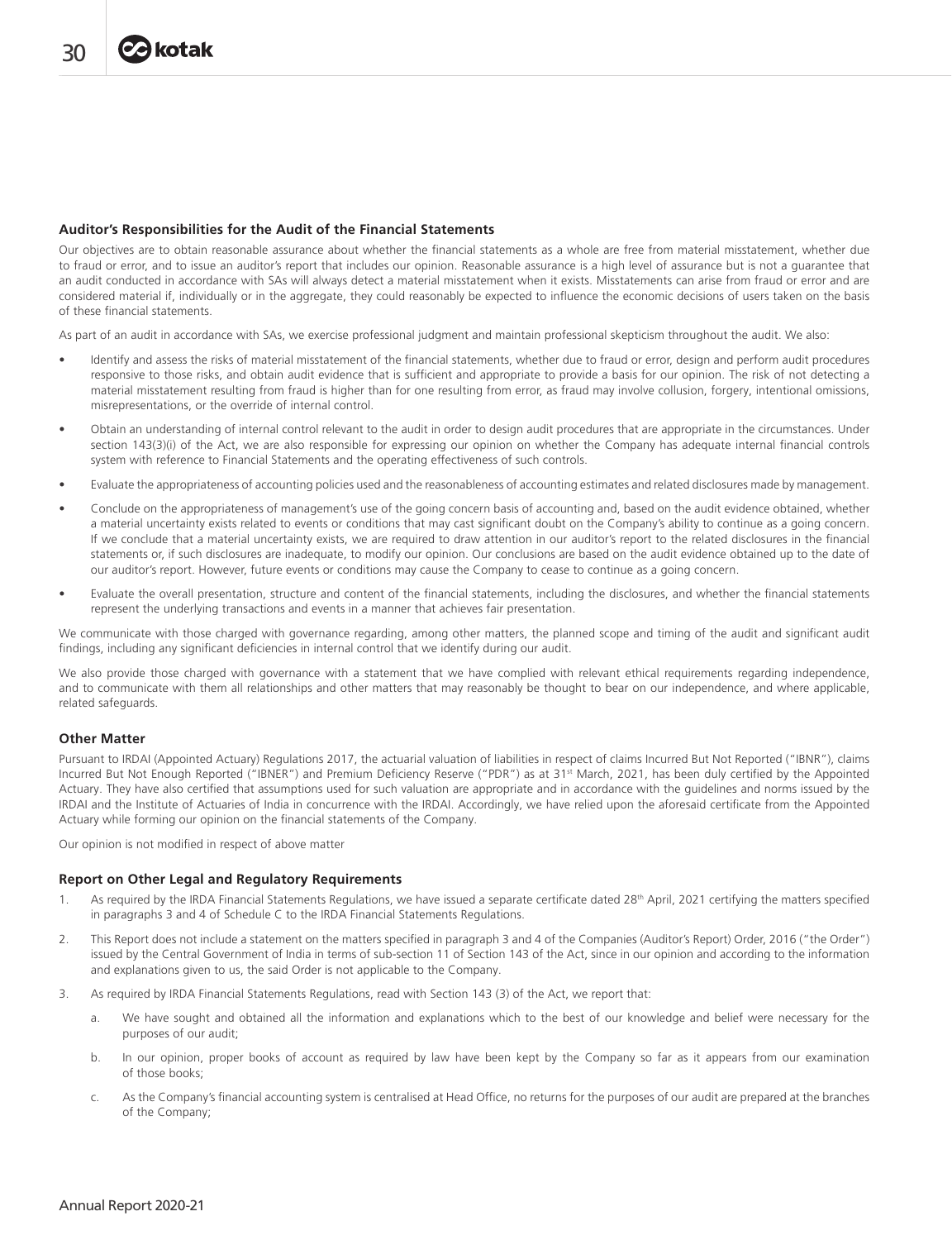#### **Auditor's Responsibilities for the Audit of the Financial Statements**

Our objectives are to obtain reasonable assurance about whether the financial statements as a whole are free from material misstatement, whether due to fraud or error, and to issue an auditor's report that includes our opinion. Reasonable assurance is a high level of assurance but is not a guarantee that an audit conducted in accordance with SAs will always detect a material misstatement when it exists. Misstatements can arise from fraud or error and are considered material if, individually or in the aggregate, they could reasonably be expected to influence the economic decisions of users taken on the basis of these financial statements.

As part of an audit in accordance with SAs, we exercise professional judgment and maintain professional skepticism throughout the audit. We also:

- Identify and assess the risks of material misstatement of the financial statements, whether due to fraud or error, design and perform audit procedures responsive to those risks, and obtain audit evidence that is sufficient and appropriate to provide a basis for our opinion. The risk of not detecting a material misstatement resulting from fraud is higher than for one resulting from error, as fraud may involve collusion, forgery, intentional omissions, misrepresentations, or the override of internal control.
- Obtain an understanding of internal control relevant to the audit in order to design audit procedures that are appropriate in the circumstances. Under section 143(3)(i) of the Act, we are also responsible for expressing our opinion on whether the Company has adequate internal financial controls system with reference to Financial Statements and the operating effectiveness of such controls.
- Evaluate the appropriateness of accounting policies used and the reasonableness of accounting estimates and related disclosures made by management.
- Conclude on the appropriateness of management's use of the going concern basis of accounting and, based on the audit evidence obtained, whether a material uncertainty exists related to events or conditions that may cast significant doubt on the Company's ability to continue as a going concern. If we conclude that a material uncertainty exists, we are required to draw attention in our auditor's report to the related disclosures in the financial statements or, if such disclosures are inadequate, to modify our opinion. Our conclusions are based on the audit evidence obtained up to the date of our auditor's report. However, future events or conditions may cause the Company to cease to continue as a going concern.
- Evaluate the overall presentation, structure and content of the financial statements, including the disclosures, and whether the financial statements represent the underlying transactions and events in a manner that achieves fair presentation.

We communicate with those charged with governance regarding, among other matters, the planned scope and timing of the audit and significant audit findings, including any significant deficiencies in internal control that we identify during our audit.

We also provide those charged with governance with a statement that we have complied with relevant ethical requirements regarding independence, and to communicate with them all relationships and other matters that may reasonably be thought to bear on our independence, and where applicable, related safeguards.

#### **Other Matter**

Pursuant to IRDAI (Appointed Actuary) Regulations 2017, the actuarial valuation of liabilities in respect of claims Incurred But Not Reported ("IBNR"), claims Incurred But Not Enough Reported ("IBNER") and Premium Deficiency Reserve ("PDR") as at 31st March, 2021, has been duly certified by the Appointed Actuary. They have also certified that assumptions used for such valuation are appropriate and in accordance with the guidelines and norms issued by the IRDAI and the Institute of Actuaries of India in concurrence with the IRDAI. Accordingly, we have relied upon the aforesaid certificate from the Appointed Actuary while forming our opinion on the financial statements of the Company.

Our opinion is not modified in respect of above matter

#### **Report on Other Legal and Regulatory Requirements**

- 1. As required by the IRDA Financial Statements Regulations, we have issued a separate certificate dated 28<sup>th</sup> April, 2021 certifying the matters specified in paragraphs 3 and 4 of Schedule C to the IRDA Financial Statements Regulations.
- 2. This Report does not include a statement on the matters specified in paragraph 3 and 4 of the Companies (Auditor's Report) Order, 2016 ("the Order") issued by the Central Government of India in terms of sub-section 11 of Section 143 of the Act, since in our opinion and according to the information and explanations given to us, the said Order is not applicable to the Company.
- 3. As required by IRDA Financial Statements Regulations, read with Section 143 (3) of the Act, we report that:
	- a. We have sought and obtained all the information and explanations which to the best of our knowledge and belief were necessary for the purposes of our audit;
	- b. In our opinion, proper books of account as required by law have been kept by the Company so far as it appears from our examination of those books;
	- c. As the Company's financial accounting system is centralised at Head Office, no returns for the purposes of our audit are prepared at the branches of the Company;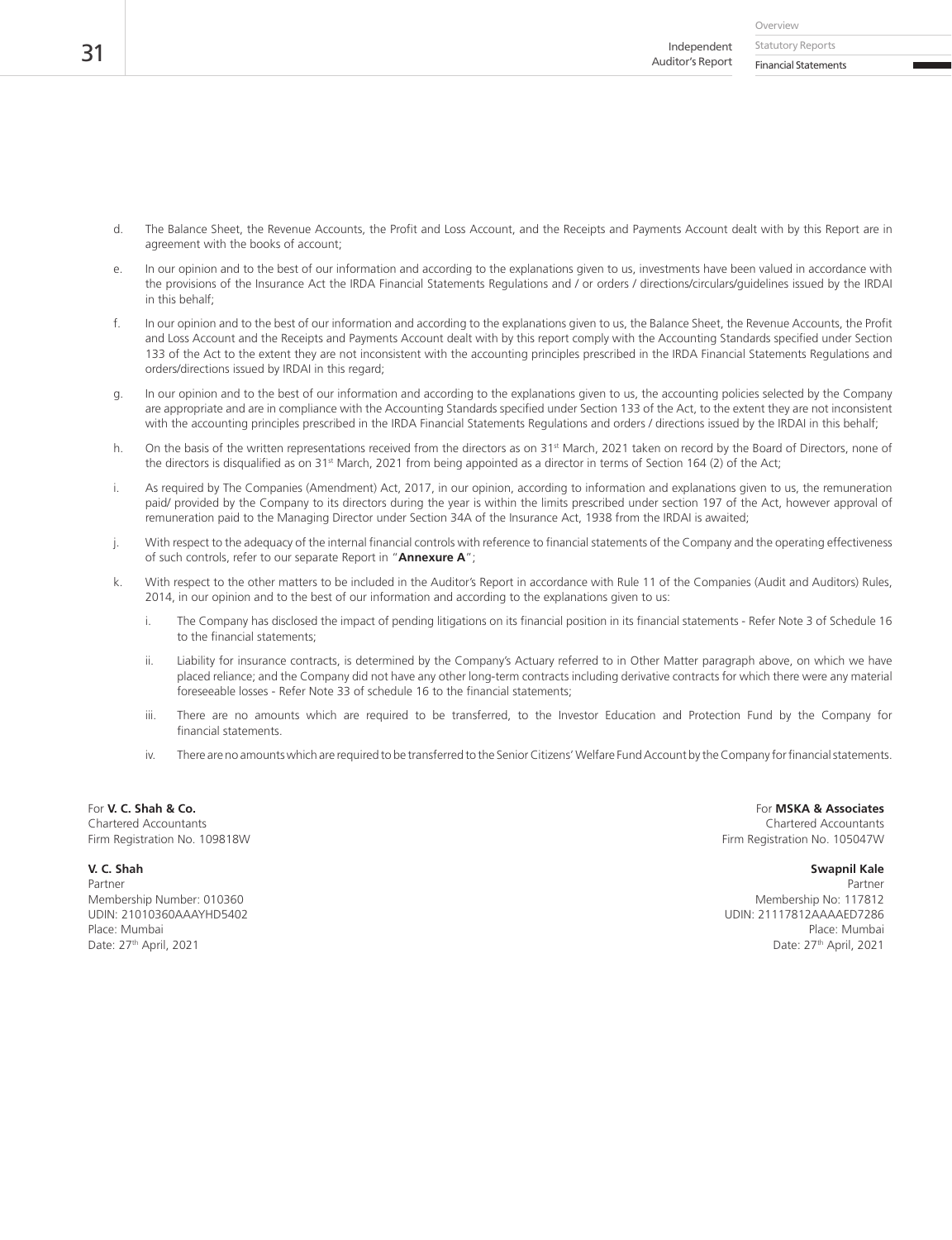Independent Auditor's Report

Financial Statements

- d. The Balance Sheet, the Revenue Accounts, the Profit and Loss Account, and the Receipts and Payments Account dealt with by this Report are in agreement with the books of account;
- e. In our opinion and to the best of our information and according to the explanations given to us, investments have been valued in accordance with the provisions of the Insurance Act the IRDA Financial Statements Regulations and / or orders / directions/circulars/guidelines issued by the IRDAI in this behalf;
- f. In our opinion and to the best of our information and according to the explanations given to us, the Balance Sheet, the Revenue Accounts, the Profit and Loss Account and the Receipts and Payments Account dealt with by this report comply with the Accounting Standards specified under Section 133 of the Act to the extent they are not inconsistent with the accounting principles prescribed in the IRDA Financial Statements Regulations and orders/directions issued by IRDAI in this regard;
- g. In our opinion and to the best of our information and according to the explanations given to us, the accounting policies selected by the Company are appropriate and are in compliance with the Accounting Standards specified under Section 133 of the Act, to the extent they are not inconsistent with the accounting principles prescribed in the IRDA Financial Statements Regulations and orders / directions issued by the IRDAI in this behalf;
- h. On the basis of the written representations received from the directors as on 31st March, 2021 taken on record by the Board of Directors, none of the directors is disqualified as on 31<sup>st</sup> March, 2021 from being appointed as a director in terms of Section 164 (2) of the Act;
- i. As required by The Companies (Amendment) Act, 2017, in our opinion, according to information and explanations given to us, the remuneration paid/ provided by the Company to its directors during the year is within the limits prescribed under section 197 of the Act, however approval of remuneration paid to the Managing Director under Section 34A of the Insurance Act, 1938 from the IRDAI is awaited;
- j. With respect to the adequacy of the internal financial controls with reference to financial statements of the Company and the operating effectiveness of such controls, refer to our separate Report in "**Annexure A**";
- k. With respect to the other matters to be included in the Auditor's Report in accordance with Rule 11 of the Companies (Audit and Auditors) Rules, 2014, in our opinion and to the best of our information and according to the explanations given to us:
	- i. The Company has disclosed the impact of pending litigations on its financial position in its financial statements Refer Note 3 of Schedule 16 to the financial statements;
	- ii. Liability for insurance contracts, is determined by the Company's Actuary referred to in Other Matter paragraph above, on which we have placed reliance; and the Company did not have any other long-term contracts including derivative contracts for which there were any material foreseeable losses - Refer Note 33 of schedule 16 to the financial statements;
	- iii. There are no amounts which are required to be transferred, to the Investor Education and Protection Fund by the Company for financial statements.
	- iv. There are no amounts which are required to be transferred to the Senior Citizens' Welfare Fund Account by the Company for financial statements.

For **V. C. Shah & Co.** Chartered Accountants Firm Registration No. 109818W

**V. C. Shah**

Partner Membership Number: 010360 UDIN: 21010360AAAYHD5402 Place: Mumbai Date: 27<sup>th</sup> April, 2021

For **MSKA & Associates** Chartered Accountants Firm Registration No. 105047W

#### **Swapnil Kale**

Partner Membership No: 117812 UDIN: 21117812AAAAED7286 Place: Mumbai Date: 27<sup>th</sup> April, 2021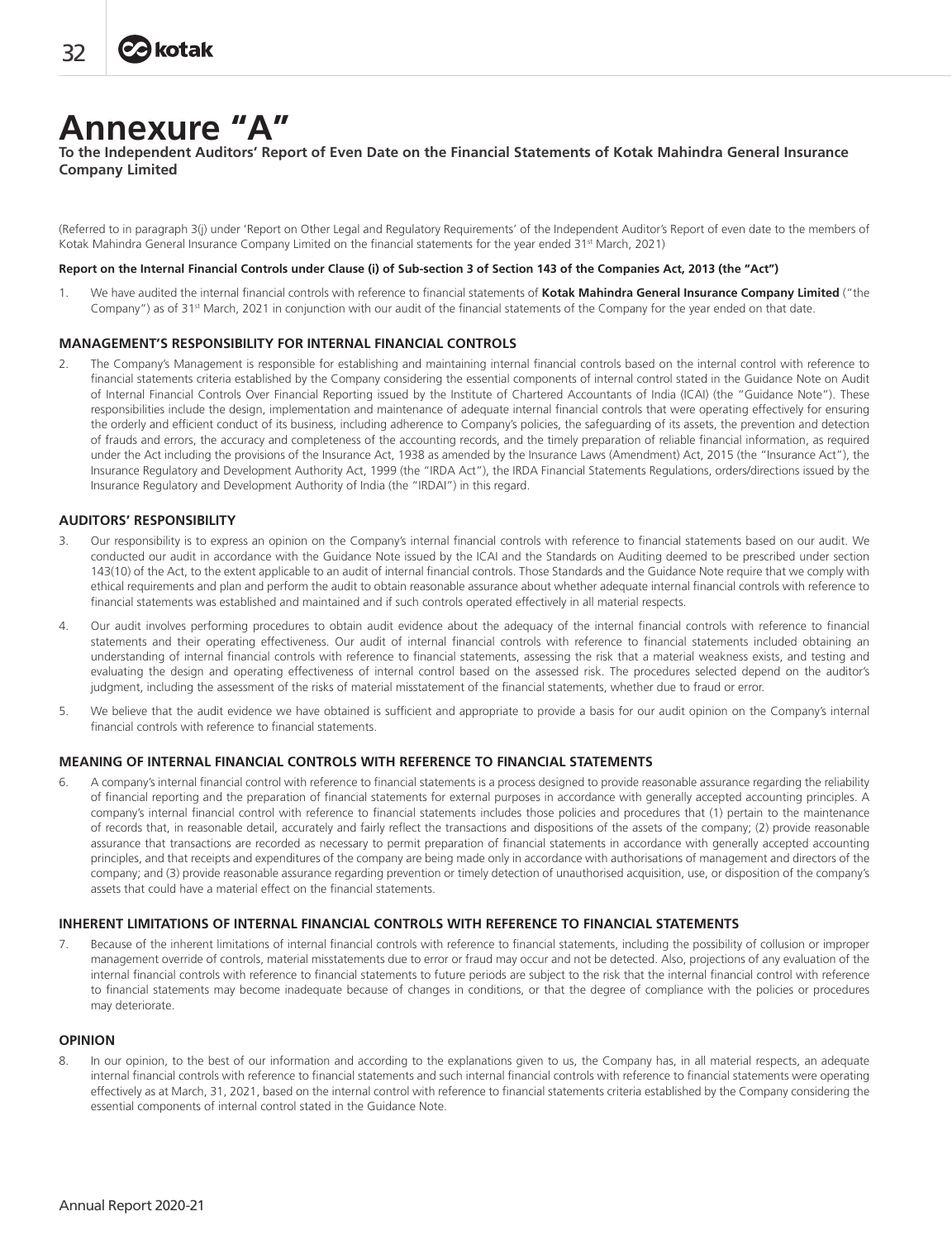# **Annexure "A"**

#### **To the Independent Auditors' Report of Even Date on the Financial Statements of Kotak Mahindra General Insurance Company Limited**

(Referred to in paragraph 3(j) under 'Report on Other Legal and Regulatory Requirements' of the Independent Auditor's Report of even date to the members of Kotak Mahindra General Insurance Company Limited on the financial statements for the year ended 31<sup>st</sup> March, 2021)

#### **Report on the Internal Financial Controls under Clause (i) of Sub-section 3 of Section 143 of the Companies Act, 2013 (the "Act")**

1. We have audited the internal financial controls with reference to financial statements of **Kotak Mahindra General Insurance Company Limited** ("the Company") as of 31<sup>st</sup> March, 2021 in conjunction with our audit of the financial statements of the Company for the year ended on that date.

#### **MANAGEMENT'S RESPONSIBILITY FOR INTERNAL FINANCIAL CONTROLS**

2. The Company's Management is responsible for establishing and maintaining internal financial controls based on the internal control with reference to financial statements criteria established by the Company considering the essential components of internal control stated in the Guidance Note on Audit of Internal Financial Controls Over Financial Reporting issued by the Institute of Chartered Accountants of India (ICAI) (the "Guidance Note"). These responsibilities include the design, implementation and maintenance of adequate internal financial controls that were operating effectively for ensuring the orderly and efficient conduct of its business, including adherence to Company's policies, the safeguarding of its assets, the prevention and detection of frauds and errors, the accuracy and completeness of the accounting records, and the timely preparation of reliable financial information, as required under the Act including the provisions of the Insurance Act, 1938 as amended by the Insurance Laws (Amendment) Act, 2015 (the "Insurance Act"), the Insurance Regulatory and Development Authority Act, 1999 (the "IRDA Act"), the IRDA Financial Statements Regulations, orders/directions issued by the Insurance Regulatory and Development Authority of India (the "IRDAI") in this regard.

#### **AUDITORS' RESPONSIBILITY**

- 3. Our responsibility is to express an opinion on the Company's internal financial controls with reference to financial statements based on our audit. We conducted our audit in accordance with the Guidance Note issued by the ICAI and the Standards on Auditing deemed to be prescribed under section 143(10) of the Act, to the extent applicable to an audit of internal financial controls. Those Standards and the Guidance Note require that we comply with ethical requirements and plan and perform the audit to obtain reasonable assurance about whether adequate internal financial controls with reference to financial statements was established and maintained and if such controls operated effectively in all material respects.
- 4. Our audit involves performing procedures to obtain audit evidence about the adequacy of the internal financial controls with reference to financial statements and their operating effectiveness. Our audit of internal financial controls with reference to financial statements included obtaining an understanding of internal financial controls with reference to financial statements, assessing the risk that a material weakness exists, and testing and evaluating the design and operating effectiveness of internal control based on the assessed risk. The procedures selected depend on the auditor's judgment, including the assessment of the risks of material misstatement of the financial statements, whether due to fraud or error.
- 5. We believe that the audit evidence we have obtained is sufficient and appropriate to provide a basis for our audit opinion on the Company's internal financial controls with reference to financial statements.

#### **MEANING OF INTERNAL FINANCIAL CONTROLS WITH REFERENCE TO FINANCIAL STATEMENTS**

6. A company's internal financial control with reference to financial statements is a process designed to provide reasonable assurance regarding the reliability of financial reporting and the preparation of financial statements for external purposes in accordance with generally accepted accounting principles. A company's internal financial control with reference to financial statements includes those policies and procedures that (1) pertain to the maintenance of records that, in reasonable detail, accurately and fairly reflect the transactions and dispositions of the assets of the company; (2) provide reasonable assurance that transactions are recorded as necessary to permit preparation of financial statements in accordance with generally accepted accounting principles, and that receipts and expenditures of the company are being made only in accordance with authorisations of management and directors of the company; and (3) provide reasonable assurance regarding prevention or timely detection of unauthorised acquisition, use, or disposition of the company's assets that could have a material effect on the financial statements.

#### **INHERENT LIMITATIONS OF INTERNAL FINANCIAL CONTROLS WITH REFERENCE TO FINANCIAL STATEMENTS**

7. Because of the inherent limitations of internal financial controls with reference to financial statements, including the possibility of collusion or improper management override of controls, material misstatements due to error or fraud may occur and not be detected. Also, projections of any evaluation of the internal financial controls with reference to financial statements to future periods are subject to the risk that the internal financial control with reference to financial statements may become inadequate because of changes in conditions, or that the degree of compliance with the policies or procedures may deteriorate.

#### **OPINION**

8. In our opinion, to the best of our information and according to the explanations given to us, the Company has, in all material respects, an adequate internal financial controls with reference to financial statements and such internal financial controls with reference to financial statements were operating effectively as at March, 31, 2021, based on the internal control with reference to financial statements criteria established by the Company considering the essential components of internal control stated in the Guidance Note.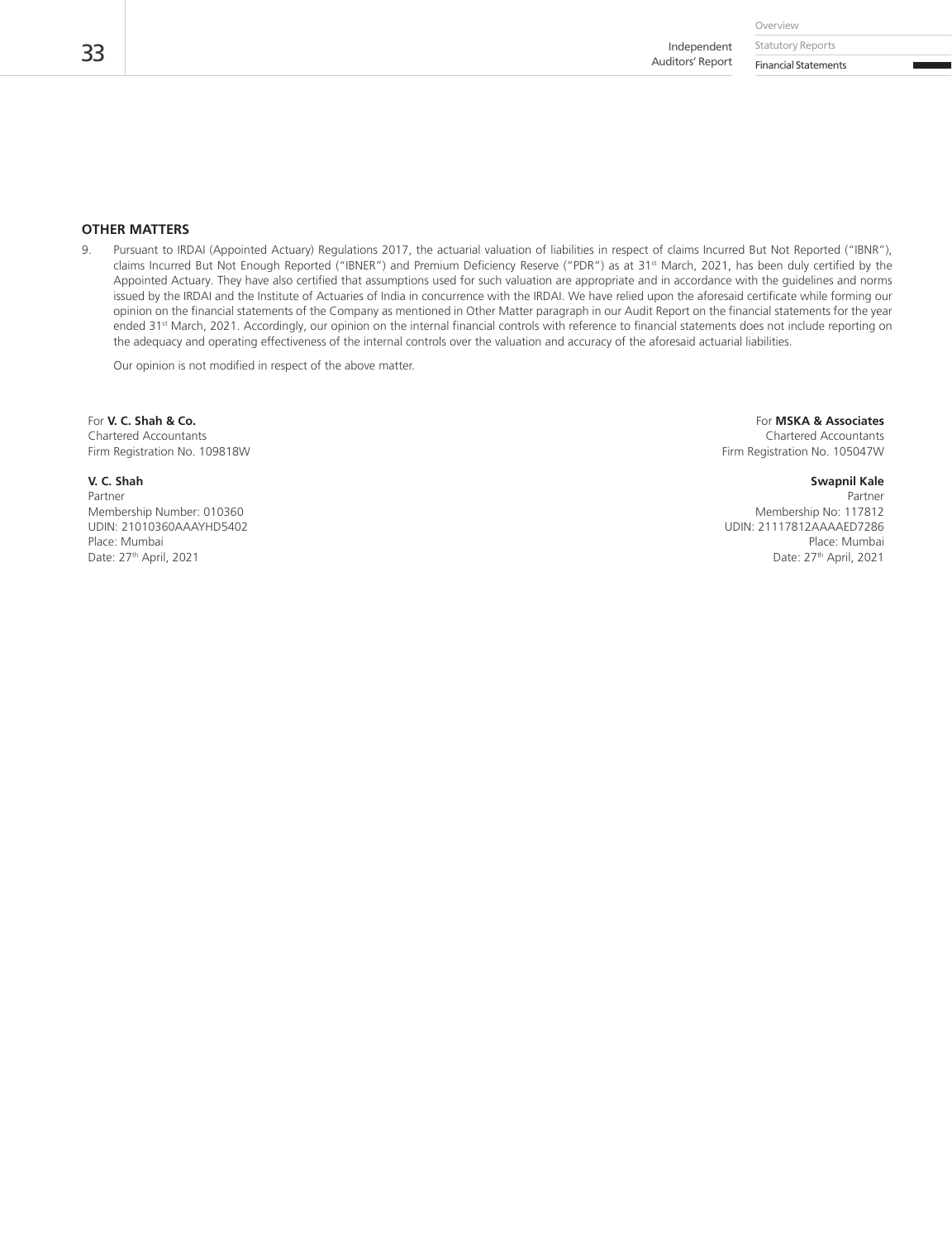Independent Auditors' Report

Financial Statements

#### **OTHER MATTERS**

9. Pursuant to IRDAI (Appointed Actuary) Regulations 2017, the actuarial valuation of liabilities in respect of claims Incurred But Not Reported ("IBNR"), claims Incurred But Not Enough Reported ("IBNER") and Premium Deficiency Reserve ("PDR") as at 31<sup>st</sup> March, 2021, has been duly certified by the Appointed Actuary. They have also certified that assumptions used for such valuation are appropriate and in accordance with the guidelines and norms issued by the IRDAI and the Institute of Actuaries of India in concurrence with the IRDAI. We have relied upon the aforesaid certificate while forming our opinion on the financial statements of the Company as mentioned in Other Matter paragraph in our Audit Report on the financial statements for the year ended 31<sup>st</sup> March, 2021. Accordingly, our opinion on the internal financial controls with reference to financial statements does not include reporting on the adequacy and operating effectiveness of the internal controls over the valuation and accuracy of the aforesaid actuarial liabilities.

Our opinion is not modified in respect of the above matter.

For **V. C. Shah & Co.** Chartered Accountants Firm Registration No. 109818W

#### **V. C. Shah**

Partner Membership Number: 010360 UDIN: 21010360AAAYHD5402 Place: Mumbai Date: 27<sup>th</sup> April, 2021

For **MSKA & Associates** Chartered Accountants Firm Registration No. 105047W

#### **Swapnil Kale**

Partner Membership No: 117812 UDIN: 21117812AAAAED7286 Place: Mumbai Date: 27<sup>th</sup> April, 2021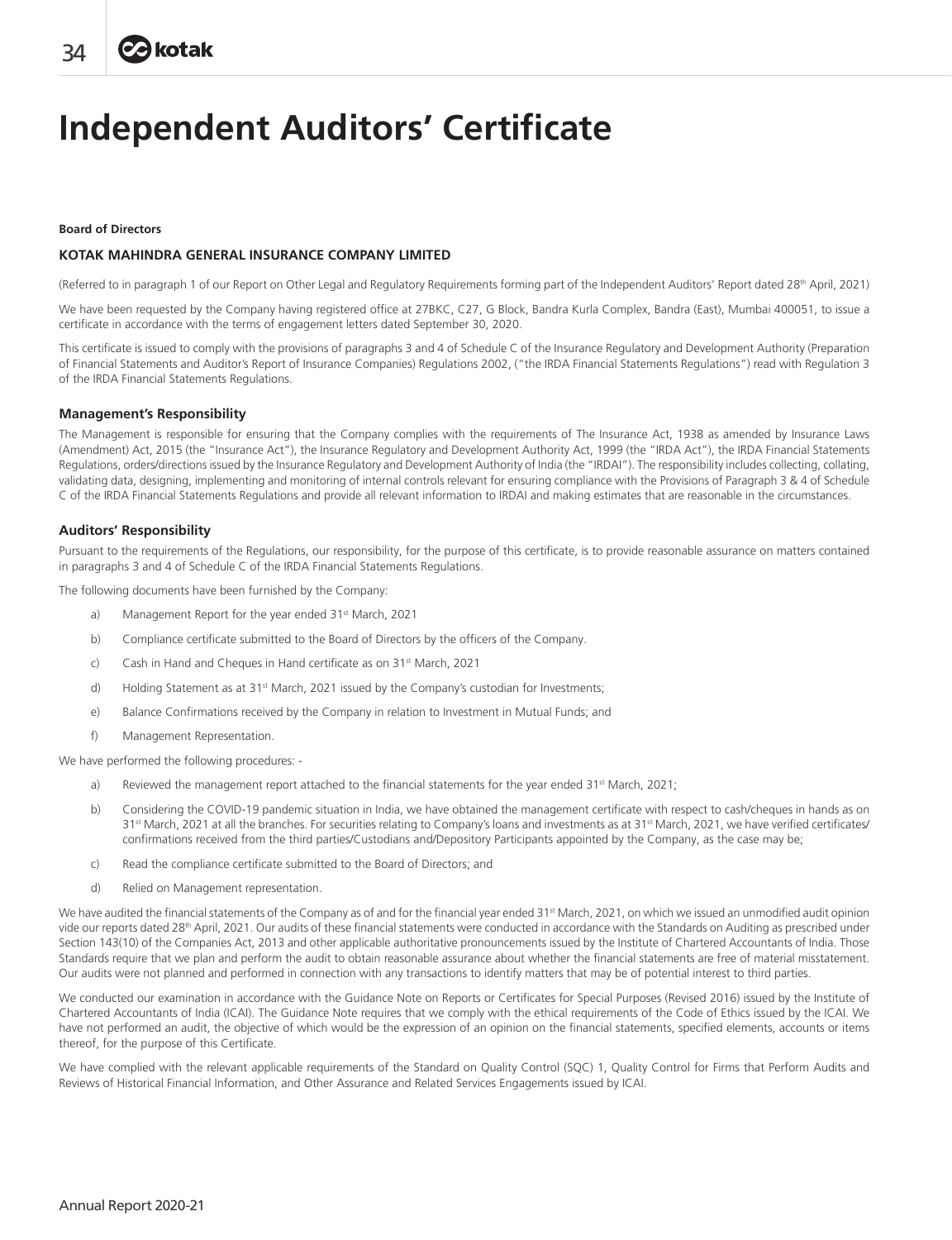# **Independent Auditors' Certificate**

#### **Board of Directors**

#### **KOTAK MAHINDRA GENERAL INSURANCE COMPANY LIMITED**

(Referred to in paragraph 1 of our Report on Other Legal and Regulatory Requirements forming part of the Independent Auditors' Report dated 28<sup>th</sup> April, 2021)

We have been requested by the Company having registered office at 27BKC, C27, G Block, Bandra Kurla Complex, Bandra (East), Mumbai 400051, to issue a certificate in accordance with the terms of engagement letters dated September 30, 2020.

This certificate is issued to comply with the provisions of paragraphs 3 and 4 of Schedule C of the Insurance Regulatory and Development Authority (Preparation of Financial Statements and Auditor's Report of Insurance Companies) Regulations 2002, ("the IRDA Financial Statements Regulations") read with Regulation 3 of the IRDA Financial Statements Regulations.

#### **Management's Responsibility**

The Management is responsible for ensuring that the Company complies with the requirements of The Insurance Act, 1938 as amended by Insurance Laws (Amendment) Act, 2015 (the "Insurance Act"), the Insurance Regulatory and Development Authority Act, 1999 (the "IRDA Act"), the IRDA Financial Statements Regulations, orders/directions issued by the Insurance Regulatory and Development Authority of India (the "IRDAI"). The responsibility includes collecting, collating, validating data, designing, implementing and monitoring of internal controls relevant for ensuring compliance with the Provisions of Paragraph 3 & 4 of Schedule C of the IRDA Financial Statements Regulations and provide all relevant information to IRDAI and making estimates that are reasonable in the circumstances.

#### **Auditors' Responsibility**

Pursuant to the requirements of the Regulations, our responsibility, for the purpose of this certificate, is to provide reasonable assurance on matters contained in paragraphs 3 and 4 of Schedule C of the IRDA Financial Statements Regulations.

The following documents have been furnished by the Company:

- a) Management Report for the year ended 31<sup>st</sup> March, 2021
- b) Compliance certificate submitted to the Board of Directors by the officers of the Company.
- c) Cash in Hand and Cheques in Hand certificate as on 31st March, 2021
- d) Holding Statement as at 31<sup>st</sup> March, 2021 issued by the Company's custodian for Investments;
- e) Balance Confirmations received by the Company in relation to Investment in Mutual Funds; and
- f) Management Representation.

We have performed the following procedures: -

- a) Reviewed the management report attached to the financial statements for the year ended 31<sup>st</sup> March, 2021;
- b) Considering the COVID-19 pandemic situation in India, we have obtained the management certificate with respect to cash/cheques in hands as on 31<sup>st</sup> March, 2021 at all the branches. For securities relating to Company's loans and investments as at 31<sup>st</sup> March, 2021, we have verified certificates/ confirmations received from the third parties/Custodians and/Depository Participants appointed by the Company, as the case may be;
- c) Read the compliance certificate submitted to the Board of Directors; and
- d) Relied on Management representation.

We have audited the financial statements of the Company as of and for the financial year ended 31<sup>st</sup> March, 2021, on which we issued an unmodified audit opinion vide our reports dated 28<sup>th</sup> April, 2021. Our audits of these financial statements were conducted in accordance with the Standards on Auditing as prescribed under Section 143(10) of the Companies Act, 2013 and other applicable authoritative pronouncements issued by the Institute of Chartered Accountants of India. Those Standards require that we plan and perform the audit to obtain reasonable assurance about whether the financial statements are free of material misstatement. Our audits were not planned and performed in connection with any transactions to identify matters that may be of potential interest to third parties.

We conducted our examination in accordance with the Guidance Note on Reports or Certificates for Special Purposes (Revised 2016) issued by the Institute of Chartered Accountants of India (ICAI). The Guidance Note requires that we comply with the ethical requirements of the Code of Ethics issued by the ICAI. We have not performed an audit, the objective of which would be the expression of an opinion on the financial statements, specified elements, accounts or items thereof, for the purpose of this Certificate.

We have complied with the relevant applicable requirements of the Standard on Quality Control (SQC) 1, Quality Control for Firms that Perform Audits and Reviews of Historical Financial Information, and Other Assurance and Related Services Engagements issued by ICAI.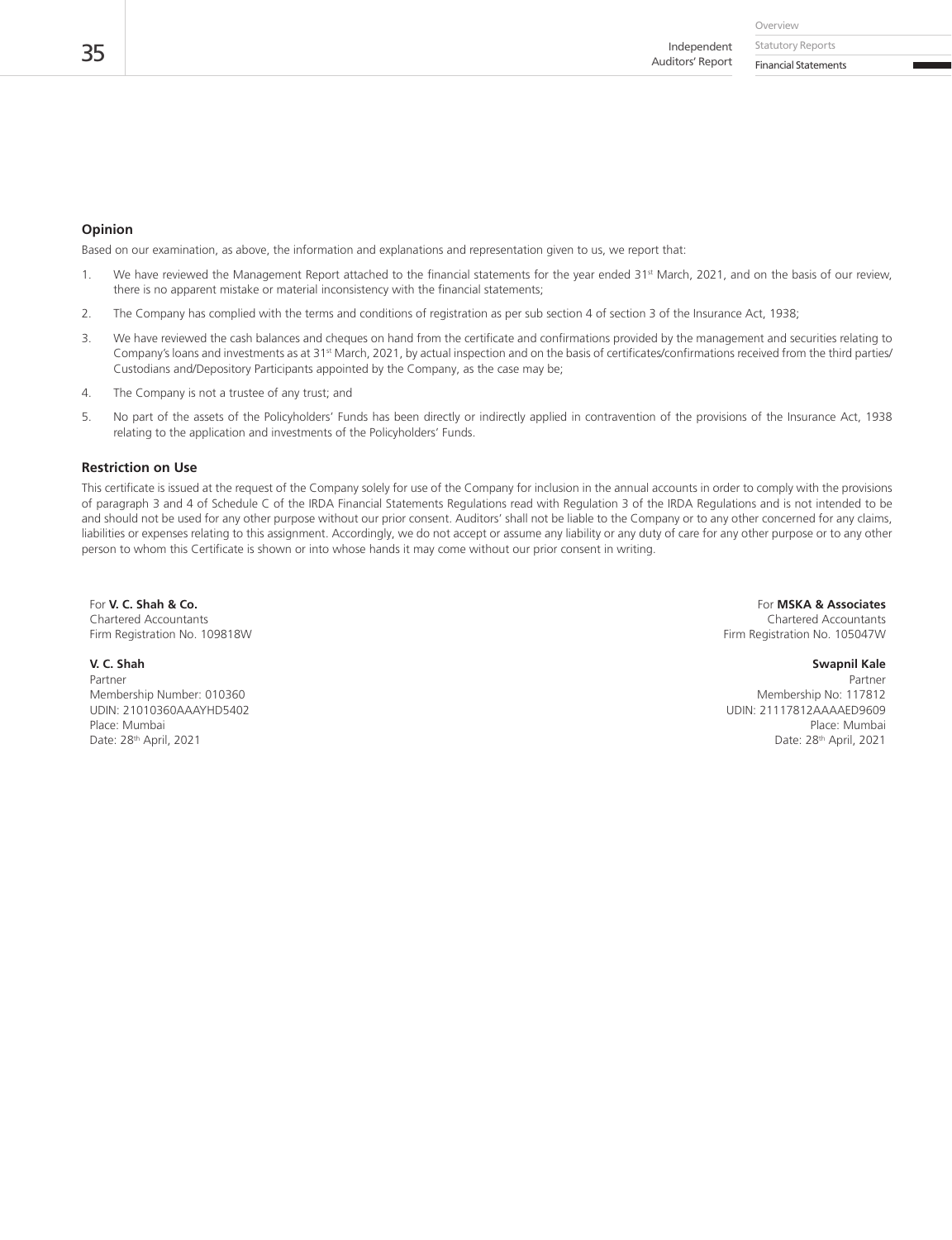Independent Auditors' Report

Financial Statements

### **Opinion**

Based on our examination, as above, the information and explanations and representation given to us, we report that:

- 1. We have reviewed the Management Report attached to the financial statements for the year ended 31<sup>st</sup> March, 2021, and on the basis of our review, there is no apparent mistake or material inconsistency with the financial statements;
- 2. The Company has complied with the terms and conditions of registration as per sub section 4 of section 3 of the Insurance Act, 1938;
- 3. We have reviewed the cash balances and cheques on hand from the certificate and confirmations provided by the management and securities relating to Company's loans and investments as at 31<sup>st</sup> March, 2021, by actual inspection and on the basis of certificates/confirmations received from the third parties/ Custodians and/Depository Participants appointed by the Company, as the case may be;
- 4. The Company is not a trustee of any trust; and
- 5. No part of the assets of the Policyholders' Funds has been directly or indirectly applied in contravention of the provisions of the Insurance Act, 1938 relating to the application and investments of the Policyholders' Funds.

#### **Restriction on Use**

This certificate is issued at the request of the Company solely for use of the Company for inclusion in the annual accounts in order to comply with the provisions of paragraph 3 and 4 of Schedule C of the IRDA Financial Statements Regulations read with Regulation 3 of the IRDA Regulations and is not intended to be and should not be used for any other purpose without our prior consent. Auditors' shall not be liable to the Company or to any other concerned for any claims, liabilities or expenses relating to this assignment. Accordingly, we do not accept or assume any liability or any duty of care for any other purpose or to any other person to whom this Certificate is shown or into whose hands it may come without our prior consent in writing.

For **V. C. Shah & Co.** Chartered Accountants Firm Registration No. 109818W

For **MSKA & Associates** Chartered Accountants Firm Registration No. 105047W

**V. C. Shah**

Partner Membership Number: 010360 UDIN: 21010360AAAYHD5402 Place: Mumbai Date: 28<sup>th</sup> April, 2021

**Swapnil Kale**

Partner Membership No: 117812 UDIN: 21117812AAAAED9609 Place: Mumbai Date: 28th April, 2021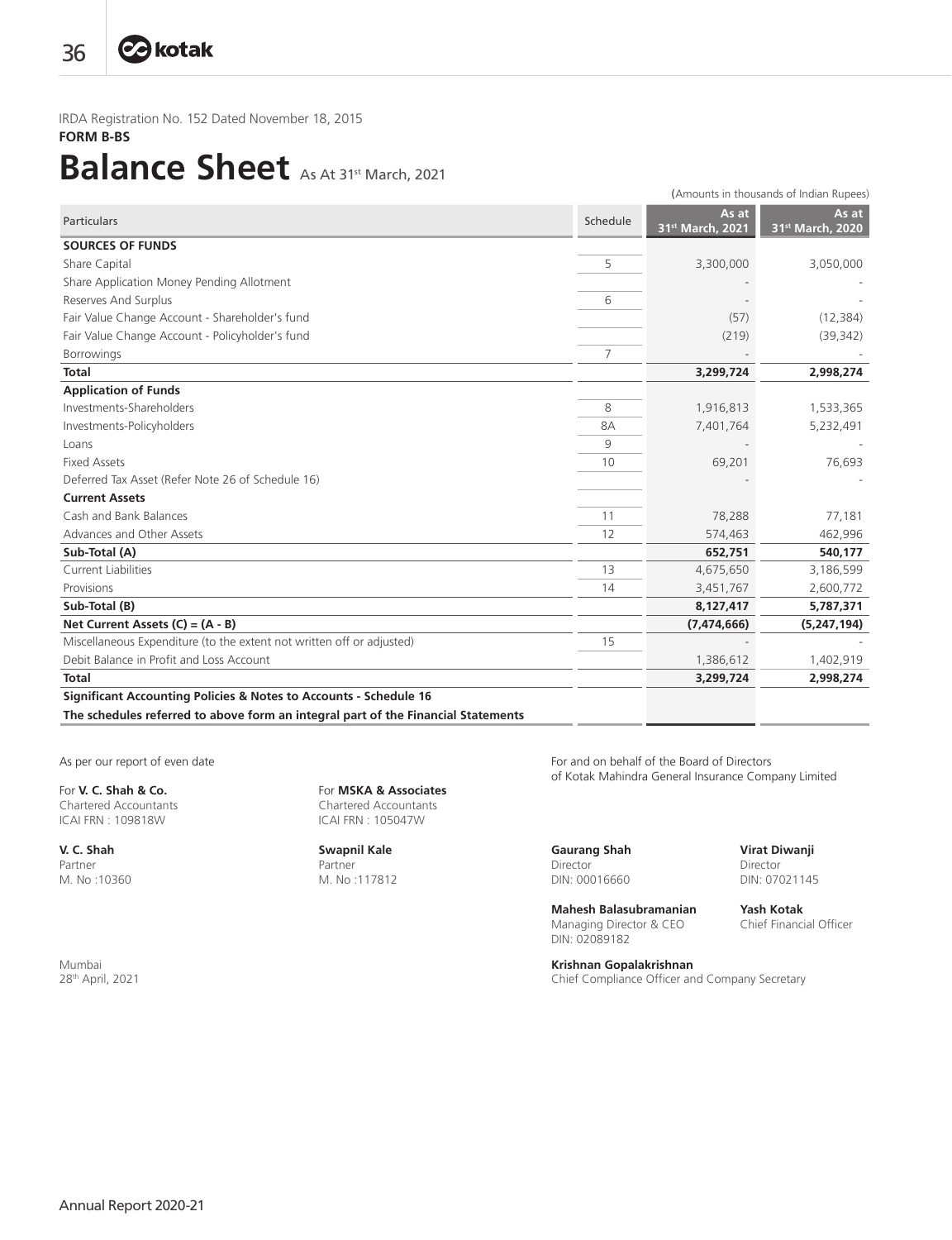### **FORM B-BS**

# **Balance Sheet** As At 31<sup>st</sup> March, 2021

|                                                                                   |          |                                       | (Amounts in thousands of Indian Rupees) |
|-----------------------------------------------------------------------------------|----------|---------------------------------------|-----------------------------------------|
| Particulars                                                                       | Schedule | As at<br>31 <sup>st</sup> March, 2021 | As at<br>31 <sup>st</sup> March, 2020   |
| <b>SOURCES OF FUNDS</b>                                                           |          |                                       |                                         |
| Share Capital                                                                     | 5        | 3,300,000                             | 3,050,000                               |
| Share Application Money Pending Allotment                                         |          |                                       |                                         |
| Reserves And Surplus                                                              | 6        |                                       |                                         |
| Fair Value Change Account - Shareholder's fund                                    |          | (57)                                  | (12, 384)                               |
| Fair Value Change Account - Policyholder's fund                                   |          | (219)                                 | (39, 342)                               |
| Borrowings                                                                        | 7        |                                       |                                         |
| <b>Total</b>                                                                      |          | 3,299,724                             | 2,998,274                               |
| <b>Application of Funds</b>                                                       |          |                                       |                                         |
| Investments-Shareholders                                                          | 8        | 1,916,813                             | 1,533,365                               |
| Investments-Policyholders                                                         | 8A       | 7,401,764                             | 5,232,491                               |
| Loans                                                                             | 9        |                                       |                                         |
| <b>Fixed Assets</b>                                                               | 10       | 69,201                                | 76,693                                  |
| Deferred Tax Asset (Refer Note 26 of Schedule 16)                                 |          |                                       |                                         |
| <b>Current Assets</b>                                                             |          |                                       |                                         |
| Cash and Bank Balances                                                            | 11       | 78,288                                | 77,181                                  |
| Advances and Other Assets                                                         | 12       | 574,463                               | 462,996                                 |
| Sub-Total (A)                                                                     |          | 652,751                               | 540,177                                 |
| <b>Current Liabilities</b>                                                        | 13       | 4,675,650                             | 3,186,599                               |
| Provisions                                                                        | 14       | 3,451,767                             | 2,600,772                               |
| Sub-Total (B)                                                                     |          | 8,127,417                             | 5,787,371                               |
| Net Current Assets $(C) = (A - B)$                                                |          | (7,474,666)                           | (5,247,194)                             |
| Miscellaneous Expenditure (to the extent not written off or adjusted)             | 15       |                                       |                                         |
| Debit Balance in Profit and Loss Account                                          |          | 1,386,612                             | 1,402,919                               |
| <b>Total</b>                                                                      |          | 3,299,724                             | 2,998,274                               |
| <b>Significant Accounting Policies &amp; Notes to Accounts - Schedule 16</b>      |          |                                       |                                         |
| The schedules referred to above form an integral part of the Financial Statements |          |                                       |                                         |

For **V. C. Shah & Co.** For **MSKA & Associates** Chartered Accountants<br>
ICAI FRN : 109818W<br>
ICAI FRN : 105047W

ICAI FRN : 105047W

M. No :10360 M. No :117812 DIN: 00016660 DIN: 07021145

As per our report of even date **For and on behalf of the Board of Directors** For and on behalf of the Board of Directors of Kotak Mahindra General Insurance Company Limited

**V. C. Shah Swapnil Kale Gaurang Shah Swapnil Kale Gaurang Shah Shah Swapnil Kale Gaurang Shah Virat Diwanji**<br>Partner **Bartner** Partner **Gaurang Shah** Director Director Partner Partner Partner Partner Director Director Director Director Director

> **Mahesh Balasubramanian Yash Kotak** Managing Director & CEO DIN: 02089182

Mumbai 28th April, 2021

**Krishnan Gopalakrishnan** Chief Compliance Officer and Company Secretary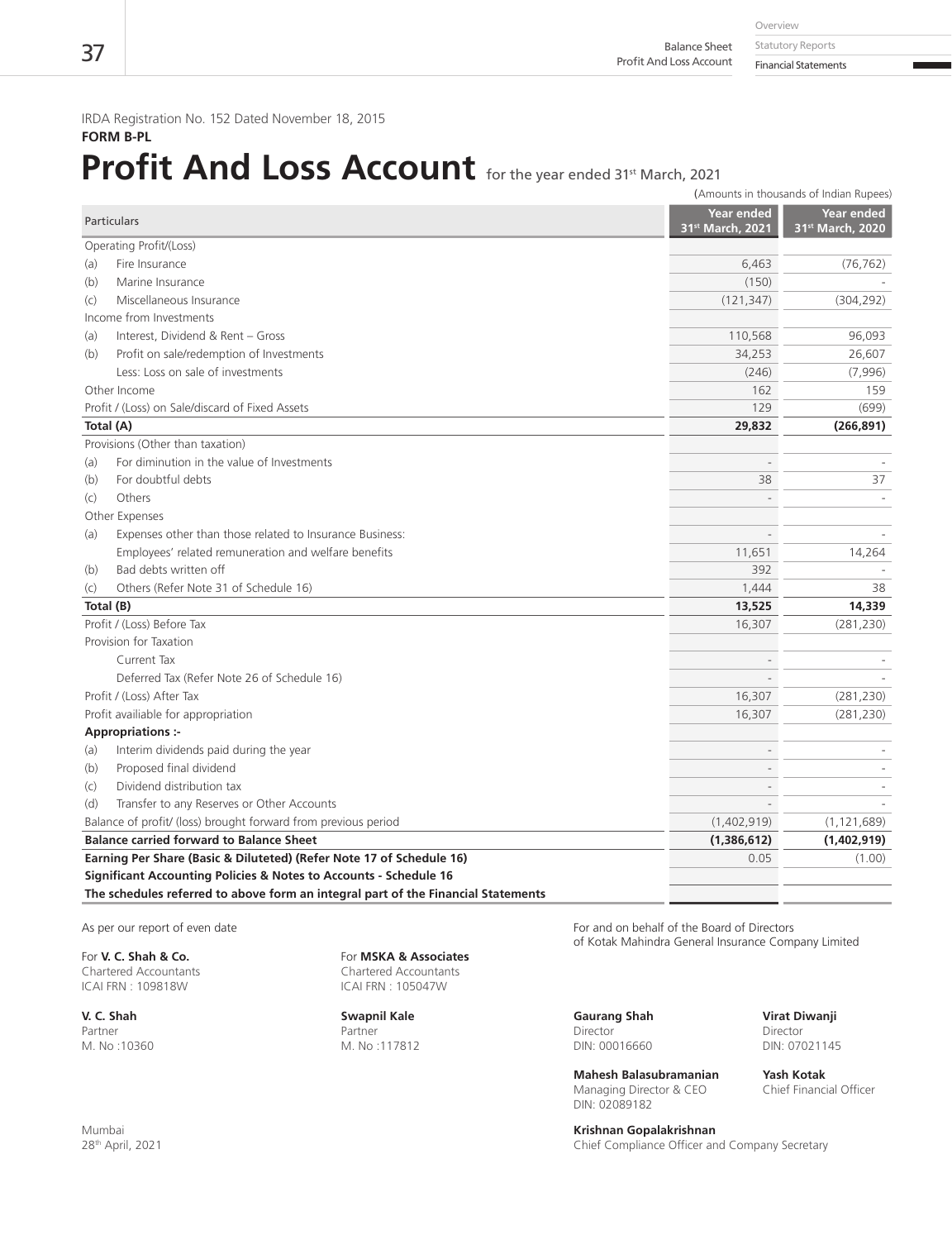Balance Sheet Profit And Loss Account Statutory Reports Financial Statements

## IRDA Registration No. 152 Dated November 18, 2015

## **FORM B-PL**

# Profit And Loss Account for the year ended 31st March, 2021

|           |                                                                                   |                                       | (Amounts in thousands of Indian Rupees)    |
|-----------|-----------------------------------------------------------------------------------|---------------------------------------|--------------------------------------------|
|           | Particulars                                                                       | <b>Year ended</b><br>31st March, 2021 | Year ended<br>31 <sup>st</sup> March, 2020 |
|           | Operating Profit/(Loss)                                                           |                                       |                                            |
| (a)       | Fire Insurance                                                                    | 6,463                                 | (76, 762)                                  |
| (b)       | Marine Insurance                                                                  | (150)                                 |                                            |
| (c)       | Miscellaneous Insurance                                                           | (121, 347)                            | (304, 292)                                 |
|           | Income from Investments                                                           |                                       |                                            |
| (a)       | Interest, Dividend & Rent - Gross                                                 | 110,568                               | 96,093                                     |
| (b)       | Profit on sale/redemption of Investments                                          | 34,253                                | 26,607                                     |
|           | Less: Loss on sale of investments                                                 | (246)                                 | (7,996)                                    |
|           | Other Income                                                                      | 162                                   | 159                                        |
|           | Profit / (Loss) on Sale/discard of Fixed Assets                                   | 129                                   | (699)                                      |
|           | Total (A)                                                                         | 29,832                                | (266, 891)                                 |
|           | Provisions (Other than taxation)                                                  |                                       |                                            |
| (a)       | For diminution in the value of Investments                                        |                                       |                                            |
| (b)       | For doubtful debts                                                                | 38                                    | 37                                         |
| (c)       | Others                                                                            |                                       |                                            |
|           | Other Expenses                                                                    |                                       |                                            |
| (a)       | Expenses other than those related to Insurance Business:                          |                                       |                                            |
|           | Employees' related remuneration and welfare benefits                              | 11,651                                | 14,264                                     |
| (b)       | Bad debts written off                                                             | 392                                   |                                            |
| (c)       | Others (Refer Note 31 of Schedule 16)                                             | 1,444                                 | 38                                         |
| Total (B) |                                                                                   | 13,525                                | 14,339                                     |
|           | Profit / (Loss) Before Tax                                                        | 16,307                                | (281, 230)                                 |
|           | Provision for Taxation                                                            |                                       |                                            |
|           | Current Tax                                                                       |                                       |                                            |
|           | Deferred Tax (Refer Note 26 of Schedule 16)                                       |                                       |                                            |
|           | Profit / (Loss) After Tax                                                         | 16,307                                | (281, 230)                                 |
|           | Profit availiable for appropriation                                               | 16,307                                | (281, 230)                                 |
|           | <b>Appropriations:-</b>                                                           |                                       |                                            |
| (a)       | Interim dividends paid during the year                                            |                                       |                                            |
| (b)       | Proposed final dividend                                                           |                                       |                                            |
| (c)       | Dividend distribution tax                                                         |                                       |                                            |
| (d)       | Transfer to any Reserves or Other Accounts                                        |                                       |                                            |
|           | Balance of profit/ (loss) brought forward from previous period                    | (1,402,919)                           | (1, 121, 689)                              |
|           | <b>Balance carried forward to Balance Sheet</b>                                   | (1,386,612)                           | (1,402,919)                                |
|           | Earning Per Share (Basic & Diluteted) (Refer Note 17 of Schedule 16)              | 0.05                                  | (1.00)                                     |
|           | <b>Significant Accounting Policies &amp; Notes to Accounts - Schedule 16</b>      |                                       |                                            |
|           | The schedules referred to above form an integral part of the Financial Statements |                                       |                                            |

**For V. C. Shah & Co.** For **MSKA & Associates**<br>Chartered Accountants **For all and Chartered Accountants** Chartered Accountants Chartered Accountants ICAI FRN : 109818W ICAI FRN : 105047W

As per our report of even date **For and on behalf of the Board of Directors** of Kotak Mahindra General Insurance Company Limited

**V. C. Shah Swapnil Kale Gaurang Shah Virat Diwanji** Partner Partner Partner Partner Director Director Director Director Director Director

DIN: 02089182

M. No :10360 M. No :117812 DIN: 00016660 DIN: 07021145

**Mahesh Balasubramanian Yash Kotak** Managing Director & CEO Chief Financial Officer

Mumbai 28th April, 2021 **Krishnan Gopalakrishnan** Chief Compliance Officer and Company Secretary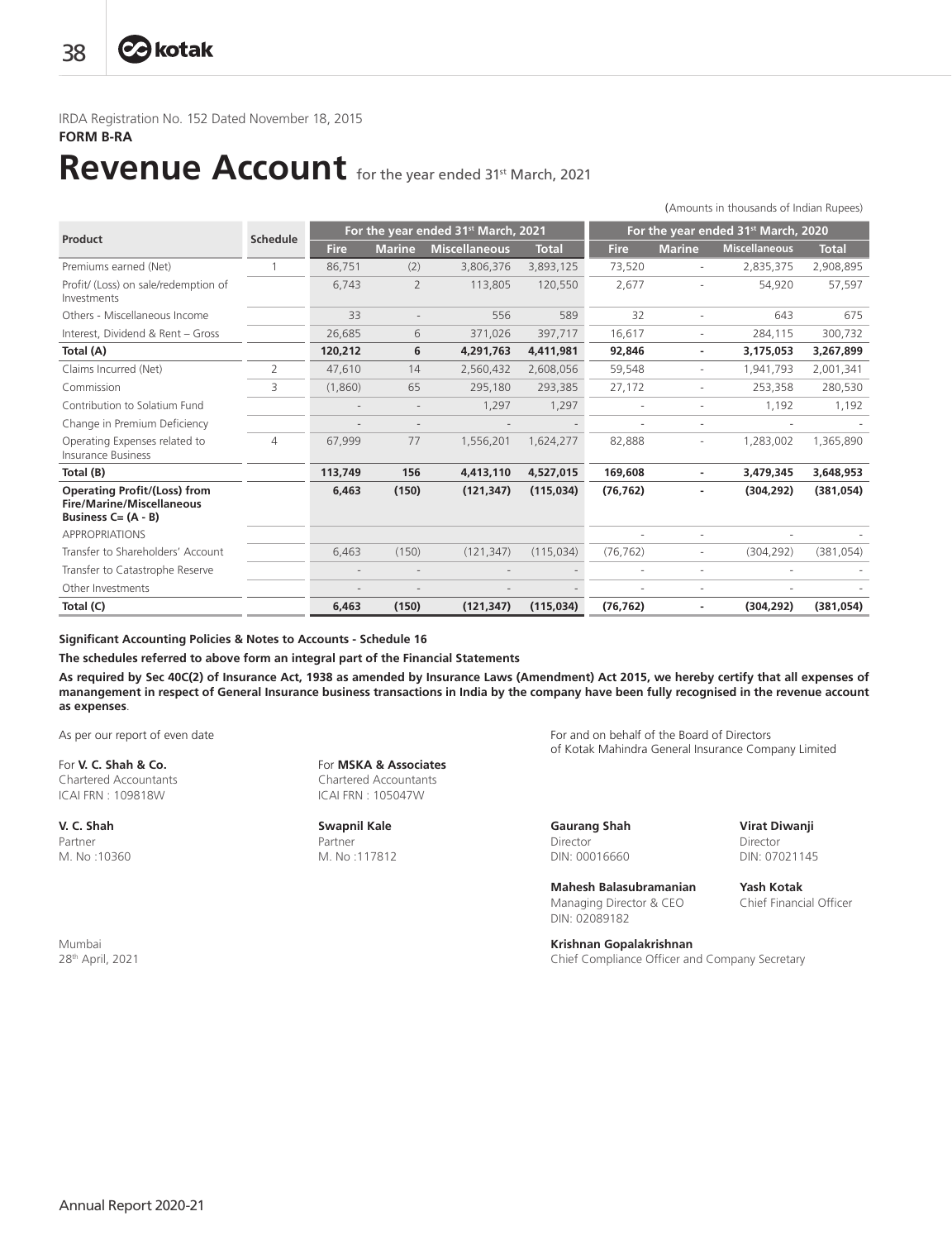IRDA Registration No. 152 Dated November 18, 2015 **FORM B-RA**

# Revenue Account for the year ended 31st March, 2021

|                                                                                                   |                 |             |                |                                                 |              |             |                          | (Amounts in thousands of Indian Rupees)         |              |  |  |  |  |
|---------------------------------------------------------------------------------------------------|-----------------|-------------|----------------|-------------------------------------------------|--------------|-------------|--------------------------|-------------------------------------------------|--------------|--|--|--|--|
| Product                                                                                           | <b>Schedule</b> |             |                | For the year ended 31 <sup>st</sup> March, 2021 |              |             |                          | For the year ended 31 <sup>st</sup> March, 2020 |              |  |  |  |  |
|                                                                                                   |                 | <b>Fire</b> | <b>Marine</b>  | <b>Miscellaneous</b>                            | <b>Total</b> | <b>Fire</b> | <b>Marine</b>            | <b>Miscellaneous</b>                            | <b>Total</b> |  |  |  |  |
| Premiums earned (Net)                                                                             |                 | 86,751      | (2)            | 3,806,376                                       | 3,893,125    | 73,520      | $\overline{\phantom{a}}$ | 2,835,375                                       | 2,908,895    |  |  |  |  |
| Profit/ (Loss) on sale/redemption of<br>Investments                                               |                 | 6,743       | $\overline{2}$ | 113,805                                         | 120,550      | 2,677       |                          | 54,920                                          | 57,597       |  |  |  |  |
| Others - Miscellaneous Income                                                                     |                 | 33          |                | 556                                             | 589          | 32          | ä,                       | 675                                             |              |  |  |  |  |
| Interest, Dividend & Rent - Gross                                                                 |                 | 26,685      | 6              | 371,026                                         | 397,717      | 16,617      | $\overline{\phantom{a}}$ | 284,115                                         | 300,732      |  |  |  |  |
| Total (A)                                                                                         |                 | 120,212     | 6              | 4,291,763                                       | 4,411,981    | 92,846      | 3,175,053<br>۰.          |                                                 |              |  |  |  |  |
| Claims Incurred (Net)                                                                             | $\overline{2}$  | 47,610      | 14             | 2,560,432                                       | 2,608,056    | 59,548      | $\overline{\phantom{a}}$ | 1,941,793                                       | 2,001,341    |  |  |  |  |
| Commission                                                                                        | 3               | (1,860)     | 65             | 295,180                                         | 293,385      | 27,172      | ٠                        | 253,358                                         | 280,530      |  |  |  |  |
| Contribution to Solatium Fund                                                                     |                 |             |                | 1,297                                           | 1,297        |             | u.                       | 1,192                                           | 1,192        |  |  |  |  |
| Change in Premium Deficiency                                                                      |                 |             |                |                                                 |              |             | $\overline{\phantom{a}}$ |                                                 |              |  |  |  |  |
| Operating Expenses related to<br><b>Insurance Business</b>                                        | 4               | 67,999      | 77             | 1,556,201                                       | 1,624,277    | 82,888      | $\overline{\phantom{0}}$ | 1,283,002                                       | 1,365,890    |  |  |  |  |
| Total (B)                                                                                         |                 | 113,749     | 156            | 4,413,110                                       | 4,527,015    | 169,608     |                          | 3,479,345                                       | 3,648,953    |  |  |  |  |
| <b>Operating Profit/(Loss) from</b><br><b>Fire/Marine/Miscellaneous</b><br>Business $C = (A - B)$ |                 | 6,463       | (150)          | (121, 347)                                      | (115, 034)   | (76, 762)   |                          | (304, 292)                                      | (381, 054)   |  |  |  |  |
| <b>APPROPRIATIONS</b>                                                                             |                 |             |                |                                                 |              |             | ÷,                       |                                                 |              |  |  |  |  |
| Transfer to Shareholders' Account                                                                 |                 | 6,463       | (150)          | (121, 347)                                      | (115, 034)   | (76, 762)   | (381, 054)               |                                                 |              |  |  |  |  |
| Transfer to Catastrophe Reserve                                                                   |                 |             |                |                                                 |              | ٠           |                          |                                                 |              |  |  |  |  |
| Other Investments                                                                                 |                 |             |                |                                                 |              |             | ٠                        |                                                 |              |  |  |  |  |
| Total (C)                                                                                         |                 | 6,463       | (150)          | (121, 347)                                      | (115, 034)   | (76, 762)   |                          | (304, 292)                                      | (381, 054)   |  |  |  |  |

**Significant Accounting Policies & Notes to Accounts - Schedule 16**

**The schedules referred to above form an integral part of the Financial Statements**

**As required by Sec 40C(2) of Insurance Act, 1938 as amended by Insurance Laws (Amendment) Act 2015, we hereby certify that all expenses of manangement in respect of General Insurance business transactions in India by the company have been fully recognised in the revenue account as expenses**.

Chartered Accountants Chartered Accountants ICAI FRN : 109818W ICAI FRN : 105047W

For **V. C. Shah & Co.** For **MSKA & Associates** 

Partner Partner Partner Partner Director Director Director Director Director Director M. No :10360 M. No :117812 DIN: 00016660 DIN: 07021145

As per our report of even date **For and on behalf of the Board of Directors** For and on behalf of the Board of Directors of Kotak Mahindra General Insurance Company Limited

**V. C. Shah Swapnil Kale Gaurang Shah Virat Diwanji**

**Mahesh Balasubramanian Yash Kotak** Managing Director & CEO DIN: 02089182

**Krishnan Gopalakrishnan** Chief Compliance Officer and Company Secretary

Mumbai 28th April, 2021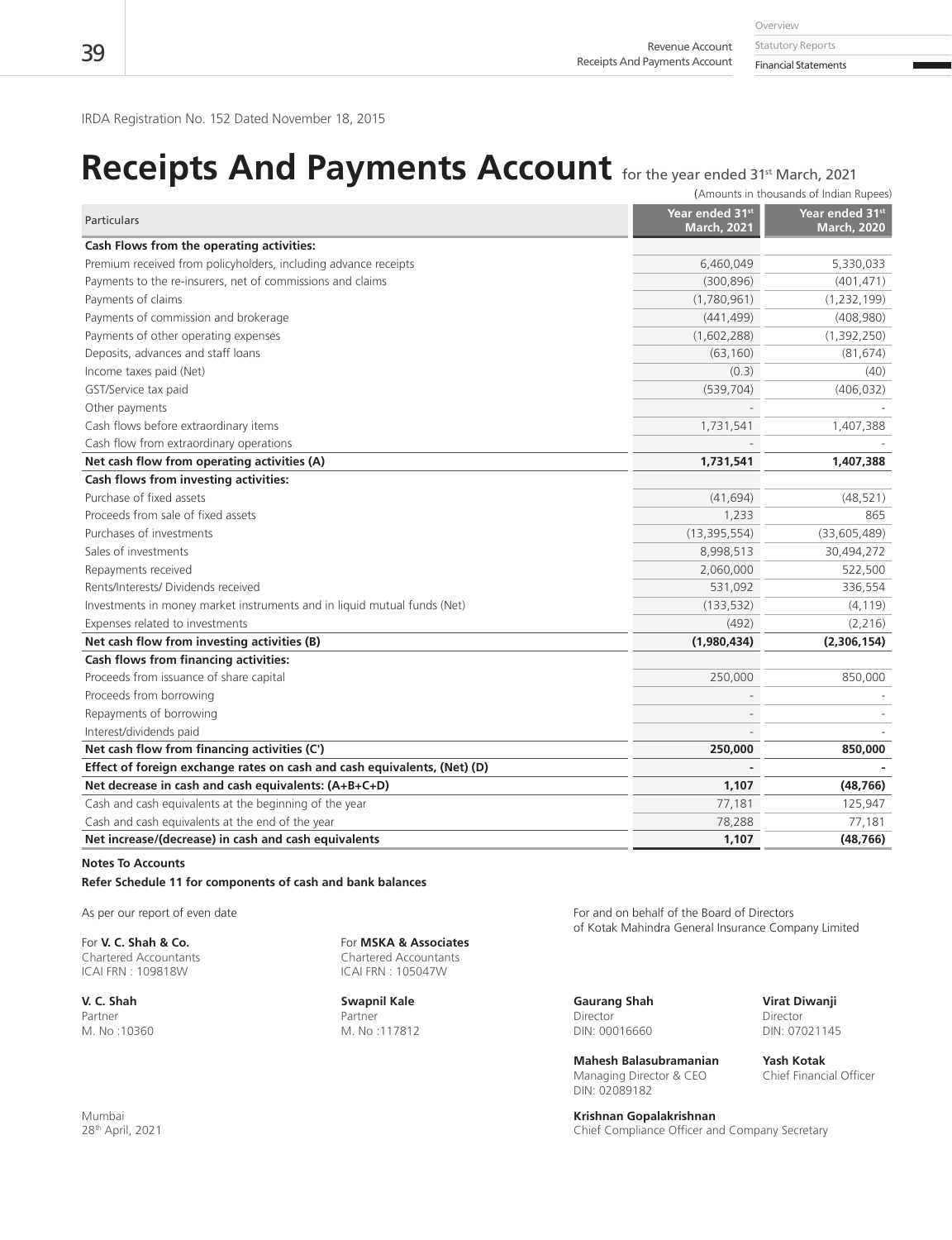Financial Statements

Revenue Account Receipts And Payments Account

IRDA Registration No. 152 Dated November 18, 2015

## (Amounts in thousands of Indian Rupees) Receipts And Payments Account for the year ended 31st March, 2021

|                                                                          |                                                   | (Arribunts in thousands of indian Kupees)         |
|--------------------------------------------------------------------------|---------------------------------------------------|---------------------------------------------------|
| <b>Particulars</b>                                                       | Year ended 31 <sup>st</sup><br><b>March, 2021</b> | Year ended 31 <sup>st</sup><br><b>March, 2020</b> |
| Cash Flows from the operating activities:                                |                                                   |                                                   |
| Premium received from policyholders, including advance receipts          | 6,460,049                                         | 5,330,033                                         |
| Payments to the re-insurers, net of commissions and claims               | (300, 896)                                        | (401, 471)                                        |
| Payments of claims                                                       | (1,780,961)                                       | (1,232,199)                                       |
| Payments of commission and brokerage                                     | (441, 499)                                        | (408,980)                                         |
| Payments of other operating expenses                                     | (1,602,288)                                       | (1,392,250)                                       |
| Deposits, advances and staff loans                                       | (63, 160)                                         | (81, 674)                                         |
| Income taxes paid (Net)                                                  | (0.3)                                             | (40)                                              |
| GST/Service tax paid                                                     | (539, 704)                                        | (406, 032)                                        |
| Other payments                                                           |                                                   |                                                   |
| Cash flows before extraordinary items                                    | 1,731,541                                         | 1,407,388                                         |
| Cash flow from extraordinary operations                                  |                                                   |                                                   |
| Net cash flow from operating activities (A)                              | 1,731,541                                         | 1,407,388                                         |
| Cash flows from investing activities:                                    |                                                   |                                                   |
| Purchase of fixed assets                                                 | (41, 694)                                         | (48, 521)                                         |
| Proceeds from sale of fixed assets                                       | 1,233                                             | 865                                               |
| Purchases of investments                                                 | (13, 395, 554)                                    | (33,605,489)                                      |
| Sales of investments                                                     | 8,998,513                                         | 30,494,272                                        |
| Repayments received                                                      | 2,060,000                                         | 522,500                                           |
| Rents/Interests/ Dividends received                                      | 531,092                                           | 336,554                                           |
| Investments in money market instruments and in liquid mutual funds (Net) | (133, 532)                                        | (4, 119)                                          |
| Expenses related to investments                                          | (492)                                             | (2, 216)                                          |
| Net cash flow from investing activities (B)                              | (1,980,434)                                       | (2,306,154)                                       |
| Cash flows from financing activities:                                    |                                                   |                                                   |
| Proceeds from issuance of share capital                                  | 250,000                                           | 850,000                                           |
| Proceeds from borrowing                                                  |                                                   |                                                   |
| Repayments of borrowing                                                  |                                                   |                                                   |
| Interest/dividends paid                                                  |                                                   |                                                   |
| Net cash flow from financing activities (C')                             | 250,000                                           | 850,000                                           |
| Effect of foreign exchange rates on cash and cash equivalents, (Net) (D) |                                                   |                                                   |
| Net decrease in cash and cash equivalents: (A+B+C+D)                     | 1,107                                             | (48, 766)                                         |
| Cash and cash equivalents at the beginning of the year                   | 77,181                                            | 125,947                                           |
| Cash and cash equivalents at the end of the year                         | 78,288                                            | 77,181                                            |
| Net increase/(decrease) in cash and cash equivalents                     | 1,107                                             | (48, 766)                                         |

#### **Notes To Accounts**

**Refer Schedule 11 for components of cash and bank balances**

For **V. C. Shah & Co.** For **MSKA & Associates** Chartered Accountants<br>
ICAI FRN : 109818W<br>
ICAI FRN : 105047W ICAI FRN : 105047W

As per our report of even date For and on behalf of the Board of Directors of Kotak Mahindra General Insurance Company Limited

**V. C. Shah Swapnil Kale Gaurang Shah Virat Diwanji** Partner Partner Partner Partner Director Director Director Director Director Director

M. No :10360 M. No :117812 DIN: 00016660 DIN: 07021145

**Mahesh Balasubramanian Yash Kotak** Managing Director & CEO DIN: 02089182

Mumbai 28th April, 2021 **Krishnan Gopalakrishnan** Chief Compliance Officer and Company Secretary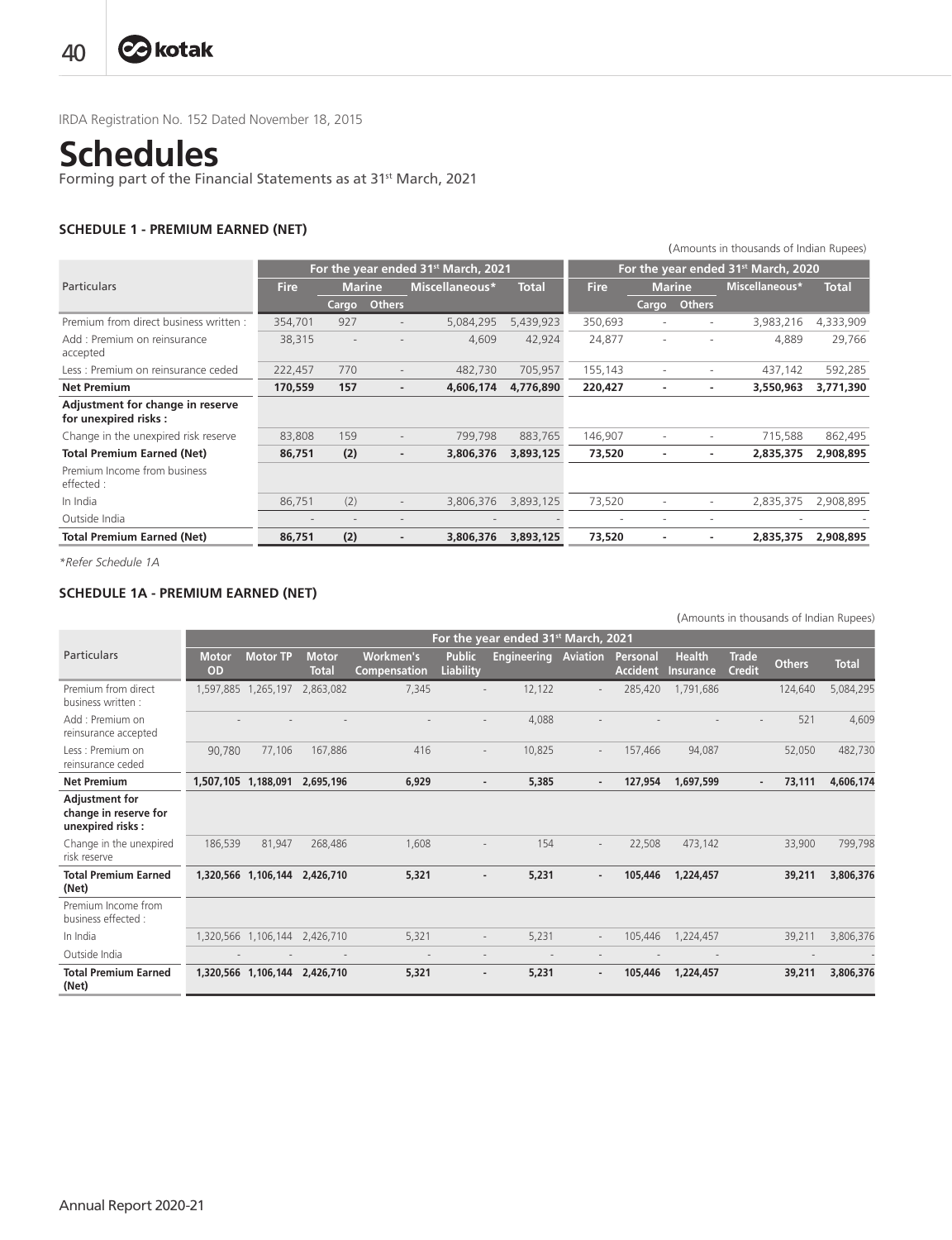# **Schedules**

Forming part of the Financial Statements as at 31<sup>st</sup> March, 2021

## **SCHEDULE 1 - PREMIUM EARNED (NET)**

(Amounts in thousands of Indian Rupees)

|                                                          |             |               |                          | For the year ended 31 <sup>st</sup> March, 2021 |              | For the year ended 31 <sup>st</sup> March, 2020 |                          |               |                |              |
|----------------------------------------------------------|-------------|---------------|--------------------------|-------------------------------------------------|--------------|-------------------------------------------------|--------------------------|---------------|----------------|--------------|
| <b>Particulars</b>                                       | <b>Fire</b> | <b>Marine</b> |                          | Miscellaneous*                                  | <b>Total</b> | <b>Fire</b>                                     | <b>Marine</b>            |               | Miscellaneous* | <b>Total</b> |
|                                                          |             | Cargo         | <b>Others</b>            |                                                 |              |                                                 | Cargo                    | <b>Others</b> |                |              |
| Premium from direct business written :                   | 354,701     | 927           |                          | 5,084,295                                       | 5,439,923    | 350,693                                         | $\overline{\phantom{a}}$ | $\sim$        | 3,983,216      | 4,333,909    |
| Add : Premium on reinsurance<br>accepted                 | 38,315      |               |                          | 4,609                                           | 42,924       | 24,877                                          | ٠                        |               | 4,889          | 29,766       |
| Less : Premium on reinsurance ceded                      | 222,457     | 770           |                          | 482,730                                         | 705,957      | 155,143                                         |                          |               | 437,142        | 592,285      |
| <b>Net Premium</b>                                       | 170,559     | 157           | $\overline{\phantom{a}}$ | 4,606,174                                       | 4,776,890    | 220,427                                         | -                        |               | 3,550,963      | 3,771,390    |
| Adjustment for change in reserve<br>for unexpired risks: |             |               |                          |                                                 |              |                                                 |                          |               |                |              |
| Change in the unexpired risk reserve                     | 83,808      | 159           |                          | 799,798                                         | 883,765      | 146,907                                         | ۰                        | $\sim$        | 715,588        | 862,495      |
| <b>Total Premium Earned (Net)</b>                        | 86,751      | (2)           | $\overline{\phantom{a}}$ | 3,806,376                                       | 3,893,125    | 73,520                                          |                          |               | 2,835,375      | 2,908,895    |
| Premium Income from business<br>effected :               |             |               |                          |                                                 |              |                                                 |                          |               |                |              |
| In India                                                 | 86,751      | (2)           |                          | 3,806,376                                       | 3,893,125    | 73,520                                          | $\overline{\phantom{a}}$ |               | 2,835,375      | 2,908,895    |
| Outside India                                            |             |               |                          |                                                 |              |                                                 | ۰                        |               |                |              |
| <b>Total Premium Earned (Net)</b>                        | 86,751      | (2)           |                          | 3,806,376                                       | 3,893,125    | 73,520                                          |                          |               | 2.835.375      | 2,908,895    |

*\*Refer Schedule 1A*

## **SCHEDULE 1A - PREMIUM EARNED (NET)**

|                                                                    | For the year ended 31 <sup>st</sup> March, 2021 |                               |                              |                                  |                            |                    |                          |                             |                                   |                               |               |              |
|--------------------------------------------------------------------|-------------------------------------------------|-------------------------------|------------------------------|----------------------------------|----------------------------|--------------------|--------------------------|-----------------------------|-----------------------------------|-------------------------------|---------------|--------------|
| Particulars                                                        | <b>Motor</b><br>OD                              | <b>Motor TP</b>               | <b>Motor</b><br><b>Total</b> | Workmen's<br><b>Compensation</b> | <b>Public</b><br>Liability | <b>Engineering</b> | <b>Aviation</b>          | Personal<br><b>Accident</b> | <b>Health</b><br><b>Insurance</b> | <b>Trade</b><br><b>Credit</b> | <b>Others</b> | <b>Total</b> |
| Premium from direct<br>business written:                           | 1,597,885                                       | 1,265,197 2,863,082           |                              | 7,345                            | $\sim$                     | 12,122             | $\overline{\phantom{a}}$ | 285,420                     | 1,791,686                         |                               | 124,640       | 5,084,295    |
| Add: Premium on<br>reinsurance accepted                            |                                                 |                               |                              |                                  |                            | 4,088              |                          |                             |                                   |                               | 521           | 4,609        |
| Less : Premium on<br>reinsurance ceded                             | 90,780                                          | 77,106                        | 167,886                      | 416                              |                            | 10,825             | ٠                        | 157,466                     | 94,087                            |                               | 52,050        | 482,730      |
| <b>Net Premium</b>                                                 |                                                 | 1,507,105 1,188,091           | 2,695,196                    | 6,929                            | $\blacksquare$             | 5,385              | $\blacksquare$           | 127,954                     | 1,697,599                         | $\blacksquare$                | 73,111        | 4,606,174    |
| <b>Adjustment for</b><br>change in reserve for<br>unexpired risks: |                                                 |                               |                              |                                  |                            |                    |                          |                             |                                   |                               |               |              |
| Change in the unexpired<br>risk reserve                            | 186,539                                         | 81,947                        | 268,486                      | 1,608                            |                            | 154                | $\overline{a}$           | 22,508                      | 473,142                           |                               | 33,900        | 799,798      |
| <b>Total Premium Earned</b><br>(Net)                               |                                                 | 1,320,566 1,106,144 2,426,710 |                              | 5,321                            | $\overline{\phantom{a}}$   | 5,231              | $\blacksquare$           | 105,446                     | 1,224,457                         |                               | 39,211        | 3,806,376    |
| Premium Income from<br>business effected :                         |                                                 |                               |                              |                                  |                            |                    |                          |                             |                                   |                               |               |              |
| In India                                                           |                                                 | 1,320,566 1,106,144 2,426,710 |                              | 5,321                            |                            | 5,231              | $\overline{a}$           | 105,446                     | 1,224,457                         |                               | 39,211        | 3,806,376    |
| Outside India                                                      |                                                 |                               |                              |                                  | $\overline{\phantom{a}}$   |                    | ٠                        |                             |                                   |                               |               |              |
| <b>Total Premium Earned</b><br>(Net)                               |                                                 | 1,320,566 1,106,144 2,426,710 |                              | 5,321                            | $\blacksquare$             | 5,231              | $\blacksquare$           | 105,446                     | 1,224,457                         |                               | 39,211        | 3,806,376    |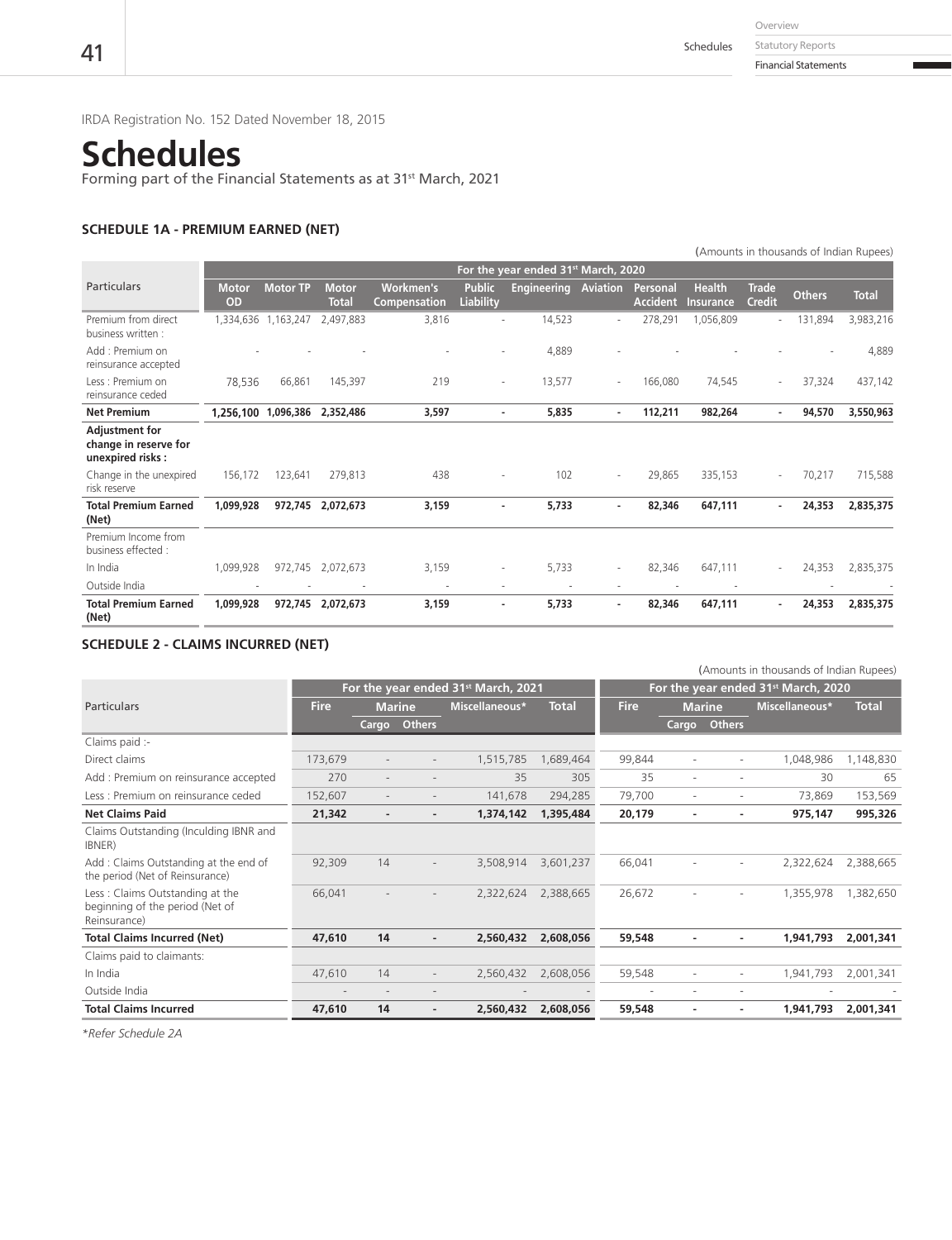Statutory Reports Financial Statements

Overview

IRDA Registration No. 152 Dated November 18, 2015

# **Schedules**

Forming part of the Financial Statements as at 31<sup>st</sup> March, 2021

## **SCHEDULE 1A - PREMIUM EARNED (NET)**

|                                                                    |                    |                     |                              |                                         |                            |                                                 |                 |                             |                                   |                               | (Amounts in thousanus or mulan nupees) |              |
|--------------------------------------------------------------------|--------------------|---------------------|------------------------------|-----------------------------------------|----------------------------|-------------------------------------------------|-----------------|-----------------------------|-----------------------------------|-------------------------------|----------------------------------------|--------------|
|                                                                    |                    |                     |                              |                                         |                            | For the year ended 31 <sup>st</sup> March, 2020 |                 |                             |                                   |                               |                                        |              |
| Particulars                                                        | <b>Motor</b><br>OD | <b>Motor TP</b>     | <b>Motor</b><br><b>Total</b> | <b>Workmen's</b><br><b>Compensation</b> | <b>Public</b><br>Liability | <b>Engineering</b>                              | <b>Aviation</b> | Personal<br><b>Accident</b> | <b>Health</b><br><b>Insurance</b> | <b>Trade</b><br><b>Credit</b> | <b>Others</b>                          | <b>Total</b> |
| Premium from direct<br>business written:                           | 1,334,636          | 1,163,247           | 2,497,883                    | 3,816                                   | $\sim$                     | 14,523                                          | ٠               | 278,291                     | 1,056,809                         | $\overline{\phantom{a}}$      | 131,894                                | 3,983,216    |
| Add: Premium on<br>reinsurance accepted                            |                    |                     |                              |                                         |                            | 4,889                                           |                 |                             |                                   |                               |                                        | 4,889        |
| Less : Premium on<br>reinsurance ceded                             | 78,536             | 66,861              | 145,397                      | 219                                     | ٠                          | 13,577                                          | $\sim$          | 166,080                     | 74,545                            | ٠                             | 37,324                                 | 437,142      |
| <b>Net Premium</b>                                                 |                    | 1,256,100 1,096,386 | 2,352,486                    | 3,597                                   | $\blacksquare$             | 5,835                                           | ٠               | 112,211                     | 982,264                           | $\sim$                        | 94,570                                 | 3,550,963    |
| <b>Adjustment for</b><br>change in reserve for<br>unexpired risks: |                    |                     |                              |                                         |                            |                                                 |                 |                             |                                   |                               |                                        |              |
| Change in the unexpired<br>risk reserve                            | 156.172            | 123.641             | 279,813                      | 438                                     | ٠                          | 102                                             | ٠               | 29,865                      | 335,153                           | ٠                             | 70,217                                 | 715,588      |
| <b>Total Premium Earned</b><br>(Net)                               | 1,099,928          | 972,745             | 2,072,673                    | 3,159                                   |                            | 5,733                                           | ٠               | 82,346                      | 647,111                           | ٠                             | 24,353                                 | 2,835,375    |
| Premium Income from<br>business effected :                         |                    |                     |                              |                                         |                            |                                                 |                 |                             |                                   |                               |                                        |              |
| In India                                                           | 1,099,928          |                     | 972,745 2,072,673            | 3,159                                   | ٠                          | 5,733                                           | ٠               | 82,346                      | 647,111                           | $\overline{\phantom{a}}$      | 24,353                                 | 2,835,375    |
| Outside India                                                      |                    |                     |                              |                                         | ٠                          |                                                 | ٠               |                             | ٠                                 |                               |                                        |              |
| <b>Total Premium Earned</b><br>(Net)                               | 1,099,928          | 972,745             | 2,072,673                    | 3,159                                   | $\blacksquare$             | 5,733                                           | ۰               | 82,346                      | 647,111                           | $\blacksquare$                | 24,353                                 | 2,835,375    |

## **SCHEDULE 2 - CLAIMS INCURRED (NET)**

| (Amounts in thousands of Indian Rupees)                                            |             |               |                          |                                                 |              |             |                          |               |                                                 |              |  |  |
|------------------------------------------------------------------------------------|-------------|---------------|--------------------------|-------------------------------------------------|--------------|-------------|--------------------------|---------------|-------------------------------------------------|--------------|--|--|
|                                                                                    |             |               |                          | For the year ended 31 <sup>st</sup> March, 2021 |              |             |                          |               | For the year ended 31 <sup>st</sup> March, 2020 |              |  |  |
| <b>Particulars</b>                                                                 | <b>Fire</b> | <b>Marine</b> |                          | Miscellaneous*                                  | <b>Total</b> | <b>Fire</b> |                          | <b>Marine</b> | Miscellaneous*                                  | <b>Total</b> |  |  |
|                                                                                    |             | Cargo         | <b>Others</b>            |                                                 |              |             | Cargo                    | <b>Others</b> |                                                 |              |  |  |
| Claims paid :-                                                                     |             |               |                          |                                                 |              |             |                          |               |                                                 |              |  |  |
| Direct claims                                                                      | 173,679     |               |                          | 1,515,785                                       | 1,689,464    | 99,844      |                          | ٠             | 1,048,986                                       | 1,148,830    |  |  |
| Add: Premium on reinsurance accepted                                               | 270         |               |                          | 35                                              | 305          | 35          | $\sim$                   | $\sim$        | 30                                              | 65           |  |  |
| Less : Premium on reinsurance ceded                                                | 152,607     |               |                          | 141,678                                         | 294,285      | 79,700      | ۰                        | ٠             | 73,869                                          | 153,569      |  |  |
| <b>Net Claims Paid</b>                                                             | 21,342      |               | $\overline{\phantom{a}}$ | 1,374,142                                       | 1,395,484    | 20,179      | -                        | ٠             | 975,147                                         | 995,326      |  |  |
| Claims Outstanding (Inculding IBNR and<br>IBNER)                                   |             |               |                          |                                                 |              |             |                          |               |                                                 |              |  |  |
| Add: Claims Outstanding at the end of<br>the period (Net of Reinsurance)           | 92,309      | 14            | $\overline{\phantom{a}}$ | 3,508,914                                       | 3,601,237    | 66,041      |                          | ۰             | 2,322,624                                       | 2,388,665    |  |  |
| Less: Claims Outstanding at the<br>beginning of the period (Net of<br>Reinsurance) | 66,041      |               |                          | 2,322,624                                       | 2,388,665    | 26,672      |                          | ٠             | 1,355,978                                       | 1,382,650    |  |  |
| <b>Total Claims Incurred (Net)</b>                                                 | 47,610      | 14            |                          | 2,560,432                                       | 2,608,056    | 59,548      |                          |               | 1,941,793                                       | 2,001,341    |  |  |
| Claims paid to claimants:                                                          |             |               |                          |                                                 |              |             |                          |               |                                                 |              |  |  |
| In India                                                                           | 47,610      | 14            | $\overline{\phantom{a}}$ | 2,560,432                                       | 2,608,056    | 59,548      | ٠                        | ٠             | 1,941,793                                       | 2,001,341    |  |  |
| Outside India                                                                      |             |               |                          |                                                 |              | $\sim$      | $\overline{\phantom{a}}$ | ٠             |                                                 |              |  |  |
| <b>Total Claims Incurred</b>                                                       | 47,610      | 14            |                          | 2,560,432                                       | 2,608,056    | 59,548      |                          |               | 1,941,793                                       | 2,001,341    |  |  |

*\*Refer Schedule 2A*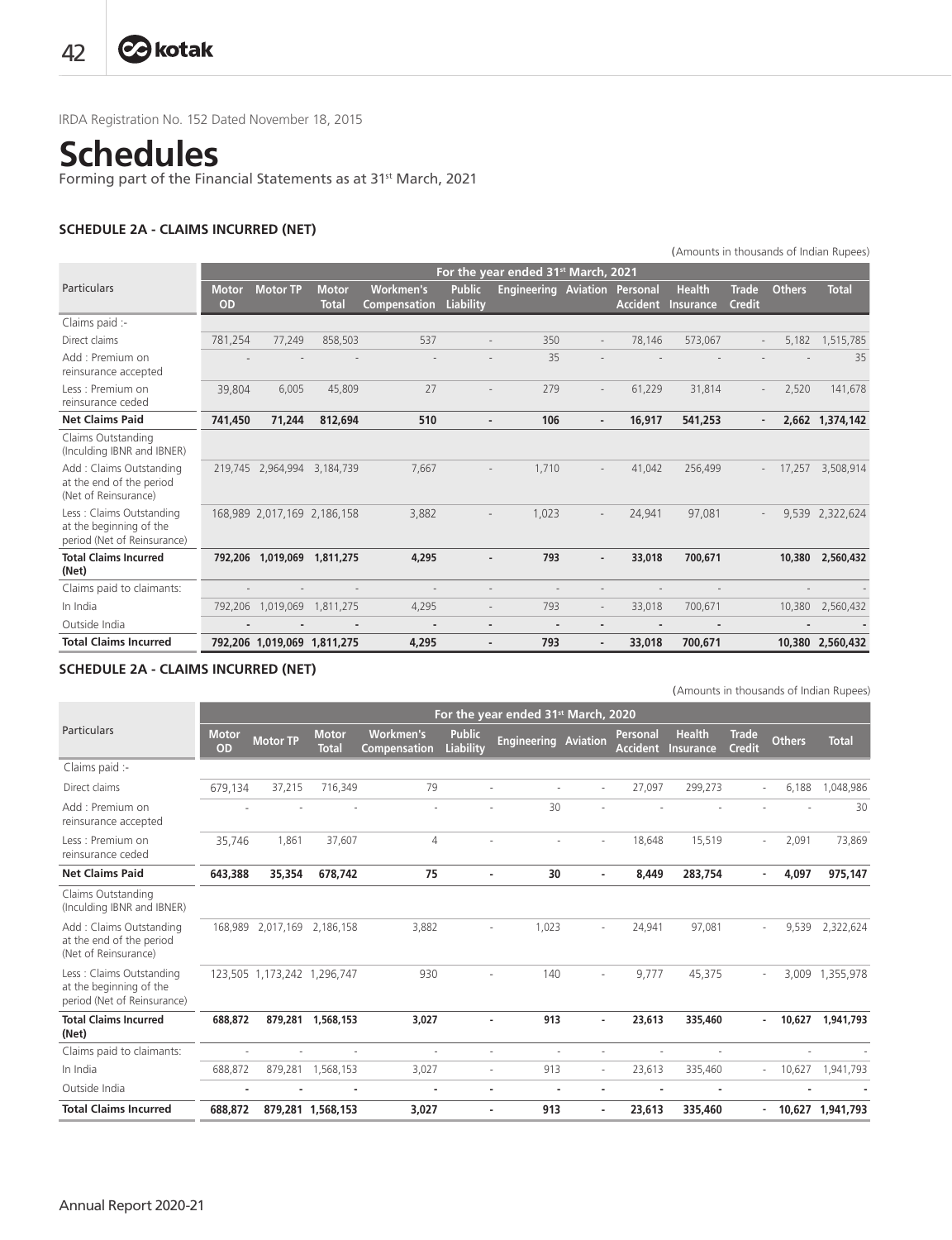# **Schedules**

Forming part of the Financial Statements as at 31<sup>st</sup> March, 2021

## **SCHEDULE 2A - CLAIMS INCURRED (NET)**

|                                                                                    |                           |                             |                              |                           |                            |                                                 |                          |                             |                                   |                               |                          | (Amounts in thousands of Indian Rupees) |
|------------------------------------------------------------------------------------|---------------------------|-----------------------------|------------------------------|---------------------------|----------------------------|-------------------------------------------------|--------------------------|-----------------------------|-----------------------------------|-------------------------------|--------------------------|-----------------------------------------|
|                                                                                    |                           |                             |                              |                           |                            | For the year ended 31 <sup>st</sup> March, 2021 |                          |                             |                                   |                               |                          |                                         |
| Particulars                                                                        | <b>Motor</b><br><b>OD</b> | <b>Motor TP</b>             | <b>Motor</b><br><b>Total</b> | Workmen's<br>Compensation | <b>Public</b><br>Liability | <b>Engineering Aviation</b>                     |                          | Personal<br><b>Accident</b> | <b>Health</b><br><b>Insurance</b> | <b>Trade</b><br><b>Credit</b> | <b>Others</b>            | <b>Total</b>                            |
| Claims paid :-                                                                     |                           |                             |                              |                           |                            |                                                 |                          |                             |                                   |                               |                          |                                         |
| Direct claims                                                                      | 781,254                   | 77,249                      | 858,503                      | 537                       |                            | 350                                             | $\overline{a}$           | 78,146                      | 573,067                           |                               | 5,182                    | 1,515,785                               |
| Add: Premium on<br>reinsurance accepted                                            |                           |                             |                              |                           |                            | 35                                              |                          |                             |                                   |                               |                          | 35                                      |
| Less : Premium on<br>reinsurance ceded                                             | 39,804                    | 6.005                       | 45.809                       | 27                        |                            | 279                                             | $\overline{\phantom{a}}$ | 61,229                      | 31,814                            |                               | 2,520                    | 141,678                                 |
| <b>Net Claims Paid</b>                                                             | 741,450                   | 71,244                      | 812,694                      | 510                       | ٠                          | 106                                             |                          | 16,917                      | 541,253                           |                               |                          | 2,662 1,374,142                         |
| Claims Outstanding<br>(Inculding IBNR and IBNER)                                   |                           |                             |                              |                           |                            |                                                 |                          |                             |                                   |                               |                          |                                         |
| Add: Claims Outstanding<br>at the end of the period<br>(Net of Reinsurance)        |                           | 219,745 2,964,994 3,184,739 |                              | 7,667                     | $\overline{\phantom{a}}$   | 1,710                                           |                          | 41,042                      | 256,499                           |                               | 17,257                   | 3,508,914                               |
| Less: Claims Outstanding<br>at the beginning of the<br>period (Net of Reinsurance) |                           | 168,989 2,017,169 2,186,158 |                              | 3,882                     | $\qquad \qquad -$          | 1,023                                           |                          | 24,941                      | 97,081                            |                               |                          | 9,539 2,322,624                         |
| <b>Total Claims Incurred</b><br>(Net)                                              |                           | 792,206 1,019,069           | 1,811,275                    | 4,295                     |                            | 793                                             |                          | 33,018                      | 700.671                           |                               | 10,380                   | 2,560,432                               |
| Claims paid to claimants:                                                          | $\overline{\phantom{a}}$  |                             |                              | $\overline{\phantom{a}}$  |                            | $\overline{\phantom{a}}$                        |                          |                             |                                   |                               | $\overline{\phantom{a}}$ |                                         |
| In India                                                                           | 792,206                   | 1,019,069                   | 1,811,275                    | 4,295                     | ٠                          | 793                                             | $\overline{\phantom{a}}$ | 33,018                      | 700,671                           |                               | 10,380                   | 2,560,432                               |
| Outside India                                                                      |                           |                             |                              | $\blacksquare$            |                            |                                                 |                          |                             |                                   |                               |                          |                                         |
| <b>Total Claims Incurred</b>                                                       |                           | 792,206 1,019,069 1,811,275 |                              | 4,295                     |                            | 793                                             | ۰                        | 33,018                      | 700,671                           |                               |                          | 10,380 2,560,432                        |

## **SCHEDULE 2A - CLAIMS INCURRED (NET)**

|                                                                                    | For the year ended 31 <sup>st</sup> March, 2020 |                             |                              |                                  |                            |                    |                 |                                    |                                   |                               |                         |                  |  |
|------------------------------------------------------------------------------------|-------------------------------------------------|-----------------------------|------------------------------|----------------------------------|----------------------------|--------------------|-----------------|------------------------------------|-----------------------------------|-------------------------------|-------------------------|------------------|--|
| Particulars                                                                        | <b>Motor</b><br>OD                              | <b>Motor TP</b>             | <b>Motor</b><br><b>Total</b> | <b>Workmen's</b><br>Compensation | <b>Public</b><br>Liability | <b>Engineering</b> | <b>Aviation</b> | <b>Personal</b><br><b>Accident</b> | <b>Health</b><br><b>Insurance</b> | <b>Trade</b><br><b>Credit</b> | <b>Others</b>           | <b>Total</b>     |  |
| Claims paid :-                                                                     |                                                 |                             |                              |                                  |                            |                    |                 |                                    |                                   |                               |                         |                  |  |
| Direct claims                                                                      | 679.134                                         | 37,215                      | 716,349                      | 79                               |                            |                    |                 | 27,097                             | 299,273                           |                               | 6,188                   | 1,048,986        |  |
| Add: Premium on<br>reinsurance accepted                                            |                                                 |                             |                              |                                  |                            | 30                 |                 |                                    |                                   |                               |                         | 30               |  |
| Less : Premium on<br>reinsurance ceded                                             | 35.746                                          | 1.861                       | 37,607                       | 4                                |                            |                    |                 | 18,648                             | 15,519                            |                               | 2,091<br>$\sim$         | 73,869           |  |
| <b>Net Claims Paid</b>                                                             | 643,388                                         | 35,354                      | 678,742                      | 75                               |                            | 30                 | ٠               | 8,449                              | 283,754                           |                               | 4,097<br>$\blacksquare$ | 975,147          |  |
| Claims Outstanding<br>(Inculding IBNR and IBNER)                                   |                                                 |                             |                              |                                  |                            |                    |                 |                                    |                                   |                               |                         |                  |  |
| Add: Claims Outstanding<br>at the end of the period<br>(Net of Reinsurance)        | 168.989                                         | 2.017.169                   | 2,186,158                    | 3.882                            |                            | 1,023<br>٠         | ٠               | 24,941                             | 97,081                            | $\overline{\phantom{a}}$      | 9,539                   | 2,322,624        |  |
| Less: Claims Outstanding<br>at the beginning of the<br>period (Net of Reinsurance) |                                                 | 123.505 1.173.242 1.296.747 |                              | 930                              |                            | 140                | ٠               | 9,777                              | 45.375                            | ٠                             | 3.009                   | 1.355.978        |  |
| <b>Total Claims Incurred</b><br>(Net)                                              | 688,872                                         | 879,281                     | 1,568,153                    | 3,027                            |                            | 913                |                 | 23,613                             | 335,460                           |                               | 10.627                  | 1,941,793        |  |
| Claims paid to claimants:                                                          |                                                 |                             | ٠                            |                                  |                            |                    |                 |                                    | ×                                 |                               |                         |                  |  |
| In India                                                                           | 688,872                                         | 879,281                     | 1,568,153                    | 3,027                            |                            | 913<br>٠           | ٠               | 23,613                             | 335,460                           |                               | 10,627<br>$\sim$        | 1,941,793        |  |
| Outside India                                                                      | ۰                                               |                             | ٠                            | ٠                                | ٠                          |                    | ٠               |                                    |                                   |                               |                         |                  |  |
| <b>Total Claims Incurred</b>                                                       | 688,872                                         |                             | 879,281 1,568,153            | 3,027                            |                            | 913                | ٠               | 23,613                             | 335,460                           |                               |                         | 10,627 1,941,793 |  |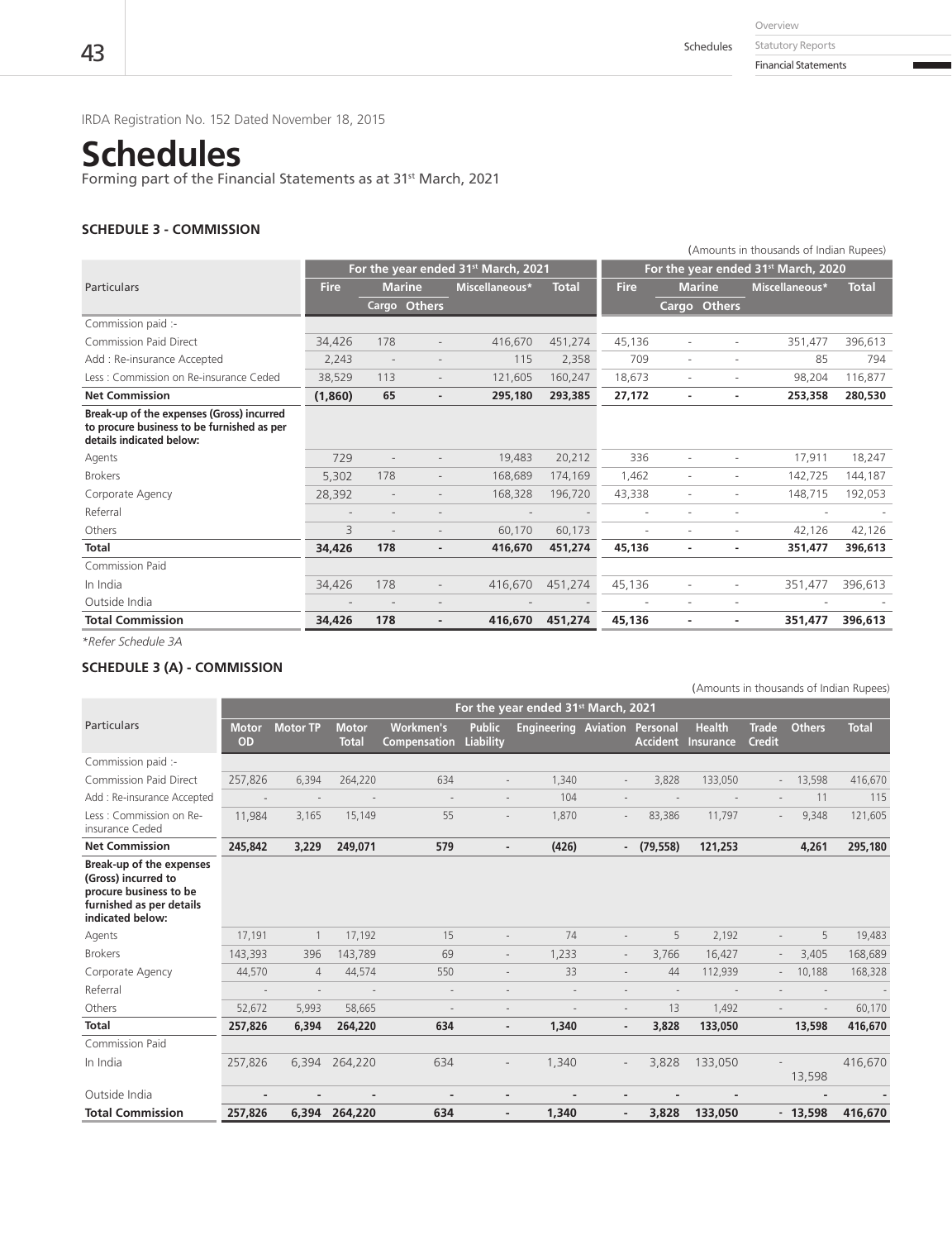Statutory Reports Financial Statements

Overview

IRDA Registration No. 152 Dated November 18, 2015

# **Schedules**

Forming part of the Financial Statements as at 31<sup>st</sup> March, 2021

## **SCHEDULE 3 - COMMISSION**

|                                                                                                                     | (Alliourits in thousands of mulan Rupees) |                          |                          |                                                 |              |             |                          |                          |                                                 |              |  |  |
|---------------------------------------------------------------------------------------------------------------------|-------------------------------------------|--------------------------|--------------------------|-------------------------------------------------|--------------|-------------|--------------------------|--------------------------|-------------------------------------------------|--------------|--|--|
|                                                                                                                     |                                           |                          |                          | For the year ended 31 <sup>st</sup> March, 2021 |              |             |                          |                          | For the year ended 31 <sup>st</sup> March, 2020 |              |  |  |
| Particulars                                                                                                         | <b>Fire</b>                               |                          | <b>Marine</b>            | Miscellaneous*                                  | <b>Total</b> | <b>Fire</b> |                          | <b>Marine</b>            | Miscellaneous*                                  | <b>Total</b> |  |  |
|                                                                                                                     |                                           |                          | Cargo Others             |                                                 |              |             |                          | Cargo Others             |                                                 |              |  |  |
| Commission paid :-                                                                                                  |                                           |                          |                          |                                                 |              |             |                          |                          |                                                 |              |  |  |
| <b>Commission Paid Direct</b>                                                                                       | 34,426                                    | 178                      |                          | 416,670                                         | 451,274      | 45,136      |                          |                          | 351,477                                         | 396,613      |  |  |
| Add: Re-insurance Accepted                                                                                          | 2,243                                     | $\overline{\phantom{a}}$ |                          | 115                                             | 2,358        | 709         | ٠                        | $\sim$                   | 85                                              | 794          |  |  |
| Less : Commission on Re-insurance Ceded                                                                             | 38,529                                    | 113                      | $\overline{\phantom{a}}$ | 121,605                                         | 160,247      | 18,673      | ٠                        | $\sim$                   | 98,204                                          | 116,877      |  |  |
| <b>Net Commission</b>                                                                                               | (1,860)                                   | 65                       |                          | 295,180                                         | 293,385      | 27,172      | $\blacksquare$           |                          | 253,358                                         | 280,530      |  |  |
| Break-up of the expenses (Gross) incurred<br>to procure business to be furnished as per<br>details indicated below: |                                           |                          |                          |                                                 |              |             |                          |                          |                                                 |              |  |  |
| Agents                                                                                                              | 729                                       |                          |                          | 19,483                                          | 20,212       | 336         |                          | ×                        | 17,911                                          | 18,247       |  |  |
| <b>Brokers</b>                                                                                                      | 5,302                                     | 178                      |                          | 168,689                                         | 174,169      | 1,462       | ٠                        | $\sim$                   | 142,725                                         | 144,187      |  |  |
| Corporate Agency                                                                                                    | 28,392                                    |                          |                          | 168,328                                         | 196,720      | 43,338      | $\sim$                   | ٠                        | 148,715                                         | 192,053      |  |  |
| Referral                                                                                                            |                                           |                          |                          |                                                 |              | $\sim$      | $\sim$                   | $\overline{\phantom{a}}$ |                                                 |              |  |  |
| Others                                                                                                              | 3                                         |                          |                          | 60,170                                          | 60.173       |             |                          | $\sim$                   | 42,126                                          | 42,126       |  |  |
| Total                                                                                                               | 34,426                                    | 178                      |                          | 416,670                                         | 451,274      | 45,136      | $\overline{\phantom{a}}$ | ٠                        | 351,477                                         | 396,613      |  |  |
| Commission Paid                                                                                                     |                                           |                          |                          |                                                 |              |             |                          |                          |                                                 |              |  |  |
| In India                                                                                                            | 34,426                                    | 178                      |                          | 416,670                                         | 451,274      | 45,136      |                          | $\overline{\phantom{a}}$ | 351,477                                         | 396,613      |  |  |
| Outside India                                                                                                       |                                           |                          |                          |                                                 |              | ٠           |                          |                          |                                                 |              |  |  |
| <b>Total Commission</b>                                                                                             | 34,426                                    | 178                      |                          | 416,670                                         | 451,274      | 45,136      | ٠                        | ٠                        | 351,477                                         | 396,613      |  |  |
| .                                                                                                                   |                                           |                          |                          |                                                 |              |             |                          |                          |                                                 |              |  |  |

*\*Refer Schedule 3A*

## **SCHEDULE 3 (A) - COMMISSION**

(Amounts in thousands of Indian Rupees)

|                                                                                                                           |                           |                 |                              |                           |                            | For the year ended 31 <sup>st</sup> March, 2021 |                          |                 |                                   |                               |               |              |
|---------------------------------------------------------------------------------------------------------------------------|---------------------------|-----------------|------------------------------|---------------------------|----------------------------|-------------------------------------------------|--------------------------|-----------------|-----------------------------------|-------------------------------|---------------|--------------|
| <b>Particulars</b>                                                                                                        | <b>Motor</b><br><b>OD</b> | <b>Motor TP</b> | <b>Motor</b><br><b>Total</b> | Workmen's<br>Compensation | <b>Public</b><br>Liability | <b>Engineering</b>                              | <b>Aviation Personal</b> | <b>Accident</b> | <b>Health</b><br><b>Insurance</b> | <b>Trade</b><br><b>Credit</b> | <b>Others</b> | <b>Total</b> |
| Commission paid :-                                                                                                        |                           |                 |                              |                           |                            |                                                 |                          |                 |                                   |                               |               |              |
| <b>Commission Paid Direct</b>                                                                                             | 257.826                   | 6,394           | 264,220                      | 634                       |                            | 1,340                                           | $\overline{a}$           | 3,828           | 133,050                           |                               | 13,598        | 416,670      |
| Add: Re-insurance Accepted                                                                                                |                           |                 | $\overline{a}$               | $\overline{\phantom{a}}$  | $\overline{\phantom{a}}$   | 104                                             | $\overline{\phantom{a}}$ |                 | $\sim$                            |                               | 11            | 115          |
| Less : Commission on Re-<br>insurance Ceded                                                                               | 11,984                    | 3,165           | 15,149                       | 55                        | $\sim$                     | 1,870                                           | $\overline{a}$           | 83,386          | 11,797                            | $\overline{\phantom{a}}$      | 9,348         | 121,605      |
| <b>Net Commission</b>                                                                                                     | 245,842                   | 3,229           | 249,071                      | 579                       | $\blacksquare$             | (426)                                           | ٠                        | (79, 558)       | 121,253                           |                               | 4,261         | 295,180      |
| Break-up of the expenses<br>(Gross) incurred to<br>procure business to be<br>furnished as per details<br>indicated below: |                           |                 |                              |                           |                            |                                                 |                          |                 |                                   |                               |               |              |
| Agents                                                                                                                    | 17,191                    |                 | 17,192                       | 15                        |                            | 74                                              |                          | 5               | 2,192                             |                               | 5             | 19,483       |
| <b>Brokers</b>                                                                                                            | 143,393                   | 396             | 143,789                      | 69                        | $\overline{\phantom{a}}$   | 1,233                                           | $\overline{\phantom{a}}$ | 3,766           | 16,427                            | $\overline{\phantom{a}}$      | 3,405         | 168,689      |
| Corporate Agency                                                                                                          | 44,570                    | $\overline{4}$  | 44,574                       | 550                       |                            | 33                                              | $\overline{a}$           | 44              | 112,939                           |                               | 10,188        | 168,328      |
| Referral                                                                                                                  | $\overline{\phantom{a}}$  | ٠               | $\overline{a}$               | $\overline{a}$            |                            |                                                 |                          |                 |                                   |                               |               |              |
| Others                                                                                                                    | 52,672                    | 5,993           | 58,665                       | $\overline{\phantom{a}}$  |                            |                                                 | $\overline{\phantom{a}}$ | 13              | 1,492                             |                               |               | 60,170       |
| <b>Total</b>                                                                                                              | 257,826                   | 6,394           | 264,220                      | 634                       | $\sim$                     | 1,340                                           | $\sim$                   | 3,828           | 133,050                           |                               | 13,598        | 416,670      |
| Commission Paid                                                                                                           |                           |                 |                              |                           |                            |                                                 |                          |                 |                                   |                               |               |              |
| In India                                                                                                                  | 257,826                   | 6.394           | 264,220                      | 634                       |                            | 1,340                                           | $\overline{\phantom{a}}$ | 3,828           | 133,050                           |                               | 13,598        | 416,670      |
| Outside India                                                                                                             |                           |                 |                              | $\blacksquare$            | $\overline{\phantom{a}}$   | $\overline{a}$                                  | $\blacksquare$           |                 |                                   |                               |               |              |
| <b>Total Commission</b>                                                                                                   | 257,826                   | 6,394           | 264,220                      | 634                       | $\overline{\phantom{a}}$   | 1,340                                           | -                        | 3,828           | 133,050                           |                               | $-13,598$     | 416,670      |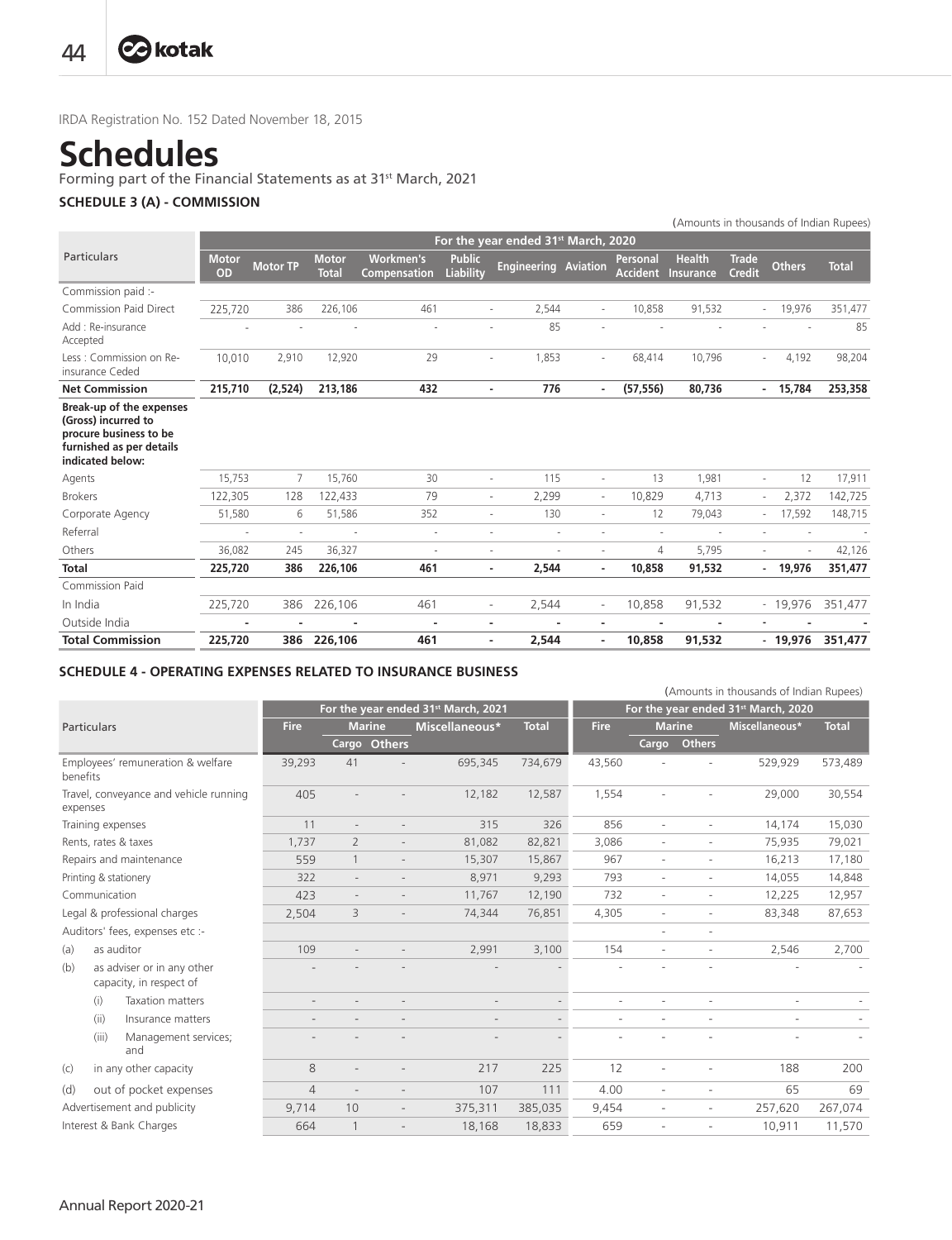# **Schedules**

Forming part of the Financial Statements as at 31<sup>st</sup> March, 2021

## **SCHEDULE 3 (A) - COMMISSION**

|                                                                                                                           |                                                 |                 |                              |                                  |                            |                                   |                          |                             |                            |                               |                  | (Amounts in thousands of Indian Rupees) |
|---------------------------------------------------------------------------------------------------------------------------|-------------------------------------------------|-----------------|------------------------------|----------------------------------|----------------------------|-----------------------------------|--------------------------|-----------------------------|----------------------------|-------------------------------|------------------|-----------------------------------------|
|                                                                                                                           | For the year ended 31 <sup>st</sup> March, 2020 |                 |                              |                                  |                            |                                   |                          |                             |                            |                               |                  |                                         |
| Particulars                                                                                                               | <b>Motor</b><br>OD                              | <b>Motor TP</b> | <b>Motor</b><br><b>Total</b> | <b>Workmen's</b><br>Compensation | <b>Public</b><br>Liability | <b>Engineering Aviation</b>       |                          | Personal<br><b>Accident</b> | <b>Health</b><br>Insurance | <b>Trade</b><br><b>Credit</b> | <b>Others</b>    | <b>Total</b>                            |
| Commission paid :-                                                                                                        |                                                 |                 |                              |                                  |                            |                                   |                          |                             |                            |                               |                  |                                         |
| <b>Commission Paid Direct</b>                                                                                             | 225,720                                         | 386             | 226,106                      | 461                              |                            | 2,544<br>$\sim$                   | $\overline{\phantom{a}}$ | 10,858                      | 91,532                     |                               | 19,976<br>$\sim$ | 351,477                                 |
| Add: Re-insurance<br>Accepted                                                                                             |                                                 |                 |                              |                                  |                            | 85                                | ä,                       |                             |                            |                               |                  | 85                                      |
| Less: Commission on Re-<br>insurance Ceded                                                                                | 10.010                                          | 2,910           | 12,920                       | 29                               |                            | 1,853<br>٠                        | ٠                        | 68.414                      | 10.796                     |                               | 4,192<br>۰.      | 98,204                                  |
| <b>Net Commission</b>                                                                                                     | 215,710                                         | (2, 524)        | 213,186                      | 432                              |                            | 776<br>٠                          | ٠                        | (57, 556)                   | 80,736                     |                               | $-15,784$        | 253,358                                 |
| Break-up of the expenses<br>(Gross) incurred to<br>procure business to be<br>furnished as per details<br>indicated below: |                                                 |                 |                              |                                  |                            |                                   |                          |                             |                            |                               |                  |                                         |
| Agents                                                                                                                    | 15,753                                          | 7               | 15,760                       | 30                               |                            | 115<br>ä,                         | ٠                        | 13                          | 1,981                      | ٠                             | 12               | 17,911                                  |
| <b>Brokers</b>                                                                                                            | 122,305                                         | 128             | 122,433                      | 79                               |                            | 2,299<br>$\overline{\phantom{a}}$ | $\frac{1}{2}$            | 10,829                      | 4,713                      | ٠                             | 2,372            | 142,725                                 |
| Corporate Agency                                                                                                          | 51,580                                          | 6               | 51,586                       | 352                              |                            | 130<br>٠                          | $\overline{\phantom{a}}$ | 12                          | 79,043                     |                               | 17,592           | 148,715                                 |
| Referral                                                                                                                  | ٠                                               | $\sim$          | ٠                            | $\sim$                           |                            | ٠                                 | ٠                        | $\sim$                      | $\sim$                     |                               |                  |                                         |
| Others                                                                                                                    | 36,082                                          | 245             | 36,327                       | $\sim$                           |                            | ٠<br>÷                            | $\overline{\phantom{a}}$ | 4                           | 5,795                      | ٠                             |                  | 42,126                                  |
| <b>Total</b>                                                                                                              | 225,720                                         | 386             | 226,106                      | 461                              |                            | 2,544<br>٠                        | ÷.                       | 10,858                      | 91,532                     |                               | $-19,976$        | 351,477                                 |
| Commission Paid                                                                                                           |                                                 |                 |                              |                                  |                            |                                   |                          |                             |                            |                               |                  |                                         |
| In India                                                                                                                  | 225,720                                         | 386             | 226,106                      | 461                              |                            | 2,544<br>$\overline{\phantom{a}}$ | $\overline{\phantom{a}}$ | 10,858                      | 91,532                     |                               | $-19,976$        | 351,477                                 |
| Outside India                                                                                                             | ÷                                               |                 | ×,                           | ٠                                |                            | ٠                                 | ٠                        |                             |                            |                               |                  |                                         |
| <b>Total Commission</b>                                                                                                   | 225,720                                         | 386             | 226,106                      | 461                              |                            | 2,544<br>٠                        | ٠                        | 10,858                      | 91,532                     |                               | - 19,976         | 351,477                                 |

## **SCHEDULE 4 - OPERATING EXPENSES RELATED TO INSURANCE BUSINESS**

|                                                 |                   |                                                       |                |                |        |                |              |             |                          |                          | (Amounts in thousands of Indian Rupees)         |              |
|-------------------------------------------------|-------------------|-------------------------------------------------------|----------------|----------------|--------|----------------|--------------|-------------|--------------------------|--------------------------|-------------------------------------------------|--------------|
| For the year ended 31 <sup>st</sup> March, 2021 |                   |                                                       |                |                |        |                |              |             |                          |                          | For the year ended 31 <sup>st</sup> March, 2020 |              |
|                                                 | Particulars       |                                                       | <b>Fire</b>    | <b>Marine</b>  |        | Miscellaneous* | <b>Total</b> | <b>Fire</b> | <b>Marine</b>            |                          | Miscellaneous*                                  | <b>Total</b> |
|                                                 |                   |                                                       |                | Cargo Others   |        |                |              |             | Cargo                    | <b>Others</b>            |                                                 |              |
| benefits                                        |                   | Employees' remuneration & welfare                     | 39,293         | 41             |        | 695,345        | 734,679      | 43,560      |                          |                          | 529,929                                         | 573,489      |
| expenses                                        |                   | Travel, conveyance and vehicle running                | 405            |                |        | 12,182         | 12,587       | 1,554       |                          |                          | 29,000                                          | 30,554       |
|                                                 | Training expenses |                                                       | 11             |                |        | 315            | 326          | 856         | ÷.                       |                          | 14,174                                          | 15,030       |
|                                                 |                   | Rents, rates & taxes                                  | 1.737          | $\overline{2}$ |        | 81,082         | 82,821       | 3,086       | $\sim$                   | ٠                        | 75,935                                          | 79,021       |
|                                                 |                   | Repairs and maintenance                               | 559            | $\mathbf{1}$   |        | 15,307         | 15,867       | 967         | $\sim$                   | ٠                        | 16,213                                          | 17,180       |
| Printing & stationery                           |                   |                                                       | 322            |                |        | 8,971          | 9,293        | 793         | $\sim$                   | $\overline{\phantom{0}}$ | 14,055                                          | 14,848       |
| Communication                                   |                   | 423                                                   | $\overline{a}$ |                | 11,767 | 12,190         | 732          | $\sim$      | ٠                        | 12,225                   | 12,957                                          |              |
| Legal & professional charges                    |                   | 2,504                                                 | 3              |                | 74,344 | 76,851         | 4,305        | $\sim$      | ٠                        | 83,348                   | 87,653                                          |              |
|                                                 |                   | Auditors' fees, expenses etc :-                       |                |                |        |                |              |             | $\sim$                   | ٠                        |                                                 |              |
| (a)                                             |                   | as auditor                                            | 109            |                |        | 2,991          | 3,100        | 154         | $\sim$                   |                          | 2,546                                           | 2,700        |
| (b)                                             |                   | as adviser or in any other<br>capacity, in respect of |                |                |        |                |              |             |                          |                          |                                                 |              |
|                                                 | (i)               | Taxation matters                                      |                |                |        |                |              |             |                          |                          |                                                 |              |
|                                                 | (ii)              | Insurance matters                                     |                |                |        |                |              |             |                          |                          |                                                 |              |
|                                                 | (iii)             | Management services;<br>and                           |                |                |        |                |              |             |                          |                          |                                                 |              |
| (c)                                             |                   | in any other capacity                                 | 8              |                |        | 217            | 225          | 12          |                          |                          | 188                                             | 200          |
| (d)                                             |                   | out of pocket expenses                                | $\overline{4}$ |                |        | 107            | 111          | 4.00        | $\overline{\phantom{a}}$ |                          | 65                                              | 69           |
|                                                 |                   | Advertisement and publicity                           | 9,714          | 10             |        | 375,311        | 385,035      | 9,454       | $\overline{\phantom{a}}$ | $\overline{\phantom{a}}$ | 257,620                                         | 267,074      |
|                                                 |                   | Interest & Bank Charges                               | 664            | $\mathbf{1}$   |        | 18,168         | 18,833       | 659         | $\overline{\phantom{a}}$ | $\overline{\phantom{a}}$ | 10,911                                          | 11,570       |
|                                                 |                   |                                                       |                |                |        |                |              |             |                          |                          |                                                 |              |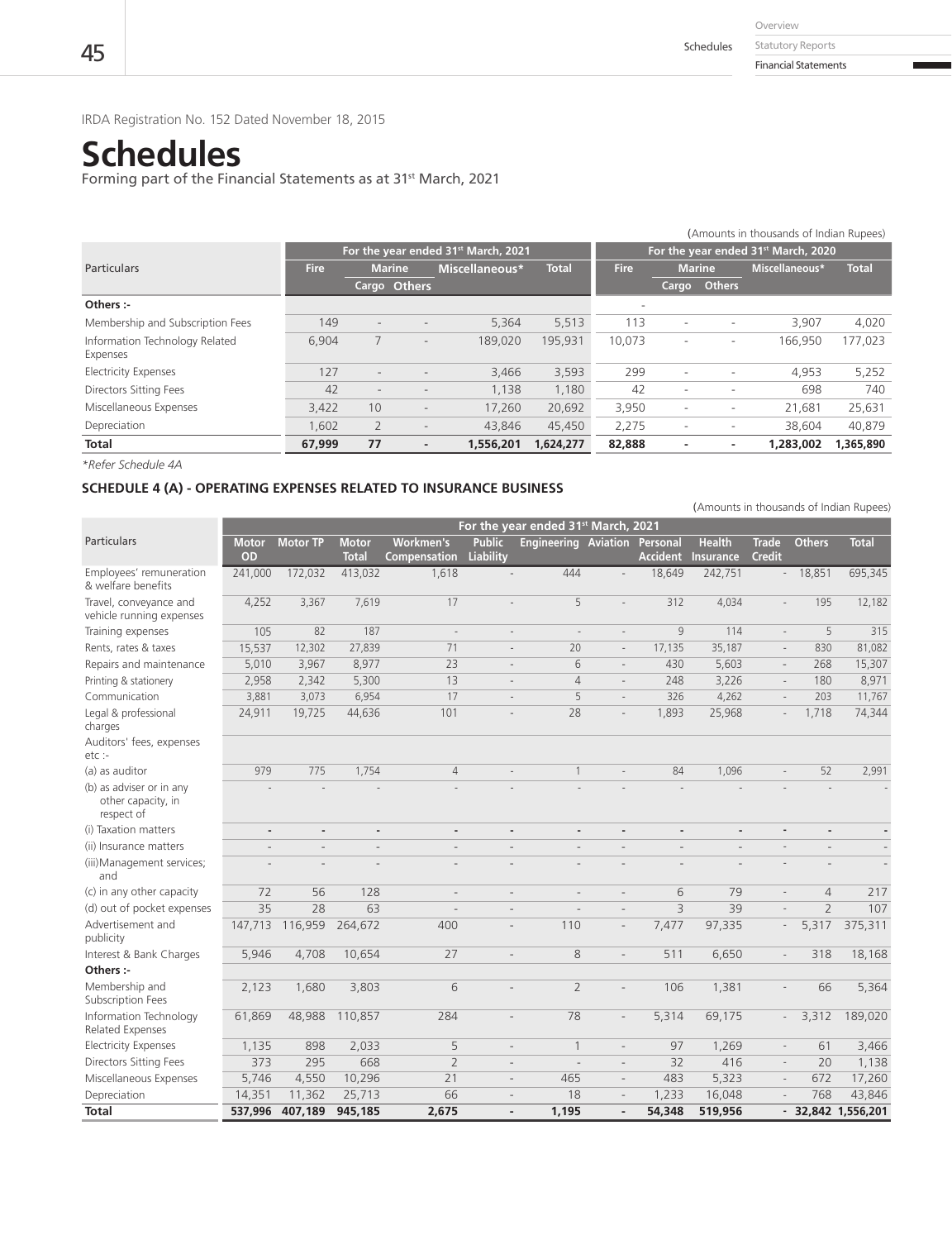Statutory Reports

Overview

Financial Statements

IRDA Registration No. 152 Dated November 18, 2015

# **Schedules**

Forming part of the Financial Statements as at 31<sup>st</sup> March, 2021

| (Amounts in thousands of Indian Rupees)    |             |                          |                   |                                                 |              |                                                 |                          |                          |                |              |  |
|--------------------------------------------|-------------|--------------------------|-------------------|-------------------------------------------------|--------------|-------------------------------------------------|--------------------------|--------------------------|----------------|--------------|--|
|                                            |             |                          |                   | For the year ended 31 <sup>st</sup> March, 2021 |              | For the year ended 31 <sup>st</sup> March, 2020 |                          |                          |                |              |  |
| Particulars                                | <b>Fire</b> | <b>Marine</b>            |                   | Miscellaneous*                                  | <b>Total</b> | <b>Fire</b>                                     | <b>Marine</b>            |                          | Miscellaneous* | <b>Total</b> |  |
|                                            |             |                          | Cargo Others      |                                                 |              |                                                 |                          | Cargo Others             |                |              |  |
| Others :-                                  |             |                          |                   |                                                 |              | ٠                                               |                          |                          |                |              |  |
| Membership and Subscription Fees           | 149         | $\overline{\phantom{a}}$ |                   | 5,364                                           | 5,513        | 113                                             | $\overline{\phantom{0}}$ | $\overline{\phantom{a}}$ | 3.907          | 4.020        |  |
| Information Technology Related<br>Expenses | 6.904       |                          |                   | 189,020                                         | 195,931      | 10,073                                          | $\overline{\phantom{a}}$ | $\overline{\phantom{a}}$ | 166.950        | 177.023      |  |
| <b>Electricity Expenses</b>                | 127         | $\overline{\phantom{a}}$ |                   | 3,466                                           | 3,593        | 299                                             |                          |                          | 4,953          | 5,252        |  |
| Directors Sitting Fees                     | 42          | $\overline{\phantom{a}}$ |                   | 1.138                                           | 1,180        | 42                                              | $\overline{\phantom{a}}$ |                          | 698            | 740          |  |
| Miscellaneous Expenses                     | 3.422       | 10                       | $\qquad \qquad -$ | 17,260                                          | 20,692       | 3,950                                           | $\overline{\phantom{a}}$ | $\overline{\phantom{a}}$ | 21,681         | 25,631       |  |
| Depreciation                               | 1.602       | $\overline{2}$           |                   | 43,846                                          | 45,450       | 2.275                                           | $\overline{\phantom{a}}$ |                          | 38,604         | 40,879       |  |
| Total                                      | 67,999      | 77                       |                   | 1,556,201                                       | 1,624,277    | 82,888                                          |                          | ٠                        | 1,283,002      | 1,365,890    |  |

*\*Refer Schedule 4A*

## **SCHEDULE 4 (A) - OPERATING EXPENSES RELATED TO INSURANCE BUSINESS**

|                                                              | For the year ended 31 <sup>st</sup> March, 2021 |                 |                              |                                  |                            |                             |                          |                             |                                   |                          |                |                    |
|--------------------------------------------------------------|-------------------------------------------------|-----------------|------------------------------|----------------------------------|----------------------------|-----------------------------|--------------------------|-----------------------------|-----------------------------------|--------------------------|----------------|--------------------|
| Particulars                                                  | <b>Motor</b><br>OD                              | <b>Motor TP</b> | <b>Motor</b><br><b>Total</b> | <b>Workmen's</b><br>Compensation | <b>Public</b><br>Liability | <b>Engineering Aviation</b> |                          | Personal<br><b>Accident</b> | <b>Health</b><br><b>Insurance</b> | <b>Trade</b><br>Credit   | <b>Others</b>  | <b>Total</b>       |
| Employees' remuneration<br>& welfare benefits                | 241,000                                         | 172,032         | 413,032                      | 1,618                            | $\overline{\phantom{a}}$   | 444                         | $\overline{\phantom{a}}$ | 18,649                      | 242,751                           | ÷.                       | 18,851         | 695,345            |
| Travel, conveyance and<br>vehicle running expenses           | 4,252                                           | 3,367           | 7,619                        | 17                               |                            | 5                           | $\overline{a}$           | 312                         | 4,034                             |                          | 195            | 12,182             |
| Training expenses                                            | 105                                             | 82              | 187                          |                                  |                            |                             |                          | 9                           | 114                               |                          | 5              | 315                |
| Rents, rates & taxes                                         | 15,537                                          | 12,302          | 27,839                       | 71                               |                            | 20                          | $\overline{a}$           | 17,135                      | 35,187                            | ۰                        | 830            | 81,082             |
| Repairs and maintenance                                      | 5,010                                           | 3,967           | 8,977                        | 23                               |                            | 6                           |                          | 430                         | 5,603                             | $\overline{\phantom{a}}$ | 268            | 15,307             |
| Printing & stationery                                        | 2,958                                           | 2,342           | 5,300                        | 13                               |                            | 4                           |                          | 248                         | 3,226                             | $\overline{\phantom{a}}$ | 180            | 8,971              |
| Communication                                                | 3,881                                           | 3,073           | 6,954                        | 17                               |                            | 5                           | $\overline{\phantom{a}}$ | 326                         | 4,262                             | ÷,                       | 203            | 11,767             |
| Legal & professional<br>charges                              | 24,911                                          | 19,725          | 44,636                       | 101                              |                            | 28                          |                          | 1,893                       | 25,968                            |                          | 1,718          | 74,344             |
| Auditors' fees, expenses<br>etc:                             |                                                 |                 |                              |                                  |                            |                             |                          |                             |                                   |                          |                |                    |
| (a) as auditor                                               | 979                                             | 775             | 1.754                        | $\overline{4}$                   |                            |                             |                          | 84                          | 1,096                             |                          | 52             | 2,991              |
| (b) as adviser or in any<br>other capacity, in<br>respect of |                                                 |                 |                              |                                  |                            |                             |                          |                             |                                   |                          |                |                    |
| (i) Taxation matters                                         | $\overline{a}$                                  |                 | $\overline{a}$               |                                  |                            |                             |                          | ٠                           |                                   |                          |                |                    |
| (ii) Insurance matters                                       |                                                 |                 |                              |                                  |                            |                             |                          |                             |                                   |                          |                |                    |
| (iii) Management services;<br>and                            |                                                 |                 |                              |                                  |                            |                             |                          |                             |                                   |                          |                |                    |
| (c) in any other capacity                                    | 72                                              | 56              | 128                          | $\overline{a}$                   |                            |                             |                          | 6                           | 79                                |                          | $\overline{4}$ | 217                |
| (d) out of pocket expenses                                   | 35                                              | 28              | 63                           | L,                               |                            |                             |                          | 3                           | 39                                |                          | $\overline{2}$ | 107                |
| Advertisement and<br>publicity                               | 147,713                                         | 116,959         | 264,672                      | 400                              |                            | 110                         | $\overline{a}$           | 7,477                       | 97,335                            | $\overline{\phantom{a}}$ | 5,317          | 375,311            |
| Interest & Bank Charges                                      | 5.946                                           | 4,708           | 10,654                       | 27                               |                            | 8                           |                          | 511                         | 6,650                             | $\overline{\phantom{a}}$ | 318            | 18,168             |
| Others :-                                                    |                                                 |                 |                              |                                  |                            |                             |                          |                             |                                   |                          |                |                    |
| Membership and<br>Subscription Fees                          | 2,123                                           | 1.680           | 3,803                        | 6                                |                            | $\overline{2}$              |                          | 106                         | 1.381                             |                          | 66             | 5,364              |
| Information Technology<br>Related Expenses                   | 61,869                                          | 48,988          | 110,857                      | 284                              |                            | 78                          |                          | 5,314                       | 69,175                            | $\overline{\phantom{a}}$ | 3,312          | 189,020            |
| <b>Electricity Expenses</b>                                  | 1,135                                           | 898             | 2,033                        | 5                                |                            | 1                           |                          | 97                          | 1,269                             | $\overline{a}$           | 61             | 3,466              |
| Directors Sitting Fees                                       | 373                                             | 295             | 668                          | $\overline{2}$                   |                            |                             | $\overline{a}$           | 32                          | 416                               | $\overline{\phantom{a}}$ | 20             | 1,138              |
| Miscellaneous Expenses                                       | 5,746                                           | 4,550           | 10,296                       | 21                               | $\overline{a}$             | 465                         | $\overline{a}$           | 483                         | 5,323                             | ä,                       | 672            | 17,260             |
| Depreciation                                                 | 14,351                                          | 11,362          | 25,713                       | 66                               |                            | 18                          | $\overline{a}$           | 1,233                       | 16,048                            |                          | 768            | 43,846             |
| <b>Total</b>                                                 | 537,996                                         | 407,189         | 945,185                      | 2.675                            |                            | 1.195                       |                          | 54,348                      | 519,956                           |                          |                | - 32,842 1,556,201 |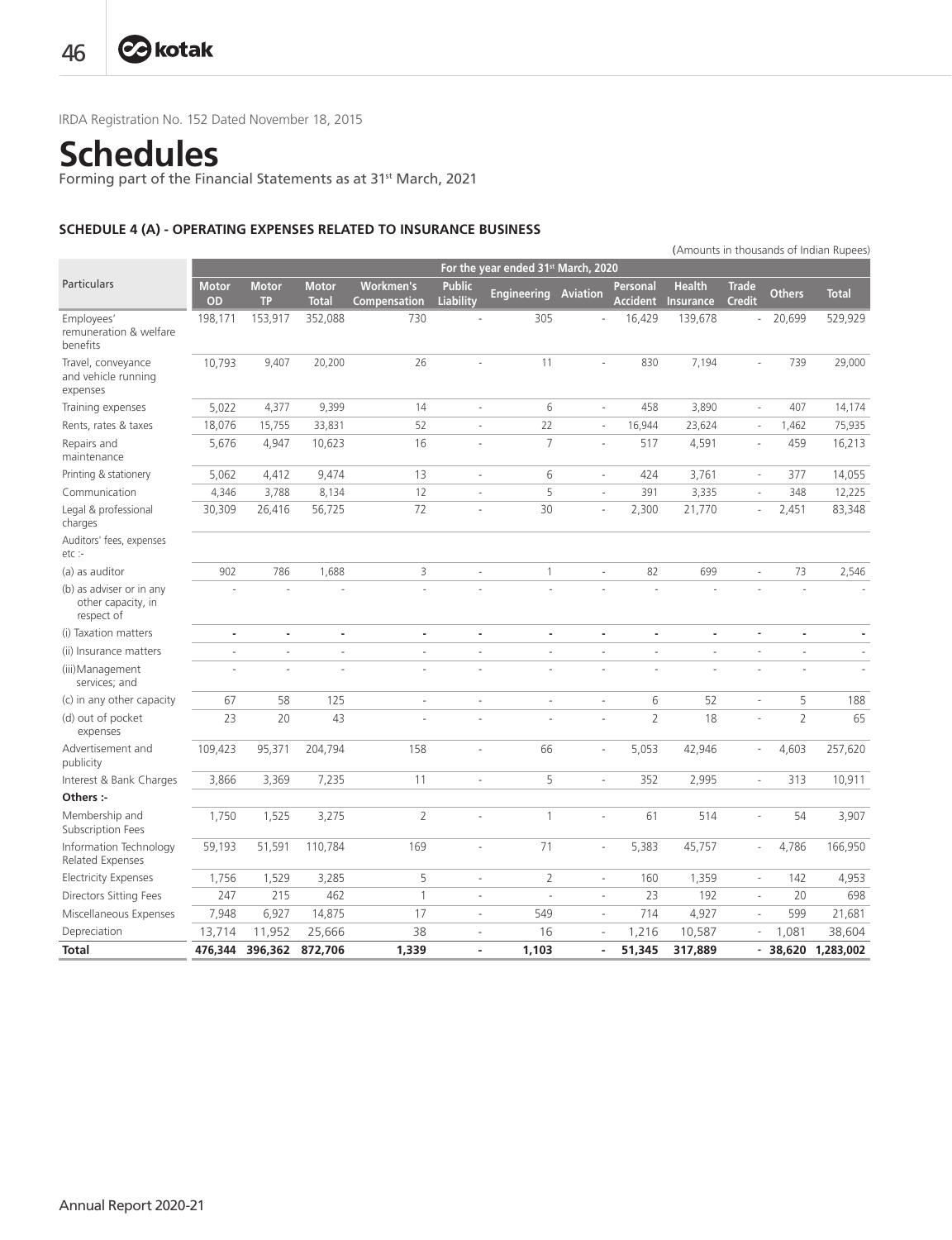# **Schedules**

Forming part of the Financial Statements as at 31<sup>st</sup> March, 2021

## **SCHEDULE 4 (A) - OPERATING EXPENSES RELATED TO INSURANCE BUSINESS**

|                                                              | (Amounts in thousands of Indian Rupees) |                           |                              |                                                                                           |                            |                                                 |                          |                             |                                   |                               |                |                  |
|--------------------------------------------------------------|-----------------------------------------|---------------------------|------------------------------|-------------------------------------------------------------------------------------------|----------------------------|-------------------------------------------------|--------------------------|-----------------------------|-----------------------------------|-------------------------------|----------------|------------------|
|                                                              |                                         |                           |                              |                                                                                           |                            | For the year ended 31 <sup>st</sup> March, 2020 |                          |                             |                                   |                               |                |                  |
| Particulars                                                  | <b>Motor</b><br>OD                      | <b>Motor</b><br><b>TP</b> | <b>Motor</b><br><b>Total</b> | <b>Workmen's</b><br><b>Compensation</b>                                                   | <b>Public</b><br>Liability | <b>Engineering</b>                              | Aviation                 | Personal<br><b>Accident</b> | <b>Health</b><br><b>Insurance</b> | <b>Trade</b><br><b>Credit</b> | <b>Others</b>  | <b>Total</b>     |
| Employees'<br>remuneration & welfare<br>benefits             | 198,171                                 | 153,917                   | 352,088                      | 730                                                                                       |                            | 305                                             |                          | 16,429                      | 139,678                           | ÷,                            | 20,699         | 529,929          |
| Travel, conveyance<br>and vehicle running<br>expenses        | 10,793                                  | 9,407                     | 20,200                       | 26                                                                                        |                            | 11                                              | ä,                       | 830                         | 7,194                             | ×,                            | 739            | 29,000           |
| Training expenses                                            | 5,022                                   | 4,377                     | 9,399                        | 14<br>6<br>458<br>3,890<br>$\sim$<br>$\overline{\phantom{a}}$<br>$\overline{\phantom{a}}$ |                            | 407                                             | 14,174                   |                             |                                   |                               |                |                  |
| Rents, rates & taxes                                         | 18,076                                  | 15,755                    | 33,831                       | 52                                                                                        | ٠                          | 22                                              | $\overline{\phantom{a}}$ | 16,944                      | 23,624                            | $\overline{\phantom{a}}$      | 1,462          | 75,935           |
| Repairs and<br>maintenance                                   | 5,676                                   | 4,947                     | 10,623                       | 16                                                                                        | $\overline{a}$             | $\overline{7}$                                  | ÷.                       | 517                         | 4,591                             | $\overline{\phantom{a}}$      | 459            | 16,213           |
| Printing & stationery                                        | 5,062                                   | 4,412                     | 9,474                        | 13                                                                                        | $\bar{a}$                  | 6                                               | $\overline{\phantom{a}}$ | 424                         | 3,761                             | $\overline{\phantom{a}}$      | 377            | 14,055           |
| Communication                                                | 4,346                                   | 3,788                     | 8,134                        | 12                                                                                        | ä,                         | 5                                               | $\overline{\phantom{a}}$ | 391                         | 3,335                             | $\overline{\phantom{a}}$      | 348            | 12,225           |
| Legal & professional<br>charges                              | 30,309                                  | 26,416                    | 56,725                       | 72                                                                                        | L.                         | 30                                              |                          | 2,300                       | 21,770                            | ÷,                            | 2,451          | 83,348           |
| Auditors' fees, expenses<br>etc:                             |                                         |                           |                              |                                                                                           |                            |                                                 |                          |                             |                                   |                               |                |                  |
| (a) as auditor                                               | 902                                     | 786                       | 1,688                        | 3                                                                                         | ×                          | $\mathbf{1}$                                    | $\sim$                   | 82                          | 699                               | ÷,                            | 73             | 2,546            |
| (b) as adviser or in any<br>other capacity, in<br>respect of |                                         |                           |                              |                                                                                           |                            |                                                 |                          |                             |                                   |                               |                |                  |
| (i) Taxation matters                                         | $\ddot{\phantom{a}}$                    | $\blacksquare$            | $\overline{a}$               | $\overline{a}$                                                                            | ÷                          | $\blacksquare$                                  | $\overline{a}$           | ä,                          | ÷                                 | L.                            | ä,             |                  |
| (ii) Insurance matters                                       | $\sim$                                  | ÷,                        | $\overline{\phantom{a}}$     | ÷,                                                                                        | ÷,                         | ÷,                                              | ÷,                       | ÷,                          | ÷,                                | ×,                            | ÷,             |                  |
| (iii) Management<br>services; and                            | $\overline{a}$                          | $\overline{a}$            |                              |                                                                                           | $\overline{a}$             | $\overline{a}$                                  |                          | $\overline{a}$              |                                   | $\overline{a}$                |                |                  |
| (c) in any other capacity                                    | 67                                      | 58                        | 125                          | $\overline{a}$                                                                            | $\sim$                     | ÷,                                              | $\sim$                   | 6                           | 52                                | ä,                            | 5              | 188              |
| (d) out of pocket<br>expenses                                | 23                                      | 20                        | 43                           |                                                                                           |                            |                                                 | $\overline{a}$           | $\overline{2}$              | 18                                | ×,                            | $\overline{2}$ | 65               |
| Advertisement and<br>publicity                               | 109,423                                 | 95.371                    | 204,794                      | 158                                                                                       | L,                         | 66                                              | $\sim$                   | 5,053                       | 42,946                            | ×,                            | 4,603          | 257,620          |
| Interest & Bank Charges                                      | 3,866                                   | 3,369                     | 7,235                        | 11                                                                                        | $\overline{\phantom{a}}$   | 5                                               | $\sim$                   | 352                         | 2,995                             | $\overline{\phantom{a}}$      | 313            | 10,911           |
| Others :-                                                    |                                         |                           |                              |                                                                                           |                            |                                                 |                          |                             |                                   |                               |                |                  |
| Membership and<br>Subscription Fees                          | 1,750                                   | 1,525                     | 3,275                        | $\overline{2}$                                                                            | L.                         | $\mathbf{1}$                                    | $\sim$                   | 61                          | 514                               | ×,                            | 54             | 3,907            |
| Information Technology<br><b>Related Expenses</b>            | 59,193                                  | 51,591                    | 110,784                      | 169                                                                                       | $\sim$                     | 71                                              | $\overline{\phantom{a}}$ | 5,383                       | 45,757                            | $\overline{\phantom{a}}$      | 4,786          | 166,950          |
| <b>Electricity Expenses</b>                                  | 1,756                                   | 1,529                     | 3,285                        | 5                                                                                         | $\overline{\phantom{a}}$   | $\overline{2}$                                  | $\overline{\phantom{a}}$ | 160                         | 1,359                             | $\overline{\phantom{a}}$      | 142            | 4,953            |
| Directors Sitting Fees                                       | 247                                     | 215                       | 462                          | $\mathbf{1}$                                                                              | ä,                         | $\overline{\phantom{a}}$                        | $\overline{\phantom{a}}$ | 23                          | 192                               | $\overline{\phantom{a}}$      | 20             | 698              |
| Miscellaneous Expenses                                       | 7,948                                   | 6,927                     | 14,875                       | 17                                                                                        | ÷,                         | 549                                             | ÷,                       | 714                         | 4,927                             | $\overline{\phantom{a}}$      | 599            | 21,681           |
| Depreciation                                                 | 13,714                                  | 11,952                    | 25,666                       | 38                                                                                        | L,                         | 16                                              | $\sim$                   | 1,216                       | 10,587                            | $\overline{\phantom{a}}$      | 1,081          | 38,604           |
| <b>Total</b>                                                 | 476,344                                 | 396,362                   | 872,706                      | 1,339                                                                                     | ä,                         | 1,103                                           | $\blacksquare$           | 51,345                      | 317,889                           |                               |                | 38,620 1,283,002 |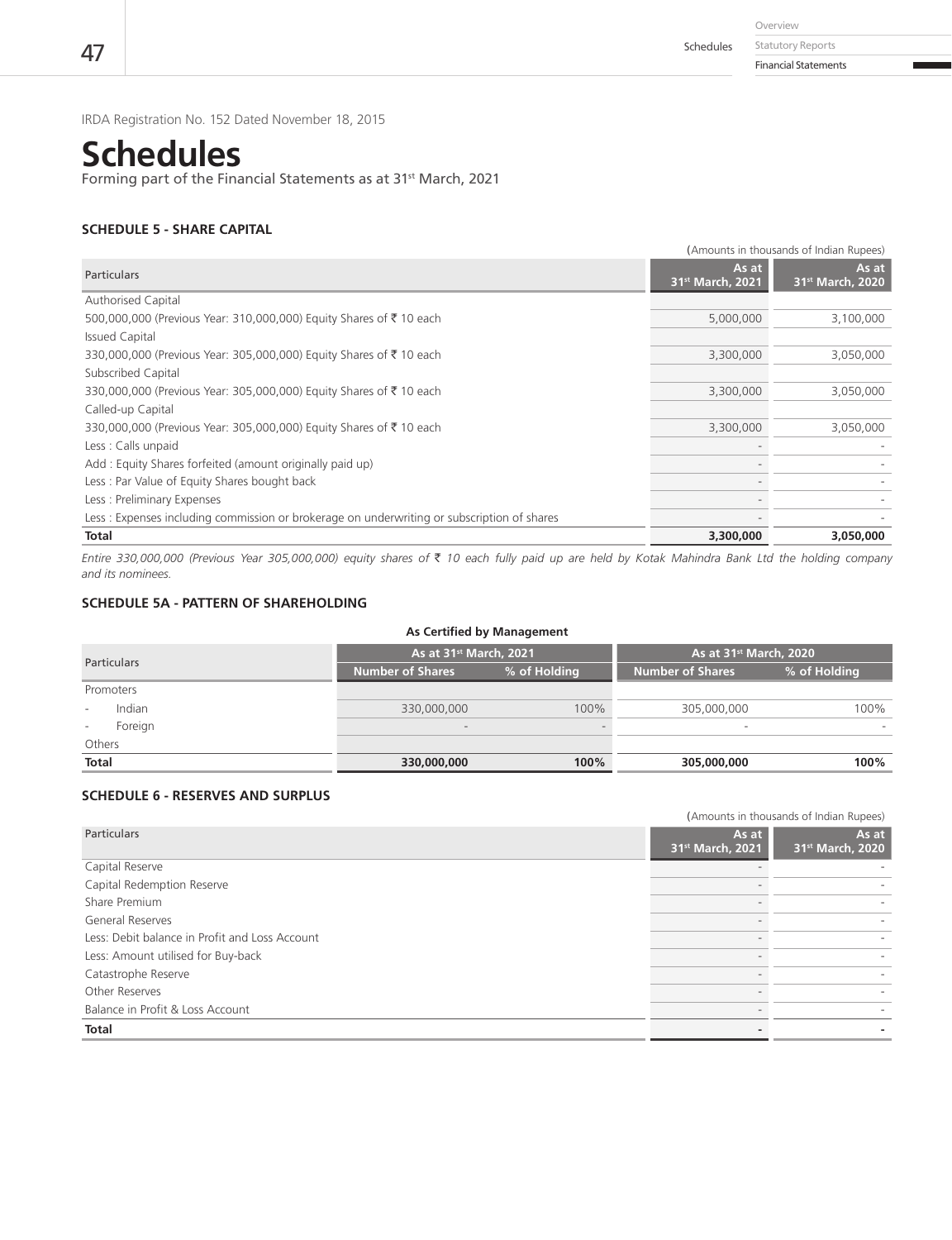Overview

IRDA Registration No. 152 Dated November 18, 2015

# **Schedules**

Forming part of the Financial Statements as at 31<sup>st</sup> March, 2021

## **SCHEDULE 5 - SHARE CAPITAL**

|                                                                                            |                                       | (Amounts in thousands of Indian Rupees) |
|--------------------------------------------------------------------------------------------|---------------------------------------|-----------------------------------------|
| Particulars                                                                                | As at<br>31 <sup>st</sup> March, 2021 | As at<br>31 <sup>st</sup> March, 2020   |
| <b>Authorised Capital</b>                                                                  |                                       |                                         |
| 500,000,000 (Previous Year: 310,000,000) Equity Shares of ₹10 each                         | 5,000,000                             | 3,100,000                               |
| <b>Issued Capital</b>                                                                      |                                       |                                         |
| 330,000,000 (Previous Year: 305,000,000) Equity Shares of ₹10 each                         | 3,300,000                             | 3,050,000                               |
| Subscribed Capital                                                                         |                                       |                                         |
| 330,000,000 (Previous Year: 305,000,000) Equity Shares of ₹10 each                         | 3,300,000                             | 3,050,000                               |
| Called-up Capital                                                                          |                                       |                                         |
| 330,000,000 (Previous Year: 305,000,000) Equity Shares of ₹10 each                         | 3,300,000                             | 3,050,000                               |
| Less: Calls unpaid                                                                         |                                       |                                         |
| Add: Equity Shares forfeited (amount originally paid up)                                   |                                       |                                         |
| Less: Par Value of Equity Shares bought back                                               |                                       |                                         |
| Less: Preliminary Expenses                                                                 |                                       |                                         |
| Less: Expenses including commission or brokerage on underwriting or subscription of shares |                                       |                                         |
| Total                                                                                      | 3,300,000                             | 3,050,000                               |
|                                                                                            |                                       |                                         |

*Entire 330,000,000 (Previous Year 305,000,000) equity shares of* ` *10 each fully paid up are held by Kotak Mahindra Bank Ltd the holding company and its nominees.*

### **SCHEDULE 5A - PATTERN OF SHAREHOLDING**

### **As Certified by Management**

| <b>Particulars</b>                  | As at 31 <sup>st</sup> March, 2021 |              | As at 31 <sup>st</sup> March, 2020 |              |  |  |  |
|-------------------------------------|------------------------------------|--------------|------------------------------------|--------------|--|--|--|
|                                     | <b>Number of Shares</b>            | % of Holding | <b>Number of Shares</b>            | % of Holding |  |  |  |
| Promoters                           |                                    |              |                                    |              |  |  |  |
| Indian<br>$\overline{\phantom{a}}$  | 330,000,000                        | 100%         | 305,000,000                        | 100%         |  |  |  |
| Foreign<br>$\overline{\phantom{a}}$ | $\qquad \qquad$                    |              | -                                  |              |  |  |  |
| Others                              |                                    |              |                                    |              |  |  |  |
| <b>Total</b>                        | 330,000,000                        | 100%         | 305,000,000                        | 100%         |  |  |  |

## **SCHEDULE 6 - RESERVES AND SURPLUS**

|                                                |                                       | (Amounts in thousands of Indian Rupees) |
|------------------------------------------------|---------------------------------------|-----------------------------------------|
| Particulars                                    | As at<br>31 <sup>st</sup> March, 2021 | As at<br>31 <sup>st</sup> March, 2020   |
| Capital Reserve                                |                                       | $\overline{\phantom{0}}$                |
| Capital Redemption Reserve                     |                                       |                                         |
| Share Premium                                  |                                       | ۰                                       |
| General Reserves                               |                                       | ٠                                       |
| Less: Debit balance in Profit and Loss Account |                                       | ۰                                       |
| Less: Amount utilised for Buy-back             |                                       | ٠                                       |
| Catastrophe Reserve                            |                                       | -                                       |
| Other Reserves                                 |                                       | ٠                                       |
| Balance in Profit & Loss Account               |                                       |                                         |
| <b>Total</b>                                   |                                       |                                         |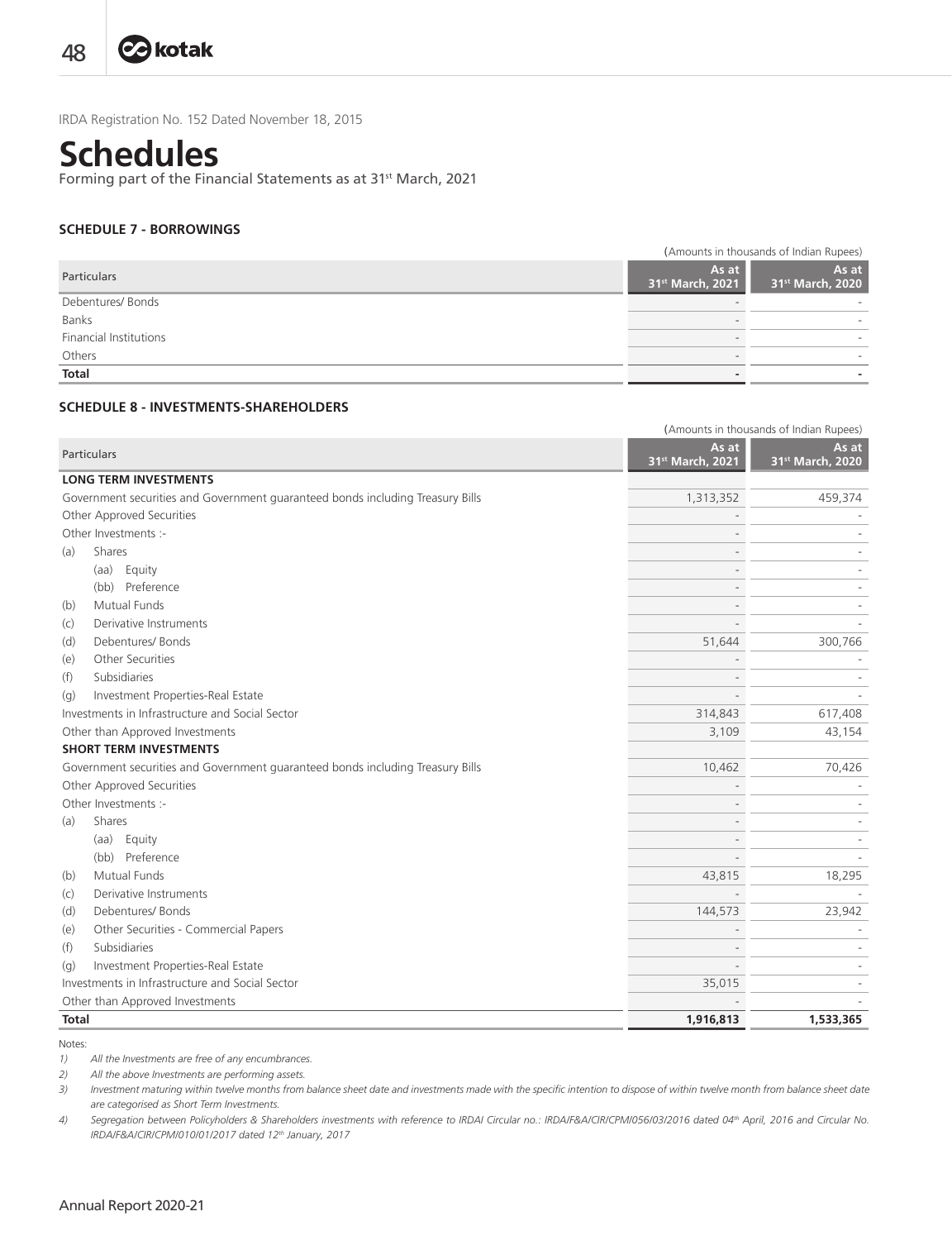# **Schedules**

Forming part of the Financial Statements as at 31<sup>st</sup> March, 2021

## **SCHEDULE 7 - BORROWINGS**

(Amounts in thousands of Indian Rupees) Particulars **As at 31st March, 2021 As at 31st March, 2020** Debentures/ Bonds - - Banks - - Financial Institutions - - Others - - **Total - -**

## **SCHEDULE 8 - INVESTMENTS-SHAREHOLDERS**

|                                                                                |                           | (Amounts in thousands of Indian Rupees) |
|--------------------------------------------------------------------------------|---------------------------|-----------------------------------------|
| <b>Particulars</b>                                                             | As at<br>31st March, 2021 | As at<br>31 <sup>st</sup> March, 2020   |
| <b>LONG TERM INVESTMENTS</b>                                                   |                           |                                         |
| Government securities and Government guaranteed bonds including Treasury Bills | 1,313,352                 | 459,374                                 |
| Other Approved Securities                                                      |                           |                                         |
| Other Investments :-                                                           |                           |                                         |
| Shares<br>(a)                                                                  |                           |                                         |
| (aa) Equity                                                                    |                           |                                         |
| (bb) Preference                                                                |                           |                                         |
| Mutual Funds<br>(b)                                                            |                           |                                         |
| Derivative Instruments<br>(c)                                                  |                           |                                         |
| Debentures/ Bonds<br>(d)                                                       | 51,644                    | 300,766                                 |
| Other Securities<br>(e)                                                        |                           |                                         |
| Subsidiaries<br>(f)                                                            |                           |                                         |
| Investment Properties-Real Estate<br>(q)                                       |                           |                                         |
| Investments in Infrastructure and Social Sector                                | 314,843                   | 617,408                                 |
| Other than Approved Investments                                                | 3,109                     | 43,154                                  |
| <b>SHORT TERM INVESTMENTS</b>                                                  |                           |                                         |
| Government securities and Government guaranteed bonds including Treasury Bills | 10,462                    | 70,426                                  |
| Other Approved Securities                                                      |                           |                                         |
| Other Investments :-                                                           |                           |                                         |
| Shares<br>(a)                                                                  |                           |                                         |
| (aa) Equity                                                                    |                           |                                         |
| (bb) Preference                                                                |                           |                                         |
| <b>Mutual Funds</b><br>(b)                                                     | 43,815                    | 18,295                                  |
| Derivative Instruments<br>(c)                                                  |                           |                                         |
| Debentures/ Bonds<br>(d)                                                       | 144,573                   | 23,942                                  |
| Other Securities - Commercial Papers<br>(e)                                    |                           |                                         |
| Subsidiaries<br>(f)                                                            |                           |                                         |
| Investment Properties-Real Estate<br>(q)                                       |                           |                                         |
| Investments in Infrastructure and Social Sector                                | 35,015                    |                                         |
| Other than Approved Investments                                                |                           |                                         |
| <b>Total</b>                                                                   | 1,916,813                 | 1,533,365                               |
|                                                                                |                           |                                         |

Notes:

*1) All the Investments are free of any encumbrances.*

*2) All the above Investments are performing assets.*

*3) Investment maturing within twelve months from balance sheet date and investments made with the specific intention to dispose of within twelve month from balance sheet date are categorised as Short Term Investments.*

4) Segregation between Policyholders & Shareholders investments with reference to IRDAI Circular no.: IRDA/F&A/CIR/CPM/056/03/2016 dated 04<sup>th</sup> April, 2016 and Circular No. *IRDA/F&A/CIR/CPM/010/01/2017 dated 12th January, 2017*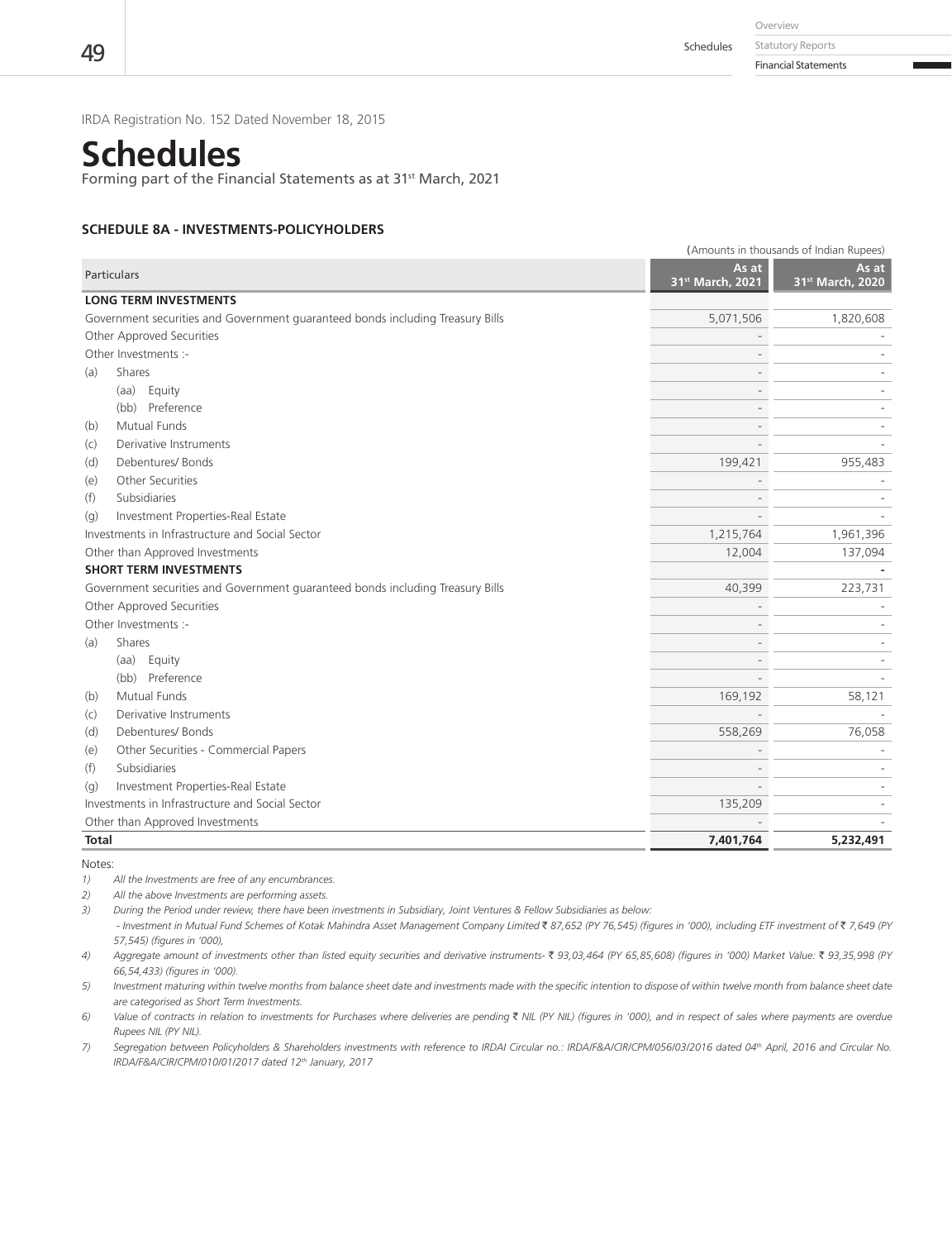Statutory Reports Financial Statements

Overview

IRDA Registration No. 152 Dated November 18, 2015

# **Schedules**

Forming part of the Financial Statements as at 31<sup>st</sup> March, 2021

## **SCHEDULE 8A - INVESTMENTS-POLICYHOLDERS**

|                                                                                |                                       | (Amounts in thousands of Indian Rupees) |
|--------------------------------------------------------------------------------|---------------------------------------|-----------------------------------------|
| Particulars                                                                    | As at<br>31 <sup>st</sup> March, 2021 | As at<br>31 <sup>st</sup> March, 2020   |
| <b>LONG TERM INVESTMENTS</b>                                                   |                                       |                                         |
| Government securities and Government guaranteed bonds including Treasury Bills | 5,071,506                             | 1,820,608                               |
| Other Approved Securities                                                      |                                       |                                         |
| Other Investments :-                                                           |                                       |                                         |
| Shares<br>(a)                                                                  |                                       |                                         |
| (aa) Equity                                                                    |                                       |                                         |
| (bb) Preference                                                                |                                       |                                         |
| Mutual Funds<br>(b)                                                            |                                       |                                         |
| Derivative Instruments<br>(c)                                                  |                                       |                                         |
| Debentures/ Bonds<br>(d)                                                       | 199,421                               | 955,483                                 |
| Other Securities<br>(e)                                                        |                                       |                                         |
| Subsidiaries<br>(f)                                                            |                                       |                                         |
| Investment Properties-Real Estate<br>(q)                                       |                                       |                                         |
| Investments in Infrastructure and Social Sector                                | 1,215,764                             | 1,961,396                               |
| Other than Approved Investments                                                | 12,004                                | 137,094                                 |
| <b>SHORT TERM INVESTMENTS</b>                                                  |                                       |                                         |
| Government securities and Government guaranteed bonds including Treasury Bills | 40,399                                | 223,731                                 |
| Other Approved Securities                                                      |                                       |                                         |
| Other Investments :-                                                           |                                       |                                         |
| Shares<br>(a)                                                                  |                                       |                                         |
| (aa) Equity                                                                    |                                       |                                         |
| (bb) Preference                                                                |                                       |                                         |
| Mutual Funds<br>(b)                                                            | 169,192                               | 58,121                                  |
| Derivative Instruments<br>(c)                                                  |                                       |                                         |
| Debentures/ Bonds<br>(d)                                                       | 558,269                               | 76,058                                  |
| Other Securities - Commercial Papers<br>(e)                                    |                                       |                                         |
| Subsidiaries<br>(f)                                                            |                                       |                                         |
| Investment Properties-Real Estate<br>(q)                                       |                                       |                                         |
| Investments in Infrastructure and Social Sector                                | 135,209                               |                                         |
| Other than Approved Investments                                                |                                       |                                         |
| <b>Total</b>                                                                   | 7,401,764                             | 5,232,491                               |
|                                                                                |                                       |                                         |

Notes:

*1) All the Investments are free of any encumbrances.*

*2) All the above Investments are performing assets.*

*3) During the Period under review, there have been investments in Subsidiary, Joint Ventures & Fellow Subsidiaries as below:*

- Investment in Mutual Fund Schemes of Kotak Mahindra Asset Management Company Limited  $\bar{x}$  87,652 (PY 76,545) (figures in '000), including ETF investment of  $\bar{x}$  7,649 (PY *57,545) (figures in '000),*

*4) Aggregate amount of investments other than listed equity securities and derivative instruments-* ` *93,03,464 (PY 65,85,608) (figures in '000) Market Value:* ` *93,35,998 (PY 66,54,433) (figures in '000).*

*5) Investment maturing within twelve months from balance sheet date and investments made with the specific intention to dispose of within twelve month from balance sheet date are categorised as Short Term Investments.*

*6) Value of contracts in relation to investments for Purchases where deliveries are pending* ` *NIL (PY NIL) (figures in '000), and in respect of sales where payments are overdue Rupees NIL (PY NIL).*

7) Segregation between Policyholders & Shareholders investments with reference to IRDAI Circular no.: IRDAIF&A/CIR/CPM/056/03/2016 dated 04<sup>th</sup> April, 2016 and Circular No. *IRDA/F&A/CIR/CPM/010/01/2017 dated 12th January, 2017*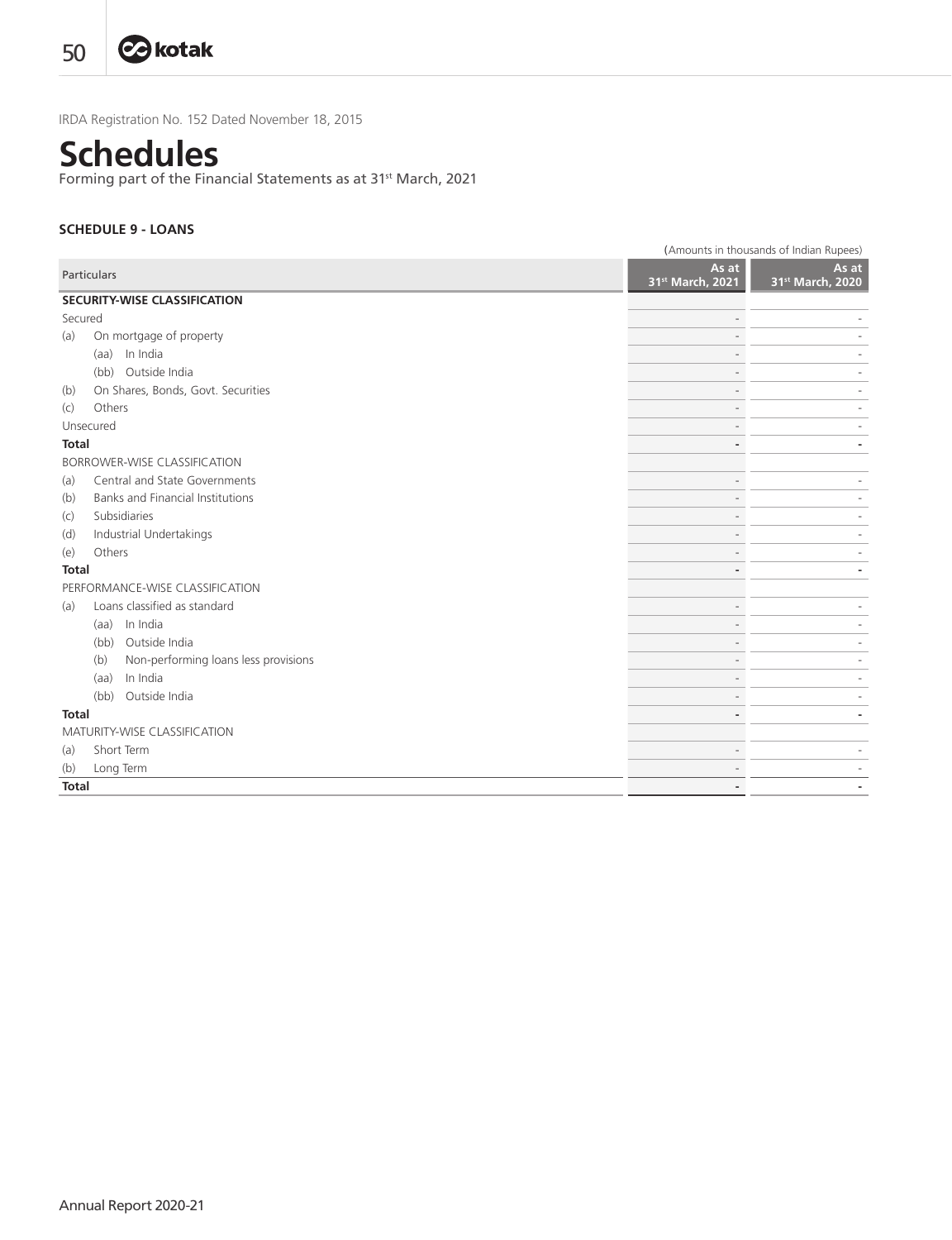# **Schedules**

Forming part of the Financial Statements as at 31<sup>st</sup> March, 2021

## **SCHEDULE 9 - LOANS**

|              |                                             |                           | (Amounts in thousands of Indian Rupees) |
|--------------|---------------------------------------------|---------------------------|-----------------------------------------|
|              | Particulars                                 | As at<br>31st March, 2021 | As at<br>31 <sup>st</sup> March, 2020   |
|              | SECURITY-WISE CLASSIFICATION                |                           |                                         |
| Secured      |                                             |                           |                                         |
| (a)          | On mortgage of property                     |                           |                                         |
|              | (aa) In India                               |                           |                                         |
|              | (bb) Outside India                          |                           |                                         |
| (b)          | On Shares, Bonds, Govt. Securities          |                           |                                         |
| (c)          | Others                                      |                           |                                         |
|              | Unsecured                                   |                           |                                         |
| <b>Total</b> |                                             |                           |                                         |
|              | <b>BORROWER-WISE CLASSIFICATION</b>         |                           |                                         |
| (a)          | Central and State Governments               |                           |                                         |
| (b)          | Banks and Financial Institutions            |                           |                                         |
| (c)          | Subsidiaries                                |                           |                                         |
| (d)          | Industrial Undertakings                     |                           |                                         |
| (e)          | Others                                      |                           |                                         |
| <b>Total</b> |                                             |                           |                                         |
|              | PERFORMANCE-WISE CLASSIFICATION             |                           |                                         |
| (a)          | Loans classified as standard                |                           |                                         |
|              | (aa) In India                               |                           |                                         |
|              | Outside India<br>(bb)                       |                           |                                         |
|              | Non-performing loans less provisions<br>(b) |                           |                                         |
|              | In India<br>(aa)                            |                           |                                         |
|              | (bb)<br>Outside India                       |                           |                                         |
| <b>Total</b> |                                             |                           |                                         |
|              | MATURITY-WISE CLASSIFICATION                |                           |                                         |
| (a)          | Short Term                                  |                           |                                         |
| (b)          | Long Term                                   |                           |                                         |
| <b>Total</b> |                                             | $\blacksquare$            |                                         |
|              |                                             |                           |                                         |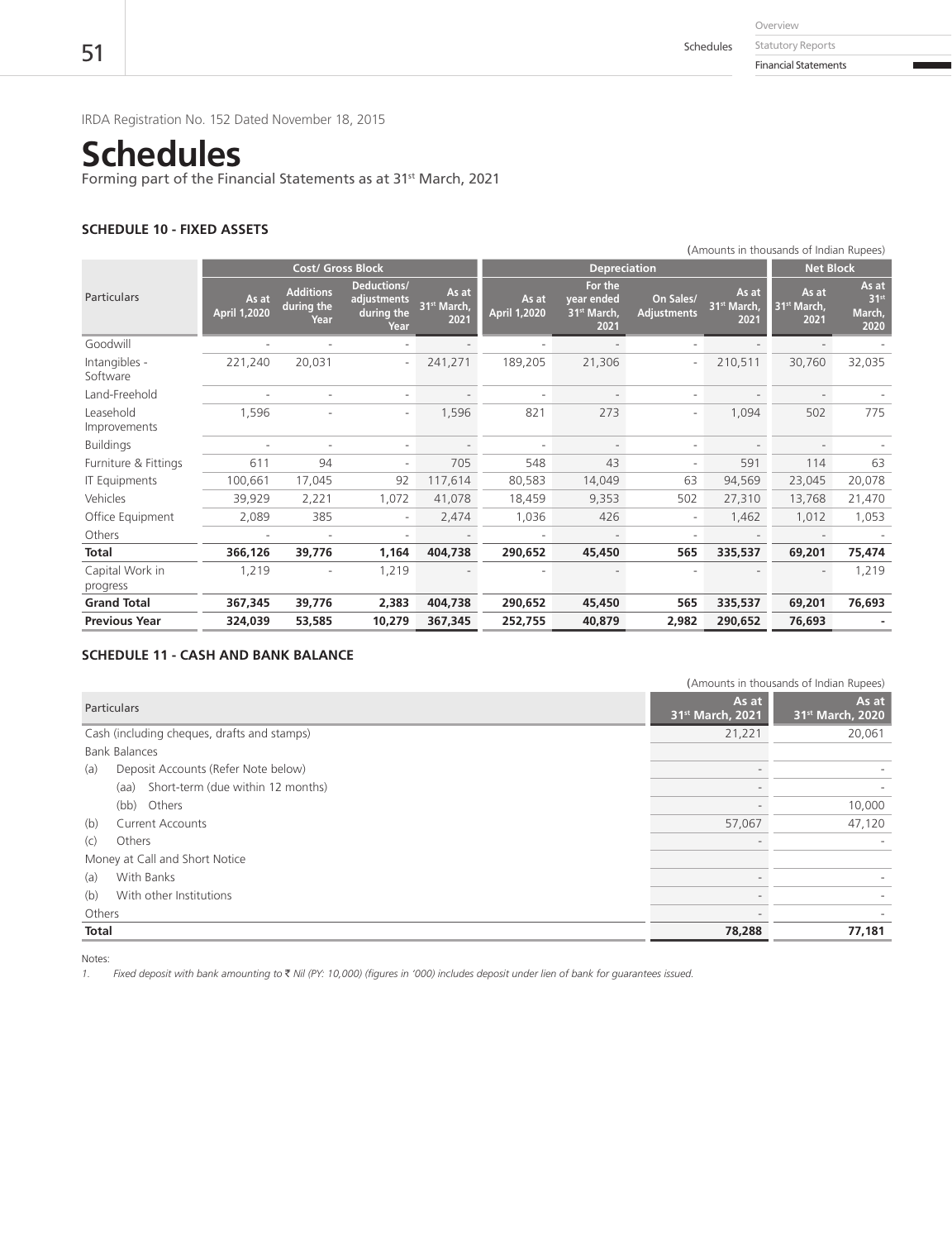Statutory Reports Financial Statements

Overview

IRDA Registration No. 152 Dated November 18, 2015

# **Schedules**

Forming part of the Financial Statements as at 31<sup>st</sup> March, 2021

## **SCHEDULE 10 - FIXED ASSETS**

|                             |                       |                                        |                                                  |                                          | A HIDDITIS III tHOUSUNGS OF INGIBIT NUPCCS! |                                                          |                                 |                                          |                                          |                                             |  |  |
|-----------------------------|-----------------------|----------------------------------------|--------------------------------------------------|------------------------------------------|---------------------------------------------|----------------------------------------------------------|---------------------------------|------------------------------------------|------------------------------------------|---------------------------------------------|--|--|
|                             |                       | <b>Cost/ Gross Block</b>               |                                                  |                                          |                                             | <b>Depreciation</b>                                      |                                 | <b>Net Block</b>                         |                                          |                                             |  |  |
| Particulars                 | As at<br>April 1,2020 | <b>Additions</b><br>during the<br>Year | Deductions/<br>adjustments<br>during the<br>Year | As at<br>31 <sup>st</sup> March,<br>2021 | As at<br><b>April 1,2020</b>                | For the<br>year ended<br>31 <sup>st</sup> March,<br>2021 | On Sales/<br><b>Adjustments</b> | As at<br>31 <sup>st</sup> March,<br>2021 | As at<br>31 <sup>st</sup> March,<br>2021 | As at<br>31 <sup>st</sup><br>March,<br>2020 |  |  |
| Goodwill                    |                       |                                        |                                                  |                                          |                                             |                                                          |                                 |                                          |                                          |                                             |  |  |
| Intangibles -<br>Software   | 221,240               | 20,031                                 |                                                  | 241,271                                  | 189,205                                     | 21,306                                                   | $\overline{\phantom{a}}$        | 210,511                                  | 30,760                                   | 32,035                                      |  |  |
| Land-Freehold               |                       |                                        |                                                  |                                          |                                             |                                                          |                                 |                                          |                                          |                                             |  |  |
| Leasehold<br>Improvements   | 1,596                 |                                        | $\overline{\phantom{a}}$                         | 1,596                                    | 821                                         | 273                                                      | $\overline{\phantom{a}}$        | 1,094                                    | 502                                      | 775                                         |  |  |
| <b>Buildings</b>            |                       |                                        |                                                  |                                          |                                             |                                                          |                                 |                                          |                                          |                                             |  |  |
| Furniture & Fittings        | 611                   | 94                                     | ٠                                                | 705                                      | 548                                         | 43                                                       | $\overline{\phantom{a}}$        | 591                                      | 114                                      | 63                                          |  |  |
| IT Equipments               | 100,661               | 17,045                                 | 92                                               | 117,614                                  | 80,583                                      | 14,049                                                   | 63                              | 94,569                                   | 23,045                                   | 20,078                                      |  |  |
| Vehicles                    | 39,929                | 2,221                                  | 1,072                                            | 41,078                                   | 18,459                                      | 9,353                                                    | 502                             | 27,310                                   | 13,768                                   | 21,470                                      |  |  |
| Office Equipment            | 2,089                 | 385                                    |                                                  | 2,474                                    | 1,036                                       | 426                                                      | $\overline{\phantom{a}}$        | 1,462                                    | 1,012                                    | 1,053                                       |  |  |
| Others                      | ٠                     |                                        |                                                  |                                          |                                             |                                                          |                                 |                                          |                                          |                                             |  |  |
| Total                       | 366,126               | 39,776                                 | 1,164                                            | 404,738                                  | 290,652                                     | 45,450                                                   | 565                             | 335,537                                  | 69,201                                   | 75,474                                      |  |  |
| Capital Work in<br>progress | 1,219                 |                                        | 1,219                                            |                                          |                                             |                                                          |                                 |                                          |                                          | 1,219                                       |  |  |
| <b>Grand Total</b>          | 367,345               | 39,776                                 | 2,383                                            | 404,738                                  | 290,652                                     | 45,450                                                   | 565                             | 335,537                                  | 69,201                                   | 76,693                                      |  |  |
| <b>Previous Year</b>        | 324,039               | 53,585                                 | 10,279                                           | 367,345                                  | 252,755                                     | 40,879                                                   | 2,982                           | 290,652                                  | 76,693                                   |                                             |  |  |

## **SCHEDULE 11 - CASH AND BANK BALANCE**

|                                             |                                       | (Amounts in thousands of Indian Rupees) |
|---------------------------------------------|---------------------------------------|-----------------------------------------|
| Particulars                                 | As at<br>31 <sup>st</sup> March, 2021 | As at<br>31 <sup>st</sup> March, 2020   |
| Cash (including cheques, drafts and stamps) | 21,221                                | 20,061                                  |
| <b>Bank Balances</b>                        |                                       |                                         |
| Deposit Accounts (Refer Note below)<br>(a)  |                                       |                                         |
| (aa) Short-term (due within 12 months)      |                                       |                                         |
| (bb) Others                                 |                                       | 10,000                                  |
| (b)<br><b>Current Accounts</b>              | 57,067                                | 47,120                                  |
| (c)<br>Others                               |                                       |                                         |
| Money at Call and Short Notice              |                                       |                                         |
| With Banks<br>(a)                           |                                       | $\overline{\phantom{a}}$                |
| With other Institutions<br>(b)              |                                       | $\overline{\phantom{a}}$                |
| Others                                      |                                       |                                         |
| Total                                       | 78,288                                | 77,181                                  |

Notes:

1. Fixed deposit with bank amounting to ₹ Nil (PY: 10,000) (figures in '000) includes deposit under lien of bank for guarantees issued.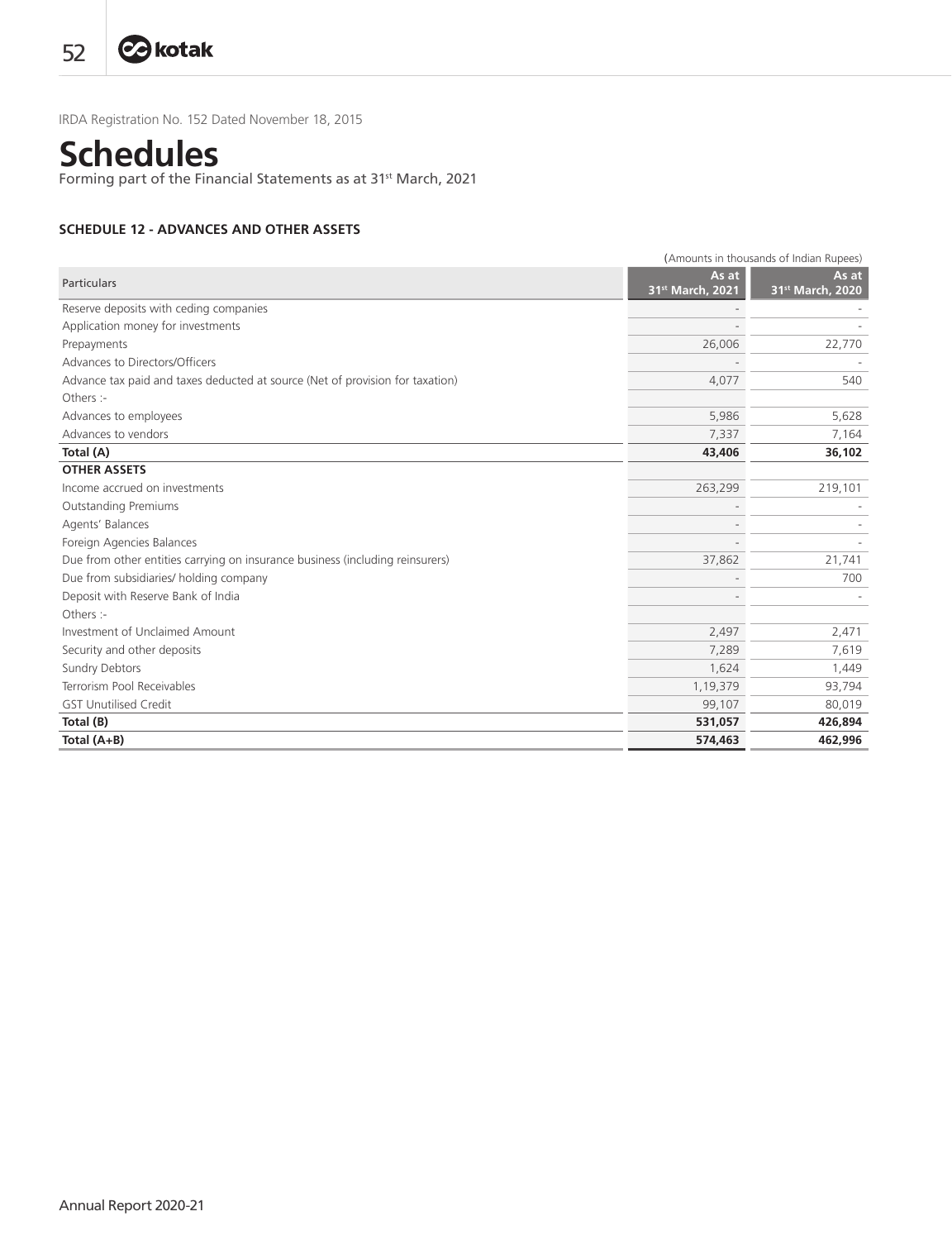# **Schedules**

Forming part of the Financial Statements as at 31<sup>st</sup> March, 2021

## **SCHEDULE 12 - ADVANCES AND OTHER ASSETS**

| As at<br>As at<br>31 <sup>st</sup> March, 2021<br>31 <sup>st</sup> March, 2020<br>22,770<br>26,006<br>540<br>4,077<br>5,986<br>5,628<br>7,337<br>7,164<br>43,406<br>36,102<br>263,299<br>219,101<br>37,862<br>21,741<br>700<br>2,497<br>2,471<br>7,619<br>7,289<br>1,624<br>1,449<br>1,19,379<br>93,794<br>99,107<br>80,019<br>531,057<br>426,894<br>462,996<br>574,463 |                                                                               | (Amounts in thousands of Indian Rupees) |
|-------------------------------------------------------------------------------------------------------------------------------------------------------------------------------------------------------------------------------------------------------------------------------------------------------------------------------------------------------------------------|-------------------------------------------------------------------------------|-----------------------------------------|
|                                                                                                                                                                                                                                                                                                                                                                         | Particulars                                                                   |                                         |
|                                                                                                                                                                                                                                                                                                                                                                         | Reserve deposits with ceding companies                                        |                                         |
|                                                                                                                                                                                                                                                                                                                                                                         | Application money for investments                                             |                                         |
|                                                                                                                                                                                                                                                                                                                                                                         | Prepayments                                                                   |                                         |
|                                                                                                                                                                                                                                                                                                                                                                         | Advances to Directors/Officers                                                |                                         |
|                                                                                                                                                                                                                                                                                                                                                                         | Advance tax paid and taxes deducted at source (Net of provision for taxation) |                                         |
|                                                                                                                                                                                                                                                                                                                                                                         | Others :-                                                                     |                                         |
|                                                                                                                                                                                                                                                                                                                                                                         | Advances to employees                                                         |                                         |
|                                                                                                                                                                                                                                                                                                                                                                         | Advances to vendors                                                           |                                         |
|                                                                                                                                                                                                                                                                                                                                                                         | Total (A)                                                                     |                                         |
|                                                                                                                                                                                                                                                                                                                                                                         | <b>OTHER ASSETS</b>                                                           |                                         |
|                                                                                                                                                                                                                                                                                                                                                                         | Income accrued on investments                                                 |                                         |
|                                                                                                                                                                                                                                                                                                                                                                         | <b>Outstanding Premiums</b>                                                   |                                         |
|                                                                                                                                                                                                                                                                                                                                                                         | Agents' Balances                                                              |                                         |
|                                                                                                                                                                                                                                                                                                                                                                         | Foreign Agencies Balances                                                     |                                         |
|                                                                                                                                                                                                                                                                                                                                                                         | Due from other entities carrying on insurance business (including reinsurers) |                                         |
|                                                                                                                                                                                                                                                                                                                                                                         | Due from subsidiaries/ holding company                                        |                                         |
|                                                                                                                                                                                                                                                                                                                                                                         | Deposit with Reserve Bank of India                                            |                                         |
|                                                                                                                                                                                                                                                                                                                                                                         | Others :-                                                                     |                                         |
|                                                                                                                                                                                                                                                                                                                                                                         | Investment of Unclaimed Amount                                                |                                         |
|                                                                                                                                                                                                                                                                                                                                                                         | Security and other deposits                                                   |                                         |
|                                                                                                                                                                                                                                                                                                                                                                         | <b>Sundry Debtors</b>                                                         |                                         |
|                                                                                                                                                                                                                                                                                                                                                                         | Terrorism Pool Receivables                                                    |                                         |
|                                                                                                                                                                                                                                                                                                                                                                         | <b>GST Unutilised Credit</b>                                                  |                                         |
|                                                                                                                                                                                                                                                                                                                                                                         | Total (B)                                                                     |                                         |
|                                                                                                                                                                                                                                                                                                                                                                         | Total (A+B)                                                                   |                                         |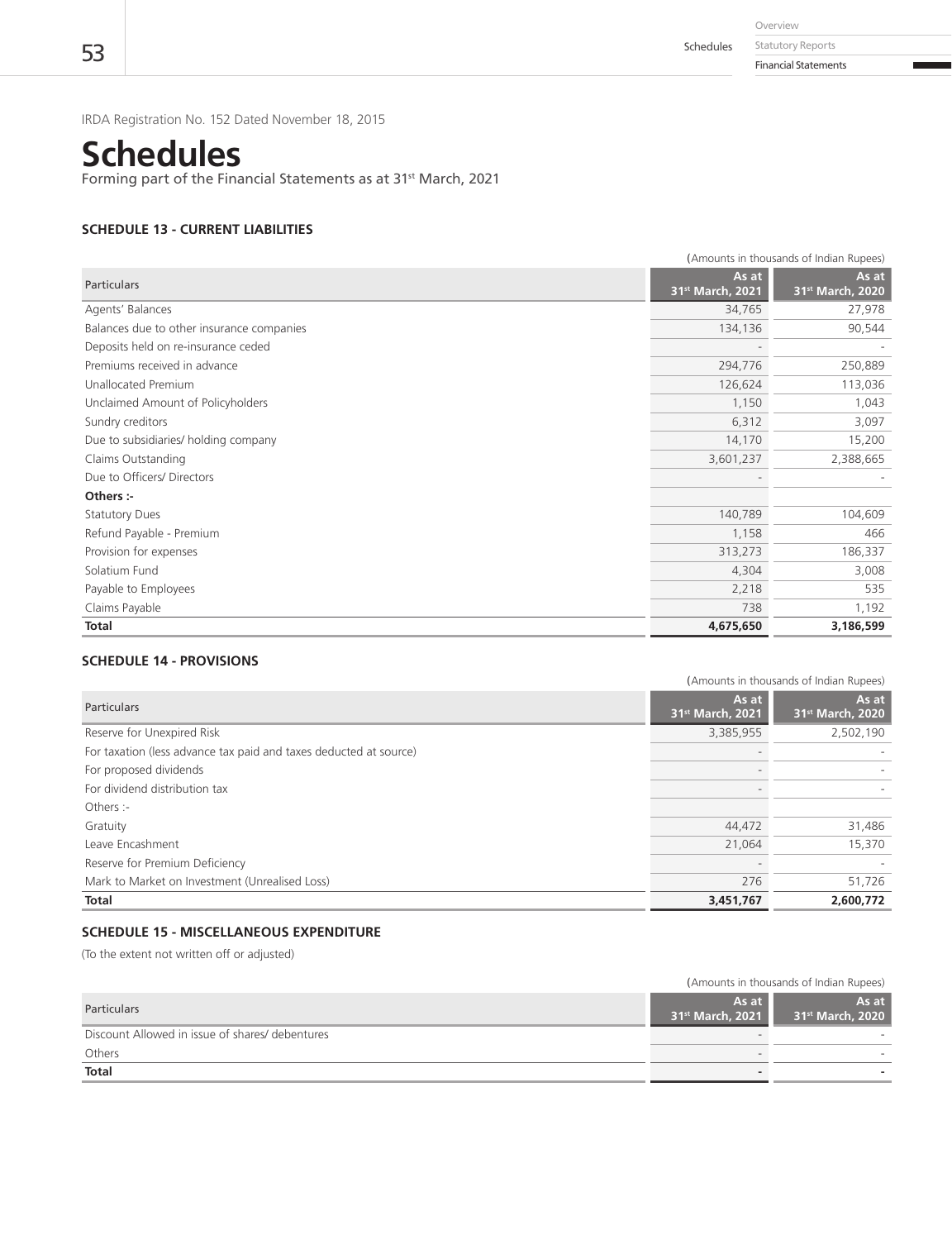Overview

Financial Statements

Г

IRDA Registration No. 152 Dated November 18, 2015

# **Schedules**

Forming part of the Financial Statements as at 31st March, 2021

### **SCHEDULE 13 - CURRENT LIABILITIES**

|                                           |                                       | (Amounts in thousands of Indian Rupees) |
|-------------------------------------------|---------------------------------------|-----------------------------------------|
| Particulars                               | As at<br>31 <sup>st</sup> March, 2021 | As at<br>31 <sup>st</sup> March, 2020   |
| Agents' Balances                          | 34,765                                | 27,978                                  |
| Balances due to other insurance companies | 134,136                               | 90,544                                  |
| Deposits held on re-insurance ceded       |                                       |                                         |
| Premiums received in advance              | 294,776                               | 250,889                                 |
| Unallocated Premium                       | 126,624                               | 113,036                                 |
| Unclaimed Amount of Policyholders         | 1,150                                 | 1,043                                   |
| Sundry creditors                          | 6,312                                 | 3,097                                   |
| Due to subsidiaries/ holding company      | 14,170                                | 15,200                                  |
| Claims Outstanding                        | 3,601,237                             | 2,388,665                               |
| Due to Officers/ Directors                |                                       |                                         |
| Others :-                                 |                                       |                                         |
| <b>Statutory Dues</b>                     | 140,789                               | 104,609                                 |
| Refund Payable - Premium                  | 1,158                                 | 466                                     |
| Provision for expenses                    | 313,273                               | 186,337                                 |
| Solatium Fund                             | 4,304                                 | 3,008                                   |
| Payable to Employees                      | 2,218                                 | 535                                     |
| Claims Payable                            | 738                                   | 1,192                                   |
| <b>Total</b>                              | 4,675,650                             | 3,186,599                               |

## **SCHEDULE 14 - PROVISIONS**

|                                                                   |                                       | (Amounts in thousands of Indian Rupees) |
|-------------------------------------------------------------------|---------------------------------------|-----------------------------------------|
| Particulars                                                       | As at<br>31 <sup>st</sup> March, 2021 | As at<br>31 <sup>st</sup> March, 2020   |
| Reserve for Unexpired Risk                                        | 3,385,955                             | 2,502,190                               |
| For taxation (less advance tax paid and taxes deducted at source) |                                       |                                         |
| For proposed dividends                                            |                                       |                                         |
| For dividend distribution tax                                     |                                       |                                         |
| Others :-                                                         |                                       |                                         |
| Gratuity                                                          | 44,472                                | 31,486                                  |
| Leave Encashment                                                  | 21,064                                | 15,370                                  |
| Reserve for Premium Deficiency                                    |                                       |                                         |
| Mark to Market on Investment (Unrealised Loss)                    | 276                                   | 51,726                                  |
| Total                                                             | 3,451,767                             | 2,600,772                               |

## **SCHEDULE 15 - MISCELLANEOUS EXPENDITURE**

(To the extent not written off or adjusted)

|                                                 |                                       | (Amounts in thousands of Indian Rupees) |
|-------------------------------------------------|---------------------------------------|-----------------------------------------|
| Particulars                                     | As at<br>31 <sup>st</sup> March, 2021 | As at<br>31st March, 2020               |
| Discount Allowed in issue of shares/ debentures |                                       | -                                       |
| Others                                          |                                       |                                         |
| <b>Total</b>                                    |                                       |                                         |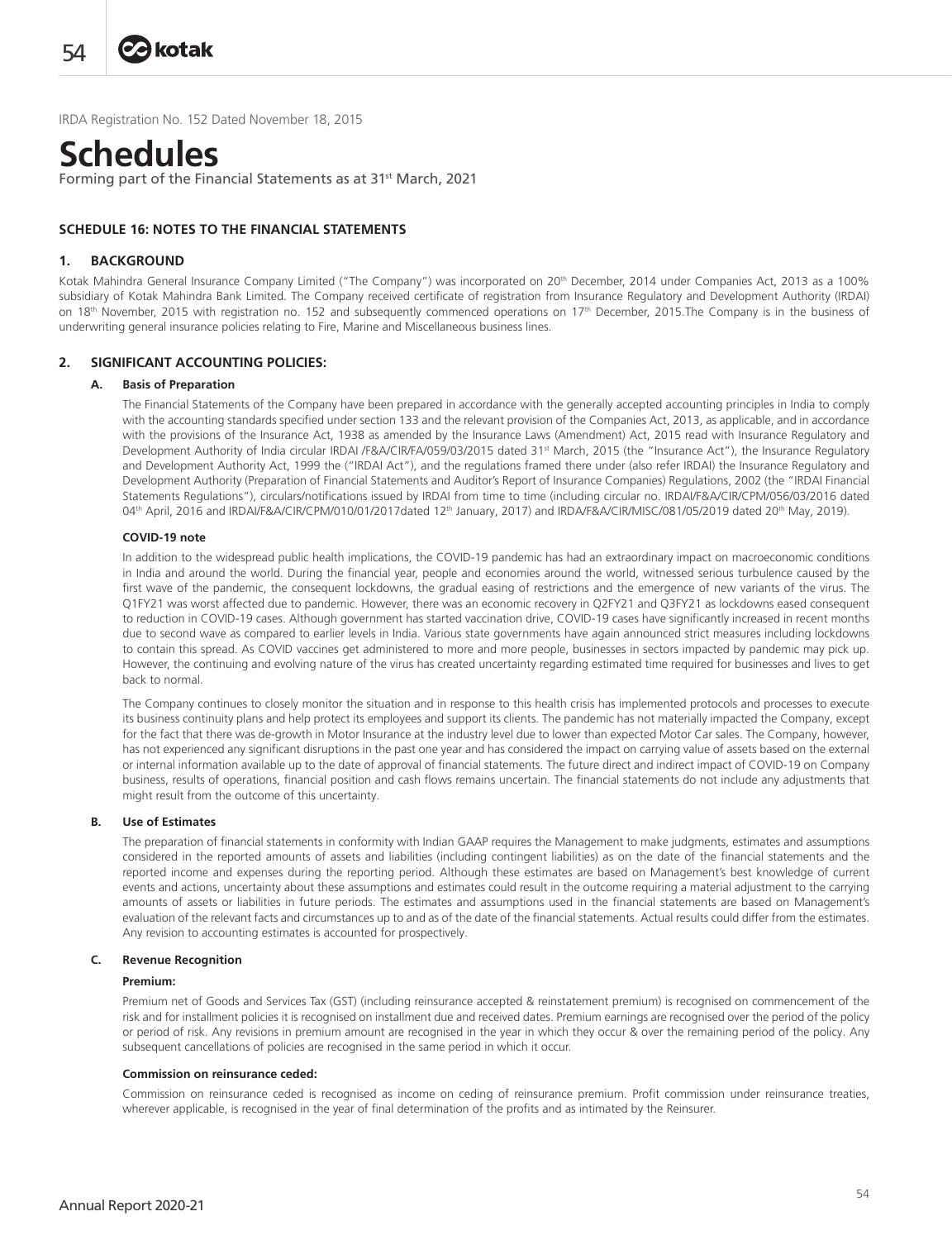# **Schedules**

Forming part of the Financial Statements as at 31<sup>st</sup> March, 2021

## **SCHEDULE 16: NOTES TO THE FINANCIAL STATEMENTS**

### **1. BACKGROUND**

Kotak Mahindra General Insurance Company Limited ("The Company") was incorporated on 20<sup>th</sup> December, 2014 under Companies Act, 2013 as a 100% subsidiary of Kotak Mahindra Bank Limited. The Company received certificate of registration from Insurance Regulatory and Development Authority (IRDAI) on 18th November, 2015 with registration no. 152 and subsequently commenced operations on 17<sup>th</sup> December, 2015.The Company is in the business of underwriting general insurance policies relating to Fire, Marine and Miscellaneous business lines.

### **2. SIGNIFICANT ACCOUNTING POLICIES:**

### **A. Basis of Preparation**

 The Financial Statements of the Company have been prepared in accordance with the generally accepted accounting principles in India to comply with the accounting standards specified under section 133 and the relevant provision of the Companies Act, 2013, as applicable, and in accordance with the provisions of the Insurance Act, 1938 as amended by the Insurance Laws (Amendment) Act, 2015 read with Insurance Regulatory and Development Authority of India circular IRDAI /F&A/CIR/FA/059/03/2015 dated 31st March, 2015 (the "Insurance Act"), the Insurance Regulatory and Development Authority Act, 1999 the ("IRDAI Act"), and the regulations framed there under (also refer IRDAI) the Insurance Regulatory and Development Authority (Preparation of Financial Statements and Auditor's Report of Insurance Companies) Regulations, 2002 (the "IRDAI Financial Statements Regulations"), circulars/notifications issued by IRDAI from time to time (including circular no. IRDAI/F&A/CIR/CPM/056/03/2016 dated 04th April, 2016 and IRDAI/F&A/CIR/CPM/010/01/2017dated 12th January, 2017) and IRDA/F&A/CIR/MISC/081/05/2019 dated 20th May, 2019).

#### **COVID-19 note**

 In addition to the widespread public health implications, the COVID-19 pandemic has had an extraordinary impact on macroeconomic conditions in India and around the world. During the financial year, people and economies around the world, witnessed serious turbulence caused by the first wave of the pandemic, the consequent lockdowns, the gradual easing of restrictions and the emergence of new variants of the virus. The Q1FY21 was worst affected due to pandemic. However, there was an economic recovery in Q2FY21 and Q3FY21 as lockdowns eased consequent to reduction in COVID-19 cases. Although government has started vaccination drive, COVID-19 cases have significantly increased in recent months due to second wave as compared to earlier levels in India. Various state governments have again announced strict measures including lockdowns to contain this spread. As COVID vaccines get administered to more and more people, businesses in sectors impacted by pandemic may pick up. However, the continuing and evolving nature of the virus has created uncertainty regarding estimated time required for businesses and lives to get back to normal.

 The Company continues to closely monitor the situation and in response to this health crisis has implemented protocols and processes to execute its business continuity plans and help protect its employees and support its clients. The pandemic has not materially impacted the Company, except for the fact that there was de-growth in Motor Insurance at the industry level due to lower than expected Motor Car sales. The Company, however, has not experienced any significant disruptions in the past one year and has considered the impact on carrying value of assets based on the external or internal information available up to the date of approval of financial statements. The future direct and indirect impact of COVID-19 on Company business, results of operations, financial position and cash flows remains uncertain. The financial statements do not include any adjustments that might result from the outcome of this uncertainty.

#### **B. Use of Estimates**

 The preparation of financial statements in conformity with Indian GAAP requires the Management to make judgments, estimates and assumptions considered in the reported amounts of assets and liabilities (including contingent liabilities) as on the date of the financial statements and the reported income and expenses during the reporting period. Although these estimates are based on Management's best knowledge of current events and actions, uncertainty about these assumptions and estimates could result in the outcome requiring a material adjustment to the carrying amounts of assets or liabilities in future periods. The estimates and assumptions used in the financial statements are based on Management's evaluation of the relevant facts and circumstances up to and as of the date of the financial statements. Actual results could differ from the estimates. Any revision to accounting estimates is accounted for prospectively.

### **C. Revenue Recognition**

#### **Premium:**

 Premium net of Goods and Services Tax (GST) (including reinsurance accepted & reinstatement premium) is recognised on commencement of the risk and for installment policies it is recognised on installment due and received dates. Premium earnings are recognised over the period of the policy or period of risk. Any revisions in premium amount are recognised in the year in which they occur & over the remaining period of the policy. Any subsequent cancellations of policies are recognised in the same period in which it occur.

#### **Commission on reinsurance ceded:**

 Commission on reinsurance ceded is recognised as income on ceding of reinsurance premium. Profit commission under reinsurance treaties, wherever applicable, is recognised in the year of final determination of the profits and as intimated by the Reinsurer.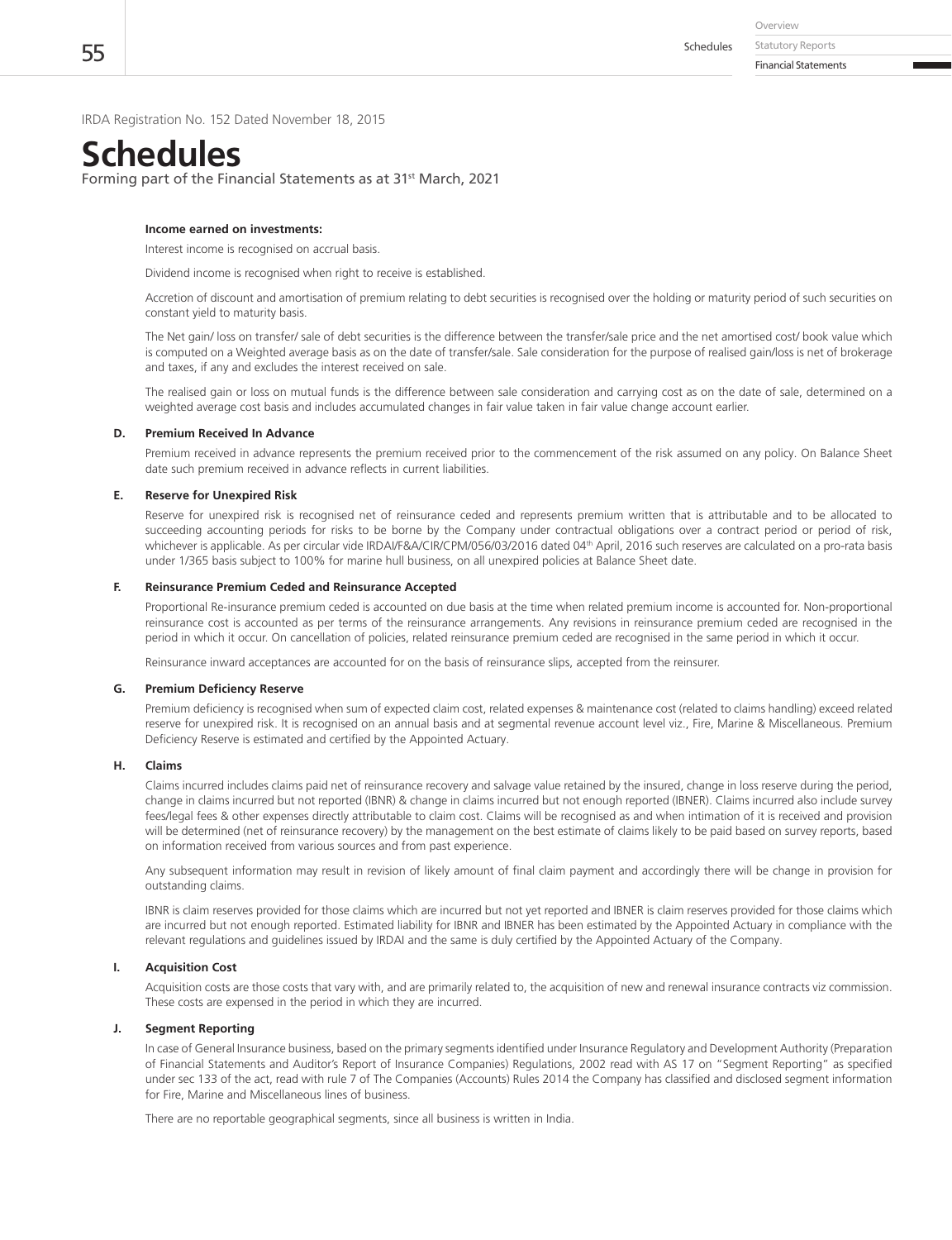Schedules

Statutory Reports Financial Statements

IRDA Registration No. 152 Dated November 18, 2015

## **Schedules**

Forming part of the Financial Statements as at 31<sup>st</sup> March, 2021

#### **Income earned on investments:**

Interest income is recognised on accrual basis.

Dividend income is recognised when right to receive is established.

 Accretion of discount and amortisation of premium relating to debt securities is recognised over the holding or maturity period of such securities on constant yield to maturity basis.

 The Net gain/ loss on transfer/ sale of debt securities is the difference between the transfer/sale price and the net amortised cost/ book value which is computed on a Weighted average basis as on the date of transfer/sale. Sale consideration for the purpose of realised gain/loss is net of brokerage and taxes, if any and excludes the interest received on sale.

 The realised gain or loss on mutual funds is the difference between sale consideration and carrying cost as on the date of sale, determined on a weighted average cost basis and includes accumulated changes in fair value taken in fair value change account earlier.

#### **D. Premium Received In Advance**

 Premium received in advance represents the premium received prior to the commencement of the risk assumed on any policy. On Balance Sheet date such premium received in advance reflects in current liabilities.

### **E. Reserve for Unexpired Risk**

 Reserve for unexpired risk is recognised net of reinsurance ceded and represents premium written that is attributable and to be allocated to succeeding accounting periods for risks to be borne by the Company under contractual obligations over a contract period or period of risk, whichever is applicable. As per circular vide IRDAI/F&A/CIR/CPM/056/03/2016 dated 04<sup>th</sup> April, 2016 such reserves are calculated on a pro-rata basis under 1/365 basis subject to 100% for marine hull business, on all unexpired policies at Balance Sheet date.

#### **F. Reinsurance Premium Ceded and Reinsurance Accepted**

 Proportional Re-insurance premium ceded is accounted on due basis at the time when related premium income is accounted for. Non-proportional reinsurance cost is accounted as per terms of the reinsurance arrangements. Any revisions in reinsurance premium ceded are recognised in the period in which it occur. On cancellation of policies, related reinsurance premium ceded are recognised in the same period in which it occur.

Reinsurance inward acceptances are accounted for on the basis of reinsurance slips, accepted from the reinsurer.

#### **G. Premium Deficiency Reserve**

 Premium deficiency is recognised when sum of expected claim cost, related expenses & maintenance cost (related to claims handling) exceed related reserve for unexpired risk. It is recognised on an annual basis and at segmental revenue account level viz., Fire, Marine & Miscellaneous. Premium Deficiency Reserve is estimated and certified by the Appointed Actuary.

#### **H. Claims**

 Claims incurred includes claims paid net of reinsurance recovery and salvage value retained by the insured, change in loss reserve during the period, change in claims incurred but not reported (IBNR) & change in claims incurred but not enough reported (IBNER). Claims incurred also include survey fees/legal fees & other expenses directly attributable to claim cost. Claims will be recognised as and when intimation of it is received and provision will be determined (net of reinsurance recovery) by the management on the best estimate of claims likely to be paid based on survey reports, based on information received from various sources and from past experience.

 Any subsequent information may result in revision of likely amount of final claim payment and accordingly there will be change in provision for outstanding claims.

 IBNR is claim reserves provided for those claims which are incurred but not yet reported and IBNER is claim reserves provided for those claims which are incurred but not enough reported. Estimated liability for IBNR and IBNER has been estimated by the Appointed Actuary in compliance with the relevant regulations and guidelines issued by IRDAI and the same is duly certified by the Appointed Actuary of the Company.

### **I. Acquisition Cost**

 Acquisition costs are those costs that vary with, and are primarily related to, the acquisition of new and renewal insurance contracts viz commission. These costs are expensed in the period in which they are incurred.

#### **J. Segment Reporting**

 In case of General Insurance business, based on the primary segments identified under Insurance Regulatory and Development Authority (Preparation of Financial Statements and Auditor's Report of Insurance Companies) Regulations, 2002 read with AS 17 on "Segment Reporting" as specified under sec 133 of the act, read with rule 7 of The Companies (Accounts) Rules 2014 the Company has classified and disclosed segment information for Fire, Marine and Miscellaneous lines of business.

There are no reportable geographical segments, since all business is written in India.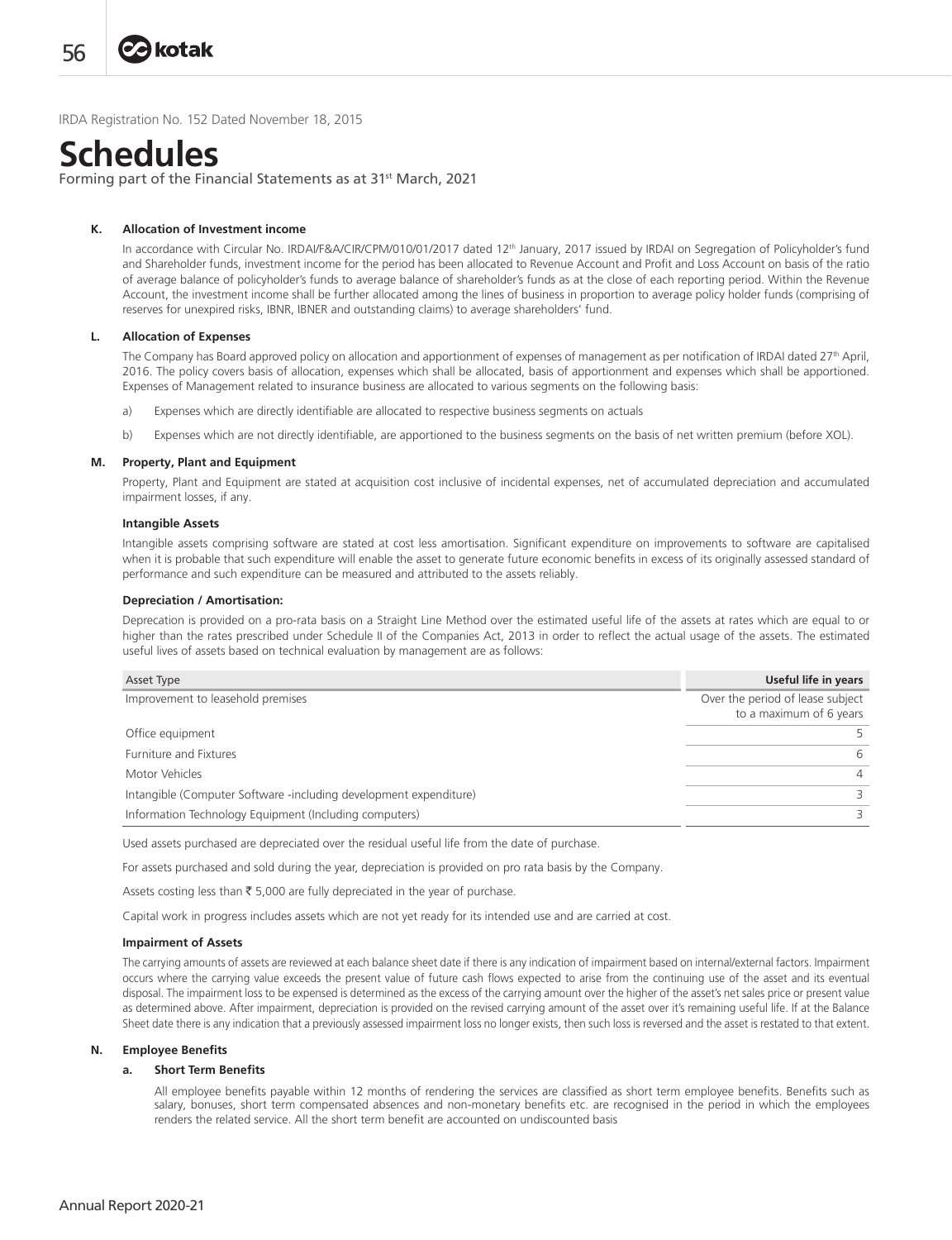## **Schedules**

Forming part of the Financial Statements as at 31<sup>st</sup> March, 2021

### **K. Allocation of Investment income**

In accordance with Circular No. IRDAI/F&A/CIR/CPM/010/01/2017 dated 12<sup>th</sup> January, 2017 issued by IRDAI on Segregation of Policyholder's fund and Shareholder funds, investment income for the period has been allocated to Revenue Account and Profit and Loss Account on basis of the ratio of average balance of policyholder's funds to average balance of shareholder's funds as at the close of each reporting period. Within the Revenue Account, the investment income shall be further allocated among the lines of business in proportion to average policy holder funds (comprising of reserves for unexpired risks, IBNR, IBNER and outstanding claims) to average shareholders' fund.

#### **L. Allocation of Expenses**

The Company has Board approved policy on allocation and apportionment of expenses of management as per notification of IRDAI dated 27<sup>th</sup> April, 2016. The policy covers basis of allocation, expenses which shall be allocated, basis of apportionment and expenses which shall be apportioned. Expenses of Management related to insurance business are allocated to various segments on the following basis:

- a) Expenses which are directly identifiable are allocated to respective business segments on actuals
- b) Expenses which are not directly identifiable, are apportioned to the business segments on the basis of net written premium (before XOL).

#### **M. Property, Plant and Equipment**

 Property, Plant and Equipment are stated at acquisition cost inclusive of incidental expenses, net of accumulated depreciation and accumulated impairment losses, if any.

#### **Intangible Assets**

 Intangible assets comprising software are stated at cost less amortisation. Significant expenditure on improvements to software are capitalised when it is probable that such expenditure will enable the asset to generate future economic benefits in excess of its originally assessed standard of performance and such expenditure can be measured and attributed to the assets reliably.

#### **Depreciation / Amortisation:**

 Deprecation is provided on a pro-rata basis on a Straight Line Method over the estimated useful life of the assets at rates which are equal to or higher than the rates prescribed under Schedule II of the Companies Act, 2013 in order to reflect the actual usage of the assets. The estimated useful lives of assets based on technical evaluation by management are as follows:

| Asset Type                                                        | Useful life in years                                        |
|-------------------------------------------------------------------|-------------------------------------------------------------|
| Improvement to leasehold premises                                 | Over the period of lease subject<br>to a maximum of 6 years |
| Office equipment                                                  | 5.                                                          |
| Furniture and Fixtures                                            | 6                                                           |
| Motor Vehicles                                                    | $\overline{4}$                                              |
| Intangible (Computer Software -including development expenditure) | 3                                                           |
| Information Technology Equipment (Including computers)            | 3.                                                          |

 Used assets purchased are depreciated over the residual useful life from the date of purchase.

For assets purchased and sold during the year, depreciation is provided on pro rata basis by the Company.

Assets costing less than  $\overline{\epsilon}$  5,000 are fully depreciated in the year of purchase.

Capital work in progress includes assets which are not yet ready for its intended use and are carried at cost.

#### **Impairment of Assets**

 The carrying amounts of assets are reviewed at each balance sheet date if there is any indication of impairment based on internal/external factors. Impairment occurs where the carrying value exceeds the present value of future cash flows expected to arise from the continuing use of the asset and its eventual disposal. The impairment loss to be expensed is determined as the excess of the carrying amount over the higher of the asset's net sales price or present value as determined above. After impairment, depreciation is provided on the revised carrying amount of the asset over it's remaining useful life. If at the Balance Sheet date there is any indication that a previously assessed impairment loss no longer exists, then such loss is reversed and the asset is restated to that extent.

#### **N. Employee Benefits**

#### **a. Short Term Benefits**

 All employee benefits payable within 12 months of rendering the services are classified as short term employee benefits. Benefits such as salary, bonuses, short term compensated absences and non-monetary benefits etc. are recognised in the period in which the employees renders the related service. All the short term benefit are accounted on undiscounted basis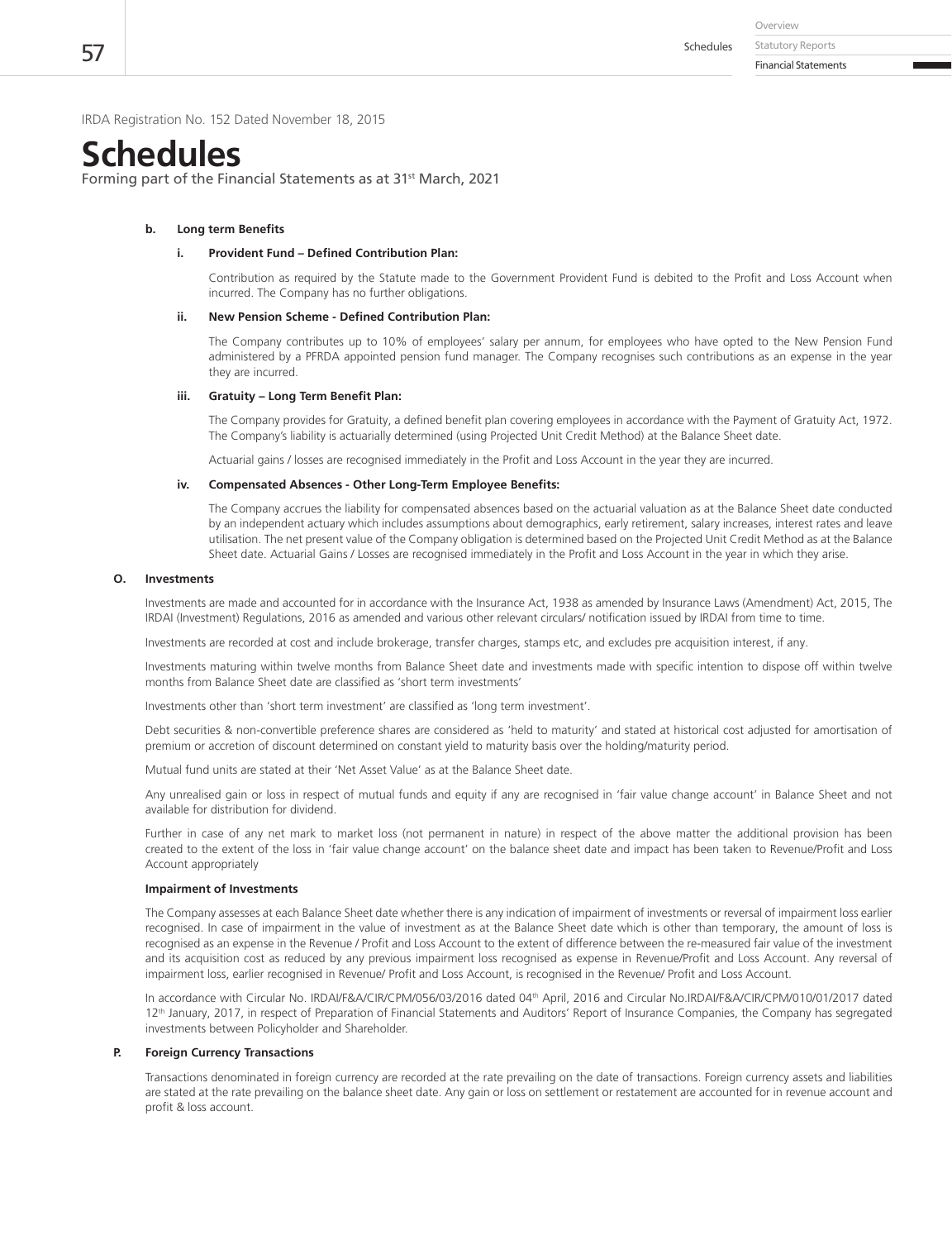Statutory Reports Financial Statements

Overview

IRDA Registration No. 152 Dated November 18, 2015

Forming part of the Financial Statements as at 31<sup>st</sup> March, 2021

### **b. Long term Benefits**

### **i. Provident Fund – Defined Contribution Plan:**

Contribution as required by the Statute made to the Government Provident Fund is debited to the Profit and Loss Account when incurred. The Company has no further obligations.

### **ii. New Pension Scheme - Defined Contribution Plan:**

The Company contributes up to 10% of employees' salary per annum, for employees who have opted to the New Pension Fund administered by a PFRDA appointed pension fund manager. The Company recognises such contributions as an expense in the year they are incurred.

### **iii. Gratuity – Long Term Benefit Plan:**

 The Company provides for Gratuity, a defined benefit plan covering employees in accordance with the Payment of Gratuity Act, 1972. The Company's liability is actuarially determined (using Projected Unit Credit Method) at the Balance Sheet date.

Actuarial gains / losses are recognised immediately in the Profit and Loss Account in the year they are incurred.

### **iv. Compensated Absences - Other Long-Term Employee Benefits:**

The Company accrues the liability for compensated absences based on the actuarial valuation as at the Balance Sheet date conducted by an independent actuary which includes assumptions about demographics, early retirement, salary increases, interest rates and leave utilisation. The net present value of the Company obligation is determined based on the Projected Unit Credit Method as at the Balance Sheet date. Actuarial Gains / Losses are recognised immediately in the Profit and Loss Account in the year in which they arise.

#### **O. Investments**

Investments are made and accounted for in accordance with the Insurance Act, 1938 as amended by Insurance Laws (Amendment) Act, 2015, The IRDAI (Investment) Regulations, 2016 as amended and various other relevant circulars/ notification issued by IRDAI from time to time.

Investments are recorded at cost and include brokerage, transfer charges, stamps etc, and excludes pre acquisition interest, if any.

 Investments maturing within twelve months from Balance Sheet date and investments made with specific intention to dispose off within twelve months from Balance Sheet date are classified as 'short term investments'

Investments other than 'short term investment' are classified as 'long term investment'.

 Debt securities & non-convertible preference shares are considered as 'held to maturity' and stated at historical cost adjusted for amortisation of premium or accretion of discount determined on constant yield to maturity basis over the holding/maturity period.

Mutual fund units are stated at their 'Net Asset Value' as at the Balance Sheet date.

 Any unrealised gain or loss in respect of mutual funds and equity if any are recognised in 'fair value change account' in Balance Sheet and not available for distribution for dividend.

 Further in case of any net mark to market loss (not permanent in nature) in respect of the above matter the additional provision has been created to the extent of the loss in 'fair value change account' on the balance sheet date and impact has been taken to Revenue/Profit and Loss Account appropriately

#### **Impairment of Investments**

 The Company assesses at each Balance Sheet date whether there is any indication of impairment of investments or reversal of impairment loss earlier recognised. In case of impairment in the value of investment as at the Balance Sheet date which is other than temporary, the amount of loss is recognised as an expense in the Revenue / Profit and Loss Account to the extent of difference between the re-measured fair value of the investment and its acquisition cost as reduced by any previous impairment loss recognised as expense in Revenue/Profit and Loss Account. Any reversal of impairment loss, earlier recognised in Revenue/ Profit and Loss Account, is recognised in the Revenue/ Profit and Loss Account.

 In accordance with Circular No. IRDAI/F&A/CIR/CPM/056/03/2016 dated 04th April, 2016 and Circular No.IRDAI/F&A/CIR/CPM/010/01/2017 dated 12<sup>th</sup> January, 2017, in respect of Preparation of Financial Statements and Auditors' Report of Insurance Companies, the Company has segregated investments between Policyholder and Shareholder.

#### **P. Foreign Currency Transactions**

 Transactions denominated in foreign currency are recorded at the rate prevailing on the date of transactions. Foreign currency assets and liabilities are stated at the rate prevailing on the balance sheet date. Any gain or loss on settlement or restatement are accounted for in revenue account and profit & loss account.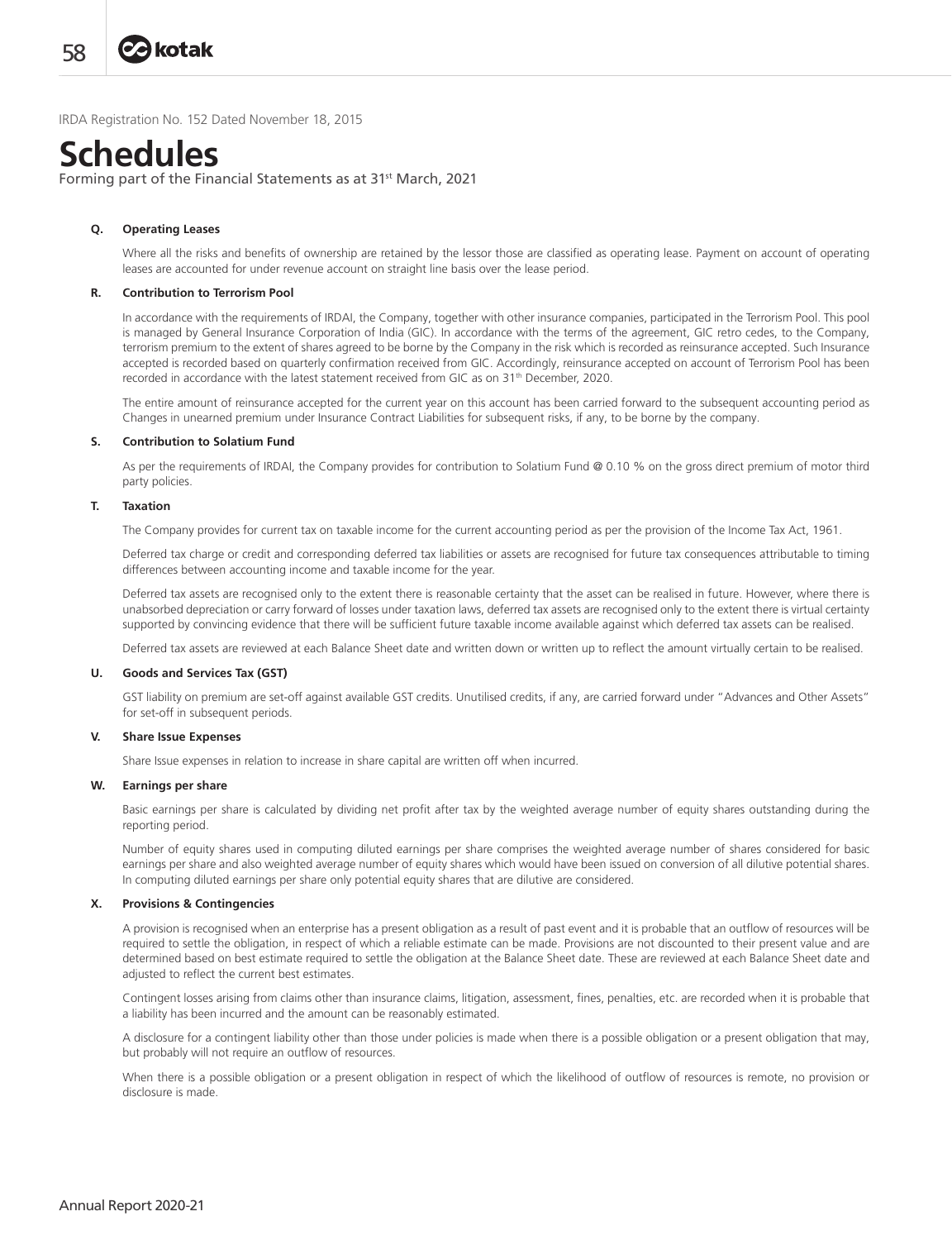# **Schedules**

Forming part of the Financial Statements as at 31<sup>st</sup> March, 2021

### **Q. Operating Leases**

 Where all the risks and benefits of ownership are retained by the lessor those are classified as operating lease. Payment on account of operating leases are accounted for under revenue account on straight line basis over the lease period.

#### **R. Contribution to Terrorism Pool**

 In accordance with the requirements of IRDAI, the Company, together with other insurance companies, participated in the Terrorism Pool. This pool is managed by General Insurance Corporation of India (GIC). In accordance with the terms of the agreement, GIC retro cedes, to the Company, terrorism premium to the extent of shares agreed to be borne by the Company in the risk which is recorded as reinsurance accepted. Such Insurance accepted is recorded based on quarterly confirmation received from GIC. Accordingly, reinsurance accepted on account of Terrorism Pool has been recorded in accordance with the latest statement received from GIC as on 31<sup>th</sup> December, 2020.

 The entire amount of reinsurance accepted for the current year on this account has been carried forward to the subsequent accounting period as Changes in unearned premium under Insurance Contract Liabilities for subsequent risks, if any, to be borne by the company.

#### **S. Contribution to Solatium Fund**

 As per the requirements of IRDAI, the Company provides for contribution to Solatium Fund @ 0.10 % on the gross direct premium of motor third party policies.

#### **T. Taxation**

The Company provides for current tax on taxable income for the current accounting period as per the provision of the Income Tax Act, 1961.

 Deferred tax charge or credit and corresponding deferred tax liabilities or assets are recognised for future tax consequences attributable to timing differences between accounting income and taxable income for the year.

 Deferred tax assets are recognised only to the extent there is reasonable certainty that the asset can be realised in future. However, where there is unabsorbed depreciation or carry forward of losses under taxation laws, deferred tax assets are recognised only to the extent there is virtual certainty supported by convincing evidence that there will be sufficient future taxable income available against which deferred tax assets can be realised.

Deferred tax assets are reviewed at each Balance Sheet date and written down or written up to reflect the amount virtually certain to be realised.

#### **U. Goods and Services Tax (GST)**

 GST liability on premium are set-off against available GST credits. Unutilised credits, if any, are carried forward under "Advances and Other Assets" for set-off in subsequent periods.

### **V. Share Issue Expenses**

Share Issue expenses in relation to increase in share capital are written off when incurred.

#### **W. Earnings per share**

 Basic earnings per share is calculated by dividing net profit after tax by the weighted average number of equity shares outstanding during the reporting period.

 Number of equity shares used in computing diluted earnings per share comprises the weighted average number of shares considered for basic earnings per share and also weighted average number of equity shares which would have been issued on conversion of all dilutive potential shares. In computing diluted earnings per share only potential equity shares that are dilutive are considered.

#### **X. Provisions & Contingencies**

 A provision is recognised when an enterprise has a present obligation as a result of past event and it is probable that an outflow of resources will be required to settle the obligation, in respect of which a reliable estimate can be made. Provisions are not discounted to their present value and are determined based on best estimate required to settle the obligation at the Balance Sheet date. These are reviewed at each Balance Sheet date and adjusted to reflect the current best estimates.

 Contingent losses arising from claims other than insurance claims, litigation, assessment, fines, penalties, etc. are recorded when it is probable that a liability has been incurred and the amount can be reasonably estimated.

 A disclosure for a contingent liability other than those under policies is made when there is a possible obligation or a present obligation that may, but probably will not require an outflow of resources.

 When there is a possible obligation or a present obligation in respect of which the likelihood of outflow of resources is remote, no provision or disclosure is made.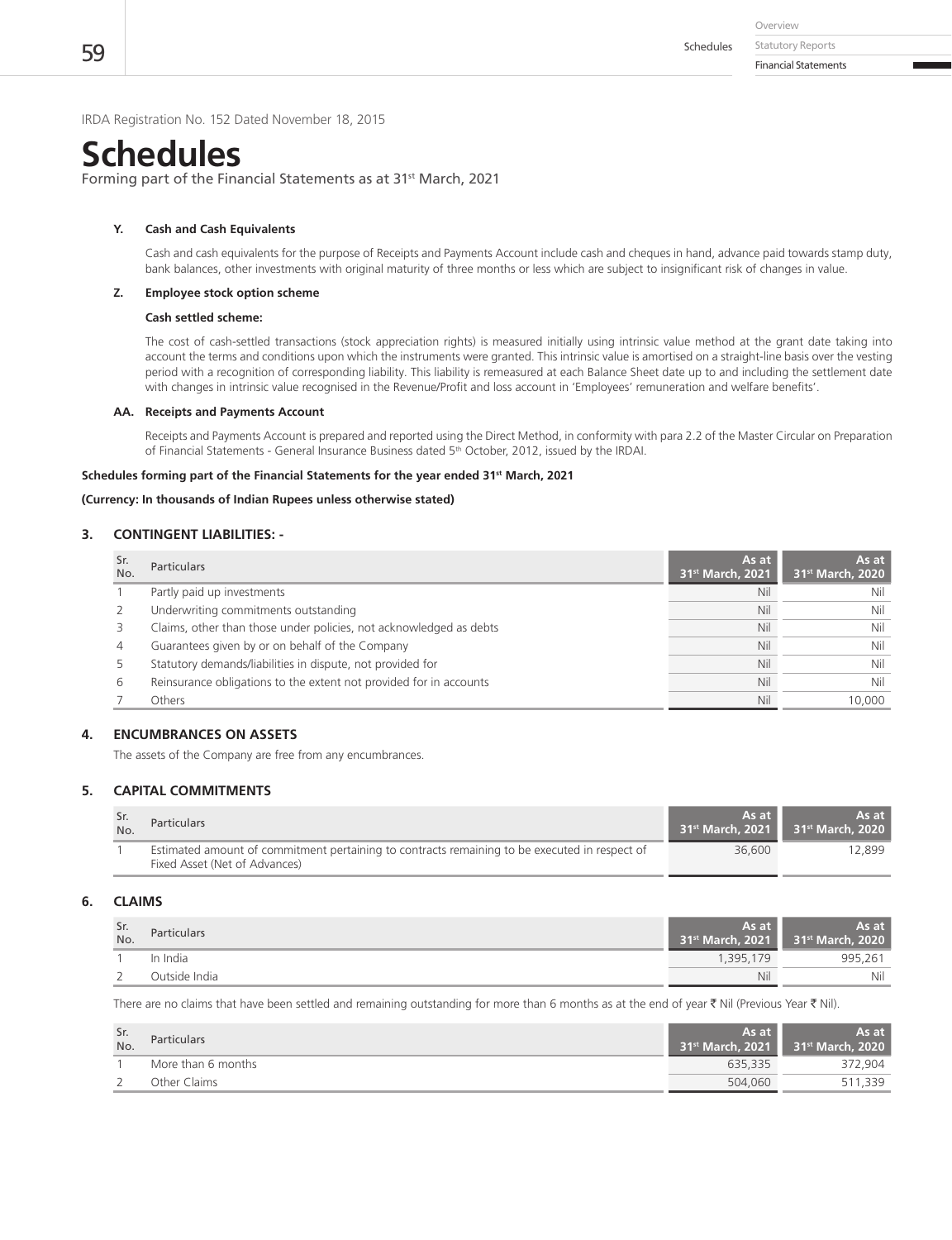Schedules

Statutory Reports Financial Statements

Overview

IRDA Registration No. 152 Dated November 18, 2015

## **Schedules**

Forming part of the Financial Statements as at 31<sup>st</sup> March, 2021

### **Y. Cash and Cash Equivalents**

 Cash and cash equivalents for the purpose of Receipts and Payments Account include cash and cheques in hand, advance paid towards stamp duty, bank balances, other investments with original maturity of three months or less which are subject to insignificant risk of changes in value.

#### **Z. Employee stock option scheme**

#### **Cash settled scheme:**

 The cost of cash-settled transactions (stock appreciation rights) is measured initially using intrinsic value method at the grant date taking into account the terms and conditions upon which the instruments were granted. This intrinsic value is amortised on a straight-line basis over the vesting period with a recognition of corresponding liability. This liability is remeasured at each Balance Sheet date up to and including the settlement date with changes in intrinsic value recognised in the Revenue/Profit and loss account in 'Employees' remuneration and welfare benefits'.

#### **AA. Receipts and Payments Account**

 Receipts and Payments Account is prepared and reported using the Direct Method, in conformity with para 2.2 of the Master Circular on Preparation of Financial Statements - General Insurance Business dated 5<sup>th</sup> October, 2012, issued by the IRDAI.

#### **Schedules forming part of the Financial Statements for the year ended 31st March, 2021**

#### **(Currency: In thousands of Indian Rupees unless otherwise stated)**

### **3. CONTINGENT LIABILITIES: -**

| Sr.<br>No. | <b>Particulars</b>                                                 | As at<br>31 <sup>st</sup> March, 2021 | As at<br>31 <sup>st</sup> March, 2020 |
|------------|--------------------------------------------------------------------|---------------------------------------|---------------------------------------|
|            | Partly paid up investments                                         | Nil                                   | Nil                                   |
| 2          | Underwriting commitments outstanding                               | Nil                                   | Nil                                   |
| 3          | Claims, other than those under policies, not acknowledged as debts | Nil                                   | Nil                                   |
| 4          | Guarantees given by or on behalf of the Company                    | Nil                                   | Nil                                   |
| 5          | Statutory demands/liabilities in dispute, not provided for         | Nil                                   | Nil                                   |
| 6          | Reinsurance obligations to the extent not provided for in accounts | Nil                                   | Nil                                   |
|            | Others                                                             | Nil                                   | 10,000                                |

### **4. ENCUMBRANCES ON ASSETS**

The assets of the Company are free from any encumbrances.

## **5. CAPITAL COMMITMENTS**

| Sr.<br>No. | <b>Particulars</b>                                                                                                             | As at<br>31 <sup>st</sup> March, 2021 31 <sup>st</sup> March, 2020 | As at  |
|------------|--------------------------------------------------------------------------------------------------------------------------------|--------------------------------------------------------------------|--------|
|            | Estimated amount of commitment pertaining to contracts remaining to be executed in respect of<br>Fixed Asset (Net of Advances) | 36,600                                                             | 12.899 |

### **6. CLAIMS**

| Sr.<br>No. | Particulars   | As at I<br>31 <sup>st</sup> March, 2021 31st March, 2020 | 'As at J |
|------------|---------------|----------------------------------------------------------|----------|
|            | In India      | .395.179                                                 | 995.261  |
|            | Outside India | Nil                                                      | Nil      |

There are no claims that have been settled and remaining outstanding for more than 6 months as at the end of year  $\bar{\tau}$  Nil (Previous Year  $\bar{\tau}$  Nil).

| Sr.<br>No. | <b>Particulars</b> | As at I<br>$1$ 31 <sup>st</sup> March, 2021 31st March, 2020 | As at   |
|------------|--------------------|--------------------------------------------------------------|---------|
|            | More than 6 months | 635,335                                                      | 372,904 |
|            | Other Claims       | 504,060                                                      | 511,339 |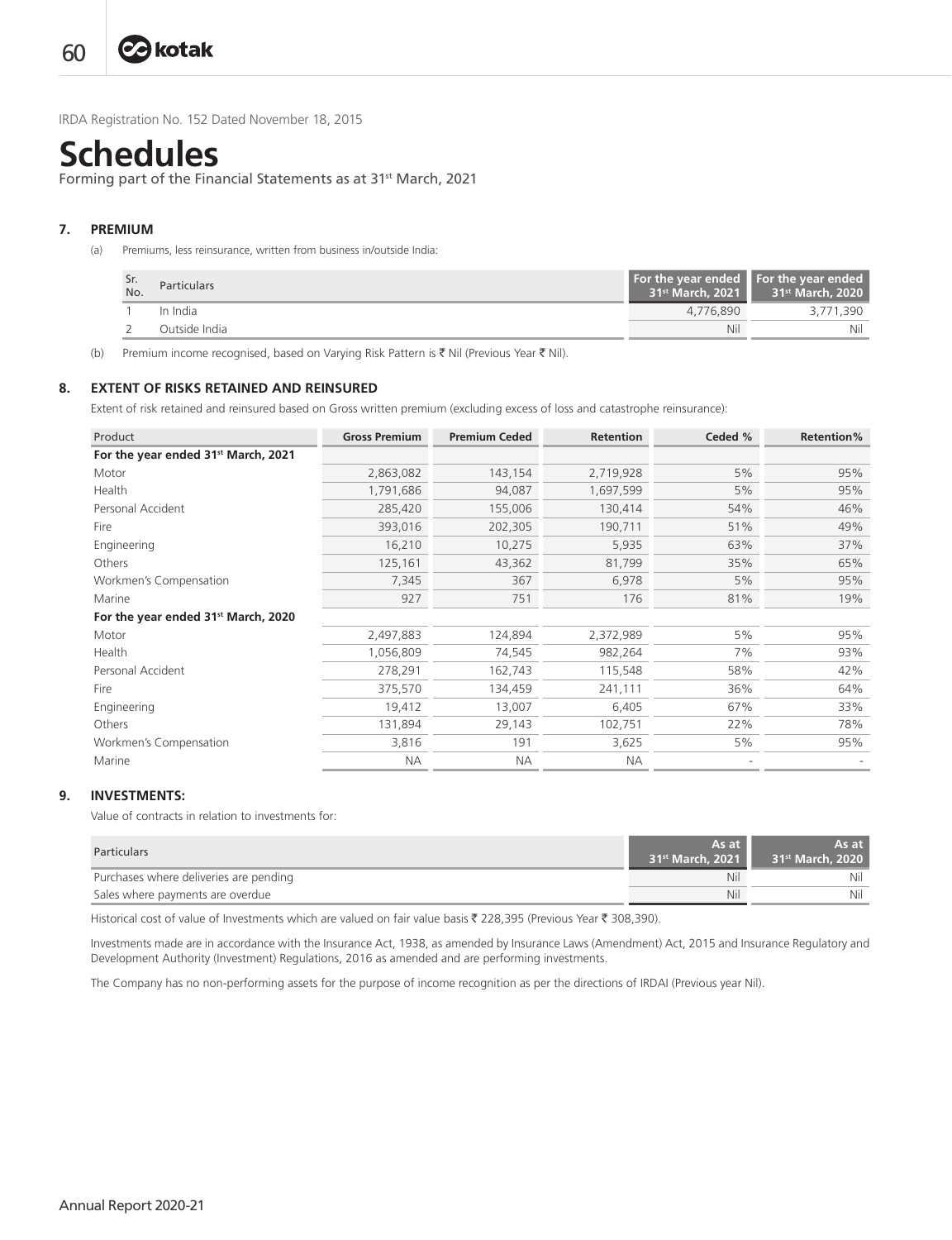# **Schedules**

Forming part of the Financial Statements as at 31<sup>st</sup> March, 2021

## **7. PREMIUM**

(a) Premiums, less reinsurance, written from business in/outside India:

| эr.<br>No. | <b>Particulars</b> | 31 <sup>st</sup> March. 2021 | For the year ended For the year ended<br>31st March, 2020 |
|------------|--------------------|------------------------------|-----------------------------------------------------------|
|            | In India           | 4,776,890                    | 3.771.390                                                 |
|            | Outside India      | Nil                          | Nil                                                       |

(b) Premium income recognised, based on Varying Risk Pattern is ₹ Nil (Previous Year ₹ Nil).

### **8. EXTENT OF RISKS RETAINED AND REINSURED**

Extent of risk retained and reinsured based on Gross written premium (excluding excess of loss and catastrophe reinsurance):

| Product                                         | <b>Gross Premium</b> | <b>Premium Ceded</b> | Retention | Ceded % | <b>Retention%</b> |
|-------------------------------------------------|----------------------|----------------------|-----------|---------|-------------------|
| For the year ended 31 <sup>st</sup> March, 2021 |                      |                      |           |         |                   |
| Motor                                           | 2,863,082            | 143,154              | 2,719,928 | 5%      | 95%               |
| Health                                          | 1,791,686            | 94,087               | 1,697,599 | 5%      | 95%               |
| Personal Accident                               | 285,420              | 155,006              | 130,414   | 54%     | 46%               |
| Fire                                            | 393,016              | 202,305              | 190,711   | 51%     | 49%               |
| Engineering                                     | 16,210               | 10,275               | 5,935     | 63%     | 37%               |
| Others                                          | 125,161              | 43,362               | 81,799    | 35%     | 65%               |
| Workmen's Compensation                          | 7,345                | 367                  | 6,978     | 5%      | 95%               |
| Marine                                          | 927                  | 751                  | 176       | 81%     | 19%               |
| For the year ended 31 <sup>st</sup> March, 2020 |                      |                      |           |         |                   |
| Motor                                           | 2,497,883            | 124,894              | 2,372,989 | 5%      | 95%               |
| Health                                          | 1,056,809            | 74,545               | 982,264   | 7%      | 93%               |
| Personal Accident                               | 278,291              | 162,743              | 115,548   | 58%     | 42%               |
| Fire                                            | 375,570              | 134,459              | 241,111   | 36%     | 64%               |
| Engineering                                     | 19,412               | 13,007               | 6,405     | 67%     | 33%               |
| Others                                          | 131,894              | 29,143               | 102,751   | 22%     | 78%               |
| Workmen's Compensation                          | 3,816                | 191                  | 3,625     | 5%      | 95%               |
| Marine                                          | <b>NA</b>            | <b>NA</b>            | <b>NA</b> |         |                   |

### **9. INVESTMENTS:**

Value of contracts in relation to investments for:

| Particulars                            | As at I<br>31 <sup>st</sup> March, 2021 | As at<br>31 <sup>st</sup> March, 2020 |
|----------------------------------------|-----------------------------------------|---------------------------------------|
| Purchases where deliveries are pending | Nil                                     | Nil                                   |
| Sales where payments are overdue       | Nil                                     | Nil                                   |

Historical cost of value of Investments which are valued on fair value basis ₹ 228,395 (Previous Year ₹ 308,390).

Investments made are in accordance with the Insurance Act, 1938, as amended by Insurance Laws (Amendment) Act, 2015 and Insurance Regulatory and Development Authority (Investment) Regulations, 2016 as amended and are performing investments.

The Company has no non-performing assets for the purpose of income recognition as per the directions of IRDAI (Previous year Nil).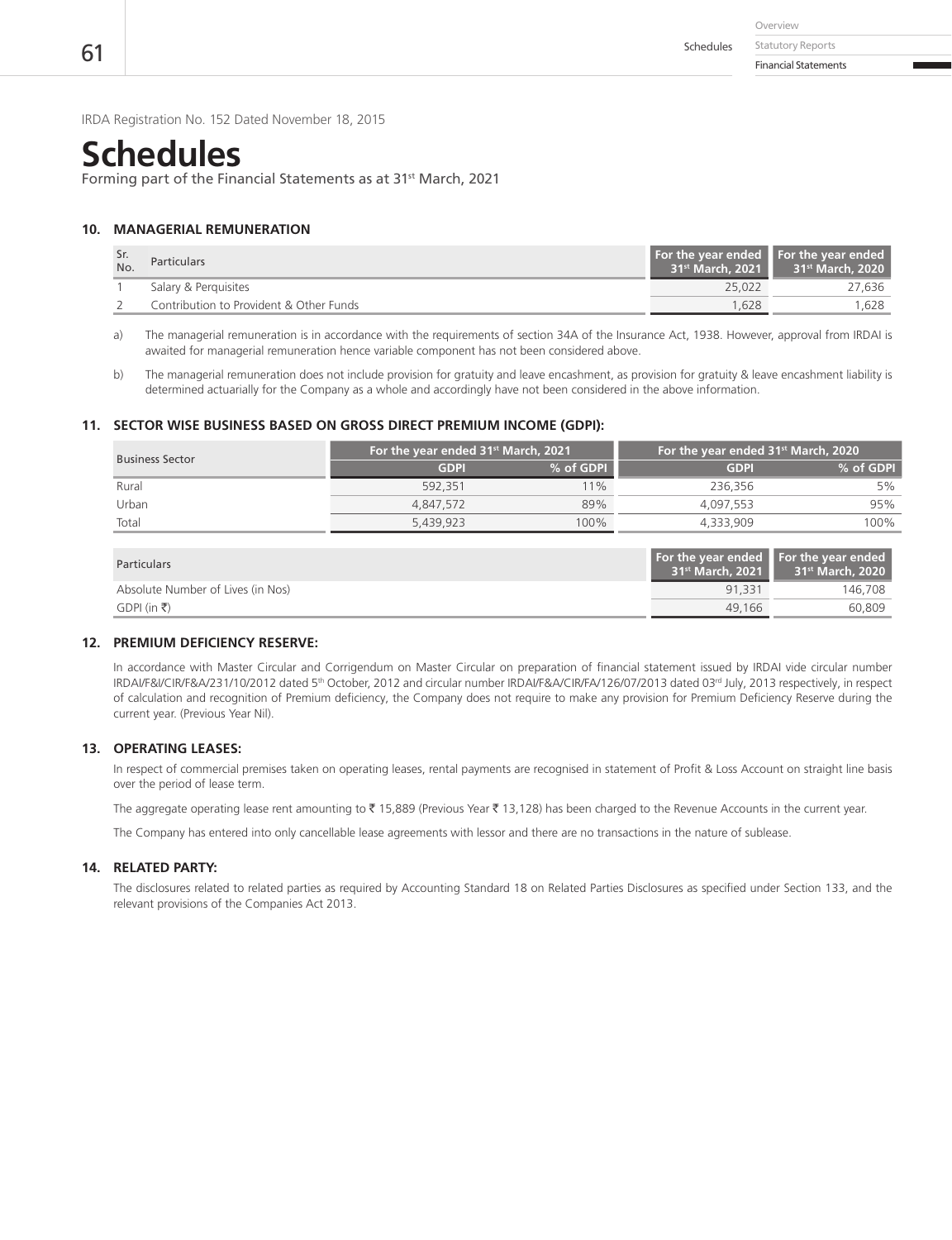Financial Statements

Overview

IRDA Registration No. 152 Dated November 18, 2015

# **Schedules**

Forming part of the Financial Statements as at 31<sup>st</sup> March, 2021

## **10. MANAGERIAL REMUNERATION**

| Sr.<br>No. | Particulars                             | For the year ended For the year ended | $31^{st}$ March, 2021 31 <sup>st</sup> March, 2020 |
|------------|-----------------------------------------|---------------------------------------|----------------------------------------------------|
|            | Salary & Perguisites                    | 25.022                                | 27.636                                             |
|            | Contribution to Provident & Other Funds | 1.628                                 | .628                                               |

a) The managerial remuneration is in accordance with the requirements of section 34A of the Insurance Act, 1938. However, approval from IRDAI is awaited for managerial remuneration hence variable component has not been considered above.

b) The managerial remuneration does not include provision for gratuity and leave encashment, as provision for gratuity & leave encashment liability is determined actuarially for the Company as a whole and accordingly have not been considered in the above information.

## **11. SECTOR WISE BUSINESS BASED ON GROSS DIRECT PREMIUM INCOME (GDPI):**

| <b>Business Sector</b> | For the year ended 31 <sup>st</sup> March, 2021 |             | For the year ended 31 <sup>st</sup> March, 2020 |           |
|------------------------|-------------------------------------------------|-------------|-------------------------------------------------|-----------|
|                        | <b>GDPI</b>                                     | $%$ of GDPI | <b>GDPI</b>                                     | % of GDPI |
| Rural                  | 592.351                                         | 11%         | 236.356                                         | 5%        |
| Urban                  | 4.847.572                                       | 89%         | 4.097.553                                       | 95%       |
| Total                  | 5.439.923                                       | 100%        | 4.333.909                                       | 100%      |

| <b>Particulars</b>                | 31 <sup>st</sup> March. 2021 | For the year ended For the year ended<br>$31^{st}$ March, 2020 $\,$ |
|-----------------------------------|------------------------------|---------------------------------------------------------------------|
| Absolute Number of Lives (in Nos) | 91.331                       | 146,708                                                             |
| GDPI (in ₹)                       | 49.166                       | 60,809                                                              |

## **12. PREMIUM DEFICIENCY RESERVE:**

In accordance with Master Circular and Corrigendum on Master Circular on preparation of financial statement issued by IRDAI vide circular number IRDAI/F&I/CIR/F&A/231/10/2012 dated 5<sup>th</sup> October, 2012 and circular number IRDAI/F&A/CIR/FA/126/07/2013 dated 03<sup>rd</sup> July, 2013 respectively, in respect of calculation and recognition of Premium deficiency, the Company does not require to make any provision for Premium Deficiency Reserve during the current year. (Previous Year Nil).

## **13. OPERATING LEASES:**

In respect of commercial premises taken on operating leases, rental payments are recognised in statement of Profit & Loss Account on straight line basis over the period of lease term.

The aggregate operating lease rent amounting to  $\overline{z}$  15,889 (Previous Year  $\overline{z}$  13,128) has been charged to the Revenue Accounts in the current year.

The Company has entered into only cancellable lease agreements with lessor and there are no transactions in the nature of sublease.

### **14. RELATED PARTY:**

The disclosures related to related parties as required by Accounting Standard 18 on Related Parties Disclosures as specified under Section 133, and the relevant provisions of the Companies Act 2013.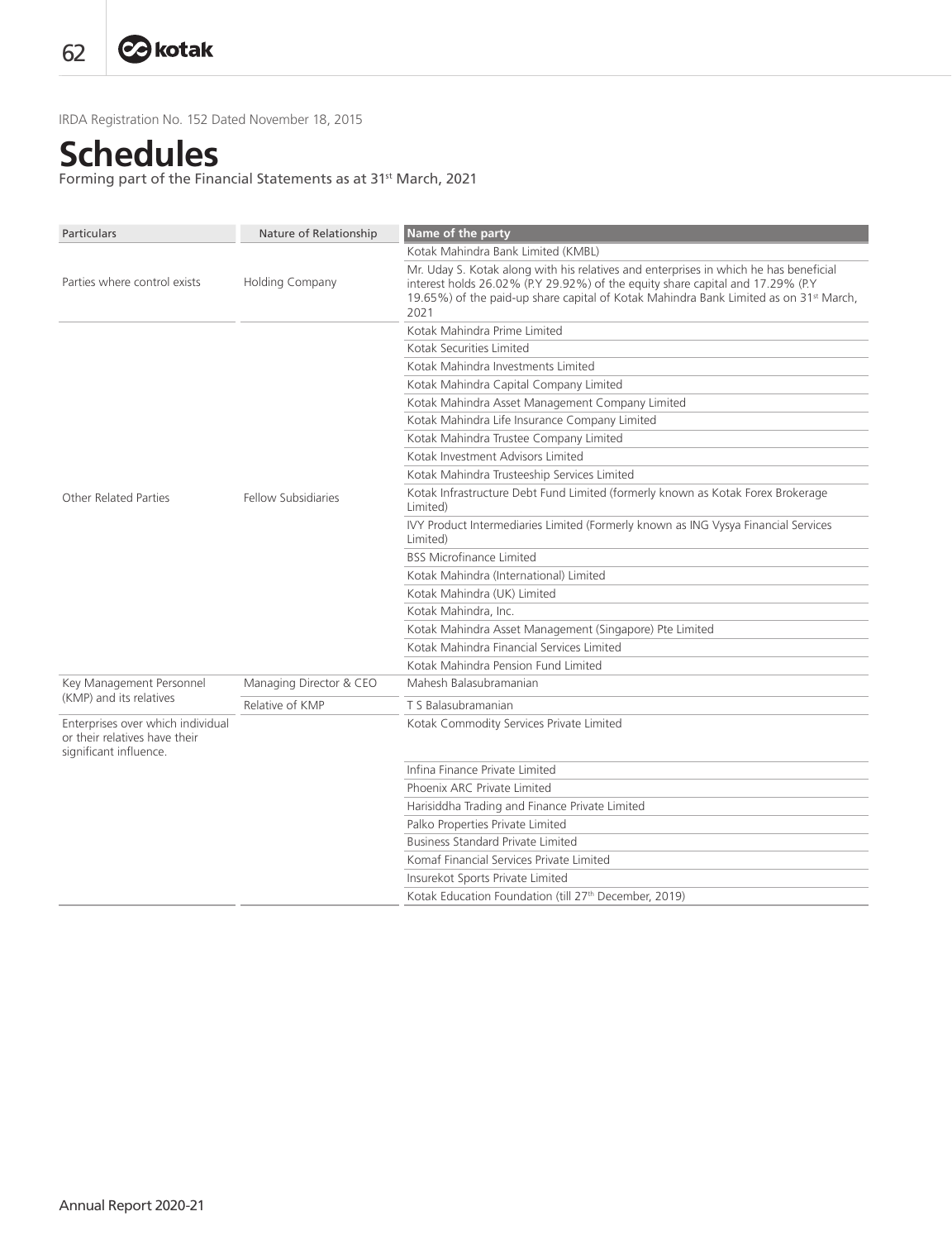# **Schedules**

Forming part of the Financial Statements as at 31<sup>st</sup> March, 2021

| <b>Particulars</b>                                                                           | Nature of Relationship     | Name of the party                                                                                                                                                                                                                                                                    |  |  |  |  |  |  |
|----------------------------------------------------------------------------------------------|----------------------------|--------------------------------------------------------------------------------------------------------------------------------------------------------------------------------------------------------------------------------------------------------------------------------------|--|--|--|--|--|--|
|                                                                                              |                            | Kotak Mahindra Bank Limited (KMBL)                                                                                                                                                                                                                                                   |  |  |  |  |  |  |
| Parties where control exists                                                                 | Holding Company            | Mr. Uday S. Kotak along with his relatives and enterprises in which he has beneficial<br>interest holds 26.02% (P.Y 29.92%) of the equity share capital and 17.29% (P.Y<br>19.65%) of the paid-up share capital of Kotak Mahindra Bank Limited as on 31 <sup>st</sup> March,<br>2021 |  |  |  |  |  |  |
|                                                                                              |                            | Kotak Mahindra Prime Limited                                                                                                                                                                                                                                                         |  |  |  |  |  |  |
|                                                                                              |                            | Kotak Securities Limited                                                                                                                                                                                                                                                             |  |  |  |  |  |  |
|                                                                                              |                            | Kotak Mahindra Investments Limited                                                                                                                                                                                                                                                   |  |  |  |  |  |  |
|                                                                                              |                            | Kotak Mahindra Capital Company Limited                                                                                                                                                                                                                                               |  |  |  |  |  |  |
|                                                                                              |                            | Kotak Mahindra Asset Management Company Limited                                                                                                                                                                                                                                      |  |  |  |  |  |  |
|                                                                                              |                            | Kotak Mahindra Life Insurance Company Limited                                                                                                                                                                                                                                        |  |  |  |  |  |  |
|                                                                                              |                            | Kotak Mahindra Trustee Company Limited                                                                                                                                                                                                                                               |  |  |  |  |  |  |
|                                                                                              |                            | Kotak Investment Advisors Limited                                                                                                                                                                                                                                                    |  |  |  |  |  |  |
|                                                                                              |                            | Kotak Mahindra Trusteeship Services Limited                                                                                                                                                                                                                                          |  |  |  |  |  |  |
| Other Related Parties                                                                        | <b>Fellow Subsidiaries</b> | Kotak Infrastructure Debt Fund Limited (formerly known as Kotak Forex Brokerage<br>Limited)                                                                                                                                                                                          |  |  |  |  |  |  |
|                                                                                              |                            | IVY Product Intermediaries Limited (Formerly known as ING Vysya Financial Services<br>Limited)                                                                                                                                                                                       |  |  |  |  |  |  |
|                                                                                              |                            | <b>BSS Microfinance Limited</b>                                                                                                                                                                                                                                                      |  |  |  |  |  |  |
|                                                                                              |                            | Kotak Mahindra (International) Limited                                                                                                                                                                                                                                               |  |  |  |  |  |  |
|                                                                                              |                            | Kotak Mahindra (UK) Limited                                                                                                                                                                                                                                                          |  |  |  |  |  |  |
|                                                                                              |                            | Kotak Mahindra, Inc.                                                                                                                                                                                                                                                                 |  |  |  |  |  |  |
|                                                                                              |                            | Kotak Mahindra Asset Management (Singapore) Pte Limited                                                                                                                                                                                                                              |  |  |  |  |  |  |
|                                                                                              |                            | Kotak Mahindra Financial Services Limited                                                                                                                                                                                                                                            |  |  |  |  |  |  |
|                                                                                              |                            | Kotak Mahindra Pension Fund Limited                                                                                                                                                                                                                                                  |  |  |  |  |  |  |
| Key Management Personnel                                                                     | Managing Director & CEO    | Mahesh Balasubramanian                                                                                                                                                                                                                                                               |  |  |  |  |  |  |
| (KMP) and its relatives                                                                      | Relative of KMP            | T S Balasubramanian                                                                                                                                                                                                                                                                  |  |  |  |  |  |  |
| Enterprises over which individual<br>or their relatives have their<br>significant influence. |                            | Kotak Commodity Services Private Limited                                                                                                                                                                                                                                             |  |  |  |  |  |  |
|                                                                                              |                            | Infina Finance Private Limited                                                                                                                                                                                                                                                       |  |  |  |  |  |  |
|                                                                                              |                            | Phoenix ARC Private Limited                                                                                                                                                                                                                                                          |  |  |  |  |  |  |
|                                                                                              |                            | Harisiddha Trading and Finance Private Limited                                                                                                                                                                                                                                       |  |  |  |  |  |  |
|                                                                                              |                            | Palko Properties Private Limited                                                                                                                                                                                                                                                     |  |  |  |  |  |  |
|                                                                                              |                            | <b>Business Standard Private Limited</b>                                                                                                                                                                                                                                             |  |  |  |  |  |  |
|                                                                                              |                            | Komaf Financial Services Private Limited                                                                                                                                                                                                                                             |  |  |  |  |  |  |
|                                                                                              |                            | Insurekot Sports Private Limited                                                                                                                                                                                                                                                     |  |  |  |  |  |  |
|                                                                                              |                            | Kotak Education Foundation (till 27 <sup>th</sup> December, 2019)                                                                                                                                                                                                                    |  |  |  |  |  |  |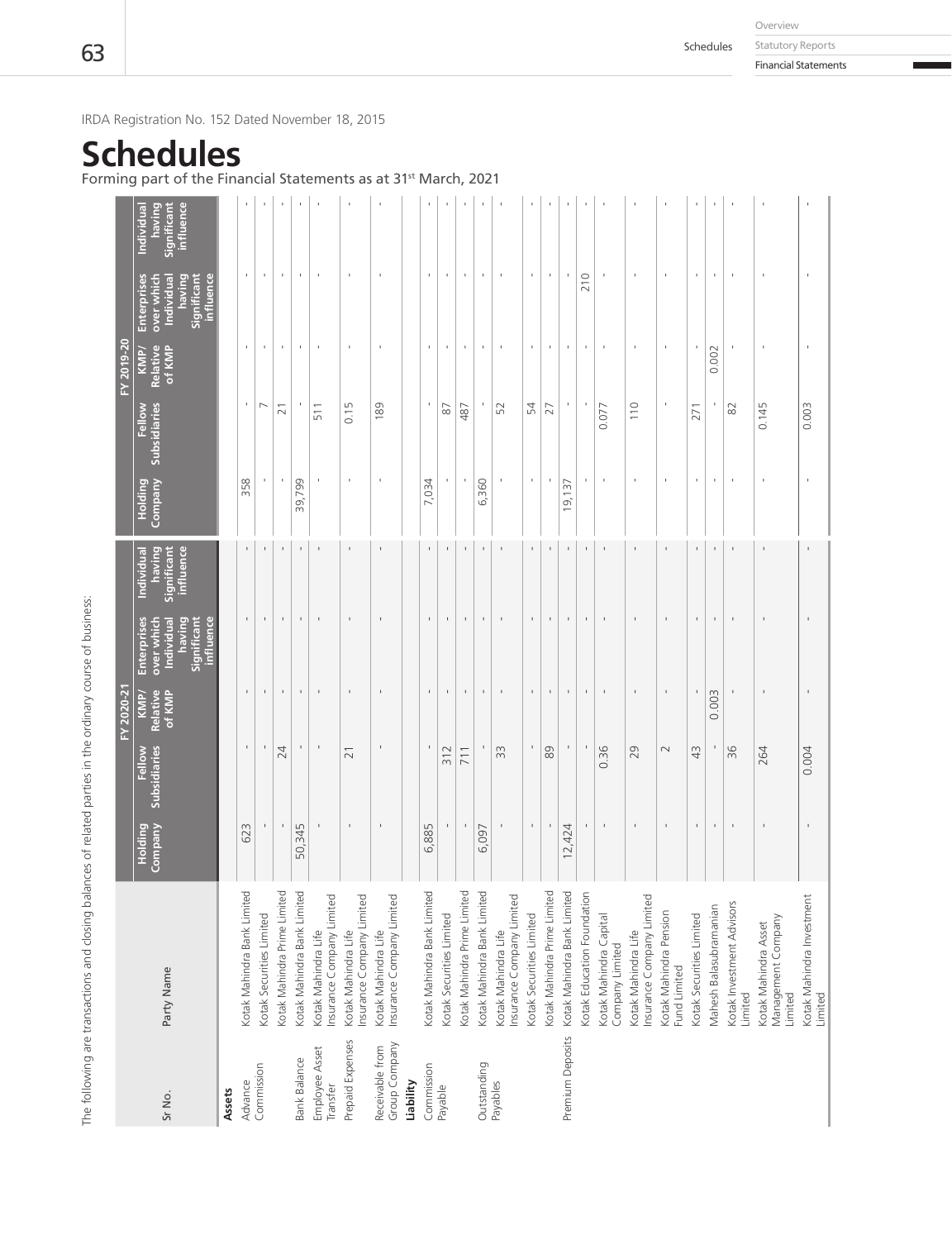| I<br>:<br>וְ<br>I<br>J<br>ì<br>j<br>j<br>j                                       |
|----------------------------------------------------------------------------------|
| I                                                                                |
| ł<br>ر<br>ר<br>Ï<br>È<br>5<br>Ĵ<br>١<br>ï                                        |
| Ï<br>j<br>٦<br>ł<br>Ì<br>١                                                       |
| I<br>J                                                                           |
| ŗ                                                                                |
| Ï<br>I<br>ı<br>ì<br>١<br>j<br>j                                                  |
|                                                                                  |
| ï<br>j<br>i<br>í<br>J<br>i                                                       |
| i<br>j                                                                           |
| Ï<br>١<br>Ò<br>j<br>1<br>j<br>j<br>j<br>j<br>I<br>ī<br>J<br>j<br>ì               |
| ļ<br>١<br>j<br>j<br>١<br>Ì<br>j<br>j<br>ī                                        |
| S                                                                                |
| ć<br>I<br>١<br>j<br>ł<br>١<br>$\ddot{ }$<br>ξ<br>l<br>j<br>į<br>j<br>ļ<br>Ì<br>١ |
| j<br>ł                                                                           |
| ç<br>ï                                                                           |
| ł<br>١<br>Ç<br>ĺ<br>I<br>$\frac{1}{3}$<br>)                                      |
| ł                                                                                |
| 2U<br>Í<br>í                                                                     |

|                                  |                                                       |                           |                            | FY 2020-21                 |                                                                               |                                                         |                    |                               | FY 2019-20                 |                                                                              |                                                  |
|----------------------------------|-------------------------------------------------------|---------------------------|----------------------------|----------------------------|-------------------------------------------------------------------------------|---------------------------------------------------------|--------------------|-------------------------------|----------------------------|------------------------------------------------------------------------------|--------------------------------------------------|
| Sr No.                           | Party Name                                            | <b>Holding</b><br>Company | Subsidiaries<br>Fellow     | Relative<br>of KMP<br>KMP/ | Enterprises<br>having<br>Significant<br>influence<br>over which<br>Individual | influence<br><b>having</b><br>Significant<br>Individual | Holding<br>Company | <b>Subsidiaries</b><br>Fellow | Relative<br>of KMP<br>KMP/ | Enterprises<br>influence<br>having<br>Significant<br>over which<br>Individua | influence<br>Individual<br>having<br>Significant |
| Assets                           |                                                       |                           |                            |                            |                                                                               |                                                         |                    |                               |                            |                                                                              |                                                  |
| Advance                          | Kotak Mahindra Bank Limited                           | 623                       | $\,$                       | J.                         | J.                                                                            |                                                         | 358                |                               | $\mathbf{I}$               | $\mathbf{I}$                                                                 |                                                  |
| Commission                       | Kotak Securities Limited                              | ٠                         | $\,$                       | ı                          | $\,$                                                                          | f,                                                      | ı                  | ∼                             | $\,$                       | $\,$ 1 $\,$                                                                  |                                                  |
|                                  | Kotak Mahindra Prime Limited                          | ٠                         | 24                         | п.                         | п.                                                                            | $\mathbf{I}$                                            |                    | $\sim$                        | $\,$                       | ٠                                                                            |                                                  |
| Bank Balance                     | Kotak Mahindra Bank Limited                           | 50,345                    |                            |                            | J.                                                                            | $\mathbf{I}$                                            | 39,799             |                               | $\,$ 1 $\,$                |                                                                              |                                                  |
| Employee Asset<br>Transfer       | Insurance Company Limited<br>Kotak Mahindra Life      |                           | ı                          | T.                         | п.                                                                            | f,                                                      |                    | 511                           | $\mathbf{I}$               | $\mathbf{I}$                                                                 |                                                  |
| Prepaid Expenses                 | Insurance Company Limited<br>Kotak Mahindra Life      | $\mathbf{I}$              | $\overline{2}1$            | $\mathbf{I}$               | $\mathbf{I}$                                                                  |                                                         |                    | 0.15                          | ٠                          |                                                                              |                                                  |
| Group Company<br>Receivable from | Insurance Company Limited<br>Kotak Mahindra Life      | $\mathbf{I}$              |                            | $\blacksquare$             | $\mathbf{I}$                                                                  |                                                         |                    | 189                           | $\,$ 1 $\,$                |                                                                              |                                                  |
| Liability                        |                                                       |                           |                            |                            |                                                                               |                                                         |                    |                               |                            |                                                                              |                                                  |
| Commission                       | Kotak Mahindra Bank Limited                           | 885<br>6                  |                            | $\mathbf{I}$               | $\mathbf{I}$                                                                  |                                                         | 7,034              |                               |                            |                                                                              |                                                  |
| Payable                          | Kotak Securities Limited                              |                           | $\sim$<br>$\overline{31}$  | ı.                         | J.                                                                            | f,                                                      |                    | $\overline{\rm s}$            | ٠                          | ٠                                                                            |                                                  |
|                                  | Kotak Mahindra Prime Limited                          |                           | 711                        |                            |                                                                               |                                                         |                    | 487                           | ٠                          | ٠                                                                            |                                                  |
| Outstanding                      | Kotak Mahindra Bank Limited                           | 6,097                     |                            | ı.                         | J.                                                                            | J.                                                      | 6,360              |                               |                            |                                                                              |                                                  |
| Payables                         | Insurance Company Limited<br>Kotak Mahindra Life      | ٠                         | $\infty$<br>$\overline{m}$ | ٠                          | ٠                                                                             |                                                         |                    | 52                            | $\,$                       |                                                                              |                                                  |
|                                  | Kotak Securities Limited                              | $\,$ I                    | $\,$ I                     | $\,$ I                     | $\blacksquare$                                                                |                                                         | J.                 | 54                            | J.                         | J.                                                                           | J.                                               |
|                                  | Kotak Mahindra Prime Limited                          | ×                         | 89                         | $\mathbf I$                |                                                                               | $\mathbf{I}$                                            |                    | 27                            | 1                          | 1                                                                            | ı                                                |
| Premium Deposits                 | Kotak Mahindra Bank Limited                           | 424<br>12,                | $\mathbf I$                | $\mathbf I$                | ٠                                                                             | $\mathbf{I}$                                            | 19,137             |                               | $\mathbf{I}$               | $\,$                                                                         |                                                  |
|                                  | Kotak Education Foundation                            | ٠                         | $\,$ I                     | $\mathbf{I}$               | $\mathbf{I}$                                                                  | $\overline{1}$                                          |                    |                               | J.                         | 210                                                                          |                                                  |
|                                  | Kotak Mahindra Capital<br>Company Limited             | $\mathbf{I}$              | 0.36                       | $\mathbf{I}$               | $\mathbf{I}$                                                                  |                                                         | $\mathbf{I}$       | 0.077                         | ٠                          |                                                                              |                                                  |
|                                  | Insurance Company Limited<br>Kotak Mahindra Life      | $\mathbf{I}$              | 29                         | $\mathbf{I}$               | $\mathbf{I}$                                                                  | $\mathbf{I}$                                            | J.                 | $\frac{1}{10}$                | J.                         | ×                                                                            |                                                  |
|                                  | Kotak Mahindra Pension<br>Fund Limited                | ı.                        | $\sim$                     | ı                          | ı.                                                                            |                                                         | J.                 |                               | J.                         | ٠                                                                            |                                                  |
|                                  | Kotak Securities Limited                              | $\mathbf{I}$              | 43                         |                            | $\mathbf{I}$                                                                  |                                                         | $\mathbf{I}$       | 271                           |                            | ٠                                                                            |                                                  |
|                                  | Mahesh Balasubramanian                                | $\,$                      | $\,$                       | 0.003                      | 1                                                                             | ı                                                       | ł,                 | ł,                            | 0.002                      | $\,$                                                                         |                                                  |
|                                  | Kotak Investment Advisors<br>Limited                  | $\blacksquare$            | 36                         | $\,$ I                     | $\mathbf{I}$                                                                  |                                                         | t                  | 82                            | $\,$                       | ×                                                                            |                                                  |
|                                  | Management Company<br>Kotak Mahindra Asset<br>Limited | $\mathbf{I}$              | 264                        | $\mathbf{I}$               | J.                                                                            |                                                         | $\mathbf{I}$       | 0.145                         | $\,$ I                     | $\mathbf{I}$                                                                 |                                                  |
|                                  | Kotak Mahindra Investment<br>Limited                  | $\mathbf I$               | 0.004                      | $\mathbf I$                | $\mathbf{I}$                                                                  |                                                         | $\mathbf{I}$       | 0.003                         | ٠                          | $\mathbf{I}$                                                                 |                                                  |

# **Schedules**

Forming part of the Financial Statements as at 31st March, 2021

63

Schedules

Financial Statements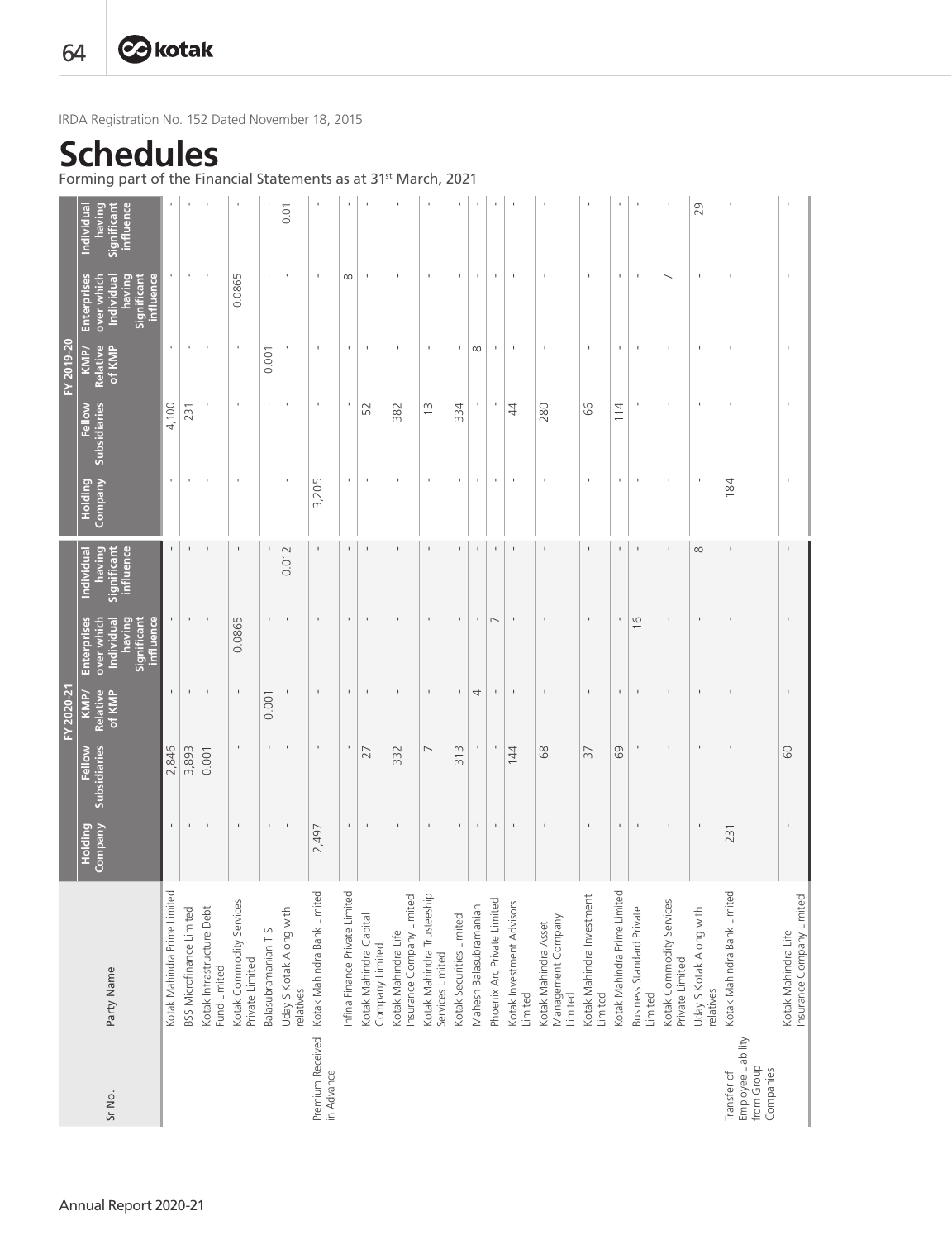# **Schedules**

Forming part of the Financial Statements as at 31<sup>st</sup> March, 2021

|            | Significant<br>influence<br><b>Individual</b><br><b>having</b>                       |                              |                          |                                           |                                             |                    | 0.01                                 |                                |                                |                                           |                                                  |                                                |                             |                        |                                  |                                      |                                                       |                                      |                              |                                             |                                             | 29                                   |                                                              |                                                  |
|------------|--------------------------------------------------------------------------------------|------------------------------|--------------------------|-------------------------------------------|---------------------------------------------|--------------------|--------------------------------------|--------------------------------|--------------------------------|-------------------------------------------|--------------------------------------------------|------------------------------------------------|-----------------------------|------------------------|----------------------------------|--------------------------------------|-------------------------------------------------------|--------------------------------------|------------------------------|---------------------------------------------|---------------------------------------------|--------------------------------------|--------------------------------------------------------------|--------------------------------------------------|
|            | <b>Enterprises</b><br>Significant<br>influence<br>having<br>over which<br>Individual | $\,$                         | ٠                        | J.                                        | 0.0865                                      | ٠                  | ٠                                    | ٠                              | $\infty$                       |                                           | $\mathbf I$                                      | $\mathbf{I}$                                   | $\mathbf I$                 | $\blacksquare$         | $\mathbf I$                      |                                      | J.                                                    | $\mathbf{I}$                         | $\mathbf{I}$                 | ٠                                           | $\overline{ }$                              | п.                                   |                                                              | $\mathbf{I}$                                     |
| FY 2019-20 | KMP/<br>Relative<br>of KM                                                            | ٠                            | ٠                        | ×                                         | $\mathbf{I}$                                | 0.001              | ٠                                    | J.                             | $\mathbf{I}$                   |                                           | $\mathbf I$                                      | $\mathbf{I}$                                   | $\mathbf I$                 | $\infty$               | $\mathbf I$                      |                                      | J.                                                    | $\mathbf{I}$                         | $\mathbf{I}$                 | ٠                                           | ٠                                           | п.                                   |                                                              | $\mathbf{I}$                                     |
|            | <b>Subsidiaries</b><br>Fellow                                                        | 4,100                        | 231                      | ł                                         | $\,$                                        |                    |                                      | f,                             |                                | 52                                        | 382                                              | $\widetilde{\Xi}$                              | 334                         |                        | $\mathbf{I}$                     | $\overline{4}$                       | 280                                                   | 99                                   | 114                          |                                             | $\mathbf{I}$                                | $\mathbf{I}$                         |                                                              | $\mathbf{I}$                                     |
|            | <b>Holding</b><br>Company                                                            | $\mathbf{I}$                 | r.                       | ×                                         | $\mathbf{I}$                                | ٠                  | $\,$                                 | 3,205                          |                                | $\blacksquare$                            | $\mathbf{I}$                                     | $\mathbf{I}$                                   | J.                          |                        | J.                               | J.                                   | J.                                                    | $\mathbf{I}$                         | $\mathbf{I}$                 | r                                           | $\mathbf I$                                 | J.                                   | 184                                                          | $\mathbf{I}$                                     |
|            | Significant<br>influence<br>having<br>Individual                                     |                              |                          |                                           |                                             |                    | 0.012                                |                                |                                |                                           |                                                  |                                                |                             |                        |                                  |                                      |                                                       |                                      |                              |                                             |                                             | $\infty$                             |                                                              |                                                  |
|            | Enterprises<br>having<br>Significant<br>influence<br>over which<br>Individual        | 1                            | 1                        | $\mathbf{I}$                              | 0.0865                                      | $\mathbf I$        | ٠                                    | п.                             | $\mathbf{I}$                   | $\mathbf{I}$                              | $\mathbf I$                                      | $\mathbf I$                                    | $\mathbf I$                 | $\mathbf{I}$           |                                  | $\mathbf I$                          | J.                                                    | $\mathbf{I}$                         | $\mathbf{I}$                 | $\circ$                                     | $\mathbf I$                                 | $\mathbf{I}$                         |                                                              | $\,$ $\,$                                        |
| FY 2020-21 | Relative<br>of KMP<br>KMP/                                                           | $\mathbf I$                  | $\blacksquare$           | $\mathbf I$                               | $\mathbf{I}$                                | 0.001              | $\mathbf I$                          | I.                             |                                | $\blacksquare$                            | $\mathbf I$                                      | $\mathbf{I}$                                   | $\blacksquare$              | 4                      | п                                |                                      | J.                                                    | $\mathbf{I}$                         | $\mathbf I$                  | ı                                           | $\blacksquare$                              | $\mathbf{I}$                         |                                                              | $\mathbf{I}$                                     |
|            | Fellow<br>Subsidiaries                                                               | 2,846                        | 3,893                    | 0.001                                     | $\mathbf{I}$                                | $\mathbf{I}$       | $\,$                                 | ı                              |                                | ∼<br>$\sim$                               | 332                                              | $\overline{\phantom{0}}$                       | $\infty$<br>$\overline{31}$ |                        | $\,$                             | 144                                  | 68                                                    | ∼<br>$\overline{m}$                  | 69                           | ı                                           | $\,$                                        |                                      |                                                              | 60                                               |
|            | Holding<br>Company                                                                   | $\mathbf I$                  |                          | $\mathbf{I}$                              | $\mathbf{I}$                                | 1                  | $\mathbf{I}$                         | 2,497                          | $\mathbb{I}$                   | $\mathbf{I}$                              | $\mathbf I$                                      | $\mathbf{I}$                                   | $\mathbf I$                 | $\blacksquare$         | 1                                | J.                                   | $\mathbf{I}$                                          | $\mathbf{I}$                         | $\mathbf{I}$                 | ٠                                           | $\blacksquare$                              | $\mathbf{I}$                         | 231                                                          | $\mathbf{I}$                                     |
|            | Party Name                                                                           | Kotak Mahindra Prime Limited | BSS Microfinance Limited | Kotak Infrastructure Debt<br>Fund Limited | Kotak Commodity Services<br>Private Limited | Balasubramanian TS | Uday S Kotak Along with<br>relatives | Kotak Mahindra Bank Limited    | Infina Finance Private Limited | Kotak Mahindra Capital<br>Company Limited | Insurance Company Limited<br>Kotak Mahindra Life | Kotak Mahindra Trusteeship<br>Services Limited | Kotak Securities Limited    | Mahesh Balasubramanian | eg.<br>Phoenix Arc Private Limit | Kotak Investment Advisors<br>Limited | Management Company<br>Kotak Mahindra Asset<br>Limited | Kotak Mahindra Investment<br>Limited | Kotak Mahindra Prime Limited | <b>Business Standard Private</b><br>Limited | Kotak Commodity Services<br>Private Limited | Uday S Kotak Along with<br>relatives | Kotak Mahindra Bank Limited                                  | Insurance Company Limited<br>Kotak Mahindra Life |
|            | Sr No.                                                                               |                              |                          |                                           |                                             |                    |                                      | Premium Received<br>in Advance |                                |                                           |                                                  |                                                |                             |                        |                                  |                                      |                                                       |                                      |                              |                                             |                                             |                                      | Employee Liability<br>from Group<br>Companies<br>Transfer of |                                                  |
|            | Annual Report 2020-21                                                                |                              |                          |                                           |                                             |                    |                                      |                                |                                |                                           |                                                  |                                                |                             |                        |                                  |                                      |                                                       |                                      |                              |                                             |                                             |                                      |                                                              |                                                  |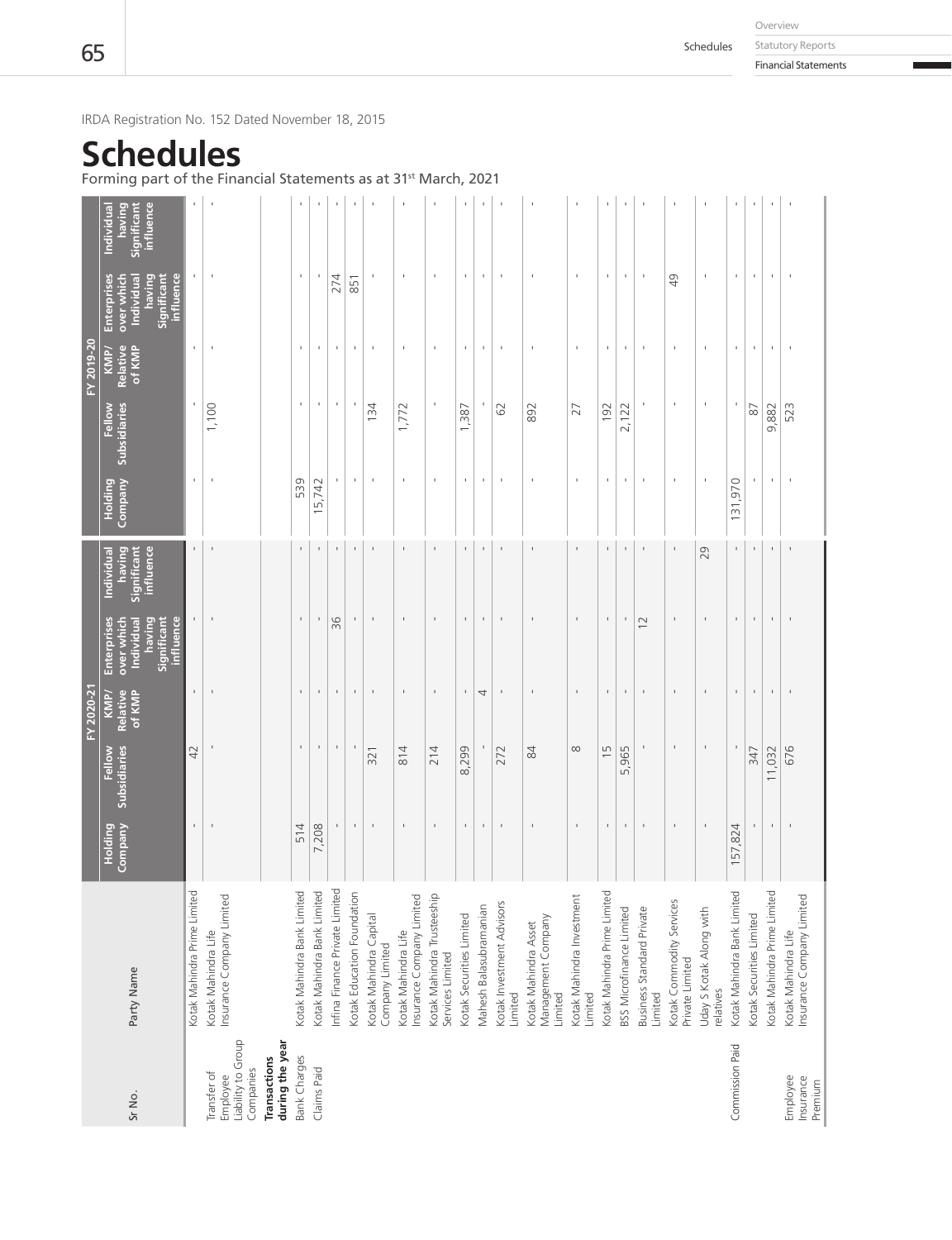Statutory Reports Financial Statements

IRDA Registration No. 152 Dated November 18, 2015

# **Schedules**

Forming part of the Financial Statements as at 31st March, 2021

|                                                            |                                                       |                                 |                        | FY 2020-21                 |                                                                               |                                                  |                    |                               | FY 2019-20                 |                                                                                            |                                                  |
|------------------------------------------------------------|-------------------------------------------------------|---------------------------------|------------------------|----------------------------|-------------------------------------------------------------------------------|--------------------------------------------------|--------------------|-------------------------------|----------------------------|--------------------------------------------------------------------------------------------|--------------------------------------------------|
| Sr No.                                                     | Party Name                                            | Holding<br>Company              | Fellow<br>Subsidiaries | Relative<br>of KMP<br>KMP/ | Enterprises<br>Significant<br>having<br>influence<br>over which<br>Individual | influence<br>having<br>Significant<br>Individual | Holding<br>Company | Subsidiaries<br><b>Fellow</b> | KMP/<br>Relative<br>of KMP | <b>Enterprises</b><br>Significant<br><b>having</b><br>influence<br>Individua<br>over which | having<br>influence<br>Individual<br>Significant |
|                                                            | Kotak Mahindra Prime Limited                          | $\mathbf{I}$                    | 42                     | $\blacksquare$             |                                                                               |                                                  | $\mathbf{I}$       |                               |                            |                                                                                            |                                                  |
| Liability to Group<br>Companies<br>Transfer of<br>Employee | Insurance Company Limited<br>Kotak Mahindra Life      |                                 |                        |                            |                                                                               |                                                  | I.                 | 1,100                         |                            |                                                                                            |                                                  |
| during the year<br>Transactions                            |                                                       |                                 |                        |                            |                                                                               |                                                  |                    |                               |                            |                                                                                            |                                                  |
| <b>Bank Charges</b>                                        | Kotak Mahindra Bank Limited                           | 514                             | $\mathbf{I}$           | $\mathbf I$                | $\mathbf{I}$                                                                  |                                                  | 539                |                               | $\overline{\phantom{a}}$   | $\mathbf{I}$                                                                               |                                                  |
| Claims Paid                                                | Kotak Mahindra Bank Limited                           | 208<br>$\overline{\phantom{0}}$ | J.                     | J.                         |                                                                               |                                                  | 15,742             |                               |                            |                                                                                            |                                                  |
|                                                            | nfina Finance Private Limited                         |                                 | $\mathbf{I}$           | J.                         | 96                                                                            |                                                  |                    | $\mathbf{I}$                  |                            | 274                                                                                        |                                                  |
|                                                            | Kotak Education Foundation                            | J.                              | п                      | J.                         | $\blacksquare$                                                                |                                                  | $\mathbf{I}$       | J,                            |                            | 851                                                                                        |                                                  |
|                                                            | Kotak Mahindra Capital<br>Company Limited             | $\mathbf{I}$                    | 321                    | J.                         | $\mathbf{I}$                                                                  |                                                  | ٠                  | 134                           |                            |                                                                                            |                                                  |
|                                                            | Insurance Company Limited<br>Kotak Mahindra Life      | $\mathbf{I}$                    | 814                    | $\mathbb{I}$               | $\mathbf{I}$                                                                  |                                                  | $\mathbf{I}$       | 1,772                         | $\mathbf{I}$               | $\mathbf{I}$                                                                               |                                                  |
|                                                            | Kotak Mahindra Trusteeship<br>Services Limited        | $\mathbf{I}$                    | 214                    | J.                         | $\,$ I                                                                        |                                                  | ٠                  | J.                            |                            | J.                                                                                         |                                                  |
|                                                            | Kotak Securities Limited                              | $\mathbf I$                     | 8,299                  | $\mathbf{I}$               | $\,$ I                                                                        |                                                  | $\mathbf{I}$       | 1,387                         | $\mathbf{I}$               | $\mathbf{I}$                                                                               |                                                  |
|                                                            | Mahesh Balasubramanian                                |                                 |                        | 4                          |                                                                               |                                                  | J.                 |                               |                            |                                                                                            |                                                  |
|                                                            | Kotak Investment Advisors<br>Limited                  |                                 | 272                    |                            |                                                                               |                                                  | $\mathbf{I}$       | 62                            |                            |                                                                                            |                                                  |
|                                                            | Management Company<br>Kotak Mahindra Asset<br>Limited |                                 | 84                     | $\blacksquare$             |                                                                               |                                                  | I.                 | 892                           |                            |                                                                                            |                                                  |
|                                                            | ent<br>Kotak Mahindra Investm<br>Limited              |                                 | $\infty$               |                            |                                                                               |                                                  |                    | 27                            |                            |                                                                                            |                                                  |
|                                                            | Kotak Mahindra Prime Limited                          | ı                               | $\overline{1}$         | ٠                          | $\,$                                                                          |                                                  | t,                 | 192                           | f,                         | ı                                                                                          | ı                                                |
|                                                            | <b>BSS Microfinance Limited</b>                       | Ţ                               | ,965<br>$\overline{5}$ | ı.                         | ٠                                                                             |                                                  | J.                 | 2,122                         | J.                         | J.                                                                                         |                                                  |
|                                                            | Business Standard Private<br>Limited                  |                                 | ٠                      | J.                         | $\overline{c}$                                                                |                                                  | J.                 |                               |                            | $\,$                                                                                       |                                                  |
|                                                            | Kotak Commodity Services<br>Private Limited           |                                 |                        |                            | $\mathbf{I}$                                                                  |                                                  | $\mathbf{I}$       |                               |                            | 49                                                                                         |                                                  |
|                                                            | Uday S Kotak Along with<br>relatives                  | $\,$ I                          | $\,$ I                 | $\blacksquare$             | Ţ                                                                             | 29                                               | J.                 | t                             | ï                          | $\,$                                                                                       |                                                  |
| Commission Paid                                            | Kotak Mahindra Bank Limited                           | 157,824                         | J.                     | $\mathbf{I}$               |                                                                               |                                                  | 131,970            |                               |                            |                                                                                            |                                                  |
|                                                            | Kotak Securities Limited                              |                                 | 347                    | $\mathbf{I}$               | $\mathbf{I}$                                                                  |                                                  |                    | $\approx$                     |                            |                                                                                            |                                                  |
|                                                            | Kotak Mahindra Prime Limited                          | $\mathbf I$                     | 11,032                 | п.                         | $\mathbf I$                                                                   |                                                  | $\mathbf{I}$       | 9,882                         | $\mathbf{I}$               | $\mathbf{I}$                                                                               |                                                  |
| Employee<br>Insurance<br>Premium                           | Insurance Company Limited<br>Kotak Mahindra Life      | $\blacksquare$                  | 676                    | J.                         | J.                                                                            |                                                  | J.                 | 523                           | J.                         | J,                                                                                         |                                                  |
|                                                            |                                                       |                                 |                        |                            |                                                                               |                                                  |                    |                               |                            |                                                                                            |                                                  |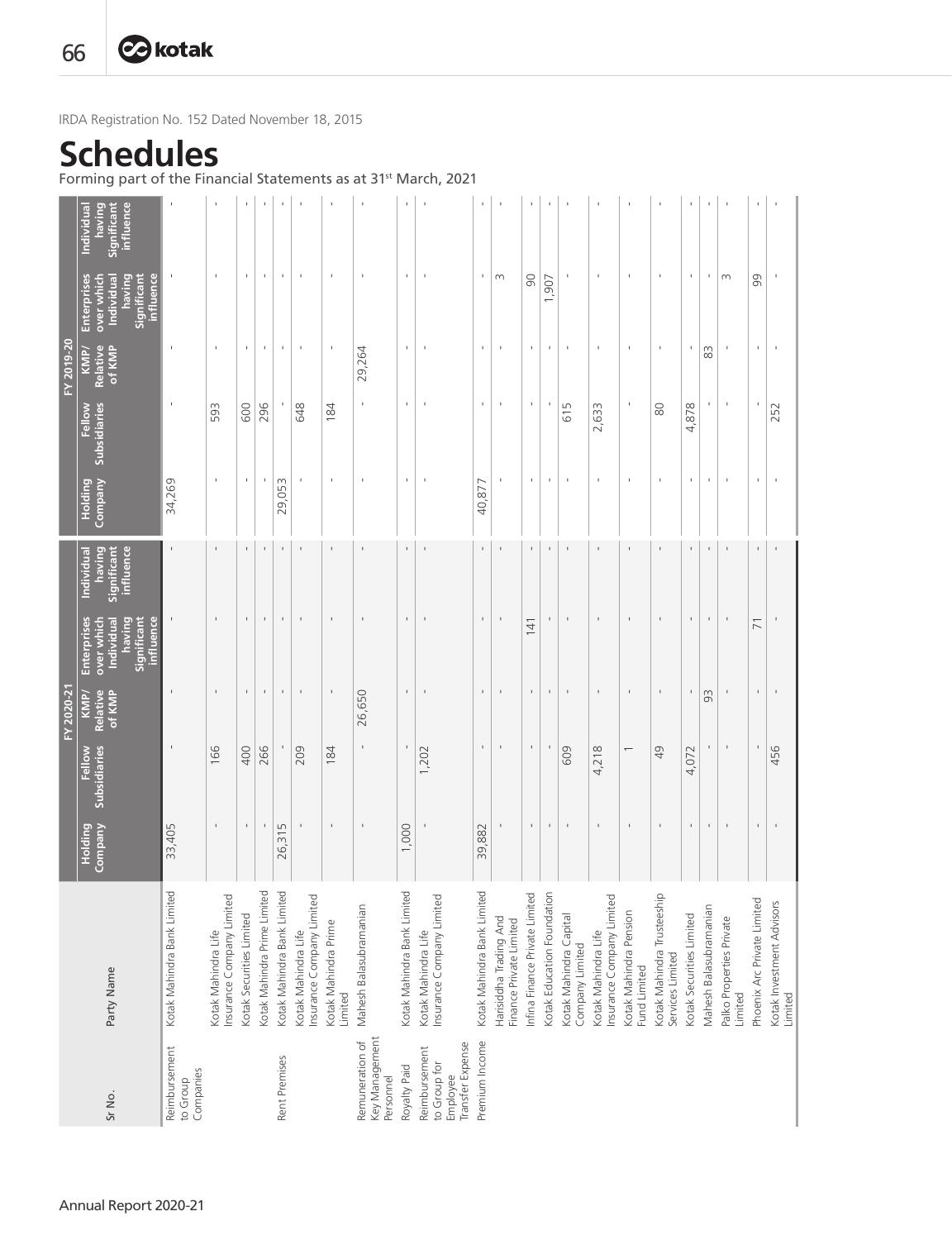# **Schedules**

Forming part of the Financial Statements as at 31<sup>st</sup> March, 2021

| $\,$<br>$\mathbf I$<br>J.<br>J.<br>ı<br>J.<br>J.<br>29,264<br>$\mathbf{I}$<br>J,<br>t<br>J.<br>615<br>2,633<br>184<br>J.<br>$\mathbf{I}$<br>J.<br>$\mathbf{I}$<br>J.<br>٠<br>٠<br>40,877<br>Ţ<br>t,<br>ı<br>ı<br>141<br>$\mathbf{I}$<br>$\blacksquare$<br>п<br>ı.<br>$\mathbf{I}$<br>1<br>п.<br>26,650<br>$\,$ I<br>184<br>$\mathbf{I}$<br>٠<br>609<br>4,218<br>1,202<br>$\overline{ }$                                                                                 | $\mathbf{I}$<br>$\mathbf{I}$<br>$\,$ I<br>J.<br>83<br>4,878<br>٠<br>80<br>252<br>$\mathbf{I}$<br>$\mathbf{I}$<br>٠<br>I.<br>$\mathbf{I}$<br>$\mathbf I$<br>ı<br>$\mathbf I$<br>J,<br>$\overline{7}$<br>$\mathbf I$<br>$\mathbf{I}$<br>٠<br>$\mathbf I$<br>93<br>$\mathbf I$<br>49 |
|-------------------------------------------------------------------------------------------------------------------------------------------------------------------------------------------------------------------------------------------------------------------------------------------------------------------------------------------------------------------------------------------------------------------------------------------------------------------------|-----------------------------------------------------------------------------------------------------------------------------------------------------------------------------------------------------------------------------------------------------------------------------------|
|                                                                                                                                                                                                                                                                                                                                                                                                                                                                         |                                                                                                                                                                                                                                                                                   |
|                                                                                                                                                                                                                                                                                                                                                                                                                                                                         |                                                                                                                                                                                                                                                                                   |
|                                                                                                                                                                                                                                                                                                                                                                                                                                                                         |                                                                                                                                                                                                                                                                                   |
|                                                                                                                                                                                                                                                                                                                                                                                                                                                                         |                                                                                                                                                                                                                                                                                   |
|                                                                                                                                                                                                                                                                                                                                                                                                                                                                         |                                                                                                                                                                                                                                                                                   |
|                                                                                                                                                                                                                                                                                                                                                                                                                                                                         |                                                                                                                                                                                                                                                                                   |
|                                                                                                                                                                                                                                                                                                                                                                                                                                                                         | 456<br>4,072                                                                                                                                                                                                                                                                      |
| $\mathbf I$<br>t,<br>$\mathbf I$<br>$\mathbf{I}$<br>1,000<br>п<br>39,882                                                                                                                                                                                                                                                                                                                                                                                                | $\mathbf{I}$<br>$\mathbf{I}$<br>$\mathbf I$                                                                                                                                                                                                                                       |
| Kotak Mahindra Bank Limited<br>Kotak Mahindra Bank Limited<br>Kotak Education Foundation<br>Infina Finance Private Limited<br>Insurance Company Limited<br>Insurance Company Limited<br>Insurance Company Limited<br>Mahesh Balasubramanian<br>Kotak Mahindra Pension<br>Harisiddha Trading And<br>Finance Private Limited<br>Kotak Mahindra Capita<br>Kotak Mahindra Prime<br>Kotak Mahindra Life<br>Kotak Mahindra Life<br>Company Limited<br>Fund Limited<br>Limited | Kotak Mahindra Trusteeship<br>Phoenix Arc Private Limited<br>Kotak Investment Advisors<br>Mahesh Balasubramanian<br>Kotak Securities Limited<br>Palko Properties Private<br>Services Limited<br>Limited<br>Limited                                                                |
| Key Management<br>Remuneration of<br>Premium Income<br>Transfer Expense<br>Reimbursement<br>to Group for<br>Royalty Paid<br>Employee<br>Personnel                                                                                                                                                                                                                                                                                                                       |                                                                                                                                                                                                                                                                                   |
|                                                                                                                                                                                                                                                                                                                                                                                                                                                                         |                                                                                                                                                                                                                                                                                   |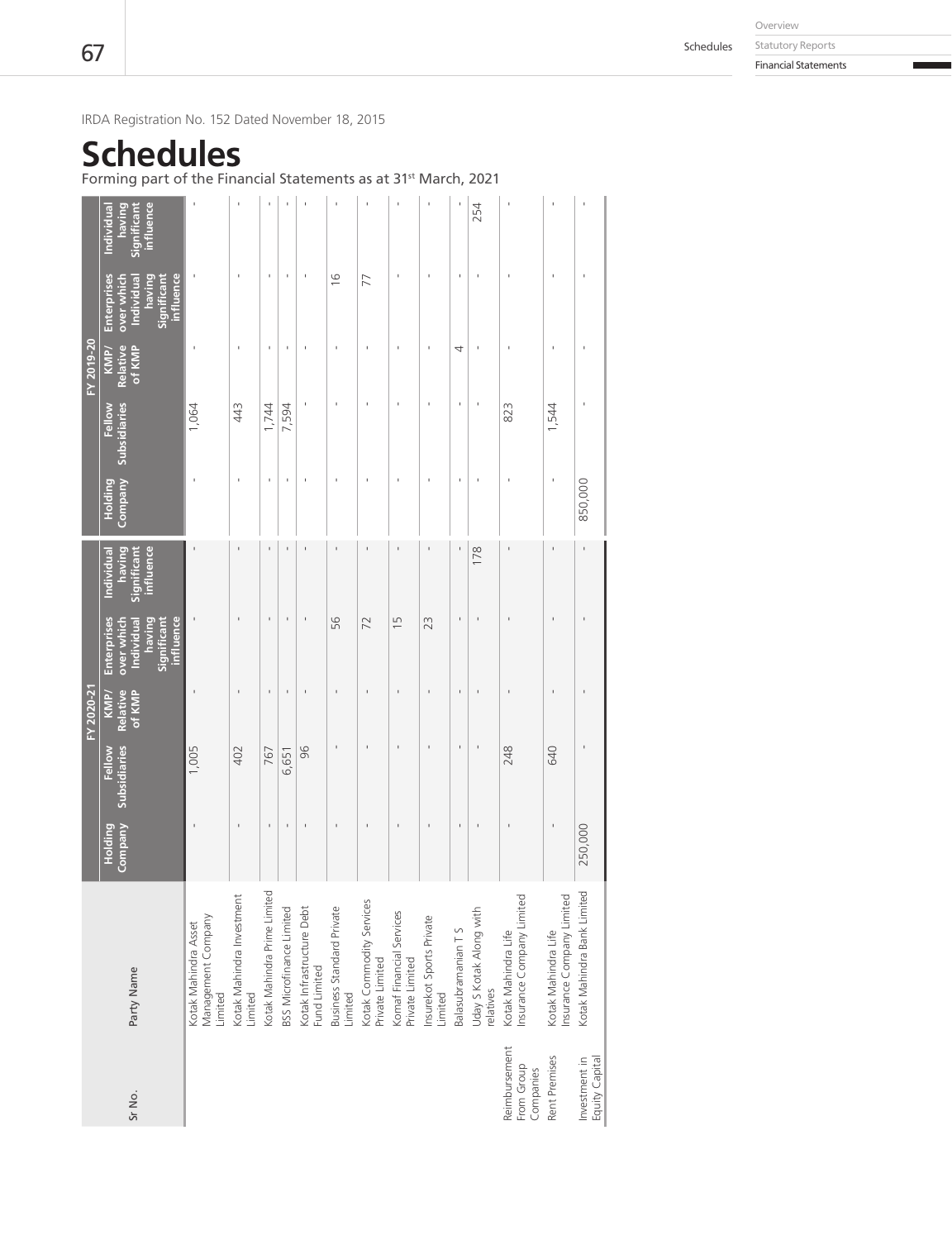Financial Statements

IRDA Registration No. 152 Dated November 18, 2015

# **Schedules**

Forming part of the Financial Statements as at 31st March, 2021

|            | influence<br><b>having</b><br>Significant<br>Individual                              |                                                       |                                      |                              |                                 |                                           |                                                             |                                             |                                             |                                     |                    | 254                                  |                                                  |                                                  |                                 |
|------------|--------------------------------------------------------------------------------------|-------------------------------------------------------|--------------------------------------|------------------------------|---------------------------------|-------------------------------------------|-------------------------------------------------------------|---------------------------------------------|---------------------------------------------|-------------------------------------|--------------------|--------------------------------------|--------------------------------------------------|--------------------------------------------------|---------------------------------|
|            | influence<br>Enterprises<br>having<br>over which<br><b>Significant</b><br>Individual |                                                       |                                      | ï                            | ı                               |                                           | $\frac{6}{1}$                                               | 77                                          |                                             | ı                                   |                    |                                      |                                                  |                                                  |                                 |
| FY 2019-20 | Relative<br>of KMP<br>KMP/                                                           |                                                       |                                      | $\mathbf{I}$                 | ٠                               |                                           | J.                                                          | J.                                          |                                             |                                     | 4                  |                                      |                                                  |                                                  |                                 |
|            | <b>Subsidiaries</b><br>Fellow                                                        | 1,064                                                 | 443                                  | 1,744                        | 7,594                           |                                           | I                                                           |                                             |                                             | ı                                   |                    | t                                    | 823                                              | 1,544                                            |                                 |
|            | Company<br><b>Holding</b>                                                            | I.                                                    |                                      | I                            | ı                               |                                           | ı                                                           |                                             |                                             |                                     | J.                 |                                      |                                                  | ı                                                | 850,000                         |
|            | influence<br>having<br>Significant<br>ndividual                                      |                                                       |                                      |                              |                                 |                                           | ï                                                           |                                             |                                             |                                     |                    | 178                                  |                                                  |                                                  |                                 |
|            | Enterprises<br>influence<br>over which<br>having<br>Significant<br>Individual        |                                                       |                                      | I                            | ı                               | $\blacksquare$                            | 56                                                          | 72                                          | $\frac{1}{2}$                               | 23                                  | п                  | r                                    |                                                  |                                                  |                                 |
| FY 2020-21 | Relative<br>of KMP<br>KMP/                                                           |                                                       |                                      | I                            | ı                               |                                           | ï                                                           | I.                                          |                                             |                                     | п                  | r                                    |                                                  |                                                  |                                 |
|            | Fellow<br><b>Subsidiaries</b>                                                        | 1,005                                                 | 402                                  | 767                          | 6,651                           | 96                                        |                                                             |                                             |                                             |                                     | Ţ                  |                                      | 248                                              | 640                                              |                                 |
|            | Company<br>Holding                                                                   |                                                       |                                      | Ţ                            | ı                               |                                           | ı                                                           | Ţ                                           |                                             |                                     | п                  |                                      |                                                  |                                                  | 250,000                         |
|            | Party Name                                                                           | Management Company<br>Kotak Mahindra Asset<br>Limited | Kotak Mahindra Investment<br>Limited | Kotak Mahindra Prime Limited | <b>BSS Microfinance Limited</b> | Kotak Infrastructure Debt<br>Fund Limited | $\overline{e}$<br><b>Business Standard Priva</b><br>Limited | Kotak Commodity Services<br>Private Limited | Komaf Financial Services<br>Private Limited | Insurekot Sports Private<br>Limited | Balasubramanian TS | Uday S Kotak Along with<br>relatives | Insurance Company Limited<br>Kotak Mahindra Life | Insurance Company Limited<br>Kotak Mahindra Life | Kotak Mahindra Bank Limited     |
|            | Sr No.                                                                               |                                                       |                                      |                              |                                 |                                           |                                                             |                                             |                                             |                                     |                    |                                      | Reimbursement<br>From Group<br>Companies         | Rent Premises                                    | Investment in<br>Equity Capital |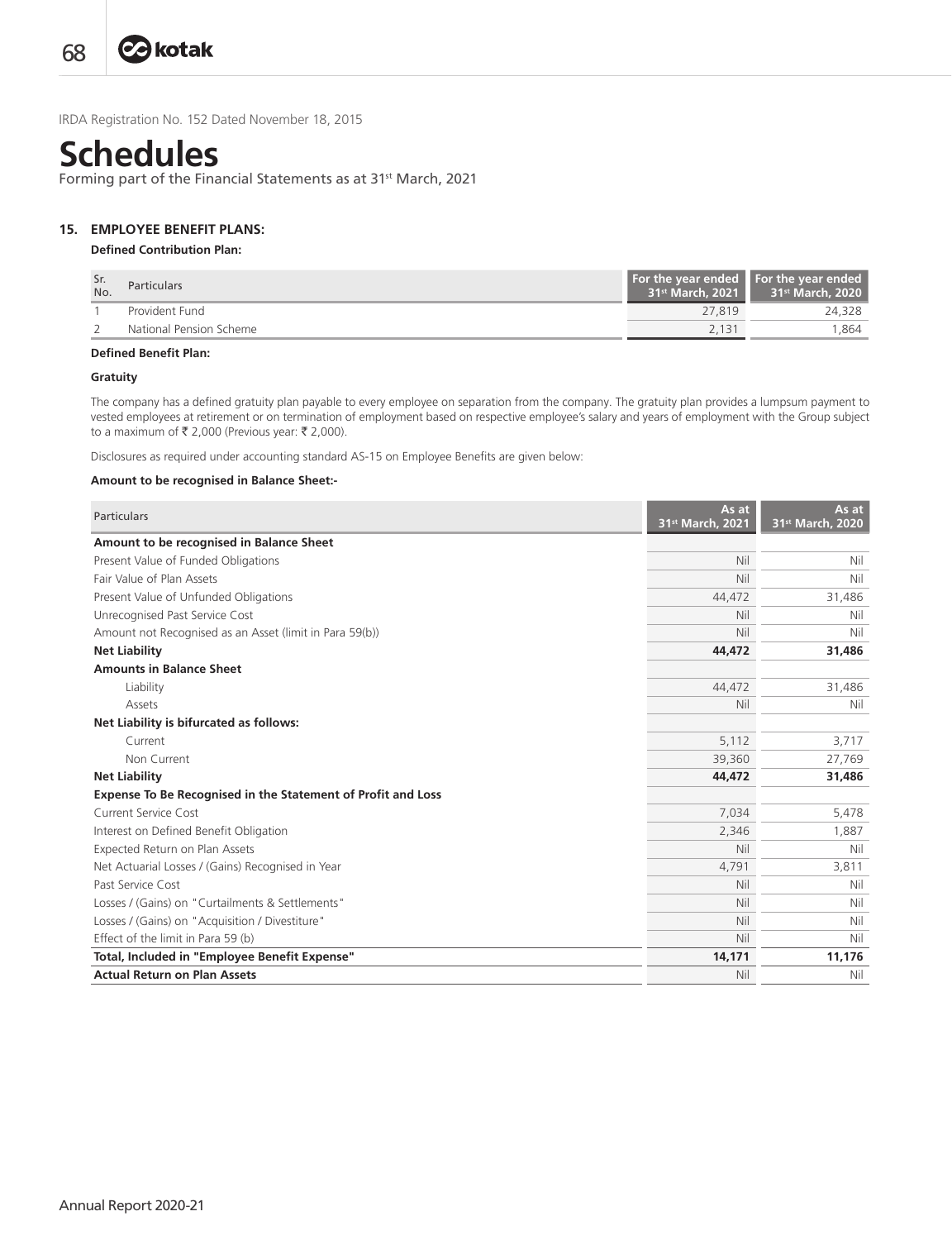# **Schedules**

Forming part of the Financial Statements as at 31<sup>st</sup> March, 2021

## **15. EMPLOYEE BENEFIT PLANS:**

### **Defined Contribution Plan:**

| Sr.<br>No. | Particulars             | For the year ended For the year ended | 31 <sup>st</sup> March, 2021 31 <sup>st</sup> March, 2020 |
|------------|-------------------------|---------------------------------------|-----------------------------------------------------------|
|            | Provident Fund          | 27.819                                | 24.328                                                    |
|            | National Pension Scheme | 2.13'                                 | 1.864                                                     |

### **Defined Benefit Plan:**

### **Gratuity**

The company has a defined gratuity plan payable to every employee on separation from the company. The gratuity plan provides a lumpsum payment to vested employees at retirement or on termination of employment based on respective employee's salary and years of employment with the Group subject to a maximum of  $\bar{\bar{\tau}}$  2,000 (Previous year:  $\bar{\bar{\tau}}$  2,000).

Disclosures as required under accounting standard AS-15 on Employee Benefits are given below:

#### **Amount to be recognised in Balance Sheet:-**

| Particulars                                                         | As at<br>31st March, 2021 | As at<br>31 <sup>st</sup> March, 2020 |
|---------------------------------------------------------------------|---------------------------|---------------------------------------|
| Amount to be recognised in Balance Sheet                            |                           |                                       |
| Present Value of Funded Obligations                                 | Nil                       | Nil                                   |
| Fair Value of Plan Assets                                           | Nil                       | Nil                                   |
| Present Value of Unfunded Obligations                               | 44,472                    | 31,486                                |
| Unrecognised Past Service Cost                                      | Nil                       | Nil                                   |
| Amount not Recognised as an Asset (limit in Para 59(b))             | Nil                       | Nil                                   |
| <b>Net Liability</b>                                                | 44,472                    | 31,486                                |
| <b>Amounts in Balance Sheet</b>                                     |                           |                                       |
| Liability                                                           | 44,472                    | 31,486                                |
| Assets                                                              | Nil                       | Nil                                   |
| Net Liability is bifurcated as follows:                             |                           |                                       |
| Current                                                             | 5,112                     | 3,717                                 |
| Non Current                                                         | 39,360                    | 27,769                                |
| <b>Net Liability</b>                                                | 44,472                    | 31,486                                |
| <b>Expense To Be Recognised in the Statement of Profit and Loss</b> |                           |                                       |
| Current Service Cost                                                | 7,034                     | 5,478                                 |
| Interest on Defined Benefit Obligation                              | 2,346                     | 1,887                                 |
| Expected Return on Plan Assets                                      | Nil                       | Nil                                   |
| Net Actuarial Losses / (Gains) Recognised in Year                   | 4,791                     | 3,811                                 |
| Past Service Cost                                                   | Nil                       | Nil                                   |
| Losses / (Gains) on "Curtailments & Settlements"                    | Nil                       | Nil                                   |
| Losses / (Gains) on "Acquisition / Divestiture"                     | Nil                       | Nil                                   |
| Effect of the limit in Para 59 (b)                                  | Nil                       | Nil                                   |
| Total, Included in "Employee Benefit Expense"                       | 14,171                    | 11,176                                |
| <b>Actual Return on Plan Assets</b>                                 | Nil                       | Nil                                   |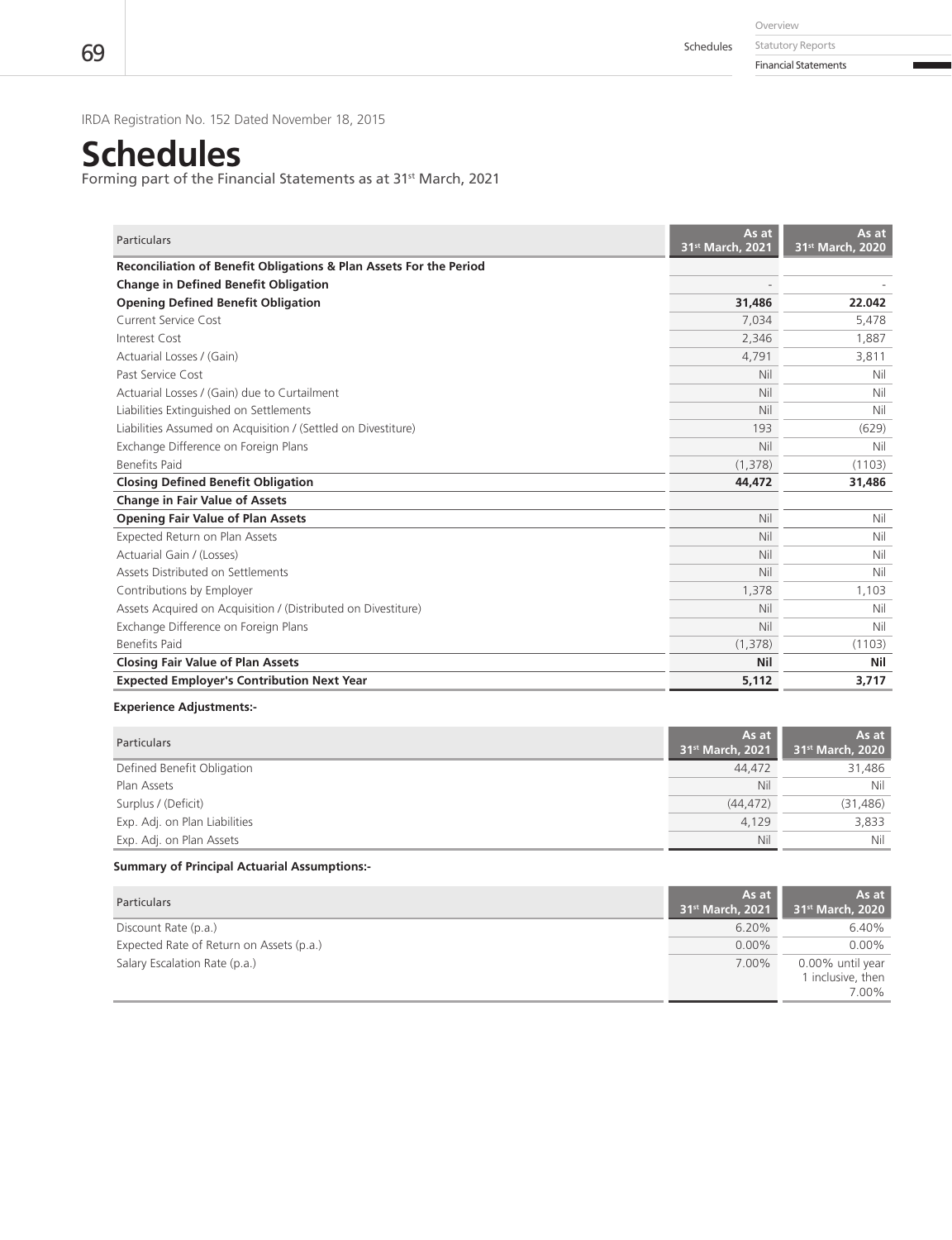Statutory Reports Financial Statements

Overview

IRDA Registration No. 152 Dated November 18, 2015

# **Schedules**

Forming part of the Financial Statements as at 31st March, 2021

| Particulars                                                        | As at<br>31 <sup>st</sup> March, 2021 | As at<br>31 <sup>st</sup> March, 2020 |
|--------------------------------------------------------------------|---------------------------------------|---------------------------------------|
| Reconciliation of Benefit Obligations & Plan Assets For the Period |                                       |                                       |
| <b>Change in Defined Benefit Obligation</b>                        |                                       |                                       |
| <b>Opening Defined Benefit Obligation</b>                          | 31,486                                | 22.042                                |
| Current Service Cost                                               | 7.034                                 | 5,478                                 |
| Interest Cost                                                      | 2,346                                 | 1,887                                 |
| Actuarial Losses / (Gain)                                          | 4,791                                 | 3,811                                 |
| Past Service Cost                                                  | Nil                                   | Nil                                   |
| Actuarial Losses / (Gain) due to Curtailment                       | Nil                                   | Nil                                   |
| Liabilities Extinguished on Settlements                            | Nil                                   | Nil                                   |
| Liabilities Assumed on Acquisition / (Settled on Divestiture)      | 193                                   | (629)                                 |
| Exchange Difference on Foreign Plans                               | Nil                                   | Nil                                   |
| <b>Benefits Paid</b>                                               | (1, 378)                              | (1103)                                |
| <b>Closing Defined Benefit Obligation</b>                          | 44,472                                | 31,486                                |
| <b>Change in Fair Value of Assets</b>                              |                                       |                                       |
| <b>Opening Fair Value of Plan Assets</b>                           | Nil                                   | Nil                                   |
| Expected Return on Plan Assets                                     | Nil                                   | Nil                                   |
| Actuarial Gain / (Losses)                                          | Nil                                   | Nil                                   |
| Assets Distributed on Settlements                                  | Nil                                   | Nil                                   |
| Contributions by Employer                                          | 1,378                                 | 1,103                                 |
| Assets Acquired on Acquisition / (Distributed on Divestiture)      | Nil                                   | Nil                                   |
| Exchange Difference on Foreign Plans                               | Nil                                   | Nil                                   |
| <b>Benefits Paid</b>                                               | (1,378)                               | (1103)                                |
| <b>Closing Fair Value of Plan Assets</b>                           | <b>Nil</b>                            | Nil                                   |
| <b>Expected Employer's Contribution Next Year</b>                  | 5,112                                 | 3,717                                 |

### **Experience Adjustments:-**

| <b>Particulars</b>            | As at<br>31 <sup>st</sup> March, 2021 | As at<br>31 <sup>st</sup> March, 2020 |
|-------------------------------|---------------------------------------|---------------------------------------|
| Defined Benefit Obligation    | 44.472                                | 31,486                                |
| Plan Assets                   | Nil                                   | Nil                                   |
| Surplus / (Deficit)           | (44, 472)                             | (31, 486)                             |
| Exp. Adj. on Plan Liabilities | 4,129                                 | 3,833                                 |
| Exp. Adj. on Plan Assets      | Nil                                   | Nil                                   |

## **Summary of Principal Actuarial Assumptions:-**

| <b>Particulars</b>                       | As at $\overline{ }$<br>31 <sup>st</sup> March, 2021 | As at<br>31 <sup>st</sup> March, 2020          |
|------------------------------------------|------------------------------------------------------|------------------------------------------------|
| Discount Rate (p.a.)                     | 6.20%                                                | 6.40%                                          |
| Expected Rate of Return on Assets (p.a.) | $0.00\%$                                             | $0.00\%$                                       |
| Salary Escalation Rate (p.a.)            | 7.00%                                                | 0.00% until year<br>1 inclusive, then<br>7.00% |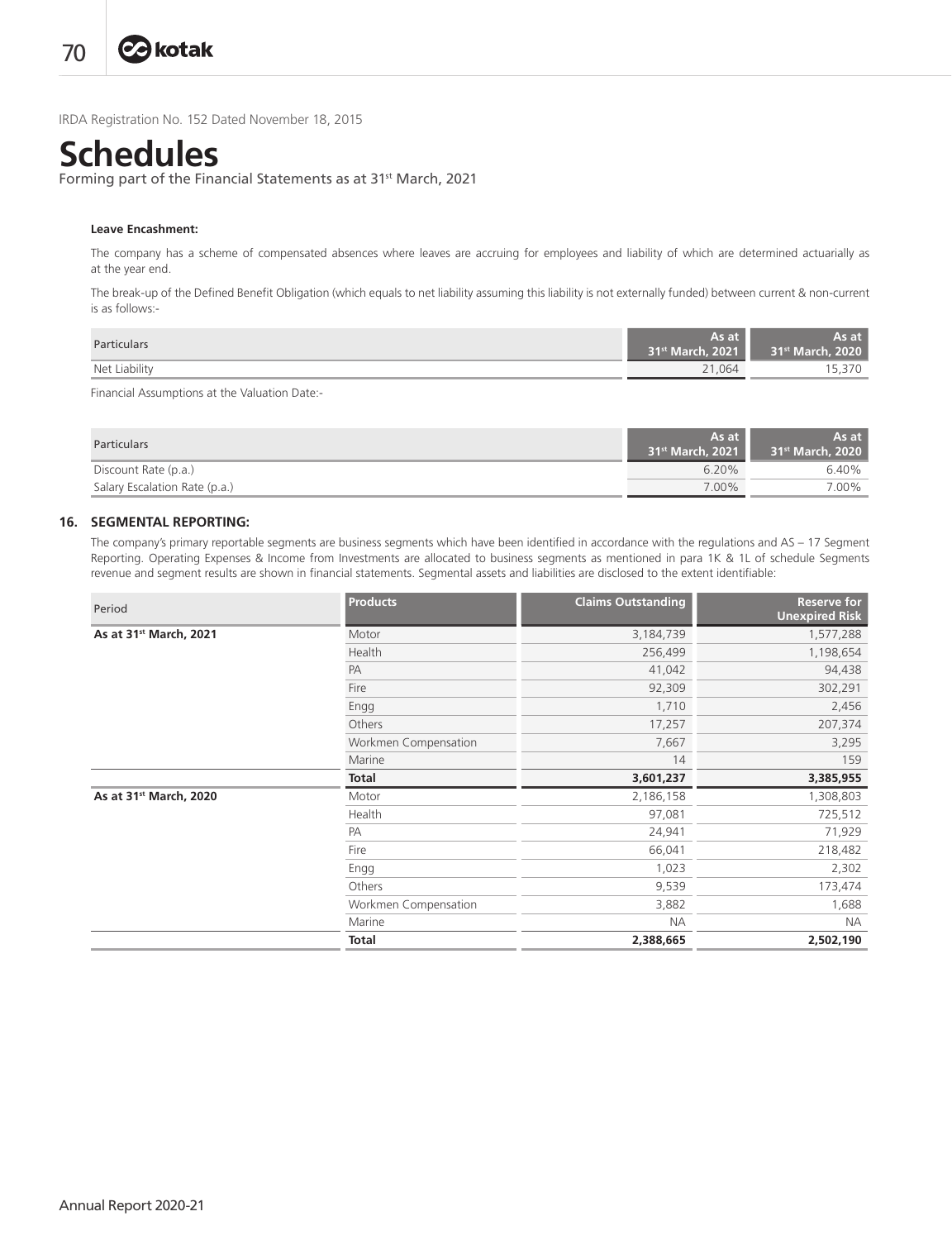# **Schedules**

Forming part of the Financial Statements as at 31<sup>st</sup> March, 2021

### **Leave Encashment:**

The company has a scheme of compensated absences where leaves are accruing for employees and liability of which are determined actuarially as at the year end.

The break-up of the Defined Benefit Obligation (which equals to net liability assuming this liability is not externally funded) between current & non-current is as follows:-

| Particulars   | 31 <sup>st</sup> March, 2021 | As atl<br>31 <sup>st</sup> March, 2020 |
|---------------|------------------------------|----------------------------------------|
| Net Liability | 21.064                       |                                        |

Financial Assumptions at the Valuation Date:-

| Particulars                   | $As$ at $\overline{ }$<br>31 <sup>st</sup> March, 2021 | As at<br>31 <sup>st</sup> March, 2020 |
|-------------------------------|--------------------------------------------------------|---------------------------------------|
| Discount Rate (p.a.)          | 6.20%                                                  | 6.40%                                 |
| Salary Escalation Rate (p.a.) | 7.00%                                                  | 7.00%                                 |

## **16. SEGMENTAL REPORTING:**

The company's primary reportable segments are business segments which have been identified in accordance with the regulations and AS – 17 Segment Reporting. Operating Expenses & Income from Investments are allocated to business segments as mentioned in para 1K & 1L of schedule Segments revenue and segment results are shown in financial statements. Segmental assets and liabilities are disclosed to the extent identifiable:

| Period                             | <b>Products</b>      | <b>Claims Outstanding</b> | <b>Reserve for</b><br><b>Unexpired Risk</b> |
|------------------------------------|----------------------|---------------------------|---------------------------------------------|
| As at 31 <sup>st</sup> March, 2021 | Motor                | 3,184,739                 | 1,577,288                                   |
|                                    | Health               | 256,499                   | 1,198,654                                   |
|                                    | PA                   | 41,042                    | 94,438                                      |
|                                    | Fire                 | 92,309                    | 302,291                                     |
|                                    | Engg                 | 1,710                     | 2,456                                       |
|                                    | Others               | 17,257                    | 207,374                                     |
|                                    | Workmen Compensation | 7,667                     | 3,295                                       |
|                                    | Marine               | 14                        | 159                                         |
|                                    | Total                | 3,601,237                 | 3,385,955                                   |
| As at 31 <sup>st</sup> March, 2020 | Motor                | 2,186,158                 | 1,308,803                                   |
|                                    | Health               | 97,081                    | 725,512                                     |
|                                    | PA                   | 24,941                    | 71,929                                      |
|                                    | Fire                 | 66,041                    | 218,482                                     |
|                                    | Engg                 | 1,023                     | 2,302                                       |
|                                    | Others               | 9,539                     | 173,474                                     |
|                                    | Workmen Compensation | 3,882                     | 1,688                                       |
|                                    | Marine               | <b>NA</b>                 | <b>NA</b>                                   |
|                                    | Total                | 2,388,665                 | 2,502,190                                   |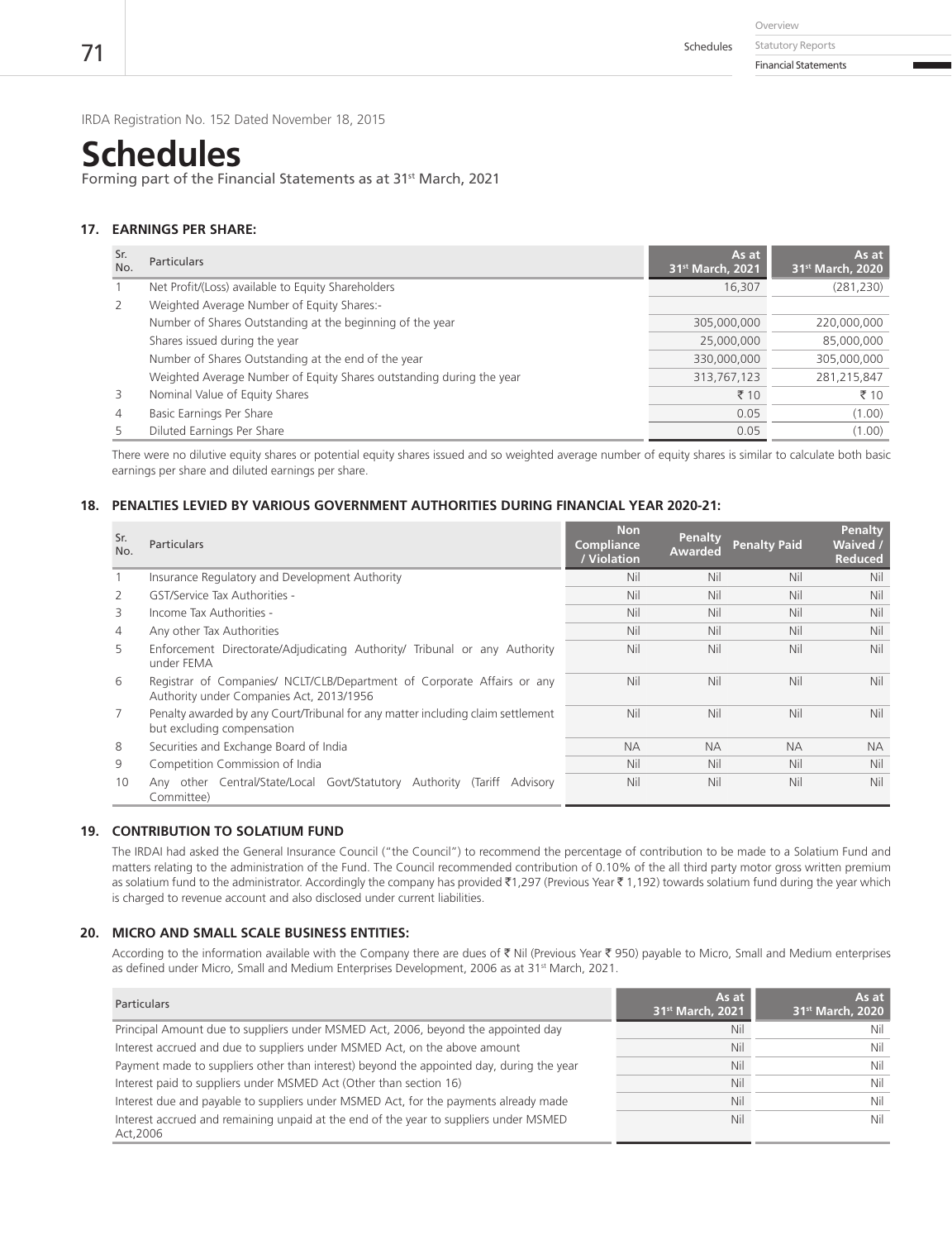Overview

IRDA Registration No. 152 Dated November 18, 2015

# **Schedules**

Forming part of the Financial Statements as at 31<sup>st</sup> March, 2021

### **17. EARNINGS PER SHARE:**

| Sr.<br>No. | Particulars                                                          | As at<br>31 <sup>st</sup> March, 2021 | As at<br>31 <sup>st</sup> March, 2020 |
|------------|----------------------------------------------------------------------|---------------------------------------|---------------------------------------|
|            | Net Profit/(Loss) available to Equity Shareholders                   | 16,307                                | (281, 230)                            |
| 2          | Weighted Average Number of Equity Shares:-                           |                                       |                                       |
|            | Number of Shares Outstanding at the beginning of the year            | 305,000,000                           | 220,000,000                           |
|            | Shares issued during the year                                        | 25,000,000                            | 85,000,000                            |
|            | Number of Shares Outstanding at the end of the year                  | 330,000,000                           | 305,000,000                           |
|            | Weighted Average Number of Equity Shares outstanding during the year | 313,767,123                           | 281,215,847                           |
| 3          | Nominal Value of Equity Shares                                       | ₹ 10                                  | ₹ 10                                  |
| 4          | Basic Earnings Per Share                                             | 0.05                                  | (1.00)                                |
|            | Diluted Earnings Per Share                                           | 0.05                                  | (1.00)                                |

There were no dilutive equity shares or potential equity shares issued and so weighted average number of equity shares is similar to calculate both basic earnings per share and diluted earnings per share.

#### **18. PENALTIES LEVIED BY VARIOUS GOVERNMENT AUTHORITIES DURING FINANCIAL YEAR 2020-21:**

| Sr.<br>No. | <b>Particulars</b>                                                                                                  | <b>Non</b><br>Compliance<br>/ Violation | Penalty<br>Awarded | <b>Penalty Paid</b> | Penalty<br>Waived /<br><b>Reduced</b> |
|------------|---------------------------------------------------------------------------------------------------------------------|-----------------------------------------|--------------------|---------------------|---------------------------------------|
|            | Insurance Regulatory and Development Authority                                                                      | Nil                                     | Nil                | Nil                 | Nil                                   |
|            | GST/Service Tax Authorities -                                                                                       | Nil                                     | Nil                | Nil                 | Nil                                   |
| 3          | Income Tax Authorities -                                                                                            | Nil                                     | Nil                | Nil                 | Nil                                   |
| 4          | Any other Tax Authorities                                                                                           | Nil                                     | Nil                | Nil                 | Nil                                   |
| 5.         | Enforcement Directorate/Adjudicating Authority/ Tribunal or any Authority<br>under FEMA                             | Nil                                     | Nil                | Nil                 | Nil                                   |
| 6          | Registrar of Companies/ NCLT/CLB/Department of Corporate Affairs or any<br>Authority under Companies Act, 2013/1956 | Nil                                     | Nil                | Nil                 | Nil                                   |
|            | Penalty awarded by any Court/Tribunal for any matter including claim settlement<br>but excluding compensation       | Nil                                     | Nil                | Nil                 | Nil                                   |
| 8          | Securities and Exchange Board of India                                                                              | <b>NA</b>                               | <b>NA</b>          | <b>NA</b>           | <b>NA</b>                             |
| 9          | Competition Commission of India                                                                                     | Nil                                     | Nil                | Nil                 | Nil                                   |
| 10         | Any other Central/State/Local Govt/Statutory Authority<br>(Tariff<br>Advisory<br>Committee)                         | Nil                                     | Nil                | Nil                 | Nil                                   |

#### **19. CONTRIBUTION TO SOLATIUM FUND**

The IRDAI had asked the General Insurance Council ("the Council") to recommend the percentage of contribution to be made to a Solatium Fund and matters relating to the administration of the Fund. The Council recommended contribution of 0.10% of the all third party motor gross written premium as solatium fund to the administrator. Accordingly the company has provided ₹1,297 (Previous Year ₹1,192) towards solatium fund during the year which is charged to revenue account and also disclosed under current liabilities.

#### **20. MICRO AND SMALL SCALE BUSINESS ENTITIES:**

According to the information available with the Company there are dues of  $\bar{\tau}$  Nil (Previous Year  $\bar{\tau}$  950) payable to Micro, Small and Medium enterprises as defined under Micro, Small and Medium Enterprises Development, 2006 as at 31<sup>st</sup> March, 2021.

| <b>Particulars</b>                                                                                 | As at<br>$31$ <sup>st</sup> March, 2021 | As at<br>31 <sup>st</sup> March, 2020 |
|----------------------------------------------------------------------------------------------------|-----------------------------------------|---------------------------------------|
| Principal Amount due to suppliers under MSMED Act, 2006, beyond the appointed day                  | Nil                                     | Nil                                   |
| Interest accrued and due to suppliers under MSMED Act, on the above amount                         | Nil                                     | Nil                                   |
| Payment made to suppliers other than interest) beyond the appointed day, during the year           | Nil                                     | Nil                                   |
| Interest paid to suppliers under MSMED Act (Other than section 16)                                 | Nil                                     | Nil                                   |
| Interest due and payable to suppliers under MSMED Act, for the payments already made               | Nil                                     | Nil                                   |
| Interest accrued and remaining unpaid at the end of the year to suppliers under MSMED<br>Act, 2006 | Nil                                     | Nil                                   |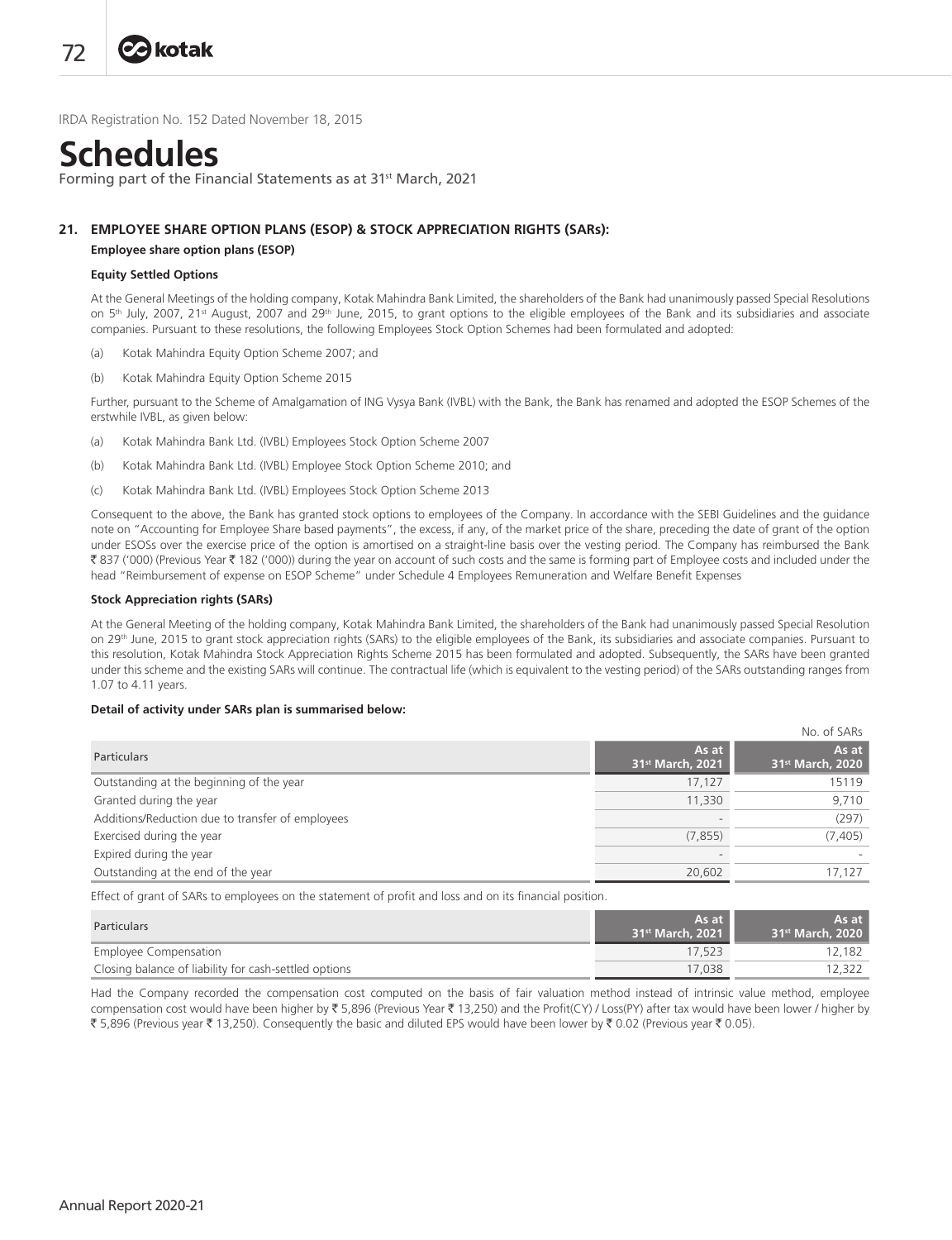IRDA Registration No. 152 Dated November 18, 2015

# **Schedules**

Forming part of the Financial Statements as at 31<sup>st</sup> March, 2021

#### **21. EMPLOYEE SHARE OPTION PLANS (ESOP) & STOCK APPRECIATION RIGHTS (SARs):**

#### **Employee share option plans (ESOP)**

#### **Equity Settled Options**

At the General Meetings of the holding company, Kotak Mahindra Bank Limited, the shareholders of the Bank had unanimously passed Special Resolutions on  $5<sup>th</sup>$  July, 2007, 21<sup>st</sup> August, 2007 and 29<sup>th</sup> June, 2015, to grant options to the eligible employees of the Bank and its subsidiaries and associate companies. Pursuant to these resolutions, the following Employees Stock Option Schemes had been formulated and adopted:

- (a) Kotak Mahindra Equity Option Scheme 2007; and
- (b) Kotak Mahindra Equity Option Scheme 2015

Further, pursuant to the Scheme of Amalgamation of ING Vysya Bank (IVBL) with the Bank, the Bank has renamed and adopted the ESOP Schemes of the erstwhile IVBL, as given below:

- (a) Kotak Mahindra Bank Ltd. (IVBL) Employees Stock Option Scheme 2007
- (b) Kotak Mahindra Bank Ltd. (IVBL) Employee Stock Option Scheme 2010; and
- (c) Kotak Mahindra Bank Ltd. (IVBL) Employees Stock Option Scheme 2013

Consequent to the above, the Bank has granted stock options to employees of the Company. In accordance with the SEBI Guidelines and the guidance note on "Accounting for Employee Share based payments", the excess, if any, of the market price of the share, preceding the date of grant of the option under ESOSs over the exercise price of the option is amortised on a straight-line basis over the vesting period. The Company has reimbursed the Bank ₹ 837 ('000) (Previous Year ₹ 182 ('000)) during the year on account of such costs and the same is forming part of Employee costs and included under the head "Reimbursement of expense on ESOP Scheme" under Schedule 4 Employees Remuneration and Welfare Benefit Expenses

#### **Stock Appreciation rights (SARs)**

At the General Meeting of the holding company, Kotak Mahindra Bank Limited, the shareholders of the Bank had unanimously passed Special Resolution on 29th June, 2015 to grant stock appreciation rights (SARs) to the eligible employees of the Bank, its subsidiaries and associate companies. Pursuant to this resolution, Kotak Mahindra Stock Appreciation Rights Scheme 2015 has been formulated and adopted. Subsequently, the SARs have been granted under this scheme and the existing SARs will continue. The contractual life (which is equivalent to the vesting period) of the SARs outstanding ranges from 1.07 to 4.11 years.

#### **Detail of activity under SARs plan is summarised below:**

|                                                  |                                       | No. of SARs                           |
|--------------------------------------------------|---------------------------------------|---------------------------------------|
| Particulars                                      | As at<br>31 <sup>st</sup> March, 2021 | As at<br>31 <sup>st</sup> March, 2020 |
| Outstanding at the beginning of the year         | 17,127                                | 15119                                 |
| Granted during the year                          | 11,330                                | 9,710                                 |
| Additions/Reduction due to transfer of employees |                                       | (297)                                 |
| Exercised during the year                        | (7, 855)                              | (7, 405)                              |
| Expired during the year                          |                                       |                                       |
| Outstanding at the end of the year               | 20,602                                | 17.127                                |

Effect of grant of SARs to employees on the statement of profit and loss and on its financial position.

| Particulars                                           | As at<br>31 <sup>st</sup> March, 2021 | As at l<br>31 <sup>st</sup> March, 2020 |
|-------------------------------------------------------|---------------------------------------|-----------------------------------------|
| Employee Compensation                                 | 7.523                                 | 12.182                                  |
| Closing balance of liability for cash-settled options | 17.038                                |                                         |

Had the Company recorded the compensation cost computed on the basis of fair valuation method instead of intrinsic value method, employee compensation cost would have been higher by  $\overline{z}$  5,896 (Previous Year  $\overline{z}$  13,250) and the Profit(CY) / Loss(PY) after tax would have been lower / higher by ₹ 5,896 (Previous year ₹ 13,250). Consequently the basic and diluted EPS would have been lower by ₹ 0.02 (Previous year ₹ 0.05).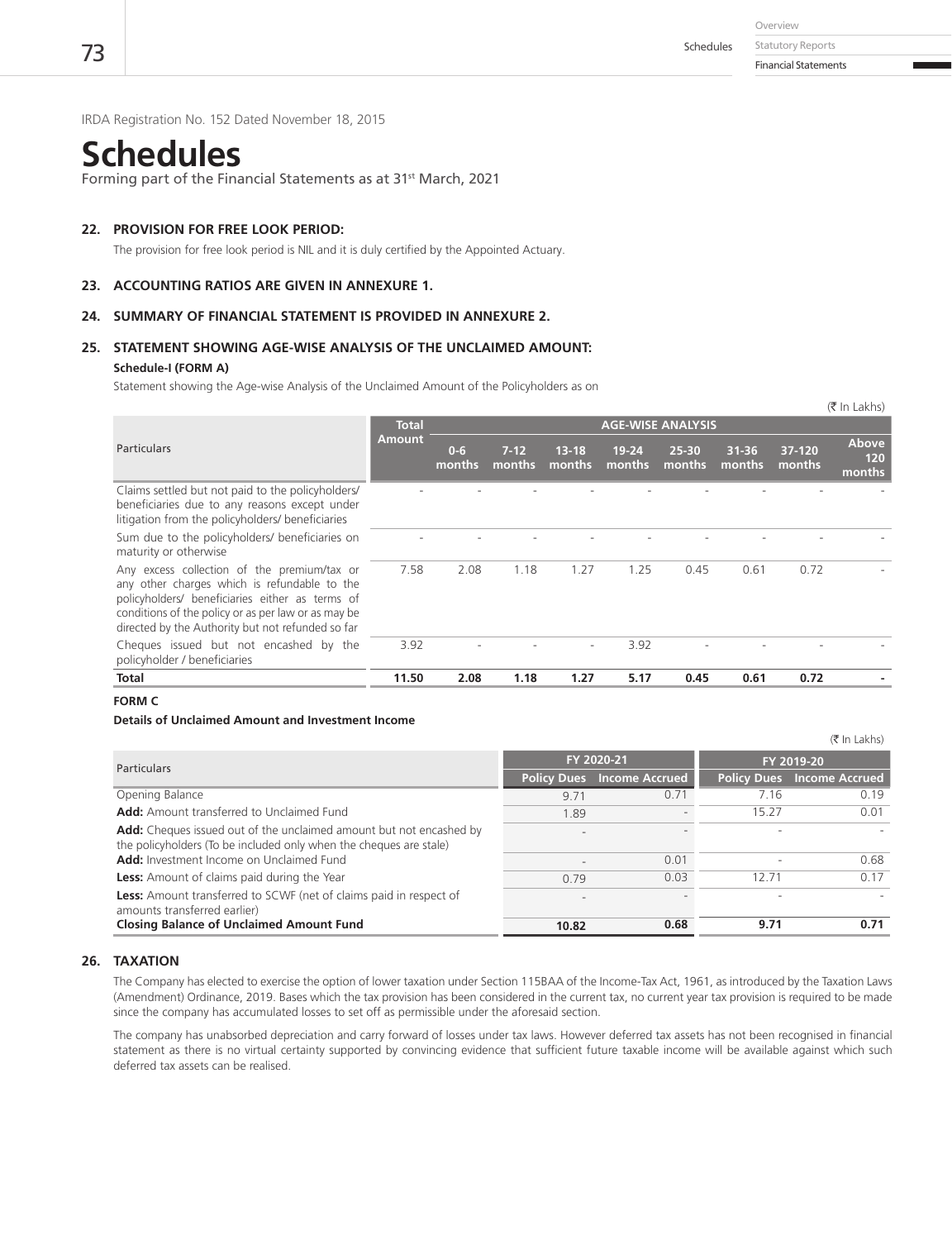Schedules

Statutory Reports

(₹ In Lakhs)

Financial Statements

Overview

IRDA Registration No. 152 Dated November 18, 2015

## **Schedules**

Forming part of the Financial Statements as at 31<sup>st</sup> March, 2021

#### **22. PROVISION FOR FREE LOOK PERIOD:**

The provision for free look period is NIL and it is duly certified by the Appointed Actuary.

#### **23. ACCOUNTING RATIOS ARE GIVEN IN ANNEXURE 1.**

#### **24. SUMMARY OF FINANCIAL STATEMENT IS PROVIDED IN ANNEXURE 2.**

### **25. STATEMENT SHOWING AGE-WISE ANALYSIS OF THE UNCLAIMED AMOUNT: Schedule-I (FORM A)**

Statement showing the Age-wise Analysis of the Unclaimed Amount of the Policyholders as on

|                                                                                                                                                                                                                                                            | <b>Total</b>  |                   |                    |                     |                     | <b>AGE-WISE ANALYSIS</b> |                     |                  |                        |
|------------------------------------------------------------------------------------------------------------------------------------------------------------------------------------------------------------------------------------------------------------|---------------|-------------------|--------------------|---------------------|---------------------|--------------------------|---------------------|------------------|------------------------|
| Particulars                                                                                                                                                                                                                                                | <b>Amount</b> | $0 - 6$<br>months | $7 - 12$<br>months | $13 - 18$<br>months | $19 - 24$<br>months | 25-30<br>months          | $31 - 36$<br>months | 37-120<br>months | Above<br>120<br>months |
| Claims settled but not paid to the policyholders/<br>beneficiaries due to any reasons except under<br>litigation from the policyholders/ beneficiaries                                                                                                     |               |                   |                    |                     |                     |                          |                     |                  |                        |
| Sum due to the policyholders/ beneficiaries on<br>maturity or otherwise                                                                                                                                                                                    |               |                   |                    |                     |                     |                          |                     |                  |                        |
| Any excess collection of the premium/tax or<br>any other charges which is refundable to the<br>policyholders/ beneficiaries either as terms of<br>conditions of the policy or as per law or as may be<br>directed by the Authority but not refunded so far | 7.58          | 2.08              | 1.18               | 1.27                | 1.25                | 0.45                     | 0.61                | 0.72             |                        |
| Cheques issued but not encashed by the<br>policyholder / beneficiaries                                                                                                                                                                                     | 3.92          |                   |                    | -                   | 3.92                |                          |                     |                  |                        |
| <b>Total</b>                                                                                                                                                                                                                                               | 11.50         | 2.08              | 1.18               | 1.27                | 5.17                | 0.45                     | 0.61                | 0.72             |                        |

#### **FORM C**

#### **Details of Unclaimed Amount and Investment Income**

(₹ In Lakhs) Particulars **FY 2020-21 FY 2019-20 Policy Dues Income Accrued Policy Dues Income Accrued** Opening Balance 9.71 0.71 7.16 0.19 **Add:** Amount transferred to Unclaimed Fund 1.89 - 15.27 0.01 Add: Cheques issued out of the unclaimed amount but not encashed by the policyholders (To be included only when the cheques are stale) - - - - Add: Investment Income on Unclaimed Fund **Fund Contained Fund Contained Fund Contained Fund Contained Fund Contained Fund Contained Fund Contained Fund Contained Fund Contained Fund Contained Fund Contained Fund Contained Less:** Amount of claims paid during the Year 0.79 0.03 12.71 0.17 **Less:** Amount transferred to SCWF (net of claims paid in respect of amounts transferred earlier) - - - - **Closing Balance of Unclaimed Amount Fund 10.82 0.68 9.71 0.71**

#### **26. TAXATION**

The Company has elected to exercise the option of lower taxation under Section 115BAA of the Income-Tax Act, 1961, as introduced by the Taxation Laws (Amendment) Ordinance, 2019. Bases which the tax provision has been considered in the current tax, no current year tax provision is required to be made since the company has accumulated losses to set off as permissible under the aforesaid section.

The company has unabsorbed depreciation and carry forward of losses under tax laws. However deferred tax assets has not been recognised in financial statement as there is no virtual certainty supported by convincing evidence that sufficient future taxable income will be available against which such deferred tax assets can be realised.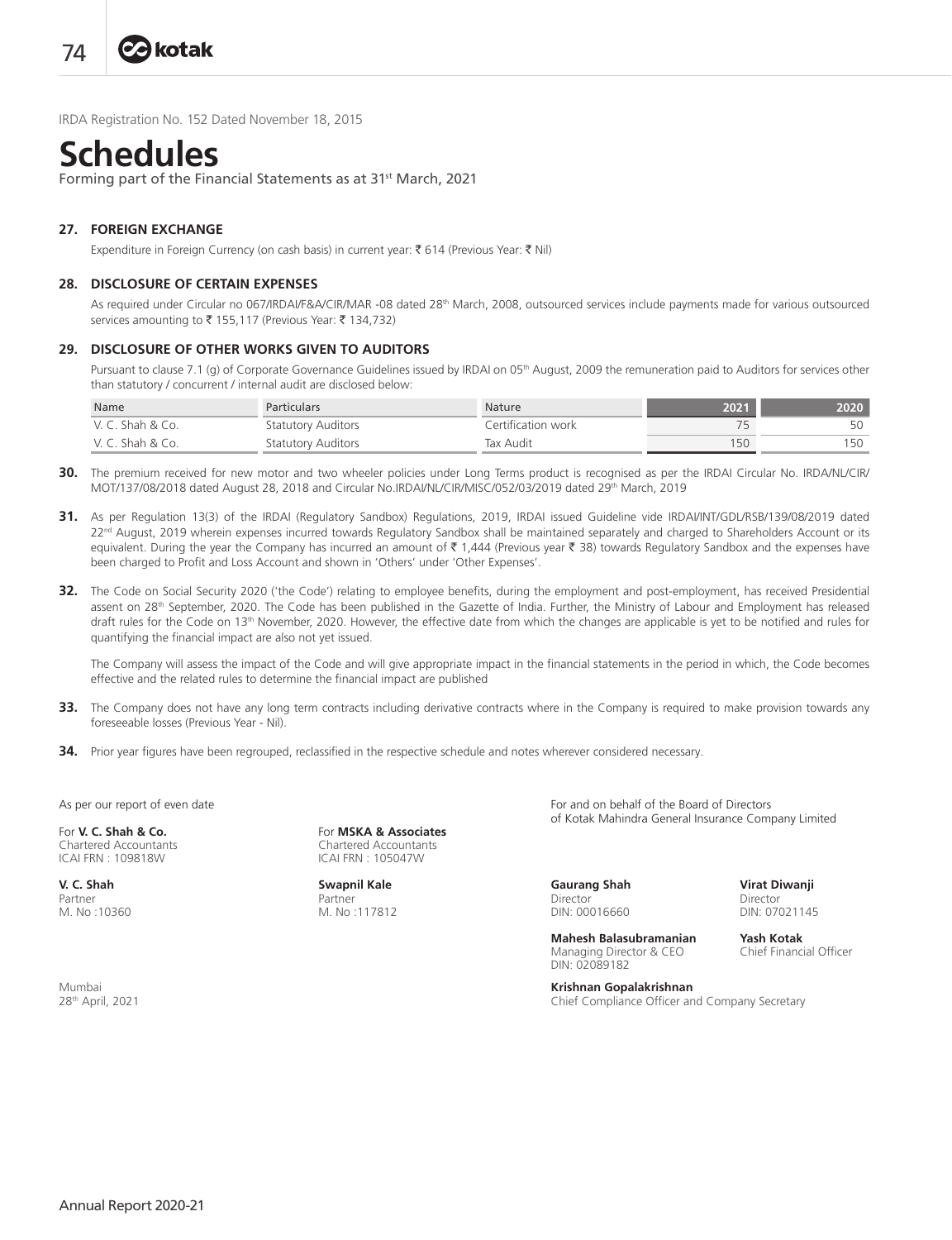IRDA Registration No. 152 Dated November 18, 2015

## **Schedules**

Forming part of the Financial Statements as at 31<sup>st</sup> March, 2021

#### **27. FOREIGN EXCHANGE**

Expenditure in Foreign Currency (on cash basis) in current year: ₹ 614 (Previous Year: ₹ Nil)

#### **28. DISCLOSURE OF CERTAIN EXPENSES**

As required under Circular no 067/IRDAI/F&A/CIR/MAR -08 dated 28<sup>th</sup> March, 2008, outsourced services include payments made for various outsourced services amounting to ₹155,117 (Previous Year: ₹134,732)

#### **29. DISCLOSURE OF OTHER WORKS GIVEN TO AUDITORS**

Pursuant to clause 7.1 (g) of Corporate Governance Guidelines issued by IRDAI on 05<sup>th</sup> August, 2009 the remuneration paid to Auditors for services other than statutory / concurrent / internal audit are disclosed below:

| Name             | <b>Particulars</b>        | <b>Nature</b>      | 2021 | 2020 |
|------------------|---------------------------|--------------------|------|------|
| V. C. Shah & Co. | <b>Statutory Auditors</b> | Certification work |      | 50   |
| V. C. Shah & Co. | <b>Statutory Auditors</b> | Tax Audit          | 150  | 150  |

- **30.** The premium received for new motor and two wheeler policies under Long Terms product is recognised as per the IRDAI Circular No. IRDA/NL/CIR/ MOT/137/08/2018 dated August 28, 2018 and Circular No.IRDAI/NL/CIR/MISC/052/03/2019 dated 29th March, 2019
- 31. As per Regulation 13(3) of the IRDAI (Regulatory Sandbox) Regulations, 2019, IRDAI issued Guideline vide IRDAI/INT/GDL/RSB/139/08/2019 dated 22<sup>nd</sup> August, 2019 wherein expenses incurred towards Regulatory Sandbox shall be maintained separately and charged to Shareholders Account or its equivalent. During the year the Company has incurred an amount of  $\bar{\tau}$  1,444 (Previous year  $\bar{\tau}$  38) towards Regulatory Sandbox and the expenses have been charged to Profit and Loss Account and shown in 'Others' under 'Other Expenses'.
- **32.** The Code on Social Security 2020 ('the Code') relating to employee benefits, during the employment and post-employment, has received Presidential assent on 28<sup>th</sup> September, 2020. The Code has been published in the Gazette of India. Further, the Ministry of Labour and Employment has released draft rules for the Code on 13<sup>th</sup> November, 2020. However, the effective date from which the changes are applicable is yet to be notified and rules for quantifying the financial impact are also not yet issued.

The Company will assess the impact of the Code and will give appropriate impact in the financial statements in the period in which, the Code becomes effective and the related rules to determine the financial impact are published

- **33.** The Company does not have any long term contracts including derivative contracts where in the Company is required to make provision towards any foreseeable losses (Previous Year - Nil).
- **34.** Prior year figures have been regrouped, reclassified in the respective schedule and notes wherever considered necessary.

Chartered Accountants Chartered Accountants

For **V. C. Shah & Co.** For **MSKA & Associates** ICAI FRN : 105047W

Partner Partner Partner Partner Director Director Director Director Director

As per our report of even date **For and on behalf of the Board of Directors** For and on behalf of the Board of Directors of Kotak Mahindra General Insurance Company Limited

**V. C. Shah Swapnil Kale Gaurang Shah Virat Diwanji**

**Mahesh Balasubramanian Yash Kotak** Managing Director & CEO DIN: 02089182

M. No :10360 M. No :117812 DIN: 00016660 DIN: 07021145

**Krishnan Gopalakrishnan** Chief Compliance Officer and Company Secretary

Mumbai 28th April, 2021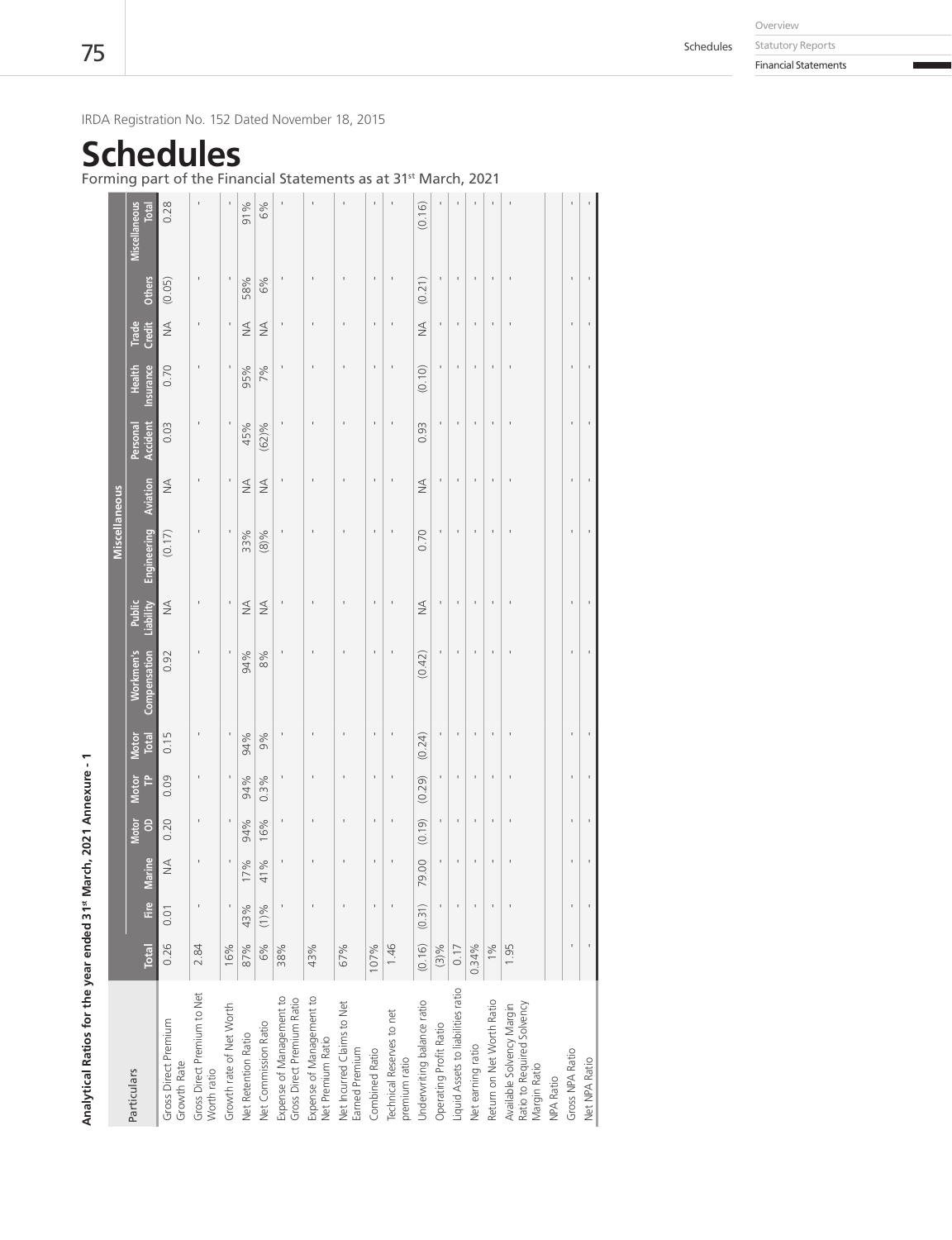Analytical Ratios for the year ended 31st March, 2021 Annexure - 1 **Analytical Ratios for the year ended 31st March, 2021 Annexure - 1**

|                                                                         |              |          |        |              |                   |                |                           |                     |              | Miscellaneous |                      |                                                     |                                                     |              |                                      |
|-------------------------------------------------------------------------|--------------|----------|--------|--------------|-------------------|----------------|---------------------------|---------------------|--------------|---------------|----------------------|-----------------------------------------------------|-----------------------------------------------------|--------------|--------------------------------------|
| Particulars                                                             | <b>Total</b> | Eire     | Marine | 8<br>Motor   | Ê<br><b>Motor</b> | Motor<br>Total | Workmen's<br>Compensation | Liability<br>Public | Engineering  | Aviation      | Accident<br>Personal | nsurance<br>Health                                  | Credit<br><b>Trade</b>                              | Others       | <b>Miscellaneous</b><br><b>Total</b> |
| Gross Direct Premium<br>Growth Rate                                     | 0.26         | 0.01     | $\leq$ | 0.20         | 0.09              | 0.15           | 0.92                      | $\frac{4}{2}$       | (0.17)       | $\frac{4}{2}$ | 0.03                 | 0.70                                                | $\leq$                                              | (0.05)       | 0.28                                 |
| Gross Direct Premium to Net<br>Worth ratio                              | 2.84         |          |        |              |                   |                |                           |                     |              |               |                      |                                                     |                                                     |              |                                      |
| Growth rate of Net Worth                                                | 16%          | ı        |        |              |                   |                |                           |                     | $\,$         | ı             | ı                    |                                                     |                                                     | $\mathbf{I}$ | $\mathbf{I}$                         |
| Net Retention Ratio                                                     | 87%          | 43%      | 17%    | 94%          | 94%               | 94%            | 94%                       | $\frac{4}{2}$       | 33%          | $\frac{4}{2}$ | 45%                  | 95%                                                 | $\stackrel{\triangle}{\geq}$                        | 58%          | 91%                                  |
| Net Commission Ratio                                                    | 6%           | $(1) \%$ | 41%    | 16%          | 0.3%              | 9%             | 8%                        | $\frac{4}{2}$       | $(8)\%$      | $\frac{4}{2}$ | $(62) \%$            | 7%                                                  | $\leq$                                              | 6%           | 6%                                   |
| Expense of Management to<br>Gross Direct Premium Ratio                  | 38%          |          |        |              |                   |                |                           |                     |              |               |                      |                                                     |                                                     |              |                                      |
| Expense of Management to<br>Net Premium Ratio                           | 43%          |          |        |              |                   |                |                           |                     |              |               |                      |                                                     |                                                     |              |                                      |
| Net Incurred Claims to Net<br>Earned Premium                            | 67%          |          |        |              |                   |                |                           |                     |              |               |                      |                                                     |                                                     |              |                                      |
| Combined Ratio                                                          | 107%         | ï        |        | ı            | ı                 | ı              | ï                         |                     | ı            | ı             | ï                    |                                                     | ï                                                   | ı            |                                      |
| Technical Reserves to net<br>premium ratio                              | 1.46         |          |        |              |                   |                |                           |                     |              |               |                      |                                                     |                                                     |              |                                      |
| Underwriting balance ratio                                              | (0.16)       | (0.31)   | 79.00  | (0.19)       | (0.29)            | (0.24)         | (0.42)                    | $\lessgtr$          | 0.70         | $\frac{4}{2}$ | 93<br>ö              | (0.10)                                              | $\lessgtr$                                          | (0.21)       | (0.16)                               |
| Operating Profit Ratio                                                  | $(3) \%$     |          |        |              |                   |                |                           |                     |              |               |                      |                                                     |                                                     |              |                                      |
| Liquid Assets to liabilities ratio                                      | 0.17         |          |        | $\,$         | $\,$              | $\mathbf{I}$   | ı                         |                     | $\mathbf{I}$ | $\mathbf{I}$  | $\mathbf{I}$         | $\begin{array}{c} \rule{0.2cm}{0.15mm} \end{array}$ | $\begin{array}{c} \rule{0.2cm}{0.15mm} \end{array}$ | $\mathbf{I}$ |                                      |
| Net earning ratio                                                       | 0.34%        |          |        | $\mathbf{I}$ | $\blacksquare$    |                |                           |                     |              |               |                      |                                                     |                                                     | $\mathbf{I}$ |                                      |
| Return on Net Worth Ratio                                               | 1%           |          |        | ı            | ï                 |                |                           |                     |              | ï             | I.                   |                                                     |                                                     | ï            |                                      |
| Ratio to Required Solvency<br>Available Solvency Margin<br>Margin Ratio | 1.95         |          |        |              |                   |                |                           |                     |              |               |                      |                                                     |                                                     |              |                                      |
| <b>NPA Ratio</b>                                                        |              |          |        |              |                   |                |                           |                     |              |               |                      |                                                     |                                                     |              |                                      |
| Gross NPA Ratio                                                         |              |          |        |              | $\blacksquare$    |                |                           |                     |              |               |                      |                                                     |                                                     |              |                                      |
| Net NPA Ratio                                                           |              |          |        |              |                   |                |                           |                     |              |               |                      |                                                     |                                                     |              |                                      |

Schedules

Financial Statements

75

IRDA Registration No. 152 Dated November 18, 2015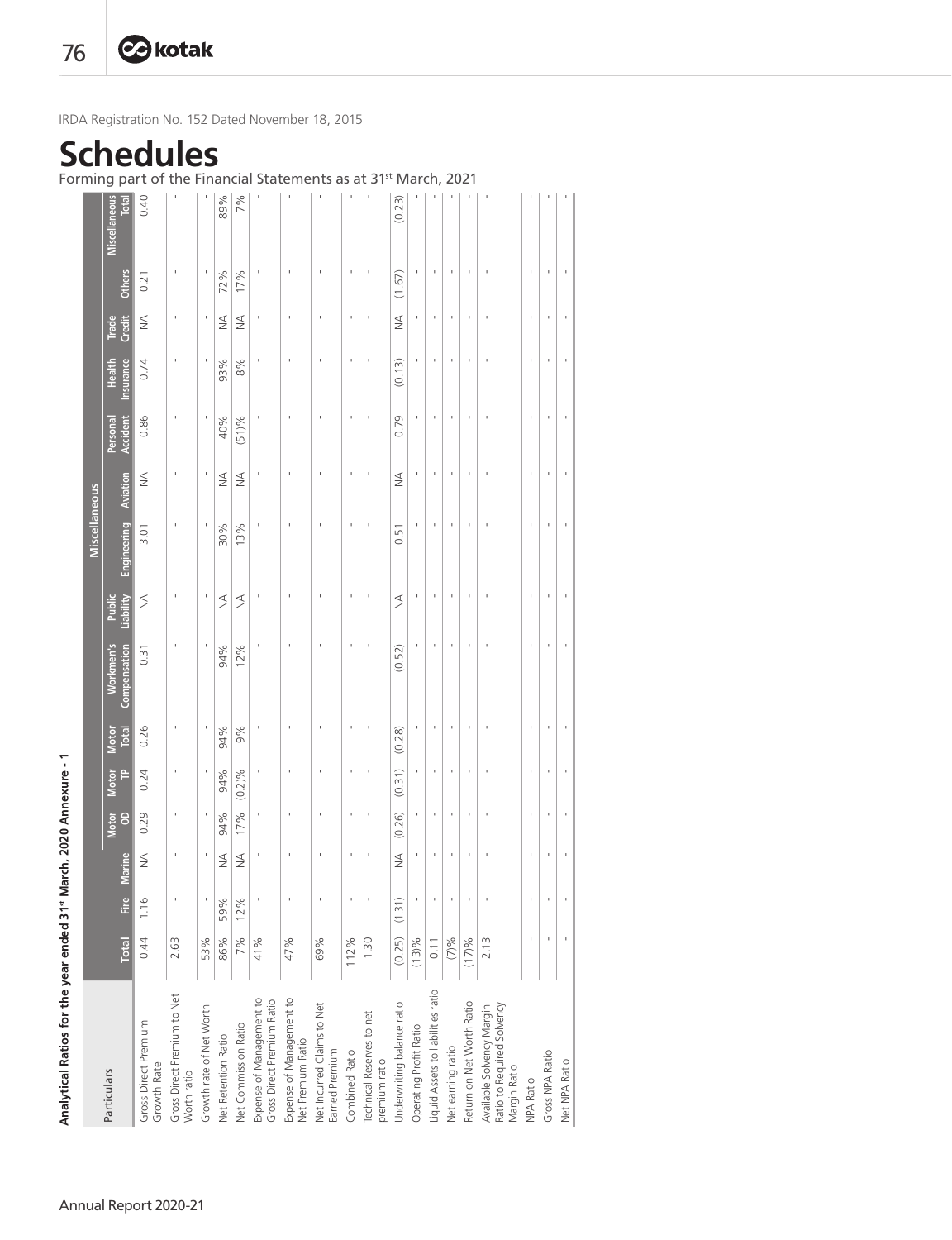IRDA Registration No. 152 Dated November 18, 2015

# **Schedules**

Forming part of the Financial Statements as at 31<sup>st</sup> March, 2021

|                                                                         |          |                      |               |                     |              |                       |                           |                     | Miscellaneous |          |                      |                     |                 |               |                        |
|-------------------------------------------------------------------------|----------|----------------------|---------------|---------------------|--------------|-----------------------|---------------------------|---------------------|---------------|----------|----------------------|---------------------|-----------------|---------------|------------------------|
| Particulars                                                             | Total    | e<br>E               | <b>Marine</b> | $\epsilon$<br>Motor | Motor        | <b>Total</b><br>Motor | Compensation<br>Workmen's | Public<br>Liability | Engineering   | Aviation | Accident<br>Personal | Insurance<br>Health | Trade<br>Credit | <b>Others</b> | Miscellaneous<br>Total |
| Gross Direct Premium<br>Growth Rate                                     | 0.44     | $\frac{6}{1}$        | ≸             | 0.29                | 0.24         | 0.26                  | 0.31                      | ₹                   | 3.01          | ₹        | 0.86                 | 0.74                | ≸               | 0.21          | 0.40                   |
| Gross Direct Premium to Net<br>Worth ratio                              | 2.63     |                      | ı             |                     |              |                       |                           |                     |               |          |                      |                     |                 |               |                        |
| Growth rate of Net Worth                                                | 53%      |                      |               |                     |              |                       |                           |                     |               |          |                      |                     |                 |               |                        |
| Net Retention Ratio                                                     | 86%      | $\frac{5}{6}$<br>59  | ₹             | 94%                 | 94%          | 94%                   | 94%                       | ₹                   | 30%           | ₹        | 40%                  | 93%                 | ₹               | 72%           | 89%                    |
| Net Commission Ratio                                                    | 7%       | $\geq$<br>$\approx$  | ₹             | 17%                 | $(0.2) \%$   | 9%                    | 12%                       | ₹                   | 13%           | ₹        | $(51) \%$            | 8%                  | ₹               | 17%           |                        |
| Expense of Management to<br>Gross Direct Premium Ratio                  | 41%      |                      | ٠             |                     |              |                       |                           |                     |               |          |                      |                     |                 |               |                        |
| Expense of Management to<br>Net Premium Ratio                           | 47%      |                      | ٠             |                     |              |                       |                           |                     |               |          |                      |                     |                 |               |                        |
| Net Incurred Claims to Net<br>Earned Premium                            | 69%      |                      | ,             | ,                   |              |                       |                           |                     | t             |          |                      |                     |                 |               |                        |
| Combined Ratio                                                          | 112%     |                      | ٠             | ı                   | ı            | ı                     |                           |                     | ł             |          | ı                    |                     |                 |               |                        |
| Technical Reserves to net<br>premium ratio                              | 1.30     |                      | ٠             |                     |              |                       |                           |                     |               |          |                      |                     |                 |               |                        |
| Underwriting balance ratio                                              | (0.25)   | $\widehat{31}$<br>Ξ, | ₹             | (0.26)              | (0.31)       | (0.28)                | (0.52)                    | ₹                   | 0.51          | ₹        | 0.79                 | (0.13)              | ₹               | (1.67)        | (0.23)                 |
| Operating Profit Ratio                                                  | (13)%    | ı                    | $\,$          | ı                   | ı            |                       |                           |                     | $\,$          | ı        | $\,$                 | ı                   | ı               |               |                        |
| Liquid Assets to liabilities ratio                                      | 0.11     |                      |               |                     |              |                       |                           |                     |               |          |                      |                     |                 |               |                        |
| Net earning ratio                                                       | $(7) \%$ |                      | $\mathbf{I}$  | $\mathbf{I}$        | $\mathbf{I}$ |                       |                           |                     |               |          | $\mathbf{I}$         |                     |                 |               |                        |
| Return on Net Worth Ratio                                               | (17)%    |                      |               |                     |              |                       |                           |                     |               |          |                      |                     |                 |               |                        |
| Ratio to Required Solvency<br>Available Solvency Margin<br>Margin Ratio | 2.13     |                      |               |                     |              |                       |                           |                     |               |          |                      |                     |                 |               |                        |
| <b>NPA Ratio</b>                                                        |          |                      |               | $\,$                | $\mathbf{I}$ |                       |                           |                     | $\mathbf{I}$  |          |                      |                     |                 |               |                        |
| Gross NPA Ratio                                                         |          |                      |               |                     |              |                       |                           |                     |               |          |                      |                     |                 |               |                        |
| Net NPA Ratio                                                           |          |                      |               |                     |              |                       |                           |                     |               |          |                      |                     |                 |               |                        |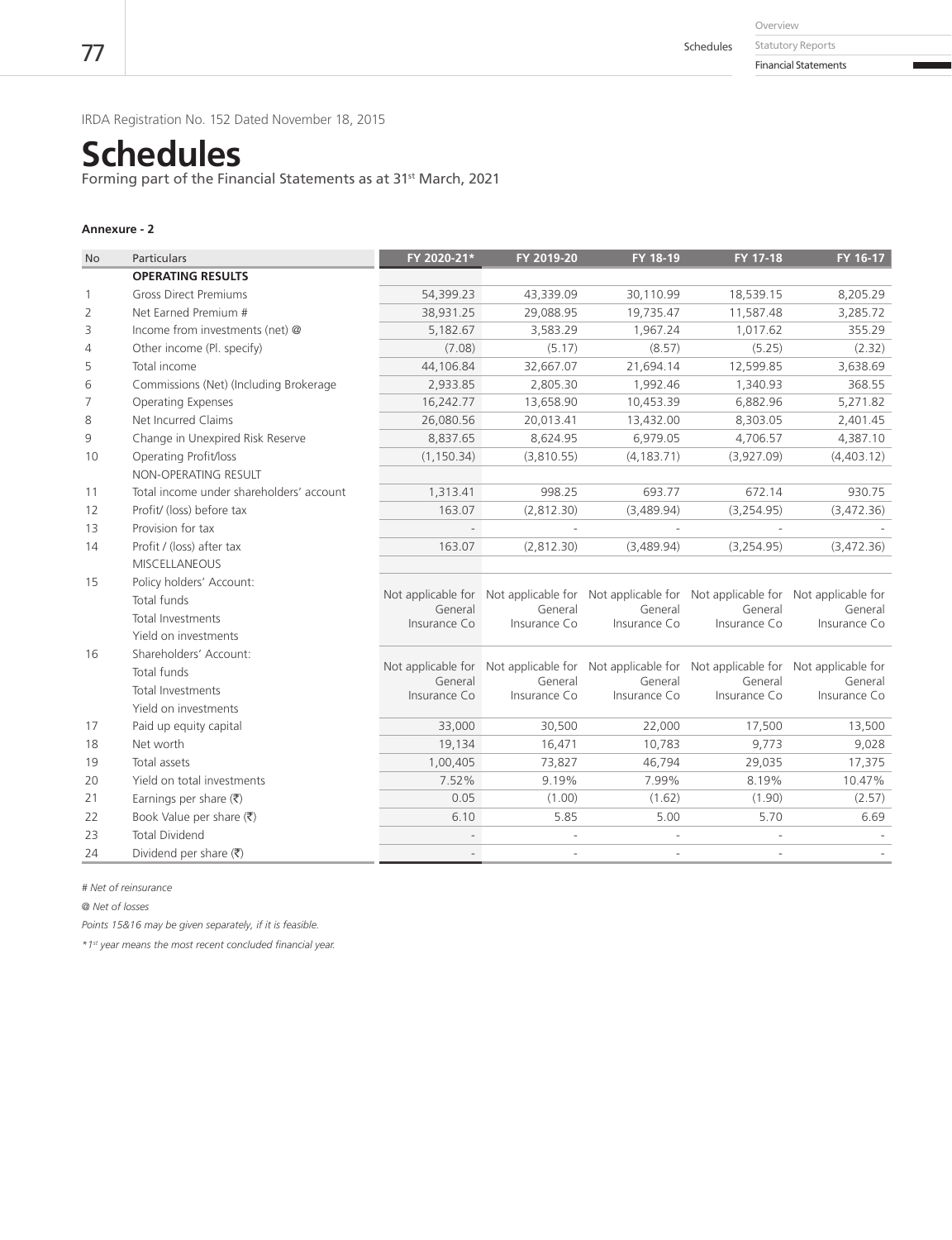Statutory Reports Financial Statements

Overview

IRDA Registration No. 152 Dated November 18, 2015

## **Schedules**

Forming part of the Financial Statements as at 31st March, 2021

### **Annexure - 2**

| <b>OPERATING RESULTS</b><br><b>Gross Direct Premiums</b><br>54,399.23<br>18,539.15<br>43,339.09<br>30,110.99<br>1<br>Net Earned Premium #<br>38,931.25<br>11,587.48<br>$\overline{2}$<br>29,088.95<br>19,735.47<br>Income from investments (net) @<br>3<br>5,182.67<br>3,583.29<br>1,967.24<br>1,017.62 | 8,205.29<br>3,285.72<br>355.29<br>(2.32)<br>3,638.69<br>368.55<br>5,271.82 |
|---------------------------------------------------------------------------------------------------------------------------------------------------------------------------------------------------------------------------------------------------------------------------------------------------------|----------------------------------------------------------------------------|
|                                                                                                                                                                                                                                                                                                         |                                                                            |
|                                                                                                                                                                                                                                                                                                         |                                                                            |
|                                                                                                                                                                                                                                                                                                         |                                                                            |
|                                                                                                                                                                                                                                                                                                         |                                                                            |
| Other income (Pl. specify)<br>(7.08)<br>(5.17)<br>(8.57)<br>(5.25)<br>$\overline{4}$                                                                                                                                                                                                                    |                                                                            |
| Total income<br>5<br>44,106.84<br>32,667.07<br>21,694.14<br>12,599.85                                                                                                                                                                                                                                   |                                                                            |
| Commissions (Net) (Including Brokerage<br>2,933.85<br>2,805.30<br>1,992.46<br>1,340.93<br>6                                                                                                                                                                                                             |                                                                            |
| $\overline{7}$<br>16,242.77<br>13,658.90<br>10,453.39<br>6,882.96<br><b>Operating Expenses</b>                                                                                                                                                                                                          |                                                                            |
| Net Incurred Claims<br>8<br>26,080.56<br>20,013.41<br>13,432.00<br>8,303.05                                                                                                                                                                                                                             | 2,401.45                                                                   |
| 9<br>Change in Unexpired Risk Reserve<br>8,837.65<br>6,979.05<br>8,624.95<br>4,706.57                                                                                                                                                                                                                   | 4,387.10                                                                   |
| Operating Profit/loss<br>(1, 150.34)<br>(3,810.55)<br>(4, 183.71)<br>(3,927.09)<br>10                                                                                                                                                                                                                   | (4,403.12)                                                                 |
| NON-OPERATING RESULT                                                                                                                                                                                                                                                                                    |                                                                            |
| Total income under shareholders' account<br>998.25<br>672.14<br>1,313.41<br>693.77<br>11                                                                                                                                                                                                                | 930.75                                                                     |
| 163.07<br>(2,812.30)<br>(3,254.95)<br>12<br>Profit/ (loss) before tax<br>(3,489.94)                                                                                                                                                                                                                     | (3,472.36)                                                                 |
| Provision for tax<br>13                                                                                                                                                                                                                                                                                 |                                                                            |
| Profit / (loss) after tax<br>163.07<br>(3,254.95)<br>14<br>(2,812.30)<br>(3,489.94)                                                                                                                                                                                                                     | (3,472.36)                                                                 |
| <b>MISCELLANEOUS</b>                                                                                                                                                                                                                                                                                    |                                                                            |
| Policy holders' Account:<br>15                                                                                                                                                                                                                                                                          |                                                                            |
| Not applicable for Not applicable for Not applicable for Not applicable for Not applicable for<br>Total funds<br>General<br>General<br>General<br>General                                                                                                                                               | General                                                                    |
| Total Investments<br>Insurance Co<br>Insurance Co<br>Insurance Co<br>Insurance Co                                                                                                                                                                                                                       | Insurance Co                                                               |
| Yield on investments                                                                                                                                                                                                                                                                                    |                                                                            |
| Shareholders' Account:<br>16                                                                                                                                                                                                                                                                            |                                                                            |
| Not applicable for Not applicable for Not applicable for Not applicable for Not applicable for<br>Total funds<br>General<br>General<br>General<br>General                                                                                                                                               | General                                                                    |
| Total Investments<br>Insurance Co<br>Insurance Co<br>Insurance Co<br>Insurance Co                                                                                                                                                                                                                       | Insurance Co                                                               |
| Yield on investments                                                                                                                                                                                                                                                                                    |                                                                            |
| Paid up equity capital<br>33,000<br>30,500<br>22,000<br>17,500<br>17                                                                                                                                                                                                                                    | 13,500                                                                     |
| Net worth<br>18<br>19,134<br>16,471<br>10,783<br>9,773                                                                                                                                                                                                                                                  | 9,028                                                                      |
| 19<br>Total assets<br>46,794<br>1,00,405<br>73,827<br>29,035                                                                                                                                                                                                                                            | 17,375                                                                     |
| Yield on total investments<br>7.52%<br>9.19%<br>7.99%<br>8.19%<br>20                                                                                                                                                                                                                                    | 10.47%                                                                     |
| 0.05<br>21<br>(1.00)<br>(1.62)<br>(1.90)<br>Earnings per share $(\overline{\tau})$                                                                                                                                                                                                                      | (2.57)                                                                     |
| 6.10<br>Book Value per share $(\overline{\tau})$<br>5.85<br>5.00<br>5.70<br>22                                                                                                                                                                                                                          | 6.69                                                                       |
| <b>Total Dividend</b><br>23                                                                                                                                                                                                                                                                             |                                                                            |
| Dividend per share $( ₹)$<br>24<br>$\overline{\phantom{a}}$                                                                                                                                                                                                                                             |                                                                            |

*# Net of reinsurance*

*@ Net of losses*

*Points 15&16 may be given separately, if it is feasible.*

*\*1st year means the most recent concluded financial year.*